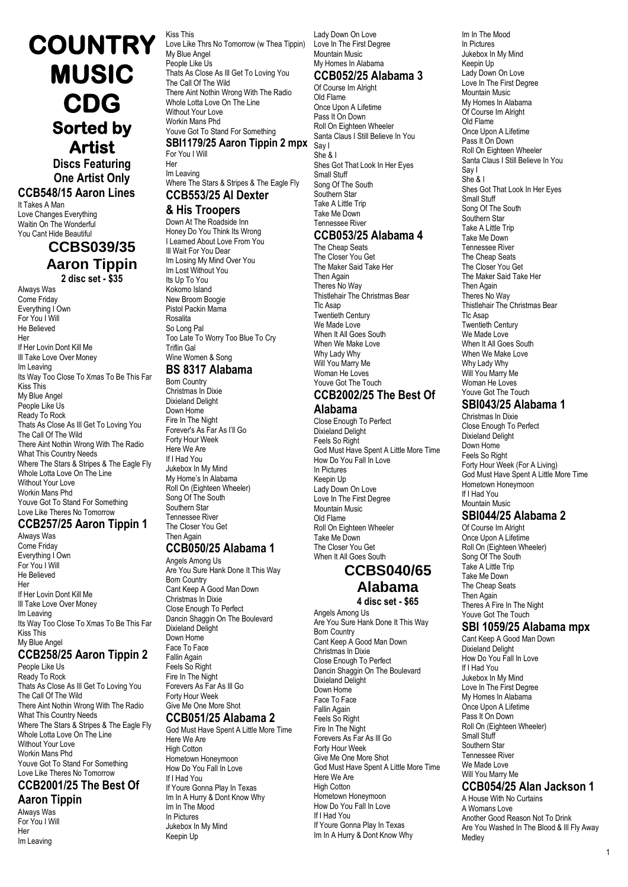**Artist Discs Featuring One Artist Only**

**COUNTRY** 

**MUSIC** 

**CDG** 

**Sorted by** 

### **CCB548/15 Aaron Lines**

It Takes A Man Love Changes Everything Waitin On The Wonderful You Cant Hide Beautiful

### **CCBS039/35 Aaron Tippin**

**2 disc set - \$35**

Always Was Come Friday Everything I Own For You I Will He Believed Her If Her Lovin Dont Kill Me Ill Take Love Over Money Im Leaving Its Way Too Close To Xmas To Be This Far Kiss This My Blue Angel People Like Us Ready To Rock Thats As Close As Ill Get To Loving You The Call Of The Wild There Aint Nothin Wrong With The Radio What This Country Needs Where The Stars & Stripes & The Eagle Fly Whole Lotta Love On The Line Without Your Love Workin Mans Phd Youve Got To Stand For Something Love Like Theres No Tomorrow

### **CCB257/25 Aaron Tippin 1**

Always Was Come Friday Everything I Own For You I Will He Believed Her If Her Lovin Dont Kill Me III Take Love Over Money Im Leaving Its Way Too Close To Xmas To Be This Far Kiss This My Blue Angel

### **CCB258/25 Aaron Tippin 2**

People Like Us Ready To Rock Thats As Close As Ill Get To Loving You The Call Of The Wild There Aint Nothin Wrong With The Radio What This Country Needs Where The Stars & Stripes & The Eagle Fly Whole Lotta Love On The Line Without Your Love Workin Mans Phd Youve Got To Stand For Something Love Like Theres No Tomorrow

#### **CCB2001/25 The Best Of Aaron Tippin**

Always Was For You I Will Her Im Leaving

Kiss This Love Like Thrs No Tomorrow (w Thea Tippin) My Blue Angel People Like Us Thats As Close As Ill Get To Loving You The Call Of The Wild There Aint Nothin Wrong With The Radio Whole Lotta Love On The Line Without Your Love Workin Mans Phd Youve Got To Stand For Something **SBI1179/25 Aaron Tippin 2 mpx** Say I For You I Will Her

Im Leaving Where The Stars & Stripes & The Eagle Fly **CCB553/25 Al Dexter**

### **& His Troopers**

Down At The Roadside Inn Honey Do You Think Its Wrong I Learned About Love From You Ill Wait For You Dear Im Losing My Mind Over You Im Lost Without You Its Up To You Kokomo Island New Broom Boogie Pistol Packin Mama Rosalita So Long Pal Too Late To Worry Too Blue To Cry Triflin Gal Wine Women & Song **BS 8317 Alabama**

### Born Country

Christmas In Dixie Dixieland Delight Down Home Fire In The Night Forever's As Far As I'll Go Forty Hour Week Here We Are If I Had You Jukebox In My Mind My Home's In Alabama Roll On (Eighteen Wheeler) Song Of The South Southern Star Tennessee River The Closer You Get **Then Again** 

### **CCB050/25 Alabama 1**

Angels Among Us Are You Sure Hank Done It This Way Born Country Cant Keep A Good Man Down Christmas In Dixie Close Enough To Perfect Dancin Shaggin On The Boulevard Dixieland Delight Down Home Face To Face Fallin Again Feels So Right Fire In The Night Forevers As Far As Ill Go Forty Hour Week Give Me One More Shot

### **CCB051/25 Alabama 2**

God Must Have Spent A Little More Time Here We Are High Cotton Hometown Honeymoon How Do You Fall In Love If I Had You If Youre Gonna Play In Texas Im In A Hurry & Dont Know Why Im In The Mood In Pictures Jukebox In My Mind Keepin Up

Lady Down On Love Love In The First Degree Mountain Music My Homes In Alabama

# **CCB052/25 Alabama 3**

Of Course Im Alright Old Flame Once Upon A Lifetime Pass It On Down Roll On Eighteen Wheeler Santa Claus I Still Believe In You She & I Shes Got That Look In Her Eyes Small Stuff Song Of The South Southern Star Take A Little Trip Take Me Down Tennessee River **CCB053/25 Alabama 4**

The Cheap Seats The Closer You Get The Maker Said Take Her Then Again Theres No Way Thistlehair The Christmas Bear Tlc Asap Twentieth Century We Made Love When It All Goes South When We Make Love Why Lady Why Will You Marry Me Woman He Loves Youve Got The Touch

#### **CCB2002/25 The Best Of Alabama**

Close Enough To Perfect Dixieland Delight Feels So Right God Must Have Spent A Little More Time How Do You Fall In Love In Pictures Keepin Up Lady Down On Love Love In The First Degree Mountain Music Old Flame Roll On Eighteen Wheeler Take Me Down The Closer You Get When It All Goes South

### **CCBS040/65 Alabama 4 disc set - \$65**

Angels Among Us Are You Sure Hank Done It This Way Born Country Cant Keep A Good Man Down

Christmas In Dixie Close Enough To Perfect Dancin Shaggin On The Boulevard Dixieland Delight Down Home Face To Face Fallin Again Feels So Right Fire In The Night Forevers As Far As Ill Go Forty Hour Week Give Me One More Shot God Must Have Spent A Little More Time Here We Are **High Cotton** Hometown Honeymoon How Do You Fall In Love If I Had You If Youre Gonna Play In Texas Im In A Hurry & Dont Know Why

Im In The Mood In Pictures Jukebox In My Mind Keepin Up Lady Down On Love Love In The First Degree Mountain Music My Homes In Alabama Of Course Im Alright Old Flame Once Upon A Lifetime Pass It On Down Roll On Eighteen Wheeler Santa Claus I Still Believe In You Say I She & I Shes Got That Look In Her Eyes Small Stuff Song Of The South Southern Star Take A Little Trip Take Me Down Tennessee River The Cheap Seats The Closer You Get The Maker Said Take Her Then Again Theres No Way Thistlehair The Christmas Bear Tlc Asap Twentieth Century We Made Love When It All Goes South When We Make Love Why Lady Why Will You Marry Me Woman He Loves Youve Got The Touch

### **SBI043/25 Alabama 1**

Christmas In Dixie Close Enough To Perfect Dixieland Delight Down Home Feels So Right Forty Hour Week (For A Living) God Must Have Spent A Little More Time Hometown Honeymoon If I Had You Mountain Music

### **SBI044/25 Alabama 2**

Of Course Im Alright Once Upon A Lifetime Roll On (Eighteen Wheeler) Song Of The South Take A Little Trip Take Me Down The Cheap Seats Then Again Theres A Fire In The Night Youve Got The Touch

#### **SBI 1059/25 Alabama mpx**

Cant Keep A Good Man Down Dixieland Delight How Do You Fall In Love If I Had You Jukebox In My Mind Love In The First Degree My Homes In Alabama Once Upon A Lifetime Pass It On Down Roll On (Eighteen Wheeler) Small Stuff Southern Star Tennessee River We Made Love Will You Marry Me

### **CCB054/25 Alan Jackson 1**

A House With No Curtains A Womans Love Another Good Reason Not To Drink Are You Washed In The Blood & Ill Fly Away Medley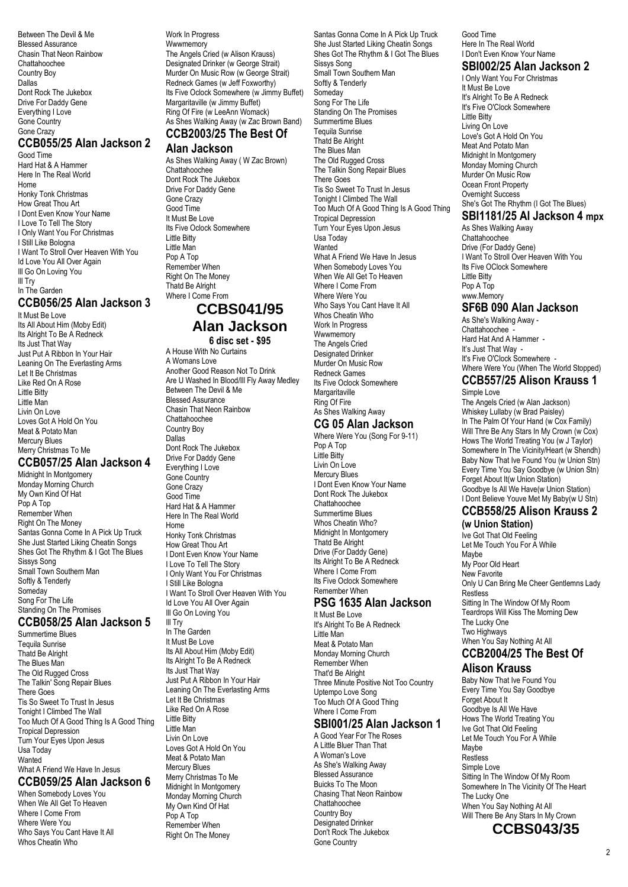Between The Devil & Me Blessed Assurance Chasin That Neon Rainbow Chattahoochee Country Boy Dallas Dont Rock The Jukebox Drive For Daddy Gene Everything I Love Gone Country Gone Crazy

### **CCB055/25 Alan Jackson 2**

Good Time Hard Hat & A Hammer Here In The Real World Home Honky Tonk Christmas How Great Thou Art I Dont Even Know Your Name I Love To Tell The Story I Only Want You For Christmas I Still Like Bologna I Want To Stroll Over Heaven With You Id Love You All Over Again Ill Go On Loving You Ill Try In The Garden

### **CCB056/25 Alan Jackson 3**

It Must Be Love Its All About Him (Moby Edit) Its Alright To Be A Redneck Its Just That Way Just Put A Ribbon In Your Hair Leaning On The Everlasting Arms Let It Be Christmas Like Red On A Rose Little Bitty Little Man Livin On Love Loves Got A Hold On You Meat & Potato Man Mercury Blues Merry Christmas To Me

#### **CCB057/25 Alan Jackson 4**

Midnight In Montgomery Monday Morning Church My Own Kind Of Hat Pop A Top Remember When Right On The Money Santas Gonna Come In A Pick Up Truck She Just Started Liking Cheatin Songs Shes Got The Rhythm & I Got The Blues Sissys Song Small Town Southern Man Softly & Tenderly Someday Song For The Life Standing On The Promises

### **CCB058/25 Alan Jackson 5**

Summertime Blues Tequila Sunrise Thatd Be Alright The Blues Man The Old Rugged Cross The Talkin' Song Repair Blues There Goes Tis So Sweet To Trust In Jesus Tonight I Climbed The Wall Too Much Of A Good Thing Is A Good Thing Tropical Depression Turn Your Eyes Upon Jesus Usa Today **Wanted** What A Friend We Have In Jesus

### **CCB059/25 Alan Jackson 6**

When Somebody Loves You When We All Get To Heaven Where I Come From Where Were You Who Says You Cant Have It All Whos Cheatin Who

#### Work In Progress

**Wwwmemory** The Angels Cried (w Alison Krauss) Designated Drinker (w George Strait) Murder On Music Row (w George Strait) Redneck Games (w Jeff Foxworthy) Its Five Oclock Somewhere (w Jimmy Buffet) Margaritaville (w Jimmy Buffet) Ring Of Fire (w LeeAnn Womack) As Shes Walking Away (w Zac Brown Band) **CCB2003/25 The Best Of**

#### **Alan Jackson**

As Shes Walking Away ( W Zac Brown) Chattahoochee Dont Rock The Jukebox Drive For Daddy Gene Gone Crazy Good Time It Must Be Love Its Five Oclock Somewhere Little Bitty Little Man Pop A Top Remember When Right On The Money Thatd Be Alright Where I Come From **CCBS041/95**

# **Alan Jackson**

**6 disc set - \$95** A House With No Curtains

A Womans Love Another Good Reason Not To Drink Are U Washed In Blood/Ill Fly Away Medley Between The Devil & Me Blessed Assurance Chasin That Neon Rainbow Chattahoochee Country Boy Dallas Dont Rock The Jukebox Drive For Daddy Gene Everything I Love Gone Country Gone Crazy Good Time Hard Hat & A Hammer Here In The Real World Home Honky Tonk Christmas How Great Thou Art I Dont Even Know Your Name I Love To Tell The Story I Only Want You For Christmas I Still Like Bologna I Want To Stroll Over Heaven With You Id Love You All Over Again Ill Go On Loving You Ill Try In The Garden It Must Be Love Its All About Him (Moby Edit) Its Alright To Be A Redneck Its Just That Way Just Put A Ribbon In Your Hair Leaning On The Everlasting Arms Let It Be Christmas Like Red On A Rose Little Bitty Little Man Livin On Love Loves Got A Hold On You Meat & Potato Man

Mercury Blues Merry Christmas To Me Midnight In Montgomery Monday Morning Church My Own Kind Of Hat Pop A Top Remember When Right On The Money

Santas Gonna Come In A Pick Up Truck She Just Started Liking Cheatin Songs Shes Got The Rhythm & I Got The Blues Sissys Song Small Town Southern Man Softly & Tenderly **Someday** Song For The Life Standing On The Promises Summertime Blues Tequila Sunrise Thatd Be Alright The Blues Man The Old Rugged Cross The Talkin Song Repair Blues There Goes Tis So Sweet To Trust In Jesus Tonight I Climbed The Wall Too Much Of A Good Thing Is A Good Thing Tropical Depression Turn Your Eyes Upon Jesus Usa Today **Wanted** What A Friend We Have In Jesus When Somebody Loves You When We All Get To Heaven Where I Come From Where Were You Who Says You Cant Have It All Whos Cheatin Who Work In Progress **Wwwmemory** The Angels Cried Designated Drinker Murder On Music Row Redneck Games Its Five Oclock Somewhere **Margaritaville** Ring Of Fire As Shes Walking Away **CG 05 Alan Jackson** Where Were You (Song For 9-11) Pop A Top Little Bitty Livin On Love Mercury Blues I Dont Even Know Your Name

Dont Rock The Jukebox Chattahoochee Summertime Blues Whos Cheatin Who? Midnight In Montgomery Thatd Be Alright Drive (For Daddy Gene) Its Alright To Be A Redneck Where I Come From Its Five Oclock Somewhere Remember When

# **PSG 1635 Alan Jackson**

It Must Be Love It's Alright To Be A Redneck Little Man Meat & Potato Man Monday Morning Church Remember When That'd Be Alright Three Minute Positive Not Too Country Uptempo Love Song Too Much Of A Good Thing Where I Come From

### **SBI001/25 Alan Jackson 1**

A Good Year For The Roses A Little Bluer Than That A Woman's Love As She's Walking Away Blessed Assurance Buicks To The Moon Chasing That Neon Rainbow Chattahoochee Country Boy Designated Drinker Don't Rock The Jukebox Gone Country

Good Time Here In The Real World I Don't Even Know Your Name

#### **SBI002/25 Alan Jackson 2**

I Only Want You For Christmas It Must Be Love It's Alright To Be A Redneck It's Five O'Clock Somewhere Little Bitty Living On Love Love's Got A Hold On You Meat And Potato Man Midnight In Montgomery Monday Morning Church Murder On Music Row Ocean Front Property Overnight Success She's Got The Rhythm (I Got The Blues) **SBI1181/25 Al Jackson 4 mpx**

As Shes Walking Away Chattahoochee Drive (For Daddy Gene) I Want To Stroll Over Heaven With You Its Five OClock Somewhere Little Bitty Pop A Top www.Memory

#### **SF6B 090 Alan Jackson**

As She's Walking Away - Chattahoochee Hard Hat And A Hammer - It's Just That Way - It's Five O'Clock Somewhere - Where Were You (When The World Stopped)

### **CCB557/25 Alison Krauss 1**

Simple Love The Angels Cried (w Alan Jackson) Whiskey Lullaby (w Brad Paisley) In The Palm Of Your Hand (w Cox Family) Will Thre Be Any Stars In My Crown (w Cox) Hows The World Treating You (w J Taylor) Somewhere In The Vicinity/Heart (w Shendh) Baby Now That Ive Found You (w Union Stn) Every Time You Say Goodbye (w Union Stn) Forget About It(w Union Station) Goodbye Is All We Have(w Union Station) I Dont Believe Youve Met My Baby(w U Stn)

### **CCB558/25 Alison Krauss 2**

**(w Union Station)**

Ive Got That Old Feeling Let Me Touch You For A While Maybe My Poor Old Heart New Favorite Only U Can Bring Me Cheer Gentlemns Lady Restless Sitting In The Window Of My Room Teardrops Will Kiss The Morning Dew The Lucky One Two Highways When You Say Nothing At All

# **CCB2004/25 The Best Of**

### **Alison Krauss**

Baby Now That Ive Found You Every Time You Say Goodbye Forget About It Goodbye Is All We Have Hows The World Treating You Ive Got That Old Feeling Let Me Touch You For A While Maybe **Restless** Simple Love Sitting In The Window Of My Room Somewhere In The Vicinity Of The Heart The Lucky One When You Say Nothing At All Will There Be Any Stars In My Crown

**CCBS043/35**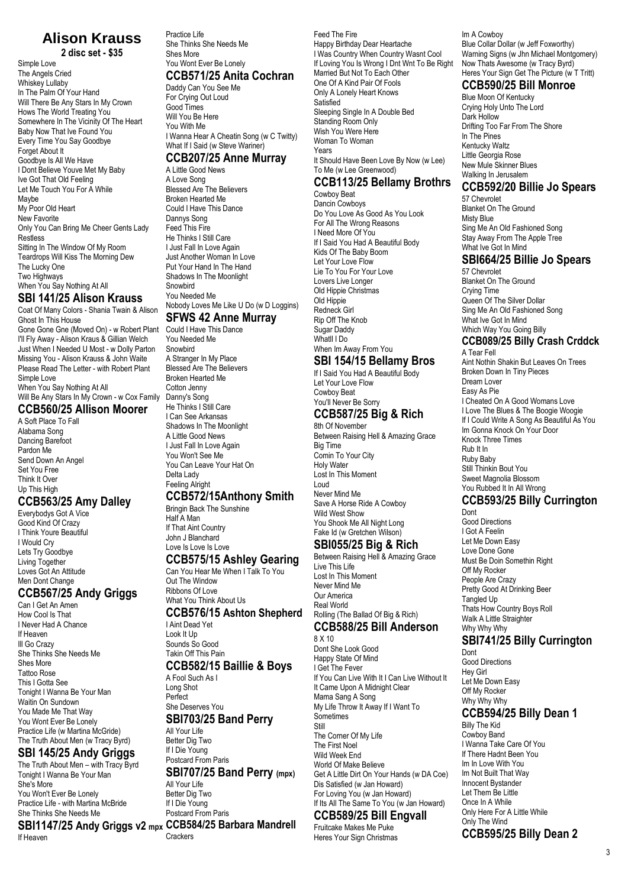# **Alison Krauss**

**2 disc set - \$35** Simple Love The Angels Cried Whiskey Lullaby In The Palm Of Your Hand Will There Be Any Stars In My Crown Hows The World Treating You Somewhere In The Vicinity Of The Heart Baby Now That Ive Found You Every Time You Say Goodbye Forget About It Goodbye Is All We Have I Dont Believe Youve Met My Baby Ive Got That Old Feeling Let Me Touch You For A While Maybe My Poor Old Heart New Favorite Only You Can Bring Me Cheer Gents Lady Restless Sitting In The Window Of My Room Teardrops Will Kiss The Morning Dew The Lucky One Two Highways When You Say Nothing At All

### **SBI 141/25 Alison Krauss**

Coat Of Many Colors - Shania Twain & Alison Ghost In This House Gone Gone Gne (Moved On) - w Robert Plant I'll Fly Away - Alison Kraus & Gillian Welch Just When I Needed U Most - w Dolly Parton Missing You - Alison Krauss & John Waite Please Read The Letter - with Robert Plant Simple Love When You Say Nothing At All Will Be Any Stars In My Crown - w Cox Family

#### **CCB560/25 Allison Moorer**

A Soft Place To Fall Alabama Song Dancing Barefoot Pardon Me Send Down An Angel Set You Free Think It Over Up This High

#### **CCB563/25 Amy Dalley**

Everybodys Got A Vice Good Kind Of Crazy I Think Youre Beautiful I Would Cry Lets Try Goodbye Living Together Loves Got An Attitude Men Dont Change

### **CCB567/25 Andy Griggs**

Can I Get An Amen How Cool Is That I Never Had A Chance If Heaven Ill Go Crazy She Thinks She Needs Me Shes More Tattoo Rose This I Gotta See Tonight I Wanna Be Your Man Waitin On Sundown You Made Me That Way You Wont Ever Be Lonely Practice Life (w Martina McGride) The Truth About Men (w Tracy Byrd)

### **SBI 145/25 Andy Griggs**

The Truth About Men – with Tracy Byrd Tonight I Wanna Be Your Man She's More You Won't Ever Be Lonely Practice Life - with Martina McBride She Thinks She Needs Me

**SBI1147/25 Andy Griggs v2 mpx CCB584/25 Barbara Mandrell** If Heaven

Practice Life She Thinks She Needs Me Shes More You Wont Ever Be Lonely

### **CCB571/25 Anita Cochran**

Daddy Can You See Me For Crying Out Loud Good Times Will You Be Here You With Me I Wanna Hear A Cheatin Song (w C Twitty) What If I Said (w Steve Wariner)

#### **CCB207/25 Anne Murray**

A Little Good News A Love Song Blessed Are The Believers Broken Hearted Me Could I Have This Dance Dannys Song Feed This Fire He Thinks I Still Care I Just Fall In Love Again Just Another Woman In Love Put Your Hand In The Hand Shadows In The Moonlight Snowbird You Needed Me Nobody Loves Me Like U Do (w D Loggins)

#### **SFWS 42 Anne Murray**

Could I Have This Dance You Needed Me **Snowbird** A Stranger In My Place Blessed Are The Believers Broken Hearted Me Cotton Jenny Danny's Song He Thinks I Still Care I Can See Arkansas Shadows In The Moonlight A Little Good News I Just Fall In Love Again You Won't See Me You Can Leave Your Hat On Delta Lady Feeling Alright

### **CCB572/15Anthony Smith**

Bringin Back The Sunshine Half A Man If That Aint Country John J Blanchard Love Is Love Is Love

### **CCB575/15 Ashley Gearing**

Can You Hear Me When I Talk To You Out The Window Ribbons Of Love What You Think About Us **CCB576/15 Ashton Shepherd**

### I Aint Dead Yet

Look It Up Sounds So Good Takin Off This Pain **CCB582/15 Baillie & Boys**

A Fool Such As I Long Shot Perfect She Deserves You

#### **SBI703/25 Band Perry**

All Your Life Better Dig Two If I Die Young

#### Postcard From Paris **SBI707/25 Band Perry (mpx)**

All Your Life Better Dig Two If I Die Young Postcard From Paris

Crackers

Feed The Fire Happy Birthday Dear Heartache I Was Country When Country Wasnt Cool If Loving You Is Wrong I Dnt Wnt To Be Right Married But Not To Each Other One Of A Kind Pair Of Fools Only A Lonely Heart Knows Satisfied Sleeping Single In A Double Bed Standing Room Only Wish You Were Here Woman To Woman Years It Should Have Been Love By Now (w Lee) To Me (w Lee Greenwood)

# **CCB113/25 Bellamy Brothrs**

Cowboy Beat Dancin Cowboys Do You Love As Good As You Look For All The Wrong Reasons I Need More Of You If I Said You Had A Beautiful Body Kids Of The Baby Boom Let Your Love Flow Lie To You For Your Love Lovers Live Longer Old Hippie Christmas Old Hippie Redneck Girl Rip Off The Knob Sugar Daddy Whatll I Do When Im Away From You

### **SBI 154/15 Bellamy Bros**

If I Said You Had A Beautiful Body Let Your Love Flow Cowboy Beat You'll Never Be Sorry

#### **CCB587/25 Big & Rich** 8th Of November

Between Raising Hell & Amazing Grace Big Time Comin To Your City Holy Water Lost In This Moment Loud Never Mind Me Save A Horse Ride A Cowboy Wild West Show You Shook Me All Night Long

#### Fake Id (w Gretchen Wilson) **SBI055/25 Big & Rich**

Between Raising Hell & Amazing Grace Live This Life Lost In This Moment Never Mind Me Our America Real World Rolling (The Ballad Of Big & Rich)

#### **CCB588/25 Bill Anderson** 8 X 10

Dont She Look Good Happy State Of Mind I Get The Fever If You Can Live With It I Can Live Without It It Came Upon A Midnight Clear Mama Sang A Song My Life Throw It Away If I Want To **Sometimes** Still The Corner Of My Life The First Noel Wild Week End World Of Make Believe Get A Little Dirt On Your Hands (w DA Coe) Dis Satisfied (w Jan Howard) For Loving You (w Jan Howard) If Its All The Same To You (w Jan Howard)

# **CCB589/25 Bill Engvall**

Fruitcake Makes Me Puke Heres Your Sign Christmas

Im A Cowboy Blue Collar Dollar (w Jeff Foxworthy) Warning Signs (w Jhn Michael Montgomery) Now Thats Awesome (w Tracy Byrd) Heres Your Sign Get The Picture (w T Tritt)

### **CCB590/25 Bill Monroe**

Blue Moon Of Kentucky Crying Holy Unto The Lord Dark Hollow Drifting Too Far From The Shore In The Pines Kentucky Waltz Little Georgia Rose New Mule Skinner Blues Walking In Jerusalem

### **CCB592/20 Billie Jo Spears**

57 Chevrolet Blanket On The Ground Misty Blue Sing Me An Old Fashioned Song Stay Away From The Apple Tree What Ive Got In Mind

### **SBI664/25 Billie Jo Spears**

57 Chevrolet Blanket On The Ground Crying Time Queen Of The Silver Dollar Sing Me An Old Fashioned Song What Ive Got In Mind Which Way You Going Billy

### **CCB089/25 Billy Crash Crddck**

A Tear Fell Aint Nothin Shakin But Leaves On Trees Broken Down In Tiny Pieces Dream Lover Easy As Pie I Cheated On A Good Womans Love I Love The Blues & The Boogie Woogie If I Could Write A Song As Beautiful As You Im Gonna Knock On Your Door Knock Three Times Rub It In Ruby Baby Still Thinkin Bout You Sweet Magnolia Blossom You Rubbed It In All Wrong

#### **CCB593/25 Billy Currington** Dont

Good Directions I Got A Feelin Let Me Down Easy Love Done Gone Must Be Doin Somethin Right Off My Rocker People Are Crazy Pretty Good At Drinking Beer Tangled Up Thats How Country Boys Roll Walk A Little Straighter Why Why Why

### **SBI741/25 Billy Currington**

Dont Good Directions Hey Girl Let Me Down Easy Off My Rocker Why Why Why

### **CCB594/25 Billy Dean 1**

Billy The Kid Cowboy Band I Wanna Take Care Of You If There Hadnt Been You Im In Love With You Im Not Built That Way Innocent Bystander Let Them Be Little Once In A While Only Here For A Little While Only The Wind **CCB595/25 Billy Dean 2**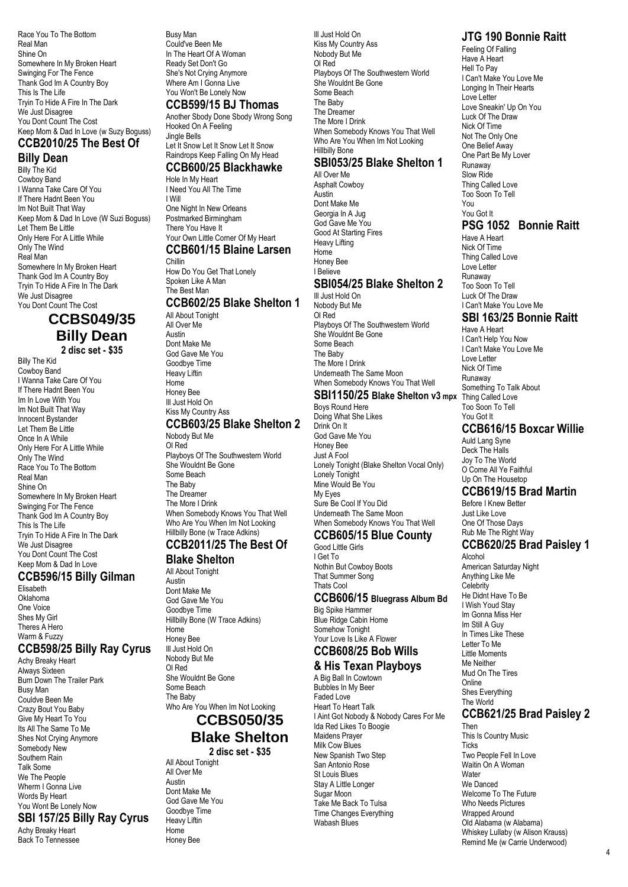Race You To The Bottom Real Man Shine On Somewhere In My Broken Heart Swinging For The Fence Thank God Im A Country Boy This Is The Life Tryin To Hide A Fire In The Dark We Just Disagree You Dont Count The Cost Keep Mom & Dad In Love (w Suzy Boguss)

#### **CCB2010/25 The Best Of Billy Dean**

Billy The Kid Cowboy Band I Wanna Take Care Of You If There Hadnt Been You Im Not Built That Way Keep Mom & Dad In Love (W Suzi Boguss) Let Them Be Little Only Here For A Little While Only The Wind Real Man Somewhere In My Broken Heart Thank God Im A Country Boy Tryin To Hide A Fire In The Dark We Just Disagree You Dont Count The Cost

### **CCBS049/35 Billy Dean 2 disc set - \$35**

Billy The Kid Cowboy Band I Wanna Take Care Of You If There Hadnt Been You Im In Love With You Im Not Built That Way Innocent Bystander Let Them Be Little Once In A While Only Here For A Little While Only The Wind Race You To The Bottom Real Man Shine On Somewhere In My Broken Heart Swinging For The Fence Thank God Im A Country Boy This Is The Life Tryin To Hide A Fire In The Dark We Just Disagree You Dont Count The Cost Keep Mom & Dad In Love

#### **CCB596/15 Billy Gilman** Elisabeth

Oklahoma One Voice Shes My Girl Theres A Hero Warm & Fuzzy

#### **CCB598/25 Billy Ray Cyrus**

Achy Breaky Heart Always Sixteen Burn Down The Trailer Park Busy Man Couldve Been Me Crazy Bout You Baby Give My Heart To You Its All The Same To Me Shes Not Crying Anymore Somebody New Southern Rain Talk Some We The People Wherm I Gonna Live Words By Heart You Wont Be Lonely Now

#### **SBI 157/25 Billy Ray Cyrus** Achy Breaky Heart

Back To Tennessee

Busy Man Could've Been Me In The Heart Of A Woman Ready Set Don't Go She's Not Crying Anymore Where Am I Gonna Live You Won't Be Lonely Now

#### **CCB599/15 BJ Thomas**

Another Sbody Done Sbody Wrong Song Hooked On A Feeling Jingle Bells Let It Snow Let It Snow Let It Snow

#### Raindrops Keep Falling On My Head **CCB600/25 Blackhawke**

Hole In My Heart I Need You All The Time

I Will One Night In New Orleans Postmarked Birmingham There You Have It Your Own Little Corner Of My Heart **CCB601/15 Blaine Larsen** Chillin

How Do You Get That Lonely Spoken Like A Man The Best Man

### **CCB602/25 Blake Shelton 1**

All About Tonight All Over Me Austin Dont Make Me God Gave Me You Goodbye Time Heavy Liftin **Home** Honey Bee Ill Just Hold On Kiss My Country Ass **CCB603/25 Blake Shelton 2**

#### Nobody But Me

Ol Red Playboys Of The Southwestern World She Wouldnt Be Gone Some Beach The Baby The Dreamer The More I Drink When Somebody Knows You That Well Who Are You When Im Not Looking Hillbilly Bone (w Trace Adkins)

# **CCB2011/25 The Best Of**

### **Blake Shelton**

All About Tonight Austin Dont Make Me God Gave Me You Goodbye Time Hillbilly Bone (W Trace Adkins) Home Honey Bee Ill Just Hold On Nobody But Me Ol Red She Wouldnt Be Gone Some Beach The Baby Who Are You When Im Not Looking **CCBS050/35**

# **Blake Shelton**

**2 disc set - \$35** All About Tonight All Over Me Austin Dont Make Me God Gave Me You Goodbye Time Heavy Liftin Home Honey Bee

Ill Just Hold On Kiss My Country Ass Nobody But Me Ol Red Playboys Of The Southwestern World She Wouldnt Be Gone Some Beach The Baby The Dreamer The More I Drink When Somebody Knows You That Well Who Are You When Im Not Looking Hillbilly Bone

#### **SBI053/25 Blake Shelton 1** All Over Me

Asphalt Cowboy Austin Dont Make Me Georgia In A Jug God Gave Me You Good At Starting Fires Heavy Lifting Home Honey Bee I Believe **SBI054/25 Blake Shelton 2** Ill Just Hold On Nobody But Me Ol Red Playboys Of The Southwestern World She Wouldnt Be Gone Some Beach The Baby

The More I Drink Underneath The Same Moon When Somebody Knows You That Well

### **SBI1150/25 Blake Shelton v3 mpx**

Boys Round Here Doing What She Likes Drink On It God Gave Me You Honey Bee Just A Fool Lonely Tonight (Blake Shelton Vocal Only) Lonely Tonight Mine Would Be You My Eyes Sure Be Cool If You Did Underneath The Same Moon When Somebody Knows You That Well

### **CCB605/15 Blue County**

Good Little Girls I Get To Nothin But Cowboy Boots That Summer Song Thats Cool

#### **CCB606/15 Bluegrass Album Bd** Big Spike Hammer

#### Blue Ridge Cabin Home Somehow Tonight Your Love Is Like A Flower **CCB608/25 Bob Wills**

### **& His Texan Playboys**

A Big Ball In Cowtown Bubbles In My Beer Faded Love Heart To Heart Talk I Aint Got Nobody & Nobody Cares For Me Ida Red Likes To Boogie Maidens Prayer Milk Cow Blues New Spanish Two Step San Antonio Rose St Louis Blues Stay A Little Longer Sugar Moon Take Me Back To Tulsa Time Changes Everything Wabash Blues

### **JTG 190 Bonnie Raitt**

Feeling Of Falling Have A Heart Hell To Pay I Can't Make You Love Me Longing In Their Hearts Love Letter Love Sneakin' Up On You Luck Of The Draw Nick Of Time Not The Only One One Belief Away One Part Be My Lover Runaway Slow Ride Thing Called Love Too Soon To Tell You You Got It **PSG 1052 Bonnie Raitt** Have A Heart Nick Of Time Thing Called Love

Love Letter Runaway Too Soon To Tell Luck Of The Draw I Can't Make You Love Me

### **SBI 163/25 Bonnie Raitt**

Have A Heart I Can't Help You Now I Can't Make You Love Me Love Letter Nick Of Time Runaway Something To Talk About Thing Called Love Too Soon To Tell You Got It

### **CCB616/15 Boxcar Willie**

Auld Lang Syne Deck The Halls Joy To The World O Come All Ye Faithful Up On The Housetop

### **CCB619/15 Brad Martin**

Before I Knew Better Just Like Love One Of Those Days Rub Me The Right Way **CCB620/25 Brad Paisley 1**

Alcohol American Saturday Night Anything Like Me **Celebrity** He Didnt Have To Be I Wish Youd Stay Im Gonna Miss Her Im Still A Guy In Times Like These Letter To Me Little Moments Me Neither Mud On The Tires **Online** Shes Everything The World

### **CCB621/25 Brad Paisley 2**

Then This Is Country Music **Ticks** Two People Fell In Love Waitin On A Woman Water We Danced Welcome To The Future Who Needs Pictures Wrapped Around Old Alabama (w Alabama) Whiskey Lullaby (w Alison Krauss) Remind Me (w Carrie Underwood)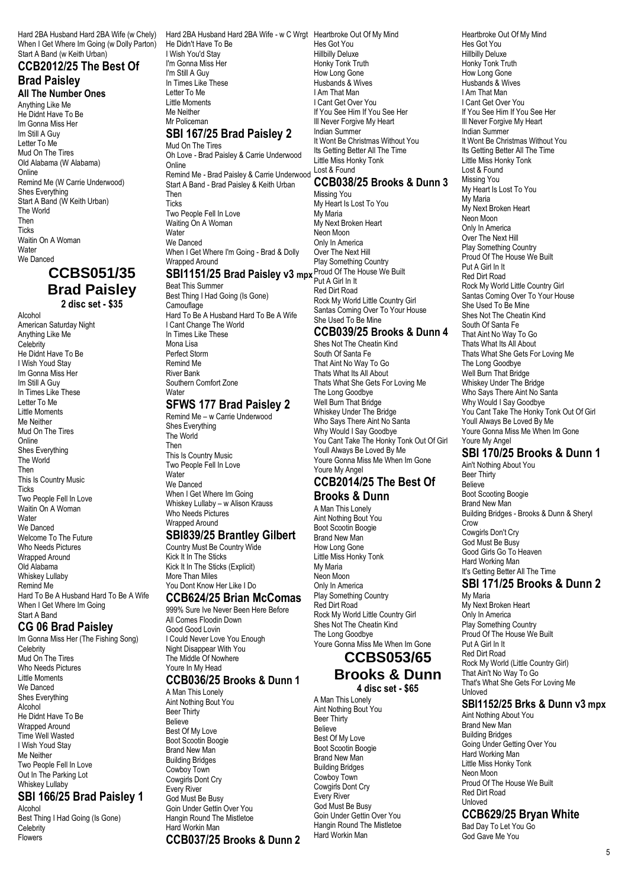Hard 2BA Husband Hard 2BA Wife (w Chely) When I Get Where Im Going (w Dolly Parton) Start A Band (w Keith Urban)

### **CCB2012/25 The Best Of Brad Paisley**

**All The Number Ones**

Anything Like Me He Didnt Have To Be Im Gonna Miss Her Im Still A Guy Letter To Me Mud On The Tires Old Alabama (W Alabama) Online Remind Me (W Carrie Underwood) Shes Everything Start A Band (W Keith Urban) The World Then **Ticks** Waitin On A Woman **Water** We Danced

### **CCBS051/35 Brad Paisley 2 disc set - \$35**

Alcohol American Saturday Night Anything Like Me Celebrity He Didnt Have To Be I Wish Youd Stay Im Gonna Miss Her Im Still A Guy In Times Like These Letter To Me Little Moments Me Neither Mud On The Tires **Online** Shes Everything The World Then This Is Country Music **Ticks** Two People Fell In Love Waitin On A Woman **Water** We Danced Welcome To The Future Who Needs Pictures Wrapped Around Old Alabama Whiskey Lullaby Remind Me Hard To Be A Husband Hard To Be A Wife When I Get Where Im Going Start A Band

#### **CG 06 Brad Paisley**

Im Gonna Miss Her (The Fishing Song) **Celebrity** Mud On The Tires Who Needs Pictures Little Moments We Danced Shes Everything Alcohol He Didnt Have To Be Wrapped Around Time Well Wasted I Wish Youd Stay Me Neither Two People Fell In Love Out In The Parking Lot Whiskey Lullaby

### **SBI 166/25 Brad Paisley 1**

Alcohol Best Thing I Had Going (Is Gone) **Celebrity** Flowers

Hard 2BA Husband Hard 2BA Wife - w C Wrgt Heartbroke Out Of My Mind He Didn't Have To Be I Wish You'd Stay I'm Gonna Miss Her I'm Still A Guy In Times Like These Letter To Me Little Moments Me Neither Mr Policeman

#### **SBI 167/25 Brad Paisley 2** Mud On The Tires

Oh Love - Brad Paisley & Carrie Underwood

**Online** Remind Me - Brad Paisley & Carrie Underwood Start A Band - Brad Paisley & Keith Urban Then Ticks Two People Fell In Love Waiting On A Woman **Water** We Danced When I Get Where I'm Going - Brad & Dolly Wrapped Around

#### **SBI1151/25 Brad Paisley v3 mpx** Proud Of The House We Built

Beat This Summer Best Thing I Had Going (Is Gone) **Camouflage** Hard To Be A Husband Hard To Be A Wife I Cant Change The World In Times Like These Mona Lisa Perfect Storm Remind Me River Bank Southern Comfort Zone Water

### **SFWS 177 Brad Paisley 2**

Remind Me – w Carrie Underwood Shes Everything The World Then This Is Country Music Two People Fell In Love **Water** We Danced When I Get Where Im Going Whiskey Lullaby – w Alison Krauss Who Needs Pictures Wrapped Around

### **SBI839/25 Brantley Gilbert**

Country Must Be Country Wide Kick It In The Sticks Kick It In The Sticks (Explicit) More Than Miles You Dont Know Her Like I Do

#### **CCB624/25 Brian McComas**

999% Sure Ive Never Been Here Before All Comes Floodin Down Good Good Lovin I Could Never Love You Enough Night Disappear With You The Middle Of Nowhere Youre In My Head **CCB036/25 Brooks & Dunn 1**

A Man This Lonely Aint Nothing Bout You Beer Thirty Believe Best Of My Love Boot Scootin Boogie Brand New Man Building Bridges Cowboy Town Cowgirls Dont Cry Every River God Must Be Busy Goin Under Gettin Over You Hangin Round The Mistletoe Hard Workin Man **CCB037/25 Brooks & Dunn 2** Hes Got You Hillbilly Deluxe Honky Tonk Truth How Long Gone Husbands & Wives I Am That Man I Cant Get Over You If You See Him If You See Her Ill Never Forgive My Heart Indian Summer It Wont Be Christmas Without You Its Getting Better All The Time Little Miss Honky Tonk Lost & Found

### **CCB038/25 Brooks & Dunn 3**

Missing You My Heart Is Lost To You My Maria My Next Broken Heart Neon Moon Only In America Over The Next Hill Play Something Country Put A Girl In It Red Dirt Road Rock My World Little Country Girl Santas Coming Over To Your House She Used To Be Mine

#### **CCB039/25 Brooks & Dunn 4**

Shes Not The Cheatin Kind South Of Santa Fe That Aint No Way To Go Thats What Its All About Thats What She Gets For Loving Me The Long Goodbye Well Burn That Bridge Whiskey Under The Bridge Who Says There Aint No Santa Why Would I Say Goodbye You Cant Take The Honky Tonk Out Of Girl Youll Always Be Loved By Me Youre Gonna Miss Me When Im Gone Youre My Angel

#### **CCB2014/25 The Best Of Brooks & Dunn**

A Man This Lonely Aint Nothing Bout You Boot Scootin Boogie Brand New Man How Long Gone Little Miss Honky Tonk My Maria Neon Moon Only In America Play Something Country Red Dirt Road Rock My World Little Country Girl Shes Not The Cheatin Kind The Long Goodbye Youre Gonna Miss Me When Im Gone

# **CCBS053/65**

**Brooks & Dunn 4 disc set - \$65**

A Man This Lonely Aint Nothing Bout You Beer Thirty Believe Best Of My Love Boot Scootin Boogie Brand New Man Building Bridges Cowboy Town Cowgirls Dont Cry Every River God Must Be Busy Goin Under Gettin Over You Hangin Round The Mistletoe Hard Workin Man

Heartbroke Out Of My Mind Hes Got You Hillbilly Deluxe Honky Tonk Truth How Long Gone Husbands & Wives I Am That Man I Cant Get Over You If You See Him If You See Her Ill Never Forgive My Heart Indian Summer It Wont Be Christmas Without You Its Getting Better All The Time Little Miss Honky Tonk Lost & Found Missing You My Heart Is Lost To You My Maria My Next Broken Heart Neon Moon Only In America Over The Next Hill Play Something Country Proud Of The House We Built Put A Girl In It Red Dirt Road Rock My World Little Country Girl Santas Coming Over To Your House She Used To Be Mine Shes Not The Cheatin Kind South Of Santa Fe That Aint No Way To Go Thats What Its All About Thats What She Gets For Loving Me The Long Goodbye Well Burn That Bridge Whiskey Under The Bridge Who Says There Aint No Santa Why Would I Say Goodbye You Cant Take The Honky Tonk Out Of Girl Youll Always Be Loved By Me Youre Gonna Miss Me When Im Gone Youre My Angel

### **SBI 170/25 Brooks & Dunn 1**

Ain't Nothing About You Beer Thirty Believe Boot Scooting Boogie Brand New Man Building Bridges - Brooks & Dunn & Sheryl Crow Cowgirls Don't Cry God Must Be Busy Good Girls Go To Heaven Hard Working Man It's Getting Better All The Time

### **SBI 171/25 Brooks & Dunn 2**

My Maria My Next Broken Heart Only In America Play Something Country Proud Of The House We Built Put A Girl In It Red Dirt Road Rock My World (Little Country Girl) That Ain't No Way To Go That's What She Gets For Loving Me Unloved

#### **SBI1152/25 Brks & Dunn v3 mpx**

Aint Nothing About You Brand New Man Building Bridges Going Under Getting Over You Hard Working Man Little Miss Honky Tonk Neon Moon Proud Of The House We Built Red Dirt Road Unloved

### **CCB629/25 Bryan White**

Bad Day To Let You Go God Gave Me You

#### 5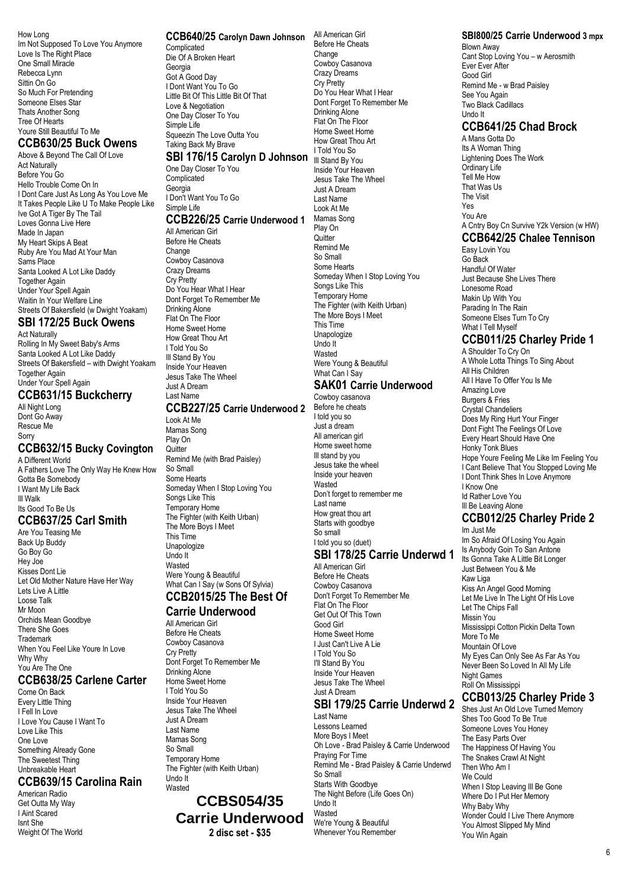How Long Im Not Supposed To Love You Anymore Love Is The Right Place One Small Miracle Rebecca Lynn Sittin On Go So Much For Pretending Someone Elses Star Thats Another Song Tree Of Hearts Youre Still Beautiful To Me

### **CCB630/25 Buck Owens**

Above & Beyond The Call Of Love Act Naturally Before You Go Hello Trouble Come On In I Dont Care Just As Long As You Love Me It Takes People Like U To Make People Like Ive Got A Tiger By The Tail Loves Gonna Live Here Made In Japan My Heart Skips A Beat Ruby Are You Mad At Your Man Sams Place Santa Looked A Lot Like Daddy Together Again Under Your Spell Again Waitin In Your Welfare Line Streets Of Bakersfield (w Dwight Yoakam)

### **SBI 172/25 Buck Owens**

Act Naturally Rolling In My Sweet Baby's Arms Santa Looked A Lot Like Daddy Streets Of Bakersfield – with Dwight Yoakam **Together Again** Under Your Spell Again

### **CCB631/15 Buckcherry**

All Night Long Dont Go Away Rescue Me Sorry

#### **CCB632/15 Bucky Covington** A Different World

A Fathers Love The Only Way He Knew How Gotta Be Somebody I Want My Life Back Ill Walk Its Good To Be Us **CCB637/25 Carl Smith** Are You Teasing Me

Back Up Buddy Go Boy Go Hey Joe Kisses Dont Lie Let Old Mother Nature Have Her Way Lets Live A Little Loose Talk Mr Moon Orchids Mean Goodbye There She Goes Trademark When You Feel Like Youre In Love Why Why You Are The One

### **CCB638/25 Carlene Carter**

Come On Back Every Little Thing I Fell In Love I Love You Cause I Want To Love Like This One Love Something Already Gone The Sweetest Thing Unbreakable Heart

### **CCB639/15 Carolina Rain**

American Radio Get Outta My Way I Aint Scared Isnt She Weight Of The World

### **CCB640/25 Carolyn Dawn Johnson** All American Girl

**Complicated** Die Of A Broken Heart Georgia Got A Good Day I Dont Want You To Go Little Bit Of This Little Bit Of That Love & Negotiation One Day Closer To You Simple Life Squeezin The Love Outta You Taking Back My Brave

### **SBI 176/15 Carolyn D Johnson** Ill Stand By You

One Day Closer To You **Complicated** Georgia I Don't Want You To Go Simple Life

### **CCB226/25 Carrie Underwood 1**

All American Girl Before He Cheats Change Cowboy Casanova Crazy Dreams Cry Pretty Do You Hear What I Hear Dont Forget To Remember Me Drinking Alone Flat On The Floor Home Sweet Home How Great Thou Art I Told You So Ill Stand By You Inside Your Heaven Jesus Take The Wheel Just A Dream

#### Last Name **CCB227/25 Carrie Underwood 2**

Look At Me Mamas Song Play On **Quitter** Remind Me (with Brad Paisley) So Small

Some Hearts Someday When I Stop Loving You Songs Like This Temporary Home The Fighter (with Keith Urban) The More Boys I Meet This Time Unapologize Undo It Wasted Were Young & Beautiful What Can I Say (w Sons Of Sylvia) **CCB2015/25 The Best Of**

### **Carrie Underwood**

All American Girl Before He Cheats Cowboy Casanova Cry Pretty Dont Forget To Remember Me Drinking Alone Home Sweet Home I Told You So Inside Your Heaven Jesus Take The Wheel Just A Dream Last Name Mamas Song So Small Temporary Home The Fighter (with Keith Urban) Undo It Wasted

**CCBS054/35 Carrie Underwood 2 disc set - \$35**

Before He Cheats Change Cowboy Casanova Crazy Dreams Cry Pretty Do You Hear What I Hear Dont Forget To Remember Me Drinking Alone Flat On The Floor Home Sweet Home How Great Thou Art I Told You So Inside Your Heaven Jesus Take The Wheel Just A Dream Last Name Look At Me Mamas Song Play On **Quitter** Remind Me So Small Some Hearts Someday When I Stop Loving You Songs Like This Temporary Home The Fighter (with Keith Urban) The More Boys I Meet This Time **Unapologize** Undo It Wasted Were Young & Beautiful What Can I Sav

### **SAK01 Carrie Underwood**

Cowboy casanova Before he cheats I told you so Just a dream All american girl Home sweet home Ill stand by you Jesus take the wheel Inside your heaven **Wasted** Don't forget to remember me Last name How great thou art Starts with goodbye So small I told you so (duet)

### **SBI 178/25 Carrie Underwd 1**

All American Girl Before He Cheats Cowboy Casanova Don't Forget To Remember Me Flat On The Floor Get Out Of This Town Good Girl Home Sweet Home I Just Can't Live A Lie I Told You So I'll Stand By You Inside Your Heaven Jesus Take The Wheel Just A Dream

### **SBI 179/25 Carrie Underwd 2** Last Name

Lessons Learned More Boys I Meet Oh Love - Brad Paisley & Carrie Underwood Praying For Time Remind Me - Brad Paisley & Carrie Underwd So Small Starts With Goodbye The Night Before (Life Goes On) Undo It Wasted We're Young & Beautiful Whenever You Remember

### **SBI800/25 Carrie Underwood 3 mpx**

Blown Away Cant Stop Loving You – w Aerosmith Ever Ever After Good Girl Remind Me - w Brad Paisley See You Again Two Black Cadillacs Undo It

### **CCB641/25 Chad Brock**

A Mans Gotta Do Its A Woman Thing Lightening Does The Work Ordinary Life Tell Me How That Was Us The Visit Yes You Are A Cntry Boy Cn Survive Y2k Version (w HW)

## **CCB642/25 Chalee Tennison**

Easy Lovin You Go Back Handful Of Water Just Because She Lives There Lonesome Road Makin Up With You Parading In The Rain Someone Elses Turn To Cry What I Tell Myself

### **CCB011/25 Charley Pride 1**

A Shoulder To Cry On A Whole Lotta Things To Sing About All His Children All I Have To Offer You Is Me Amazing Love Burgers & Fries Crystal Chandeliers Does My Ring Hurt Your Finger Dont Fight The Feelings Of Love Every Heart Should Have One Honky Tonk Blues Hope Youre Feeling Me Like Im Feeling You I Cant Believe That You Stopped Loving Me I Dont Think Shes In Love Anymore I Know One Id Rather Love You Ill Be Leaving Alone

#### **CCB012/25 Charley Pride 2** Im Just Me

Im So Afraid Of Losing You Again Is Anybody Goin To San Antone Its Gonna Take A Little Bit Longer Just Between You & Me Kaw Liga Kiss An Angel Good Morning Let Me Live In The Light Of His Love Let The Chips Fall Missin You Mississippi Cotton Pickin Delta Town More To Me Mountain Of Love My Eyes Can Only See As Far As You Never Been So Loved In All My Life Night Games Roll On Mississippi

### **CCB013/25 Charley Pride 3**

Shes Just An Old Love Turned Memory Shes Too Good To Be True Someone Loves You Honey The Easy Parts Over The Happiness Of Having You The Snakes Crawl At Night Then Who Am I We Could When I Stop Leaving III Be Gone Where Do I Put Her Memory Why Baby Why Wonder Could I Live There Anymore You Almost Slipped My Mind You Win Again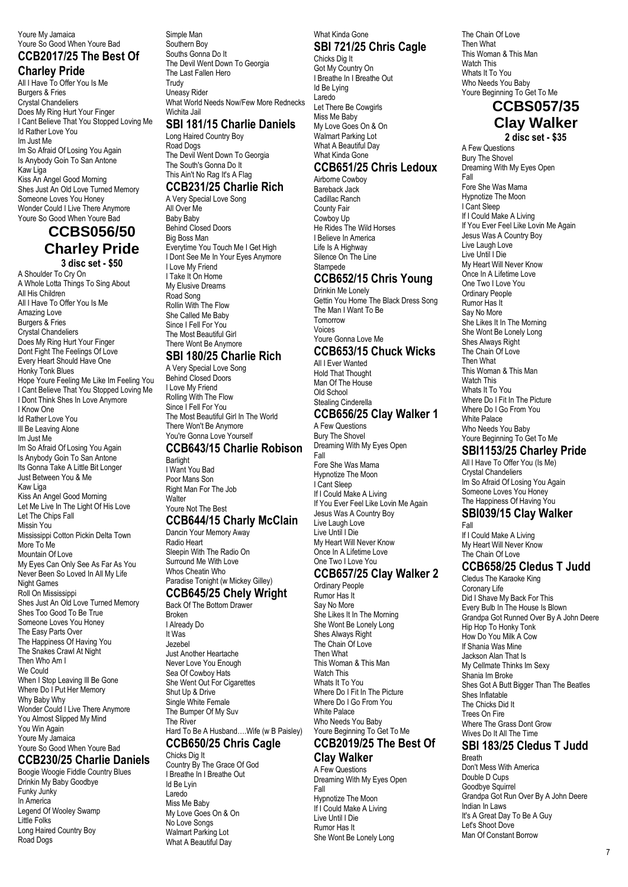Youre My Jamaica

#### Youre So Good When Youre Bad **CCB2017/25 The Best Of Charley Pride**

All I Have To Offer You Is Me Burgers & Fries Crystal Chandeliers Does My Ring Hurt Your Finger I Cant Believe That You Stopped Loving Me Id Rather Love You Im Just Me Im So Afraid Of Losing You Again Is Anybody Goin To San Antone Kaw Liga Kiss An Angel Good Morning Shes Just An Old Love Turned Memory Someone Loves You Honey Wonder Could I Live There Anymore

### Youre So Good When Youre Bad **CCBS056/50 Charley Pride 3 disc set - \$50**

A Shoulder To Cry On A Whole Lotta Things To Sing About All His Children All I Have To Offer You Is Me Amazing Love Burgers & Fries Crystal Chandeliers Does My Ring Hurt Your Finger Dont Fight The Feelings Of Love Every Heart Should Have One Honky Tonk Blues Hope Youre Feeling Me Like Im Feeling You I Cant Believe That You Stopped Loving Me I Dont Think Shes In Love Anymore I Know One Id Rather Love You Ill Be Leaving Alone Im Just Me Im So Afraid Of Losing You Again Is Anybody Goin To San Antone Its Gonna Take A Little Bit Longer Just Between You & Me Kaw Liga Kiss An Angel Good Morning Let Me Live In The Light Of His Love Let The Chips Fall Missin You Mississippi Cotton Pickin Delta Town More To Me Mountain Of Love My Eyes Can Only See As Far As You Never Been So Loved In All My Life Night Games Roll On Mississippi Shes Just An Old Love Turned Memory Shes Too Good To Be True Someone Loves You Honey The Easy Parts Over The Happiness Of Having You The Snakes Crawl At Night Then Who Am I We Could When I Stop Leaving III Be Gone Where Do I Put Her Memory Why Baby Why Wonder Could I Live There Anymore You Almost Slipped My Mind You Win Again Youre My Jamaica Youre So Good When Youre Bad

### **CCB230/25 Charlie Daniels**

Boogie Woogie Fiddle Country Blues Drinkin My Baby Goodbye Funky Junky In America Legend Of Wooley Swamp Little Folks Long Haired Country Boy Road Dogs

Simple Man Southern Boy Souths Gonna Do It The Devil Went Down To Georgia The Last Fallen Hero Trudy Uneasy Rider What World Needs Now/Few More Rednecks Wichita Jail

What Kinda Gone

Chicks Dig It Got My Country On I Breathe In I Breathe Out

Id Be Lying Laredo

Let There Be Cowgirls Miss Me Baby My Love Goes On & On Walmart Parking Lot What A Beautiful Dav What Kinda Gone

Airborne Cowboy Bareback Jack Cadillac Ranch County Fair Cowboy Up

Drinkin Me Lonely

Tomorrow Voices

The Man I Want To Be

Youre Gonna Love Me

All I Ever Wanted Hold That Thought Man Of The House Old School Stealing Cinderella

A Few Questions Bury The Shovel

Fore She Was Mama Hypnotize The Moon I Cant Sleep If I Could Make A Living

Ordinary People Rumor Has It Say No More

She Likes It In The Morning She Wont Be Lonely Long Shes Always Right The Chain Of Love Then What

This Woman & This Man

Where Do I Fit In The Picture Where Do I Go From You

Watch This Whats It To You

White Palace Who Needs You Baby Youre Beginning To Get To Me **CCB2019/25 The Best Of**

Fall

He Rides The Wild Horses I Believe In America Life Is A Highway Silence On The Line **Stampede** 

**SBI 721/25 Chris Cagle**

**CCB651/25 Chris Ledoux**

**CCB652/15 Chris Young**

Gettin You Home The Black Dress Song

**CCB653/15 Chuck Wicks**

**CCB656/25 Clay Walker 1**

Dreaming With My Eyes Open

If You Ever Feel Like Lovin Me Again Jesus Was A Country Boy Live Laugh Love Live Until I Die My Heart Will Never Know Once In A Lifetime Love One Two I Love You

**CCB657/25 Clay Walker 2**

### **SBI 181/15 Charlie Daniels**

Long Haired Country Boy Road Dogs The Devil Went Down To Georgia The South's Gonna Do It This Ain't No Rag It's A Flag

# **CCB231/25 Charlie Rich**

A Very Special Love Song All Over Me Baby Baby Behind Closed Doors Big Boss Man Everytime You Touch Me I Get High I Dont See Me In Your Eyes Anymore I Love My Friend I Take It On Home My Elusive Dreams Road Song Rollin With The Flow She Called Me Baby Since I Fell For You The Most Beautiful Girl There Wont Be Anymore

### **SBI 180/25 Charlie Rich**

A Very Special Love Song Behind Closed Doors I Love My Friend Rolling With The Flow Since I Fell For You The Most Beautiful Girl In The World There Won't Be Anymore You're Gonna Love Yourself **CCB643/15 Charlie Robison**

Barlight I Want You Bad Poor Mans Son Right Man For The Job Walter

#### Youre Not The Best **CCB644/15 Charly McClain**

Dancin Your Memory Away Radio Heart Sleepin With The Radio On Surround Me With Love Whos Cheatin Who Paradise Tonight (w Mickey Gilley)

# **CCB645/25 Chely Wright**

Back Of The Bottom Drawer Broken I Already Do It Was Jezebel Just Another Heartache Never Love You Enough Sea Of Cowboy Hats She Went Out For Cigarettes Shut Up & Drive Single White Female The Bumper Of My Suv The River Hard To Be A Husband….Wife (w B Paisley) **CCB650/25 Chris Cagle** Chicks Dig It

Country By The Grace Of God I Breathe In I Breathe Out

Id Be Lyin Laredo Miss Me Baby My Love Goes On & On No Love Songs Walmart Parking Lot What A Beautiful Day

### **Clay Walker**

A Few Questions Dreaming With My Eyes Open Fall Hypnotize The Moon If I Could Make A Living Live Until I Die Rumor Has It She Wont Be Lonely Long

The Chain Of Love Then What This Woman & This Man Watch This Whats It To You Who Needs You Baby Youre Beginning To Get To Me

### **CCBS057/35 Clay Walker**

**2 disc set - \$35**

A Few Questions Bury The Shovel Dreaming With My Eyes Open Fall Fore She Was Mama Hypnotize The Moon I Cant Sleep If I Could Make A Living If You Ever Feel Like Lovin Me Again Jesus Was A Country Boy Live Laugh Love Live Until I Die My Heart Will Never Know Once In A Lifetime Love One Two I Love You Ordinary People Rumor Has It Say No More She Likes It In The Morning She Wont Be Lonely Long Shes Always Right The Chain Of Love Then What This Woman & This Man Watch This Whats It To You Where Do I Fit In The Picture Where Do I Go From You White Palace Who Needs You Baby Youre Beginning To Get To Me

### **SBI1153/25 Charley Pride**

All I Have To Offer You (Is Me) Crystal Chandeliers Im So Afraid Of Losing You Again Someone Loves You Honey The Happiness Of Having You

### **SBI039/15 Clay Walker**

Fall If I Could Make A Living My Heart Will Never Know The Chain Of Love

### **CCB658/25 Cledus T Judd**

Cledus The Karaoke King Coronary Life Did I Shave My Back For This Every Bulb In The House Is Blown Grandpa Got Runned Over By A John Deere Hip Hop To Honky Tonk How Do You Milk A Cow If Shania Was Mine Jackson Alan That Is My Cellmate Thinks Im Sexy Shania Im Broke Shes Got A Butt Bigger Than The Beatles Shes Inflatable The Chicks Did It Trees On Fire Where The Grass Dont Grow Wives Do It All The Time

### **SBI 183/25 Cledus T Judd**

Breath Don't Mess With America Double D Cups Goodbye Squirrel Grandpa Got Run Over By A John Deere Indian In Laws It's A Great Day To Be A Guy Let's Shoot Dove Man Of Constant Borrow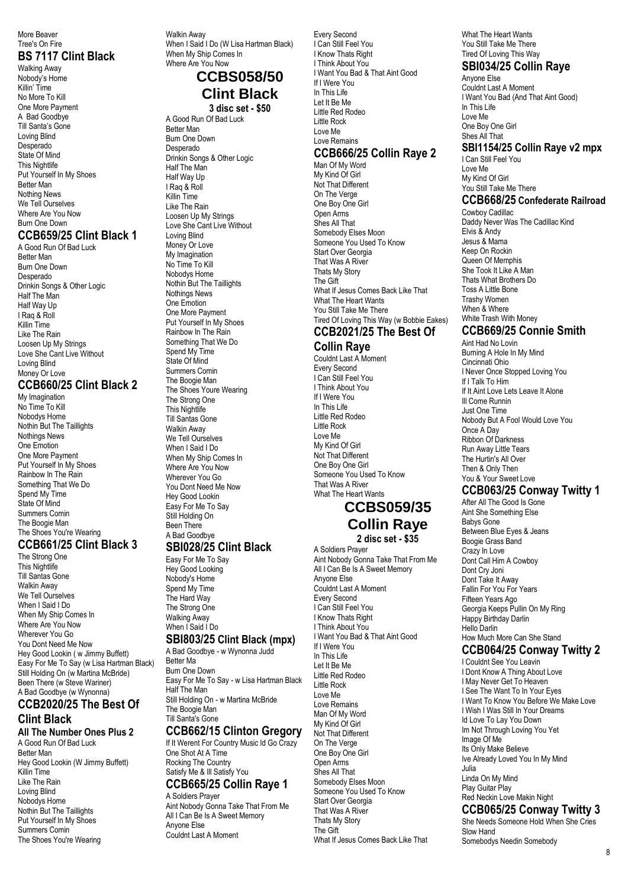#### More Beaver Tree's On Fire

### **BS 7117 Clint Black**

Walking Away Nobody's Home Killin' Time No More To Kill One More Payment A Bad Goodbye Till Santa's Gone Loving Blind Desperado State Of Mind This Nightlife Put Yourself In My Shoes Better Man Nothing News We Tell Ourselves Where Are You Now Burn One Down

#### **CCB659/25 Clint Black 1** A Good Run Of Bad Luck

Better Man Burn One Down Desperado Drinkin Songs & Other Logic Half The Man Half Way Up I Raq & Roll Killin Time Like The Rain Loosen Up My Strings Love She Cant Live Without Loving Blind Money Or Love

### **CCB660/25 Clint Black 2**

My Imagination No Time To Kill Nobodys Home Nothin But The Taillights Nothings News One Emotion One More Payment Put Yourself In My Shoes Rainbow In The Rain Something That We Do Spend My Time State Of Mind Summers Comin The Boogie Man The Shoes You're Wearing

### **CCB661/25 Clint Black 3**

The Strong One This Nightlife Till Santas Gone Walkin Away We Tell Ourselves When I Said I Do When My Ship Comes In Where Are You Now Wherever You Go You Dont Need Me Now Hey Good Lookin ( w Jimmy Buffett) Easy For Me To Say (w Lisa Hartman Black) Still Holding On (w Martina McBride) Been There (w Steve Wariner) A Bad Goodbye (w Wynonna)

### **CCB2020/25 The Best Of Clint Black**

**All The Number Ones Plus 2** A Good Run Of Bad Luck Better Man Hey Good Lookin (W Jimmy Buffett) Killin Time Like The Rain Loving Blind Nobodys Home Nothin But The Taillights Put Yourself In My Shoes Summers Comin The Shoes You're Wearing

Walkin Away When I Said I Do (W Lisa Hartman Black) When My Ship Comes In Where Are You Now

### **CCBS058/50 Clint Black 3 disc set - \$50**

A Good Run Of Bad Luck Better Man Burn One Down Desperado Drinkin Songs & Other Logic Half The Man Half Way Up I Raq & Roll

Killin Time Like The Rain Loosen Up My Strings Love She Cant Live Without Loving Blind Money Or Love My Imagination No Time To Kill Nobodys Home Nothin But The Taillights Nothings News One Emotion One More Payment Put Yourself In My Shoes Rainbow In The Rain Something That We Do Spend My Time State Of Mind Summers Comin The Boogie Man The Shoes Youre Wearing The Strong One This Nightlife Till Santas Gone Walkin Away We Tell Ourselves When I Said I Do When My Ship Comes In Where Are You Now Wherever You Go You Dont Need Me Now Hey Good Lookin Easy For Me To Say Still Holding On Been There A Bad Goodbye

#### **SBI028/25 Clint Black**

Easy For Me To Say Hey Good Looking Nobody's Home Spend My Time The Hard Way The Strong One Walking Away When I Said I Do **SBI803/25 Clint Black (mpx)**

# A Bad Goodbye - w Wynonna Judd

Better Ma Burn One Down Easy For Me To Say - w Lisa Hartman Black Half The Man Still Holding On - w Martina McBride The Boogie Man Till Santa's Gone

## **CCB662/15 Clinton Gregory**

If It Werent For Country Music Id Go Crazy One Shot At A Time Rocking The Country Satisfy Me & Ill Satisfy You **CCB665/25 Collin Raye 1**

A Soldiers Prayer Aint Nobody Gonna Take That From Me All I Can Be Is A Sweet Memory Anyone Else Couldnt Last A Moment

Every Second I Can Still Feel You I Know Thats Right I Think About You I Want You Bad & That Aint Good If I Were You In This Life Let It Be Me Little Red Rodeo Little Rock Love Me Love Remains

### **CCB666/25 Collin Raye 2**

Man Of My Word My Kind Of Girl Not That Different On The Verge One Boy One Girl Open Arms Shes All That Somebody Elses Moon Someone You Used To Know Start Over Georgia That Was A River Thats My Story The Gift What If Jesus Comes Back Like That What The Heart Wante You Still Take Me There Tired Of Loving This Way (w Bobbie Eakes)

### **CCB2021/25 The Best Of Collin Raye**

Couldnt Last A Moment Every Second I Can Still Feel You I Think About You If I Were You In This Life Little Red Rodeo Little Rock Love Me My Kind Of Girl Not That Different One Boy One Girl Someone You Used To Know That Was A River What The Heart Wants

# **CCBS059/35 Collin Raye**

**2 disc set - \$35**

A Soldiers Prayer Aint Nobody Gonna Take That From Me All I Can Be Is A Sweet Memory Anyone Else Couldnt Last A Moment Every Second I Can Still Feel You I Know Thats Right I Think About You I Want You Bad & That Aint Good If I Were You In This Life Let It Be Me Little Red Rodeo Little Rock Love Me Love Remains Man Of My Word My Kind Of Girl Not That Different On The Verge One Boy One Girl Open Arms Shes All That Somebody Elses Moon Someone You Used To Know Start Over Georgia That Was A River Thats My Story The Gift What If Jesus Comes Back Like That

What The Heart Wants You Still Take Me There Tired Of Loving This Way

### **SBI034/25 Collin Raye**

Anyone Else Couldnt Last A Moment I Want You Bad (And That Aint Good) In This Life Love Me One Boy One Girl Shes All That **SBI1154/25 Collin Raye v2 mpx** I Can Still Feel You Love Me

My Kind Of Girl You Still Take Me There

### **CCB668/25 Confederate Railroad**

Cowboy Cadillac Daddy Never Was The Cadillac Kind Elvis & Andy Jesus & Mama Keep On Rockin Queen Of Memphis She Took It Like A Man Thats What Brothers Do Toss A Little Bone Trashy Women When & Where White Trash With Money

### **CCB669/25 Connie Smith**

Aint Had No Lovin Burning A Hole In My Mind Cincinnati Ohio I Never Once Stopped Loving You If I Talk To Him If It Aint Love Lets Leave It Alone Ill Come Runnin Just One Time Nobody But A Fool Would Love You Once A Day Ribbon Of Darkness Run Away Little Tears The Hurtin's All Over Then & Only Then You & Your Sweet Love

### **CCB063/25 Conway Twitty 1**

After All The Good Is Gone Aint She Something Else Babys Gone Between Blue Eyes & Jeans Boogie Grass Band Crazy In Love Dont Call Him A Cowboy Dont Cry Joni Dont Take It Away Fallin For You For Years Fifteen Years Ago Georgia Keeps Pullin On My Ring Happy Birthday Darlin Hello Darlin How Much More Can She Stand **CCB064/25 Conway Twitty 2**

I Couldnt See You Leavin I Dont Know A Thing About Love I May Never Get To Heaven I See The Want To In Your Eyes I Want To Know You Before We Make Love I Wish I Was Still In Your Dreams Id Love To Lay You Down Im Not Through Loving You Yet Image Of Me Its Only Make Believe Ive Already Loved You In My Mind Julia Linda On My Mind Play Guitar Play Red Neckin Love Makin Night **CCB065/25 Conway Twitty 3** She Needs Someone Hold When She Cries

Slow Hand Somebodys Needin Somebody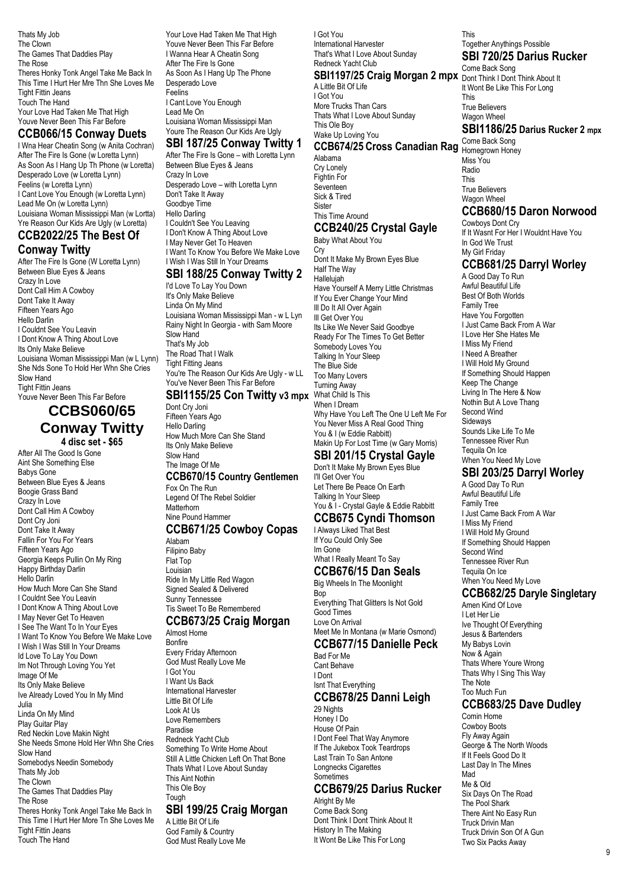Thats My Job The Clown The Games That Daddies Play The Rose Theres Honky Tonk Angel Take Me Back In This Time I Hurt Her Mre Thn She Loves Me Tight Fittin Jeans Touch The Hand Your Love Had Taken Me That High Youve Never Been This Far Before

### **CCB066/15 Conway Duets**

I Wna Hear Cheatin Song (w Anita Cochran) After The Fire Is Gone (w Loretta Lynn) As Soon As I Hang Up Th Phone (w Loretta) Desperado Love (w Loretta Lynn) Feelins (w Loretta Lynn) I Cant Love You Enough (w Loretta Lynn) Lead Me On (w Loretta Lynn) Louisiana Woman Mississippi Man (w Lortta) Yre Reason Our Kids Are Ugly (w Loretta) **CCB2022/25 The Best Of**

### **Conway Twitty**

After The Fire Is Gone (W Loretta Lynn) Between Blue Eyes & Jeans Crazy In Love Dont Call Him A Cowboy Dont Take It Away Fifteen Years Ago Hello Darlin I Couldnt See You Leavin I Dont Know A Thing About Love Its Only Make Believe Louisiana Woman Mississippi Man (w L Lynn) She Nds Sone To Hold Her Whn She Cries Slow Hand Tight Fittin Jeans Youve Never Been This Far Before

### **CCBS060/65 Conway Twitty 4 disc set - \$65**

After All The Good Is Gone Aint She Something Else Babys Gone Between Blue Eyes & Jeans Boogie Grass Band Crazy In Love Dont Call Him A Cowboy Dont Cry Joni Dont Take It Away Fallin For You For Years Fifteen Years Ago Georgia Keeps Pullin On My Ring Happy Birthday Darlin Hello Darlin How Much More Can She Stand I Couldnt See You Leavin I Dont Know A Thing About Love I May Never Get To Heaven I See The Want To In Your Eyes I Want To Know You Before We Make Love I Wish I Was Still In Your Dreams Id Love To Lay You Down Im Not Through Loving You Yet Image Of Me Its Only Make Believe Ive Already Loved You In My Mind Julia Linda On My Mind Play Guitar Play Red Neckin Love Makin Night She Needs Smone Hold Her Whn She Cries Slow Hand Somebodys Needin Somebody Thats My Job The Clown The Games That Daddies Play The Rose Theres Honky Tonk Angel Take Me Back In This Time I Hurt Her More Tn She Loves Me Tight Fittin Jeans Touch The Hand

Your Love Had Taken Me That High Youve Never Been This Far Before I Wanna Hear A Cheatin Song After The Fire Is Gone As Soon As I Hang Up The Phone Desperado Love Feelins I Cant Love You Enough Lead Me On Louisiana Woman Mississippi Man Youre The Reason Our Kids Are Ugly **SBI 187/25 Conway Twitty 1**

After The Fire Is Gone – with Loretta Lynn Between Blue Eyes & Jeans Crazy In Love Desperado Love – with Loretta Lynn Don't Take It Away Goodbye Time Hello Darling I Couldn't See You Leaving I Don't Know A Thing About Love I May Never Get To Heaven I Want To Know You Before We Make Love I Wish I Was Still In Your Dreams

#### **SBI 188/25 Conway Twitty 2**

I'd Love To Lay You Down It's Only Make Believe Linda On My Mind Louisiana Woman Mississippi Man - w L Lyn Rainy Night In Georgia - with Sam Moore Slow Hand That's My Job The Road That I Walk Tight Fitting Jeans You're The Reason Our Kids Are Ugly - w LL You've Never Been This Far Before

#### **SBI1155/25 Con Twitty v3 mpx** What Child Is This

Dont Cry Joni Fifteen Years Ago Hello Darling How Much More Can She Stand Its Only Make Believe Slow Hand The Image Of Me

### **CCB670/15 Country Gentlemen**

Fox On The Run Legend Of The Rebel Soldier **Matterhorn** Nine Pound Hammer

#### **CCB671/25 Cowboy Copas**

Alabam Filipino Baby Flat Top Louisian Ride In My Little Red Wagon Signed Sealed & Delivered Sunny Tennessee Tis Sweet To Be Remembered

#### **CCB673/25 Craig Morgan**

Almost Home Bonfire Every Friday Afternoon God Must Really Love Me I Got You I Want Us Back International Harvester Little Bit Of Life Look At Us Love Remembers Paradise Redneck Yacht Club Something To Write Home About Still A Little Chicken Left On That Bone Thats What I Love About Sunday This Aint Nothin This Ole Boy Tough

#### **SBI 199/25 Craig Morgan** A Little Bit Of Life God Family & Country God Must Really Love Me

I Got You International Harvester That's What I Love About Sunday Redneck Yacht Club **SBI1197/25 Craig Morgan 2 mpx** Dont Think I Dont Think About It A Little Bit Of Life I Got You More Trucks Than Cars Thats What I Love About Sunday This Ole Boy Wake Up Loving You

### **CCB674/25 Cross Canadian Rag** Come Back Song

Alabama Cry Lonely Fightin For Seventeen Sick & Tired **Sister** This Time Around

#### **CCB240/25 Crystal Gayle** Baby What About You

Cry Dont It Make My Brown Eyes Blue Half The Way Hallelujah Have Yourself A Merry Little Christmas If You Ever Change Your Mind Ill Do It All Over Again Ill Get Over You Its Like We Never Said Goodbye Ready For The Times To Get Better Somebody Loves You Talking In Your Sleep The Blue Side Too Many Lovers Turning Away When I Dream Why Have You Left The One U Left Me For You Never Miss A Real Good Thing You & I (w Eddie Rabbitt) Makin Up For Lost Time (w Gary Morris)

### **SBI 201/15 Crystal Gayle**

Don't It Make My Brown Eyes Blue I'll Get Over You Let There Be Peace On Earth Talking In Your Sleep You & I - Crystal Gayle & Eddie Rabbitt

### **CCB675 Cyndi Thomson**

I Always Liked That Best If You Could Only See Im Gone

# What I Really Meant To Say

**CCB676/15 Dan Seals** Big Wheels In The Moonlight Bop Everything That Glitters Is Not Gold Good Times Love On Arrival Meet Me In Montana (w Marie Osmond)

#### **CCB677/15 Danielle Peck**

Bad For Me Cant Behave I Dont Isnt That Everything **CCB678/25 Danni Leigh**

#### 29 Nights Honey I Do House Of Pain

I Dont Feel That Way Anymore If The Jukebox Took Teardrops Last Train To San Antone Longnecks Cigarettes Sometimes

### **CCB679/25 Darius Rucker**

Alright By Me Come Back Song Dont Think I Dont Think About It History In The Making It Wont Be Like This For Long

This Together Anythings Possible **SBI 720/25 Darius Rucker**

Come Back Song It Wont Be Like This For Long This True Believers Wagon Wheel **SBI1186/25 Darius Rucker 2 mpx**

Homegrown Honey Miss You Radio **This** True Believers Wagon Wheel

### **CCB680/15 Daron Norwood**

Cowboys Dont Cry If It Wasnt For Her I Wouldnt Have You In God We Trust My Girl Friday

### **CCB681/25 Darryl Worley**

A Good Day To Run Awful Beautiful Life Best Of Both Worlds Family Tree Have You Forgotten I Just Came Back From A War I Love Her She Hates Me I Miss My Friend I Need A Breather I Will Hold My Ground If Something Should Happen Keep The Change Living In The Here & Now Nothin But A Love Thang Second Wind Sideways Sounds Like Life To Me Tennessee River Run Tequila On Ice When You Need My Love

### **SBI 203/25 Darryl Worley**

A Good Day To Run Awful Beautiful Life Family Tree I Just Came Back From A War I Miss My Friend I Will Hold My Ground If Something Should Happen Second Wind Tennessee River Run Tequila On Ice When You Need My Love

### **CCB682/25 Daryle Singletary**

Amen Kind Of Love I Let Her Lie Ive Thought Of Everything Jesus & Bartenders My Babys Lovin Now & Again Thats Where Youre Wrong Thats Why I Sing This Way The Note Too Much Fun

#### **CCB683/25 Dave Dudley** Comin Home

Cowboy Boots Fly Away Again George & The North Woods If It Feels Good Do It Last Day In The Mines Mad Me & Old Six Days On The Road The Pool Shark There Aint No Easy Run Truck Drivin Man Truck Drivin Son Of A Gun Two Six Packs Away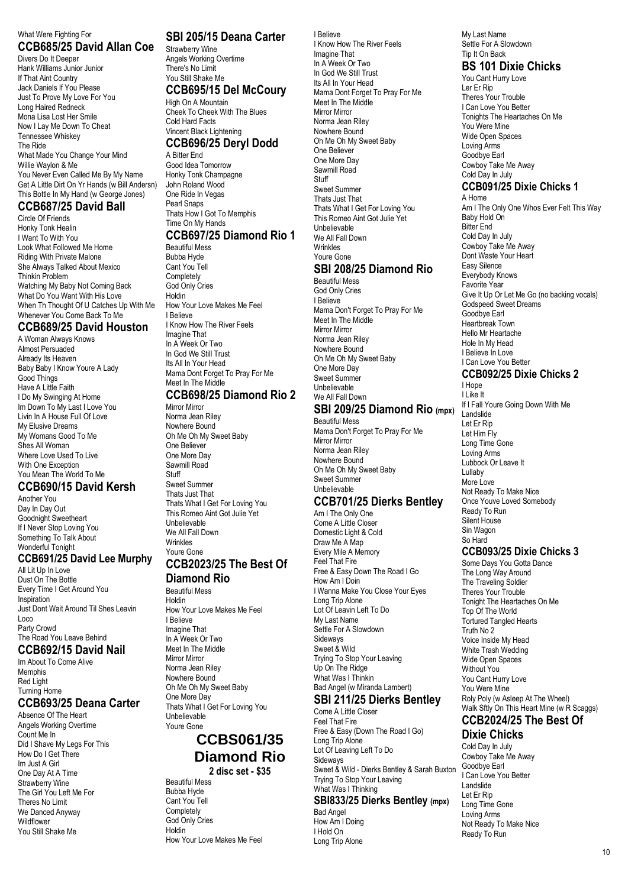#### What Were Fighting For **CCB685/25 David Allan Coe**

Divers Do It Deeper Hank Williams Junior Junior If That Aint Country Jack Daniels If You Please Just To Prove My Love For You Long Haired Redneck Mona Lisa Lost Her Smile Now I Lay Me Down To Cheat Tennessee Whiskey The Ride What Made You Change Your Mind Willie Waylon & Me You Never Even Called Me By My Name Get A Little Dirt On Yr Hands (w Bill Andersn) This Bottle In My Hand (w George Jones) **CCB687/25 David Ball**

### Circle Of Friends

Honky Tonk Healin I Want To With You Look What Followed Me Home Riding With Private Malone She Always Talked About Mexico Thinkin Problem Watching My Baby Not Coming Back What Do You Want With His Love When Th Thought Of U Catches Up With Me Whenever You Come Back To Me

#### **CCB689/25 David Houston**

A Woman Always Knows Almost Persuaded Already Its Heaven Baby Baby I Know Youre A Lady Good Things Have A Little Faith I Do My Swinging At Home Im Down To My Last I Love You Livin In A House Full Of Love My Elusive Dreams My Womans Good To Me Shes All Woman Where Love Used To Live With One Exception You Mean The World To Me

# **CCB690/15 David Kersh**

Another You Day In Day Out Goodnight Sweetheart If I Never Stop Loving You Something To Talk About Wonderful Tonight

#### **CCB691/25 David Lee Murphy**

All Lit Up In Love Dust On The Bottle Every Time I Get Around You Inspiration Just Dont Wait Around Til Shes Leavin Loco Party Crowd The Road You Leave Behind

# **CCB692/15 David Nail**

Im About To Come Alive Memphis Red Light Turning Home

### **CCB693/25 Deana Carter**

Absence Of The Heart Angels Working Overtime Count Me In Did I Shave My Legs For This How Do I Get There Im Just A Girl One Day At A Time Strawberry Wine The Girl You Left Me For Theres No Limit We Danced Anyway **Wildflower** You Still Shake Me

### **SBI 205/15 Deana Carter**

Strawberry Wine Angels Working Overtime There's No Limit You Still Shake Me **CCB695/15 Del McCoury** High On A Mountain Cheek To Cheek With The Blues

#### Cold Hard Facts Vincent Black Lightening **CCB696/25 Deryl Dodd**

A Bitter End

Good Idea Tomorrow Honky Tonk Champagne John Roland Wood One Ride In Vegas Pearl Snaps Thats How I Got To Memphis Time On My Hands **CCB697/25 Diamond Rio 1**

### Beautiful Mess

Bubba Hyde Cant You Tell **Completely** God Only Cries Holdin How Your Love Makes Me Feel I Believe I Know How The River Feels Imagine That In A Week Or Two In God We Still Trust Its All In Your Head Mama Dont Forget To Pray For Me Meet In The Middle

### **CCB698/25 Diamond Rio 2**

Mirror Mirror Norma Jean Riley Nowhere Bound Oh Me Oh My Sweet Baby One Believer One More Day Sawmill Road Stuff Sweet Summer Thats Just That Thats What I Get For Loving You This Romeo Aint Got Julie Yet Unbelievable We All Fall Down

#### **Wrinkles** Youre Gone **CCB2023/25 The Best Of**

### **Diamond Rio**

Beautiful Mess Holdin How Your Love Makes Me Feel I Believe Imagine That In A Week Or Two Meet In The Middle Mirror Mirror Norma Jean Riley Nowhere Bound Oh Me Oh My Sweet Baby One More Day Thats What I Get For Loving You Unbelievable Youre Gone

### **CCBS061/35 Diamond Rio 2 disc set - \$35**

Beautiful Mess Bubba Hyde Cant You Tell **Completely** God Only Cries Holdin How Your Love Makes Me Feel I Believe I Know How The River Feels Imagine That In A Week Or Two In God We Still Trust Its All In Your Head Mama Dont Forget To Pray For Me Meet In The Middle Mirror Mirror Norma Jean Riley Nowhere Bound Oh Me Oh My Sweet Baby One Believer One More Day Sawmill Road Stuff Sweet Summer Thats Just That Thats What I Get For Loving You This Romeo Aint Got Julie Yet Unbelievable We All Fall Down **Wrinkles** Youre Gone **SBI 208/25 Diamond Rio** Beautiful Mess God Only Cries I Believe Mama Don't Forget To Pray For Me Meet In The Middle Mirror Mirror Norma Jean Riley Nowhere Bound Oh Me Oh My Sweet Baby

#### Sweet Summer Unbelievable We All Fall Down

#### **SBI 209/25 Diamond Rio (mpx)** Beautiful Mess

Mama Don't Forget To Pray For Me Mirror Mirror Norma Jean Riley Nowhere Bound Oh Me Oh My Sweet Baby Sweet Summer Unbelievable

One More Day

### **CCB701/25 Dierks Bentley**

Am I The Only One Come A Little Closer Domestic Light & Cold Draw Me A Map Every Mile A Memory Feel That Fire Free & Easy Down The Road I Go How Am I Doin I Wanna Make You Close Your Eyes Long Trip Alone Lot Of Leavin Left To Do My Last Name Settle For A Slowdown Sideways Sweet & Wild Trying To Stop Your Leaving Up On The Ridge What Was I Thinkin Bad Angel (w Miranda Lambert) **SBI 211/25 Dierks Bentley**

Come A Little Closer Feel That Fire Free & Easy (Down The Road I Go) Long Trip Alone Lot Of Leaving Left To Do Sideways Sweet & Wild - Dierks Bentley & Sarah Buxton Trying To Stop Your Leaving What Was I Thinking **SBI833/25 Dierks Bentley (mpx)** Bad Angel How Am I Doing I Hold On

Long Trip Alone

#### My Last Name Settle For A Slowdown Tip It On Back

# **BS 101 Dixie Chicks**

You Cant Hurry Love Ler Er Rip Theres Your Trouble I Can Love You Better Tonights The Heartaches On Me You Were Mine Wide Open Spaces Loving Arms Goodbye Earl Cowboy Take Me Away Cold Day In July **CCB091/25 Dixie Chicks 1** A Home Am I The Only One Whos Ever Felt This Way Baby Hold On Bitter End Cold Day In July Cowboy Take Me Away Dont Waste Your Heart Easy Silence Everybody Knows

Favorite Year Give It Up Or Let Me Go (no backing vocals) Godspeed Sweet Dreams Goodbye Earl Heartbreak Town Hello Mr Heartache Hole In My Head I Believe In Love I Can Love You Better **CCB092/25 Dixie Chicks 2**

#### I Hope I Like It If I Fall Youre Going Down With Me Landslide Let Er Rip Let Him Fly Long Time Gone Loving Arms

Lubbock Or Leave It Lullaby More Love Not Ready To Make Nice Once Youve Loved Somebody Ready To Run Silent House Sin Wagon So Hard

### **CCB093/25 Dixie Chicks 3**

Some Days You Gotta Dance The Long Way Around The Traveling Soldier Theres Your Trouble Tonight The Heartaches On Me Top Of The World Tortured Tangled Hearts Truth No 2 Voice Inside My Head White Trash Wedding Wide Open Spaces Without You You Cant Hurry Love You Were Mine Roly Poly (w Asleep At The Wheel) Walk Sftly On This Heart Mine (w R Scaggs) **CCB2024/25 The Best Of**

# **Dixie Chicks**

Cold Day In July Cowboy Take Me Away Goodbye Earl I Can Love You Better Landslide Let Er Rip Long Time Gone Loving Arms Not Ready To Make Nice Ready To Run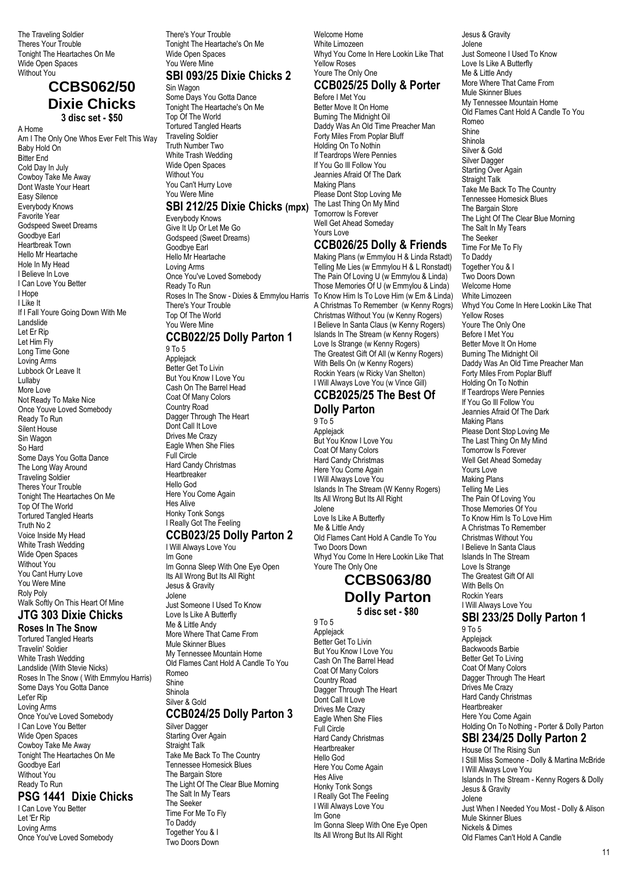The Traveling Soldier Theres Your Trouble Tonight The Heartaches On Me Wide Open Spaces Without You

### **CCBS062/50 Dixie Chicks 3 disc set - \$50**

A Home Am I The Only One Whos Ever Felt This Way Baby Hold On Bitter End Cold Day In July Cowboy Take Me Away Dont Waste Your Heart Easy Silence Everybody Knows Favorite Year Godspeed Sweet Dreams Goodbye Earl Heartbreak Town Hello Mr Heartache Hole In My Head I Believe In Love I Can Love You Better I Hope I Like It If I Fall Youre Going Down With Me Landslide Let Er Rip Let Him Fly Long Time Gone Loving Arms Lubbock Or Leave It Lullaby More Love Not Ready To Make Nice Once Youve Loved Somebody Ready To Run Silent House Sin Wagon So Hard Some Days You Gotta Dance The Long Way Around Traveling Soldier Theres Your Trouble Tonight The Heartaches On Me Top Of The World Tortured Tangled Hearts Truth No 2 Voice Inside My Head White Trash Wedding Wide Open Spaces Without You You Cant Hurry Love You Were Mine Roly Poly Walk Softly On This Heart Of Mine

#### **JTG 303 Dixie Chicks Roses In The Snow**

Tortured Tangled Hearts Travelin' Soldier White Trash Wedding Landslide (With Stevie Nicks) Roses In The Snow ( With Emmylou Harris) Some Days You Gotta Dance Let'er Rip Loving Arms Once You've Loved Somebody I Can Love You Better Wide Open Spaces Cowboy Take Me Away Tonight The Heartaches On Me Goodbye Earl Without You Ready To Run **PSG 1441 Dixie Chicks** I Can Love You Better

Let 'Er Rip Loving Arms Once You've Loved Somebody There's Your Trouble Tonight The Heartache's On Me Wide Open Spaces You Were Mine

#### **SBI 093/25 Dixie Chicks 2** Sin Wagon

Some Days You Gotta Dance Tonight The Heartache's On Me Top Of The World Tortured Tangled Hearts Traveling Soldier Truth Number Two White Trash Wedding Wide Open Spaces Without You You Can't Hurry Love You Were Mine

### **SBI 212/25 Dixie Chicks (mpx)**

Everybody Knows Give It Up Or Let Me Go Godspeed (Sweet Dreams) Goodbye Earl Hello Mr Heartache Loving Arms Once You've Loved Somebody Ready To Run Roses In The Snow - Dixies & Emmylou Harris There's Your Trouble Top Of The World You Were Mine **CCB022/25 Dolly Parton 1**

9 To 5 Applejack Better Get To Livin But You Know I Love You Cash On The Barrel Head Coat Of Many Colors Country Road Dagger Through The Heart Dont Call It Love Drives Me Crazy Eagle When She Flies Full Circle Hard Candy Christmas Heartbreaker Hello God Here You Come Again Hes Alive Honky Tonk Songs I Really Got The Feeling

#### **CCB023/25 Dolly Parton 2** I Will Always Love You

Im Gone Im Gonna Sleep With One Eye Open Its All Wrong But Its All Right Jesus & Gravity Jolene Just Someone I Used To Know Love Is Like A Butterfly Me & Little Andy More Where That Came From Mule Skinner Blues My Tennessee Mountain Home Old Flames Cant Hold A Candle To You Romeo Shine Shinola Silver & Gold **CCB024/25 Dolly Parton 3** Silver Dagger Starting Over Again Straight Talk Take Me Back To The Country Tennessee Homesick Blues The Bargain Store The Light Of The Clear Blue Morning The Salt In My Tears The Seeker Time For Me To Fly To Daddy

Together You & I Two Doors Down

Welcome Home White Limozeen Whyd You Come In Here Lookin Like That Yellow Roses Youre The Only One

# **CCB025/25 Dolly & Porter**

Before I Met You Better Move It On Home Burning The Midnight Oil Daddy Was An Old Time Preacher Man Forty Miles From Poplar Bluff Holding On To Nothin If Teardrops Were Pennies If You Go Ill Follow You Jeannies Afraid Of The Dark Making Plans Please Dont Stop Loving Me The Last Thing On My Mind Tomorrow Is Forever Well Get Ahead Someday Yours Love

### **CCB026/25 Dolly & Friends**

Making Plans (w Emmylou H & Linda Rstadt) Telling Me Lies (w Emmylou H & L Ronstadt) The Pain Of Loving U (w Emmylou & Linda) Those Memories Of U (w Emmylou & Linda) To Know Him Is To Love Him (w Em & Linda) A Christmas To Remember (w Kenny Rogrs) Christmas Without You (w Kenny Rogers) I Believe In Santa Claus (w Kenny Rogers) Islands In The Stream (w Kenny Rogers) Love Is Strange (w Kenny Rogers) The Greatest Gift Of All (w Kenny Rogers) With Bells On (w Kenny Rogers) Rockin Years (w Ricky Van Shelton) I Will Always Love You (w Vince Gill)

#### **CCB2025/25 The Best Of Dolly Parton**

9 To 5 Applejack But You Know I Love You Coat Of Many Colors Hard Candy Christmas Here You Come Again I Will Always Love You Islands In The Stream (W Kenny Rogers) Its All Wrong But Its All Right Jolene Love Is Like A Butterfly Me & Little Andy Old Flames Cant Hold A Candle To You Two Doors Down Whyd You Come In Here Lookin Like That Youre The Only One

### **CCBS063/80 Dolly Parton 5 disc set - \$80**

Applejack Better Get To Livin But You Know I Love You Cash On The Barrel Head Coat Of Many Colors Country Road Dagger Through The Heart Dont Call It Love Drives Me Crazy Eagle When She Flies Full Circle Hard Candy Christmas Heartbreaker Hello God Here You Come Again Hes Alive Honky Tonk Songs I Really Got The Feeling I Will Always Love You Im Gone Im Gonna Sleep With One Eye Open Its All Wrong But Its All Right

9 To 5

Jesus & Gravity Jolene Just Someone I Used To Know Love Is Like A Butterfly Me & Little Andy More Where That Came From Mule Skinner Blues My Tennessee Mountain Home Old Flames Cant Hold A Candle To You Romeo Shine Shinola Silver & Gold Silver Dagger Starting Over Again Straight Talk Take Me Back To The Country Tennessee Homesick Blues The Bargain Store The Light Of The Clear Blue Morning The Salt In My Tears The Seeker Time For Me To Fly To Daddy Together You & I Two Doors Down Welcome Home White Limozeen Whyd You Come In Here Lookin Like That Yellow Roses Youre The Only One Before I Met You Better Move It On Home Burning The Midnight Oil Daddy Was An Old Time Preacher Man Forty Miles From Poplar Bluff Holding On To Nothin If Teardrops Were Pennies If You Go Ill Follow You Jeannies Afraid Of The Dark Making Plans Please Dont Stop Loving Me The Last Thing On My Mind Tomorrow Is Forever Well Get Ahead Someday Yours Love Making Plans Telling Me Lies The Pain Of Loving You Those Memories Of You To Know Him Is To Love Him A Christmas To Remember Christmas Without You I Believe In Santa Claus Islands In The Stream Love Is Strange The Greatest Gift Of All With Bells On Rockin Years I Will Always Love You **SBI 233/25 Dolly Parton 1** 9 To 5

Applejack Backwoods Barbie Better Get To Living Coat Of Many Colors Dagger Through The Heart Drives Me Crazy Hard Candy Christmas **Heartbreaker** Here You Come Again Holding On To Nothing - Porter & Dolly Parton **SBI 234/25 Dolly Parton 2** House Of The Rising Sun

I Still Miss Someone - Dolly & Martina McBride I Will Always Love You Islands In The Stream - Kenny Rogers & Dolly Jesus & Gravity Jolene Just When I Needed You Most - Dolly & Alison Mule Skinner Blues Nickels & Dimes Old Flames Can't Hold A Candle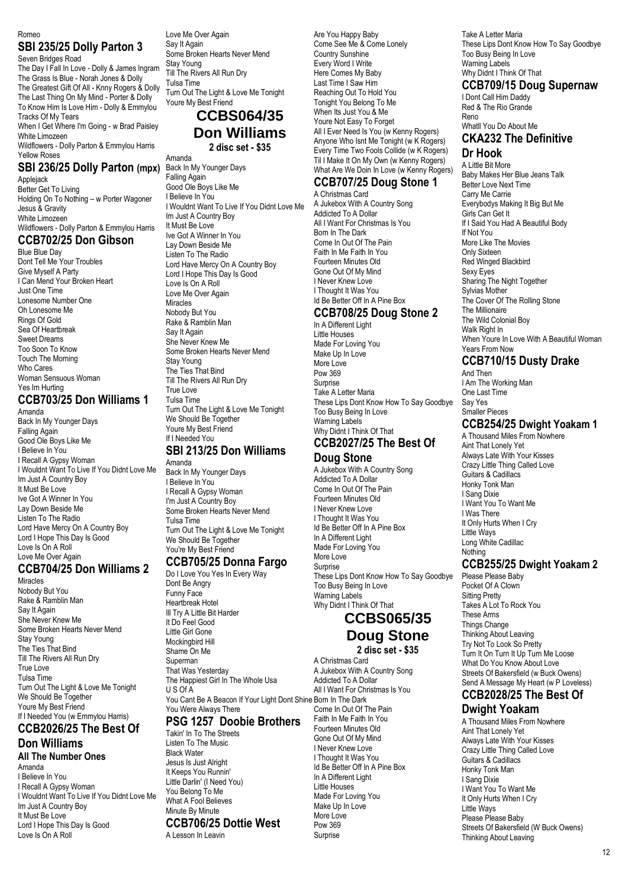Romeo

#### **SBI 235/25 Dolly Parton 3** Seven Bridges Road

The Day I Fall In Love - Dolly & James Ingram The Grass Is Blue - Norah Jones & Dolly The Greatest Gift Of All - Knny Rogers & Dolly The Last Thing On My Mind - Porter & Dolly To Know Him Is Love Him - Dolly & Emmylou Tracks Of My Tears When I Get Where I'm Going - w Brad Paisley White Limozeen Wildflowers - Dolly Parton & Emmylou Harris Yellow Roses

#### **SBI 236/25 Dolly Parton (mpx)** Applejack

Better Get To Living Holding On To Nothing – w Porter Wagoner Jesus & Gravity White Limozeen Wildflowers - Dolly Parton & Emmylou Harris

### **CCB702/25 Don Gibson**

Blue Blue Day Dont Tell Me Your Troubles Give Myself A Party I Can Mend Your Broken Heart Just One Time Lonesome Number One Oh Lonesome Me Rings Of Gold Sea Of Heartbreak Sweet Dreams Too Soon To Know Touch The Morning Who Cares Woman Sensuous Woman Yes Im Hurting

### **CCB703/25 Don Williams 1**

Amanda Back In My Younger Days Falling Again Good Ole Boys Like Me I Believe In You I Recall A Gypsy Woman I Wouldnt Want To Live If You Didnt Love Me Im Just A Country Boy It Must Be Love Ive Got A Winner In You Lay Down Beside Me Listen To The Radio Lord Have Mercy On A Country Boy Lord I Hope This Day Is Good Love Is On A Roll Love Me Over Again

### **CCB704/25 Don Williams 2**

Miracles Nobody But You Rake & Ramblin Man Say It Again She Never Knew Me Some Broken Hearts Never Mend Stay Young The Ties That Bind Till The Rivers All Run Dry True Love Tulsa Time Turn Out The Light & Love Me Tonight We Should Be Together Youre My Best Friend If I Needed You (w Emmylou Harris)

### **CCB2026/25 The Best Of Don Williams**

#### **All The Number Ones** Amanda

I Believe In You I Recall A Gypsy Woman I Wouldnt Want To Live If You Didnt Love Me Im Just A Country Boy It Must Be Love Lord I Hope This Day Is Good Love Is On A Roll

Love Me Over Again Say It Again Some Broken Hearts Never Mend Stay Young Till The Rivers All Run Dry Tulsa Time Turn Out The Light & Love Me Tonight Youre My Best Friend

### **CCBS064/35 Don Williams 2 disc set - \$35**

Amanda

Back In My Younger Days Falling Again Good Ole Boys Like Me I Believe In You I Wouldnt Want To Live If You Didnt Love Me Im Just A Country Boy It Must Be Love Ive Got A Winner In You Lay Down Beside Me Listen To The Radio Lord Have Mercy On A Country Boy Lord I Hope This Day Is Good Love Is On A Roll Love Me Over Again Miracles Nobody But You Rake & Ramblin Man Say It Again She Never Knew Me Some Broken Hearts Never Mend Stay Young The Ties That Bind Till The Rivers All Run Dry True Love Tulsa Time Turn Out The Light & Love Me Tonight We Should Be Together Youre My Best Friend If I Needed You

#### **SBI 213/25 Don Williams** Amanda

Back In My Younger Days I Believe In You I Recall A Gypsy Woman I'm Just A Country Boy Some Broken Hearts Never Mend Tulsa Time Turn Out The Light & Love Me Tonight We Should Be Together You're My Best Friend

#### **CCB705/25 Donna Fargo**

Do I Love You Yes In Every Way Dont Be Angry Funny Face Heartbreak Hotel Ill Try A Little Bit Harder It Do Feel Good Little Girl Gone Mockingbird Hill Shame On Me Superman That Was Yesterday The Happiest Girl In The Whole Usa U S Of A You Cant Be A Beacon If Your Light Dont Shine Born In The Dark You Were Always There

# **PSG 1257 Doobie Brothers**

Takin' In To The Streets Listen To The Music Black Water Jesus Is Just Alright It Keeps You Runnin' Little Darlin' (I Need You) You Belong To Me What A Fool Believes Minute By Minute **CCB706/25 Dottie West** A Lesson In Leavin

Are You Happy Baby Come See Me & Come Lonely Country Sunshine Every Word I Write Here Comes My Baby Last Time I Saw Him Reaching Out To Hold You Tonight You Belong To Me When Its Just You & Me Youre Not Easy To Forget All I Ever Need Is You (w Kenny Rogers) Anyone Who Isnt Me Tonight (w K Rogers) Every Time Two Fools Collide (w K Rogers) Til I Make It On My Own (w Kenny Rogers) What Are We Doin In Love (w Kenny Rogers) **CCB707/25 Doug Stone 1**

### A Christmas Card

A Jukebox With A Country Song Addicted To A Dollar All I Want For Christmas Is You Born In The Dark Come In Out Of The Pain Faith In Me Faith In You Fourteen Minutes Old Gone Out Of My Mind I Never Knew Love I Thought It Was You Id Be Better Off In A Pine Box

#### **CCB708/25 Doug Stone 2** In A Different Light

Little Houses Made For Loving You Make Up In Love More Love Pow 369 Sumrise Take A Letter Maria These Lips Dont Know How To Say Goodbye Too Busy Being In Love Warning Labels Why Didnt I Think Of That **CCB2027/25 The Best Of**

# **Doug Stone**

A Jukebox With A Country Song Addicted To A Dollar Come In Out Of The Pain Fourteen Minutes Old I Never Knew Love I Thought It Was You Id Be Better Off In A Pine Box In A Different Light Made For Loving You More Love **Surprise** These Lips Dont Know How To Say Goodbye Too Busy Being In Love Warning Labels Why Didnt I Think Of That

### **CCBS065/35 Doug Stone 2 disc set - \$35**

A Christmas Card A Jukebox With A Country Song Addicted To A Dollar All I Want For Christmas Is You Come In Out Of The Pain Faith In Me Faith In You Fourteen Minutes Old Gone Out Of My Mind I Never Knew Love I Thought It Was You Id Be Better Off In A Pine Box In A Different Light Little Houses Made For Loving You Make Up In Love More Love Pow 369 Surprise

Take A Letter Maria These Lips Dont Know How To Say Goodbye Too Busy Being In Love Warning Labels

#### Why Didnt I Think Of That **CCB709/15 Doug Supernaw**

I Dont Call Him Daddy Red & The Rio Grande Reno Whatll You Do About Me

### **CKA232 The Definitive Dr Hook**

A Little Bit More Baby Makes Her Blue Jeans Talk Better Love Next Time Carry Me Carrie Everybodys Making It Big But Me Girls Can Get It If I Said You Had A Beautiful Body If Not You More Like The Movies Only Sixteen Red Winged Blackbird Sexy Eyes Sharing The Night Together Sylvias Mother The Cover Of The Rolling Stone The Millionaire The Wild Colonial Boy Walk Right In When Youre In Love With A Beautiful Woman Years From Now

### **CCB710/15 Dusty Drake**

And Then I Am The Working Man One Last Time Say Yes Smaller Pieces

### **CCB254/25 Dwight Yoakam 1**

A Thousand Miles From Nowhere Aint That Lonely Yet Always Late With Your Kisses Crazy Little Thing Called Love Guitars & Cadillacs Honky Tonk Man I Sang Dixie I Want You To Want Me I Was There It Only Hurts When I Cry Little Ways Long White Cadillac Nothing **CCB255/25 Dwight Yoakam 2**

Please Please Baby Pocket Of A Clown Sitting Pretty Takes A Lot To Rock You These Arms Things Change Thinking About Leaving Try Not To Look So Pretty Turn It On Turn It Up Turn Me Loose What Do You Know About Love Streets Of Bakersfield (w Buck Owens)

#### Send A Message My Heart (w P Loveless) **CCB2028/25 The Best Of**

### **Dwight Yoakam**

A Thousand Miles From Nowhere Aint That Lonely Yet Always Late With Your Kisses Crazy Little Thing Called Love Guitars & Cadillacs Honky Tonk Man I Sang Dixie I Want You To Want Me It Only Hurts When I Cry Little Ways Please Please Baby Streets Of Bakersfield (W Buck Owens) Thinking About Leaving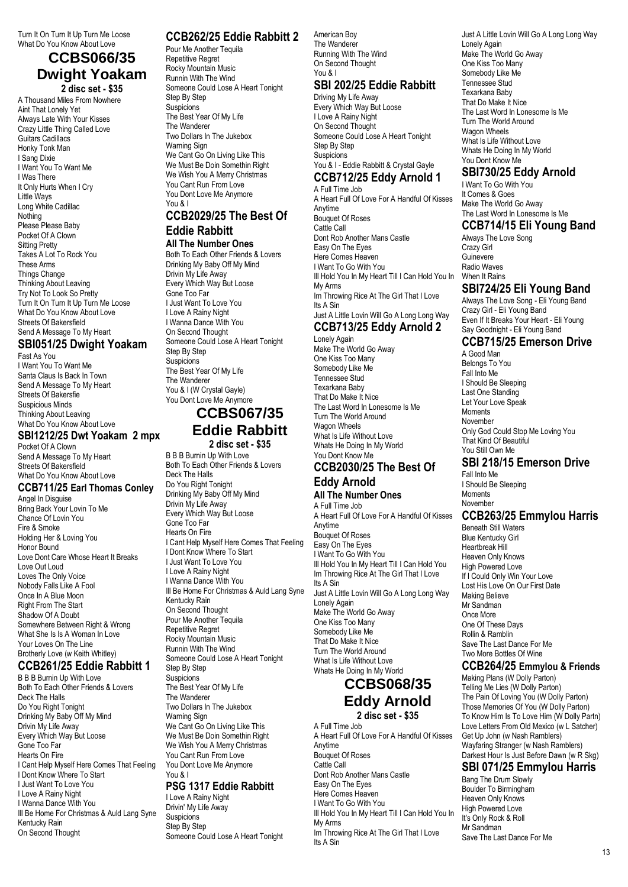Turn It On Turn It Up Turn Me Loose What Do You Know About Love

### **CCBS066/35 Dwight Yoakam**

**2 disc set - \$35** A Thousand Miles From Nowhere Aint That Lonely Yet Always Late With Your Kisses Crazy Little Thing Called Love Guitars Cadillacs Honky Tonk Man I Sang Dixie I Want You To Want Me I Was There It Only Hurts When I Cry Little Ways Long White Cadillac Nothing Please Please Baby Pocket Of A Clown Sitting Pretty Takes A Lot To Rock You These Arms Things Change Thinking About Leaving Try Not To Look So Pretty Turn It On Turn It Up Turn Me Loose What Do You Know About Love Streets Of Bakersfield Send A Message To My Heart

### **SBI051/25 Dwight Yoakam**

Fast As You I Want You To Want Me Santa Claus Is Back In Town Send A Message To My Heart Streets Of Bakersfie Suspicious Minds Thinking About Leaving What Do You Know About Love

### **SBI1212/25 Dwt Yoakam 2 mpx**

Pocket Of A Clown Send A Message To My Heart Streets Of Bakersfield What Do You Know About Love

#### **CCB711/25 Earl Thomas Conley**

Angel In Disguise Bring Back Your Lovin To Me Chance Of Lovin You Fire & Smoke Holding Her & Loving You Honor Bound Love Dont Care Whose Heart It Breaks Love Out Loud Loves The Only Voice Nobody Falls Like A Fool Once In A Blue Moon Right From The Start Shadow Of A Doubt Somewhere Between Right & Wrong What She Is Is A Woman In Love Your Loves On The Line Brotherly Love (w Keith Whitley)

# **CCB261/25 Eddie Rabbitt 1**

B B B Burnin Up With Love Both To Each Other Friends & Lovers Deck The Halls Do You Right Tonight Drinking My Baby Off My Mind Drivin My Life Away Every Which Way But Loose Gone Too Far Hearts On Fire I Cant Help Myself Here Comes That Feeling I Dont Know Where To Start I Just Want To Love You I Love A Rainy Night I Wanna Dance With You Ill Be Home For Christmas & Auld Lang Syne Kentucky Rain On Second Thought

### **CCB262/25 Eddie Rabbitt 2**

Pour Me Another Tequila Repetitive Regret Rocky Mountain Music Runnin With The Wind Someone Could Lose A Heart Tonight Step By Step **Suspicions** The Best Year Of My Life The Wanderer Two Dollars In The Jukebox Warning Sign We Cant Go On Living Like This We Must Be Doin Somethin Right We Wish You A Merry Christmas You Cant Run From Love You Dont Love Me Anymore You & I

### **CCB2029/25 The Best Of Eddie Rabbitt**

### **All The Number Ones**

Both To Each Other Friends & Lovers Drinking My Baby Off My Mind Drivin My Life Away Every Which Way But Loose Gone Too Far I Just Want To Love You I Love A Rainy Night I Wanna Dance With You On Second Thought Someone Could Lose A Heart Tonight Step By Step **Suspicions** The Best Year Of My Life The Wanderer You & I (W Crystal Gayle) You Dont Love Me Anymore

## **CCBS067/35 Eddie Rabbitt**

**2 disc set - \$35**

B B B Burnin Up With Love Both To Each Other Friends & Lovers Deck The Halls Do You Right Tonight Drinking My Baby Off My Mind Drivin My Life Away Every Which Way But Loose Gone Too Far Hearts On Fire I Cant Help Myself Here Comes That Feeling I Dont Know Where To Start I Just Want To Love You I Love A Rainy Night I Wanna Dance With You Ill Be Home For Christmas & Auld Lang Syne Kentucky Rain On Second Thought Pour Me Another Tequila Repetitive Regret Rocky Mountain Music Runnin With The Wind Someone Could Lose A Heart Tonight Step By Step **Suspicions** The Best Year Of My Life The Wanderer Two Dollars In The Jukebox Warning Sign We Cant Go On Living Like This We Must Be Doin Somethin Right We Wish You A Merry Christmas You Cant Run From Love You Dont Love Me Anymore

#### You & I **PSG 1317 Eddie Rabbitt**

I Love A Rainy Night Drivin' My Life Away **Suspicions** Step By Step Someone Could Lose A Heart Tonight American Boy The Wanderer Running With The Wind On Second Thought You & I

# **SBI 202/25 Eddie Rabbitt**

Driving My Life Away Every Which Way But Loose I Love A Rainy Night On Second Thought Someone Could Lose A Heart Tonight Step By Step **Suspicions** You & I - Eddie Rabbitt & Crystal Gayle

### **CCB712/25 Eddy Arnold 1**

A Full Time Job A Heart Full Of Love For A Handful Of Kisses Anytime Bouquet Of Roses Cattle Call Dont Rob Another Mans Castle Easy On The Eyes Here Comes Heaven I Want To Go With You Ill Hold You In My Heart Till I Can Hold You In My Arms Im Throwing Rice At The Girl That I Love Its A Sin Just A Little Lovin Will Go A Long Long Way **CCB713/25 Eddy Arnold 2** Lonely Again

Make The World Go Away One Kiss Too Many Somebody Like Me Tennessee Stud Texarkana Baby That Do Make It Nice The Last Word In Lonesome Is Me Turn The World Around Wagon Wheels What Is Life Without Love Whats He Doing In My World You Dont Know Me

### **CCB2030/25 The Best Of Eddy Arnold**

### **All The Number Ones**

A Full Time Job A Heart Full Of Love For A Handful Of Kisses Anytime Bouquet Of Roses Easy On The Eyes I Want To Go With You Ill Hold You In My Heart Till I Can Hold You Im Throwing Rice At The Girl That I Love Its A Sin Just A Little Lovin Will Go A Long Long Way Lonely Again Make The World Go Away One Kiss Too Many Somebody Like Me That Do Make It Nice Turn The World Around What Is Life Without Love Whats He Doing In My World

### **CCBS068/35 Eddy Arnold 2 disc set - \$35**

A Full Time Job A Heart Full Of Love For A Handful Of Kisses Anytime Bouquet Of Roses Cattle Call Dont Rob Another Mans Castle Easy On The Eyes Here Comes Heaven I Want To Go With You Ill Hold You In My Heart Till I Can Hold You In My Arms Im Throwing Rice At The Girl That I Love Its A Sin

Just A Little Lovin Will Go A Long Long Way Lonely Again Make The World Go Away One Kiss Too Many Somebody Like Me Tennessee Stud Texarkana Baby That Do Make It Nice The Last Word In Lonesome Is Me Turn The World Around Wagon Wheels What Is Life Without Love Whats He Doing In My World You Dont Know Me

### **SBI730/25 Eddy Arnold**

I Want To Go With You It Comes & Goes Make The World Go Away The Last Word In Lonesome Is Me **CCB714/15 Eli Young Band**

Always The Love Song Crazy Girl Guinevere Radio Waves When It Rains

### **SBI724/25 Eli Young Band**

Always The Love Song - Eli Young Band Crazy Girl - Eli Young Band Even If It Breaks Your Heart - Eli Young Say Goodnight - Eli Young Band

### **CCB715/25 Emerson Drive**

A Good Man Belongs To You Fall Into Me I Should Be Sleeping Last One Standing Let Your Love Speak Moments November Only God Could Stop Me Loving You That Kind Of Beautiful You Still Own Me

### **SBI 218/15 Emerson Drive**

Fall Into Me I Should Be Sleeping **Moments** November

#### **CCB263/25 Emmylou Harris**

Beneath Still Waters Blue Kentucky Girl Heartbreak Hill Heaven Only Knows High Powered Love If I Could Only Win Your Love Lost His Love On Our First Date Making Believe Mr Sandman Once More One Of These Days Rollin & Ramblin Save The Last Dance For Me Two More Bottles Of Wine

#### **CCB264/25 Emmylou & Friends**

Making Plans (W Dolly Parton) Telling Me Lies (W Dolly Parton) The Pain Of Loving You (W Dolly Parton) Those Memories Of You (W Dolly Parton) To Know Him Is To Love Him (W Dolly Partn) Love Letters From Old Mexico (w L Satcher) Get Up John (w Nash Ramblers) Wayfaring Stranger (w Nash Ramblers) Darkest Hour Is Just Before Dawn (w R Skg)

### **SBI 071/25 Emmylou Harris**

Bang The Drum Slowly Boulder To Birmingham Heaven Only Knows High Powered Love It's Only Rock & Roll Mr Sandman Save The Last Dance For Me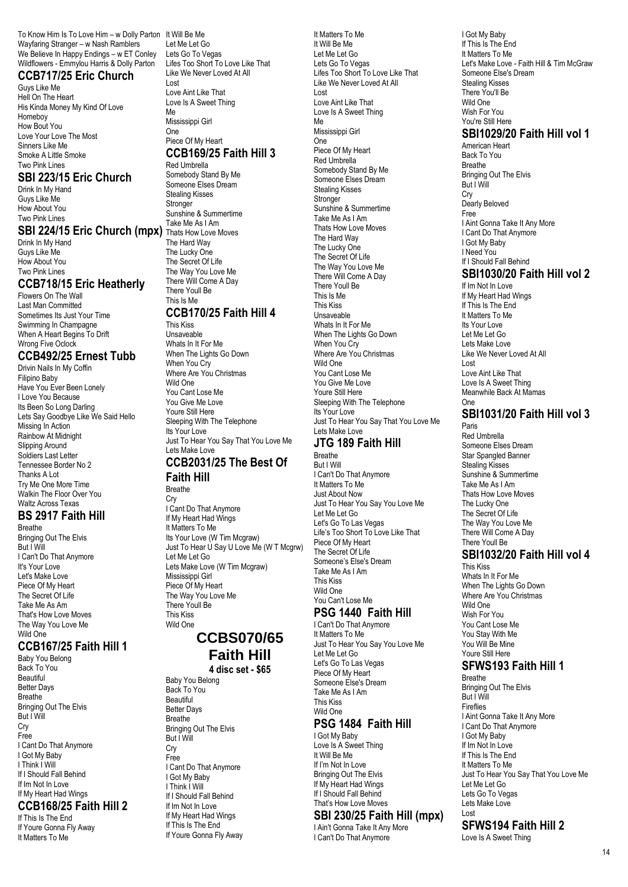To Know Him Is To Love Him – w Dolly Parton It Will Be Me Wayfaring Stranger – w Nash Ramblers We Believe In Happy Endings – w ET Conley Wildflowers - Emmylou Harris & Dolly Parton

### **CCB717/25 Eric Church**

Guys Like Me Hell On The Heart His Kinda Money My Kind Of Love Homeboy How Bout You Love Your Love The Most Sinners Like Me Smoke A Little Smoke Two Pink Lines

#### **SBI 223/15 Eric Church**

Drink In My Hand Guys Like Me How About You Two Pink Lines

#### **SBI 224/15 Eric Church (mpx)** Thats How Love Moves

Drink In My Hand Guys Like Me How About You Two Pink Lines

### **CCB718/15 Eric Heatherly**

Flowers On The Wall Last Man Committed Sometimes Its Just Your Time Swimming In Champagne When A Heart Begins To Drift Wrong Five Oclock

### **CCB492/25 Ernest Tubb**

Drivin Nails In My Coffin Filipino Baby Have You Ever Been Lonely I Love You Because Its Been So Long Darling Lets Say Goodbye Like We Said Hello Missing In Action Rainbow At Midnight Slipping Around Soldiers Last Letter Tennessee Border No 2 Thanks A Lot Try Me One More Time Walkin The Floor Over You Waltz Across Texas

### **BS 2917 Faith Hill**

Breathe Bringing Out The Elvis But I Will I Can't Do That Anymore It's Your Love Let's Make Love Piece Of My Heart The Secret Of Life Take Me As Am That's How Love Moves The Way You Love Me Wild One

#### **CCB167/25 Faith Hill 1**

Baby You Belong Back To You Beautiful **Better Days** Breathe Bringing Out The Elvis But I Will Cry Free I Cant Do That Anymore I Got My Baby I Think I Will If I Should Fall Behind If Im Not In Love If My Heart Had Wings

### **CCB168/25 Faith Hill 2**

If This Is The End If Youre Gonna Fly Away It Matters To Me

Let Me Let Go Lets Go To Vegas Lifes Too Short To Love Like That Like We Never Loved At All Lost Love Aint Like That Love Is A Sweet Thing Me

Mississippi Girl One Piece Of My Heart

#### **CCB169/25 Faith Hill 3** Red Umbrella

Somebody Stand By Me Someone Elses Dream Stealing Kisses Stronger Sunshine & Summertime Take Me As I Am The Hard Way The Lucky One The Secret Of Life The Way You Love Me There Will Come A Day There Youll Be This Is Me **CCB170/25 Faith Hill 4**

#### This Kiss

Unsaveable Whats In It For Me When The Lights Go Down When You Cry Where Are You Christmas Wild One You Cant Lose Me You Give Me Love Youre Still Here Sleeping With The Telephone Its Your Love Just To Hear You Say That You Love Me Lets Make Love

#### **CCB2031/25 The Best Of Faith Hill**

Breathe

Cry I Cant Do That Anymore If My Heart Had Wings It Matters To Me Its Your Love (W Tim Mcgraw) Just To Hear U Say U Love Me (W T Mcgrw) Let Me Let Go Lets Make Love (W Tim Mcgraw) Mississippi Girl Piece Of My Heart The Way You Love Me There Youll Be This Kiss Wild One

### **CCBS070/65 Faith Hill**

**4 disc set - \$65**

Baby You Belong Back To You Beautiful Better Days Breathe Bringing Out The Elvis But I Will Cry Free I Cant Do That Anymore I Got My Baby I Think I Will If I Should Fall Behind If Im Not In Love If My Heart Had Wings If This Is The End If Youre Gonna Fly Away It Matters To Me It Will Be Me Let Me Let Go Lets Go To Vegas Lifes Too Short To Love Like That Like We Never Loved At All Lost Love Aint Like That Love Is A Sweet Thing Me Mississippi Girl One Piece Of My Heart Red Umbrella Somebody Stand By Me Someone Elses Dream Stealing Kisses Stronger Sunshine & Summertime Take Me As I Am Thats How Love Moves The Hard Way The Lucky One The Secret Of Life The Way You Love Me There Will Come A Day There Youll Be This Is Me This Kiss Unsaveable Whats In It For Me When The Lights Go Down When You Cry Where Are You Christmas Wild One You Cant Lose Me You Give Me Love Youre Still Here Sleeping With The Telephone Its Your Love Just To Hear You Say That You Love Me Lets Make Love **JTG 189 Faith Hill** Breathe But I Will I Can't Do That Anymore It Matters To Me

Just About Now Just To Hear You Say You Love Me Let Me Let Go Let's Go To Las Vegas Life's Too Short To Love Like That Piece Of My Heart The Secret Of Life Someone's Else's Dream Take Me As I Am This Kiss Wild One You Can't Lose Me

# **PSG 1440 Faith Hill**

I Can't Do That Anymore It Matters To Me Just To Hear You Say You Love Me Let Me Let Go Let's Go To Las Vegas Piece Of My Heart Someone Else's Dream Take Me As I Am This Kiss Wild One **PSG 1484 Faith Hill**

### I Got My Baby

Love Is A Sweet Thing It Will Be Me If I'm Not In Love Bringing Out The Elvis If My Heart Had Wings If I Should Fall Behind That's How Love Moves

### **SBI 230/25 Faith Hill (mpx)**

I Ain't Gonna Take It Any More I Can't Do That Anymore

I Got My Baby If This Is The End It Matters To Me Let's Make Love - Faith Hill & Tim McGraw Someone Else's Dream Stealing Kisses There You'll Be Wild One Wish For You You're Still Here **SBI1029/20 Faith Hill vol 1**

American Heart Back To You Breathe Bringing Out The Elvis But I Will Cry Dearly Beloved Free I Aint Gonna Take It Any More I Cant Do That Anymore I Got My Baby I Need You If I Should Fall Behind **SBI1030/20 Faith Hill vol 2**

# If Im Not In Love

If My Heart Had Wings If This Is The End It Matters To Me Its Your Love Let Me Let Go Lets Make Love Like We Never Loved At All Lost Love Aint Like That Love Is A Sweet Thing Meanwhile Back At Mamas One

#### **SBI1031/20 Faith Hill vol 3** Paris

Red Umbrella Someone Elses Dream Star Spangled Banner Stealing Kisses Sunshine & Summertime Take Me As I Am Thats How Love Moves The Lucky One The Secret Of Life The Way You Love Me There Will Come A Day There Youll Be

### **SBI1032/20 Faith Hill vol 4**

This Kiss Whats In It For Me When The Lights Go Down Where Are You Christmas Wild One Wish For You You Cant Lose Me You Stay With Me You Will Be Mine Youre Still Here

### **SFWS193 Faith Hill 1**

Breathe Bringing Out The Elvis But I Will Fireflies I Aint Gonna Take It Any More I Cant Do That Anymore I Got My Baby If Im Not In Love If This Is The End It Matters To Me Just To Hear You Say That You Love Me Let Me Let Go Lets Go To Vegas Lets Make Love Lost

### **SFWS194 Faith Hill 2**

Love Is A Sweet Thing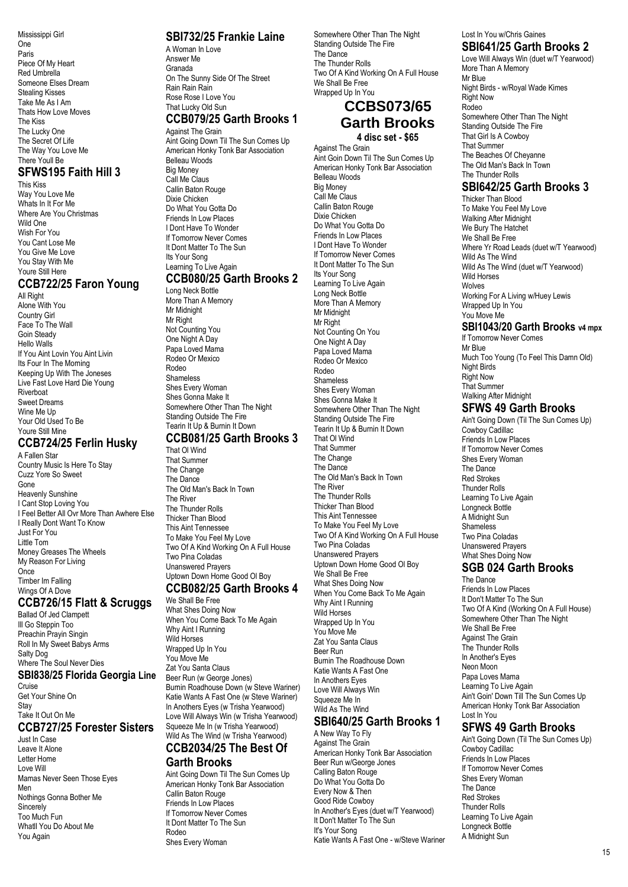Mississippi Girl One Paris Piece Of My Heart Red Umbrella Someone Elses Dream Stealing Kisses Take Me As I Am Thats How Love Moves The Kiss The Lucky One The Secret Of Life The Way You Love Me There Youll Be

#### **SFWS195 Faith Hill 3** This Kiss

Way You Love Me Whats In It For Me Where Are You Christmas Wild One Wish For You You Cant Lose Me You Give Me Love You Stay With Me Youre Still Here

# **CCB722/25 Faron Young**

**All Right** Alone With You Country Girl Face To The Wall Goin Steady Hello Walls If You Aint Lovin You Aint Livin Its Four In The Morning Keeping Up With The Joneses Live Fast Love Hard Die Young Riverboat Sweet Dreams Wine Me Up Your Old Used To Be Youre Still Mine

### **CCB724/25 Ferlin Husky**

A Fallen Star Country Music Is Here To Stay Cuzz Yore So Sweet Gone Heavenly Sunshine I Cant Stop Loving You I Feel Better All Ovr More Than Awhere Else I Really Dont Want To Know Just For You Little Tom Money Greases The Wheels My Reason For Living Once Timber Im Falling Wings Of A Dove

### **CCB726/15 Flatt & Scruggs**

Ballad Of Jed Clampett Ill Go Steppin Too Preachin Prayin Singin Roll In My Sweet Babys Arms Salty Dog Where The Soul Never Dies

### **SBI838/25 Florida Georgia Line**

Cruise Get Your Shine On **Stav** Take It Out On Me

#### **CCB727/25 Forester Sisters** Just In Case

Leave It Alone Letter Home Love Will Mamas Never Seen Those Eyes Men Nothings Gonna Bother Me Sincerely Too Much Fun Whatll You Do About Me You Again

### **SBI732/25 Frankie Laine**

A Woman In Love Answer Me Granada On The Sunny Side Of The Street Rain Rain Rain Rose Rose I Love You That Lucky Old Sun

#### **CCB079/25 Garth Brooks 1** Against The Grain

Aint Going Down Til The Sun Comes Up American Honky Tonk Bar Association Belleau Woods Big Money Call Me Claus Callin Baton Rouge Dixie Chicken Do What You Gotta Do Friends In Low Places I Dont Have To Wonder If Tomorrow Never Comes It Dont Matter To The Sun Its Your Song Learning To Live Again

### **CCB080/25 Garth Brooks 2**

Long Neck Bottle More Than A Memory Mr Midnight Mr Right Not Counting You One Night A Day Papa Loved Mama Rodeo Or Mexico Rodeo Shameless Shes Every Woman Shes Gonna Make It Somewhere Other Than The Night Standing Outside The Fire Tearin It Up & Burnin It Down

### **CCB081/25 Garth Brooks 3**

That Ol Wind That Summer The Change The Dance The Old Man's Back In Town The River The Thunder Rolls Thicker Than Blood This Aint Tennessee To Make You Feel My Love Two Of A Kind Working On A Full House Two Pina Coladas Unanswered Prayers Uptown Down Home Good Ol Boy **CCB082/25 Garth Brooks 4**

### We Shall Be Free

What Shes Doing Now When You Come Back To Me Again Why Aint I Running Wild Horses Wrapped Up In You You Move Me Zat You Santa Claus Beer Run (w George Jones) Burnin Roadhouse Down (w Steve Wariner) Katie Wants A Fast One (w Steve Wariner) In Anothers Eyes (w Trisha Yearwood) Love Will Always Win (w Trisha Yearwood) Squeeze Me In (w Trisha Yearwood) Wild As The Wind (w Trisha Yearwood)

### **CCB2034/25 The Best Of Garth Brooks**

Aint Going Down Til The Sun Comes Up American Honky Tonk Bar Association Callin Baton Rouge Friends In Low Places If Tomorrow Never Comes It Dont Matter To The Sun Rodeo Shes Every Woman

Somewhere Other Than The Night Standing Outside The Fire The Dance The Thunder Rolls Two Of A Kind Working On A Full House We Shall Be Free Wrapped Up In You

### **CCBS073/65 Garth Brooks 4 disc set - \$65**

Against The Grain Aint Goin Down Til The Sun Comes Up American Honky Tonk Bar Association Belleau Woods Big Money Call Me Claus Callin Baton Rouge Dixie Chicken Do What You Gotta Do Friends In Low Places I Dont Have To Wonder If Tomorrow Never Comes It Dont Matter To The Sun Its Your Song Learning To Live Again Long Neck Bottle More Than A Memory Mr Midnight Mr Right Not Counting On You One Night A Day Papa Loved Mama Rodeo Or Mexico Rodeo Shameless Shes Every Woman Shes Gonna Make It Somewhere Other Than The Night Standing Outside The Fire Tearin It Up & Burnin It Down That Ol Wind That Summer The Change The Dance The Old Man's Back In Town The River The Thunder Rolls Thicker Than Blood This Aint Tennessee To Make You Feel My Love Two Of A Kind Working On A Full House Two Pina Coladas Unanswered Prayers Uptown Down Home Good Ol Boy We Shall Be Free What Shes Doing Now When You Come Back To Me Again Why Aint I Running Wild Horses Wrapped Up In You You Move Me Zat You Santa Claus Beer Run Burnin The Roadhouse Down Katie Wants A Fast One In Anothers Eyes Love Will Always Win Squeeze Me In

#### **SBI640/25 Garth Brooks 1** A New Way To Fly

Wild As The Wind

Against The Grain American Honky Tonk Bar Association Beer Run w/George Jones Calling Baton Rouge Do What You Gotta Do Every Now & Then Good Ride Cowboy In Another's Eyes (duet w/T Yearwood) It Don't Matter To The Sun It's Your Song Katie Wants A Fast One - w/Steve Wariner

#### Lost In You w/Chris Gaines **SBI641/25 Garth Brooks 2**

Love Will Always Win (duet w/T Yearwood) More Than A Memory Mr Blue Night Birds - w/Royal Wade Kimes Right Now Rodeo Somewhere Other Than The Night Standing Outside The Fire That Girl Is A Cowboy That Summer The Beaches Of Chevanne The Old Man's Back In Town The Thunder Rolls

### **SBI642/25 Garth Brooks 3**

Thicker Than Blood To Make You Feel My Love Walking After Midnight We Bury The Hatchet We Shall Be Free Where Yr Road Leads (duet w/T Yearwood) Wild As The Wind Wild As The Wind (duet w/T Yearwood) Wild Horses Wolves Working For A Living w/Huey Lewis Wrapped Up In You You Move Me

#### **SBI1043/20 Garth Brooks v4 mpx** If Tomorrow Never Comes

Mr Blue Much Too Young (To Feel This Damn Old) Night Birds Right Now That Summer Walking After Midnight **SFWS 49 Garth Brooks**

Ain't Going Down (Til The Sun Comes Up) Cowboy Cadillac Friends In Low Places If Tomorrow Never Comes Shes Every Woman The Dance Red Strokes Thunder Rolls Learning To Live Again Longneck Bottle A Midnight Sun Shameless Two Pina Coladas Unanswered Prayers What Shes Doing Now

### **SGB 024 Garth Brooks**

The Dance Friends In Low Places It Don't Matter To The Sun Two Of A Kind (Working On A Full House) Somewhere Other Than The Night We Shall Be Free Against The Grain The Thunder Rolls In Another's Eyes Neon Moon Papa Loves Mama Learning To Live Again Ain't Goin' Down Till The Sun Comes Up American Honky Tonk Bar Association Lost In You

### **SFWS 49 Garth Brooks**

Ain't Going Down (Til The Sun Comes Up) Cowboy Cadillac Friends In Low Places If Tomorrow Never Comes Shes Every Woman The Dance Red Strokes Thunder Rolls Learning To Live Again Longneck Bottle A Midnight Sun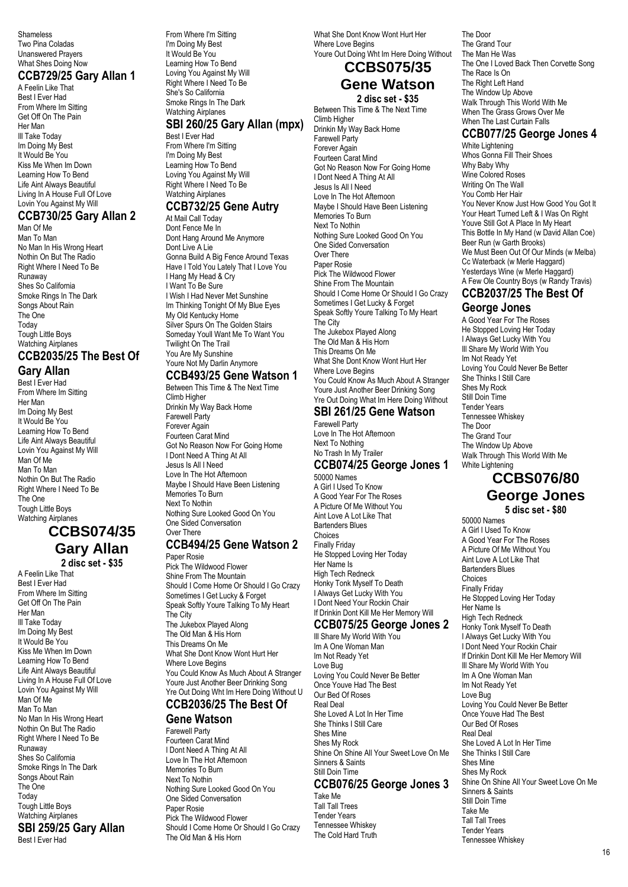Shameless Two Pina Coladas Unanswered Prayers What Shes Doing Now

### **CCB729/25 Gary Allan 1**

A Feelin Like That Best I Ever Had From Where Im Sitting Get Off On The Pain Her Man Ill Take Today Im Doing My Best It Would Be You Kiss Me When Im Down Learning How To Bend Life Aint Always Beautiful Living In A House Full Of Love Lovin You Against My Will

### **CCB730/25 Gary Allan 2**

Man Of Me Man To Man No Man In His Wrong Heart Nothin On But The Radio Right Where I Need To Be Runaway Shes So<sup>'</sup>California Smoke Rings In The Dark Songs About Rain The One Today Tough Little Boys Watching Airplanes

#### **CCB2035/25 The Best Of Gary Allan**

Best I Ever Had From Where Im Sitting Her Man Im Doing My Best It Would Be You Learning How To Bend Life Aint Always Beautiful Lovin You Against My Will Man Of Me Man To Man Nothin On But The Radio Right Where I Need To Be The One Tough Little Boys Watching Airplanes

### **CCBS074/35 Gary Allan 2 disc set - \$35**

A Feelin Like That Best I Ever Had From Where Im Sitting Get Off On The Pain Her Man Ill Take Today Im Doing My Best It Would Be You Kiss Me When Im Down Learning How To Bend Life Aint Always Beautiful Living In A House Full Of Love Lovin You Against My Will Man Of Me Man To Man No Man In His Wrong Heart Nothin On But The Radio Right Where I Need To Be Runaway Shes So California Smoke Rings In The Dark Songs About Rain The One Today Tough Little Boys Watching Airplanes **SBI 259/25 Gary Allan** Best I Ever Had

From Where I'm Sitting I'm Doing My Best It Would Be You Learning How To Bend Loving You Against My Will Right Where I Need To Be She's So California Smoke Rings In The Dark Watching Airplanes

### **SBI 260/25 Gary Allan (mpx)**

Best I Ever Had From Where I'm Sitting I'm Doing My Best Learning How To Bend Loving You Against My Will Right Where I Need To Be Watching Airplanes

# **CCB732/25 Gene Autry**

At Mail Call Today Dont Fence Me In Dont Hang Around Me Anymore Dont Live A Lie Gonna Build A Big Fence Around Texas Have I Told You Lately That I Love You I Hang My Head & Cry I Want To Be Sure I Wish I Had Never Met Sunshine Im Thinking Tonight Of My Blue Eyes My Old Kentucky Home Silver Spurs On The Golden Stairs Someday Youll Want Me To Want You Twilight On The Trail You Are My Sunshine Youre Not My Darlin Anymore

### **CCB493/25 Gene Watson 1**

Between This Time & The Next Time Climb Higher Drinkin My Way Back Home Farewell Party Forever Again Fourteen Carat Mind Got No Reason Now For Going Home I Dont Need A Thing At All Jesus Is All I Need Love In The Hot Afternoon Maybe I Should Have Been Listening Memories To Burn Next To Nothin Nothing Sure Looked Good On You One Sided Conversation Over There

# **CCB494/25 Gene Watson 2**

Paper Rosie Pick The Wildwood Flower Shine From The Mountain Should I Come Home Or Should I Go Crazy Sometimes I Get Lucky & Forget Speak Softly Youre Talking To My Heart The City The Jukebox Played Along The Old Man & His Horn This Dreams On Me What She Dont Know Wont Hurt Her Where Love Begins You Could Know As Much About A Stranger Youre Just Another Beer Drinking Song Yre Out Doing Wht Im Here Doing Without U

# **CCB2036/25 The Best Of**

#### **Gene Watson** Farewell Party

Fourteen Carat Mind I Dont Need A Thing At All Love In The Hot Afternoon Memories To Burn Next To Nothin Nothing Sure Looked Good On You One Sided Conversation Paper Rosie Pick The Wildwood Flower Should I Come Home Or Should I Go Crazy The Old Man & His Horn

What She Dont Know Wont Hurt Her Where Love Begins Youre Out Doing Wht Im Here Doing Without

# **CCBS075/35**

# **Gene Watson**

**2 disc set - \$35** Between This Time & The Next Time Climb Higher Drinkin My Way Back Home Farewell Party Forever Again Fourteen Carat Mind Got No Reason Now For Going Home I Dont Need A Thing At All Jesus Is All I Need Love In The Hot Afternoon Maybe I Should Have Been Listening Memories To Burn Next To Nothin Nothing Sure Looked Good On You One Sided Conversation Over There Paper Rosie Pick The Wildwood Flower Shine From The Mountain Should I Come Home Or Should I Go Crazy Sometimes I Get Lucky & Forget Speak Softly Youre Talking To My Heart The City The Jukebox Played Along The Old Man & His Horn This Dreams On Me What She Dont Know Wont Hurt Her Where Love Begins You Could Know As Much About A Stranger Youre Just Another Beer Drinking Song

#### Yre Out Doing What Im Here Doing Without **SBI 261/25 Gene Watson** Farewell Party

Love In The Hot Afternoon Next To Nothing No Trash In My Trailer

#### **CCB074/25 George Jones 1** 50000 Names

A Girl I Used To Know A Good Year For The Roses A Picture Of Me Without You Aint Love A Lot Like That Bartenders Blues Choices Finally Friday He Stopped Loving Her Today Her Name Is High Tech Redneck Honky Tonk Myself To Death I Always Get Lucky With You I Dont Need Your Rockin Chair If Drinkin Dont Kill Me Her Memory Will

#### **CCB075/25 George Jones 2**

Ill Share My World With You Im A One Woman Man Im Not Ready Yet Love Bug Loving You Could Never Be Better Once Youve Had The Best Our Bed Of Roses Real Deal She Loved A Lot In Her Time She Thinks I Still Care Shes Mine Shes My Rock Shine On Shine All Your Sweet Love On Me Sinners & Saints Still Doin Time **CCB076/25 George Jones 3** Take Me Tall Tall Trees Tender Years Tennessee Whiskey

The Cold Hard Truth

The Door The Grand Tour The Man He Was The One I Loved Back Then Corvette Song The Race Is On The Right Left Hand The Window Up Above Walk Through This World With Me When The Grass Grows Over Me When The Last Curtain Falls

### **CCB077/25 George Jones 4**

White Lightening Whos Gonna Fill Their Shoes Why Baby Why Wine Colored Roses Writing On The Wall You Comb Her Hair You Never Know Just How Good You Got It Your Heart Turned Left & I Was On Right Youve Still Got A Place In My Heart This Bottle In My Hand (w David Allan Coe) Beer Run (w Garth Brooks) We Must Been Out Of Our Minds (w Melba) Cc Waterback (w Merle Haggard) Yesterdays Wine (w Merle Haggard) A Few Ole Country Boys (w Randy Travis) **CCB2037/25 The Best Of**

### **George Jones**

A Good Year For The Roses He Stopped Loving Her Today I Always Get Lucky With You Ill Share My World With You Im Not Ready Yet Loving You Could Never Be Better She Thinks I Still Care Shes My Rock Still Doin Time Tender Years Tennessee Whiskey The Door The Grand Tour The Window Up Above Walk Through This World With Me White Lightening

### **CCBS076/80 George Jones**

**5 disc set - \$80**

50000 Names A Girl I Used To Know A Good Year For The Roses A Picture Of Me Without You Aint Love A Lot Like That Bartenders Blues Choices Finally Friday He Stopped Loving Her Today Her Name Is High Tech Redneck Honky Tonk Myself To Death I Always Get Lucky With You I Dont Need Your Rockin Chair If Drinkin Dont Kill Me Her Memory Will Ill Share My World With You Im A One Woman Man Im Not Ready Yet Love Bug Loving You Could Never Be Better Once Youve Had The Best Our Bed Of Roses Real Deal She Loved A Lot In Her Time She Thinks I Still Care Shes Mine Shes My Rock Shine On Shine All Your Sweet Love On Me Sinners & Saints Still Doin Time Take Me Tall Tall Trees Tender Years Tennessee Whiskey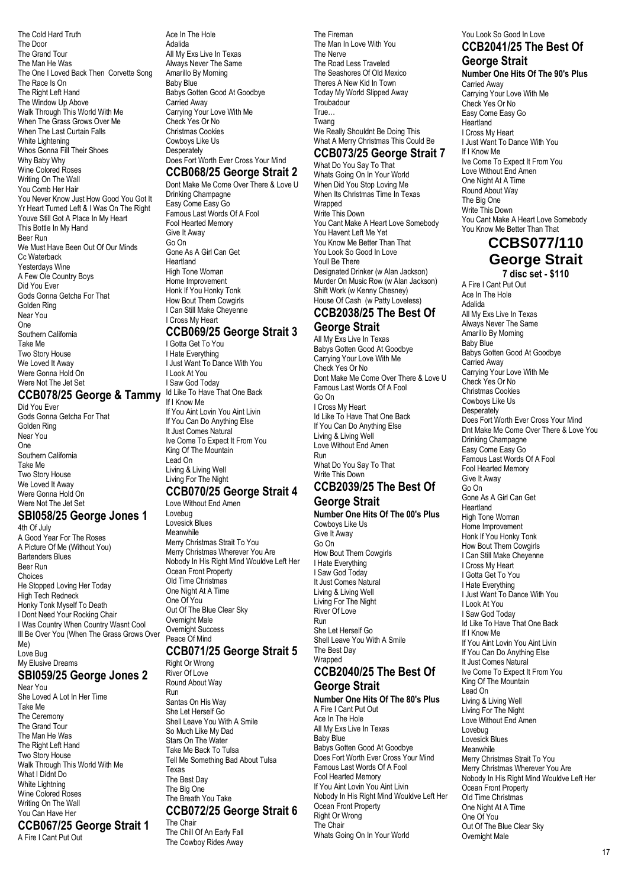The Cold Hard Truth The Door The Grand Tour The Man He Was The One I Loved Back Then Corvette Song The Race Is On The Right Left Hand The Window Up Above Walk Through This World With Me When The Grass Grows Over Me When The Last Curtain Falls White Lightening Whos Gonna Fill Their Shoes Why Baby Why Wine Colored Roses Writing On The Wall You Comb Her Hair You Never Know Just How Good You Got It Yr Heart Turned Left & I Was On The Right Youve Still Got A Place In My Heart This Bottle In My Hand Beer Run We Must Have Been Out Of Our Minds Cc Waterback Yesterdays Wine A Few Ole Country Boys Did You Ever Gods Gonna Getcha For That Golden Ring Near You One Southern California Take Me Two Story House We Loved It Away Were Gonna Hold On Were Not The Jet Set

### **CCB078/25 George & Tammy**

Did You Ever Gods Gonna Getcha For That Golden Ring Near You One Southern California Take Me Two Story House We Loved It Away Were Gonna Hold On Were Not The Jet Set

#### **SBI058/25 George Jones 1** 4th Of July

A Good Year For The Roses A Picture Of Me (Without You) Bartenders Blues Beer Run Choices He Stopped Loving Her Today High Tech Redneck Honky Tonk Myself To Death I Dont Need Your Rocking Chair I Was Country When Country Wasnt Cool Ill Be Over You (When The Grass Grows Over Me) Love Bug My Elusive Dreams

#### **SBI059/25 George Jones 2** Near You

She Loved A Lot In Her Time Take Me The Ceremony The Grand Tour The Man He Was The Right Left Hand Two Story House Walk Through This World With Me What I Didnt Do White Lightning Wine Colored Roses Writing On The Wall You Can Have Her **CCB067/25 George Strait 1**

A Fire I Cant Put Out

Ace In The Hole Adalida All My Exs Live In Texas Always Never The Same Amarillo By Morning Baby Blue Babys Gotten Good At Goodbye Carried Away Carrying Your Love With Me Check Yes Or No Christmas Cookies Cowboys Like Us **Desperately** Does Fort Worth Ever Cross Your Mind

### **CCB068/25 George Strait 2**

Dont Make Me Come Over There & Love U Drinking Champagne Easy Come Easy Go Famous Last Words Of A Fool Fool Hearted Memory Give It Away Go On Gone As A Girl Can Get Heartland High Tone Woman Home Improvement Honk If You Honky Tonk How Bout Them Cowgirls I Can Still Make Cheyenne I Cross My Heart

### **CCB069/25 George Strait 3**

I Gotta Get To You I Hate Everything I Just Want To Dance With You I Look At You I Saw God Today Id Like To Have That One Back If I Know Me If You Aint Lovin You Aint Livin If You Can Do Anything Else It Just Comes Natural Ive Come To Expect It From You King Of The Mountain Lead On Living & Living Well Living For The Night

#### **CCB070/25 George Strait 4** Love Without End Amen

Lovebug Lovesick Blues Meanwhile Merry Christmas Strait To You Merry Christmas Wherever You Are Nobody In His Right Mind Wouldve Left Her Ocean Front Property Old Time Christmas One Night At A Time One Of You Out Of The Blue Clear Sky Overnight Male Overnight Success Peace Of Mind **CCB071/25 George Strait 5**

Right Or Wrong River Of Love Round About Way Run Santas On His Way She Let Herself Go Shell Leave You With A Smile So Much Like My Dad Stars On The Water Take Me Back To Tulsa Tell Me Something Bad About Tulsa Texas The Best Day The Big One The Breath You Take **CCB072/25 George Strait 6** The Chair

The Chill Of An Early Fall The Cowboy Rides Away The Fireman The Man In Love With You The Nerve The Road Less Traveled The Seashores Of Old Mexico Theres A New Kid In Town Today My World Slipped Away **Troubadour** True… Twang We Really Shouldnt Be Doing This What A Merry Christmas This Could Be

### **CCB073/25 George Strait 7**

What Do You Say To That Whats Going On In Your World When Did You Stop Loving Me When Its Christmas Time In Texas Wrapped Write This Down You Cant Make A Heart Love Somebody You Havent Left Me Yet You Know Me Better Than That You Look So Good In Love Youll Be There Designated Drinker (w Alan Jackson) Murder On Music Row (w Alan Jackson) Shift Work (w Kenny Chesney) House Of Cash (w Patty Loveless)

#### **CCB2038/25 The Best Of George Strait**

All My Exs Live In Texas Babys Gotten Good At Goodbye Carrying Your Love With Me Chack Yes Or No. Dont Make Me Come Over There & Love U Famous Last Words Of A Fool Go On I Cross My Heart Id Like To Have That One Back If You Can Do Anything Else Living & Living Well Love Without End Amen Run What Do You Say To That Write This Down

### **CCB2039/25 The Best Of George Strait**

**Number One Hits Of The 00's Plus** Cowboys Like Us Give It Away Go On How Bout Them Cowgirls I Hate Everything I Saw God Today It Just Comes Natural Living & Living Well Living For The Night River Of Love Run She Let Herself Go Shell Leave You With A Smile The Best Day Wranned **CCB2040/25 The Best Of**

### **George Strait Number One Hits Of The 80's Plus**

A Fire I Cant Put Out Ace In The Hole All My Exs Live In Texas Baby Blue Babys Gotten Good At Goodbye Does Fort Worth Ever Cross Your Mind Famous Last Words Of A Fool Fool Hearted Memory If You Aint Lovin You Aint Livin Nobody In His Right Mind Wouldve Left Her Ocean Front Property Right Or Wrong The Chair Whats Going On In Your World

#### You Look So Good In Love **CCB2041/25 The Best Of George Strait**

#### **Number One Hits Of The 90's Plus** Carried Away

Carrying Your Love With Me Check Yes Or No Easy Come Easy Go Heartland I Cross My Heart I Just Want To Dance With You If I Know Me Ive Come To Expect It From You Love Without End Amen One Night At A Time Round About Way The Big One Write This Down You Cant Make A Heart Love Somebody You Know Me Better Than That

### **CCBS077/110 George Strait 7 disc set - \$110**

A Fire I Cant Put Out Ace In The Hole Adalida All My Exs Live In Texas Always Never The Same Amarillo By Morning Baby Blue Babys Gotten Good At Goodbye Carried Away Carrying Your Love With Me Check Yes Or No Christmas Cookies Cowboys Like Us **Desperately** Does Fort Worth Ever Cross Your Mind Dnt Make Me Come Over There & Love You Drinking Champagne Easy Come Easy Go Famous Last Words Of A Fool Fool Hearted Memory Give It Away Go On Gone As A Girl Can Get Heartland High Tone Woman Home Improvement Honk If You Honky Tonk How Bout Them Cowgirls I Can Still Make Cheyenne I Cross My Heart I Gotta Get To You I Hate Everything I Just Want To Dance With You I Look At You I Saw God Today Id Like To Have That One Back If I Know Me If You Aint Lovin You Aint Livin If You Can Do Anything Else It Just Comes Natural Ive Come To Expect It From You King Of The Mountain Lead On Living & Living Well Living For The Night Love Without End Amen Lovebug Lovesick Blues Meanwhile Merry Christmas Strait To You Merry Christmas Wherever You Are Nobody In His Right Mind Wouldve Left Her Ocean Front Property Old Time Christmas One Night At A Time One Of You Out Of The Blue Clear Sky Overnight Male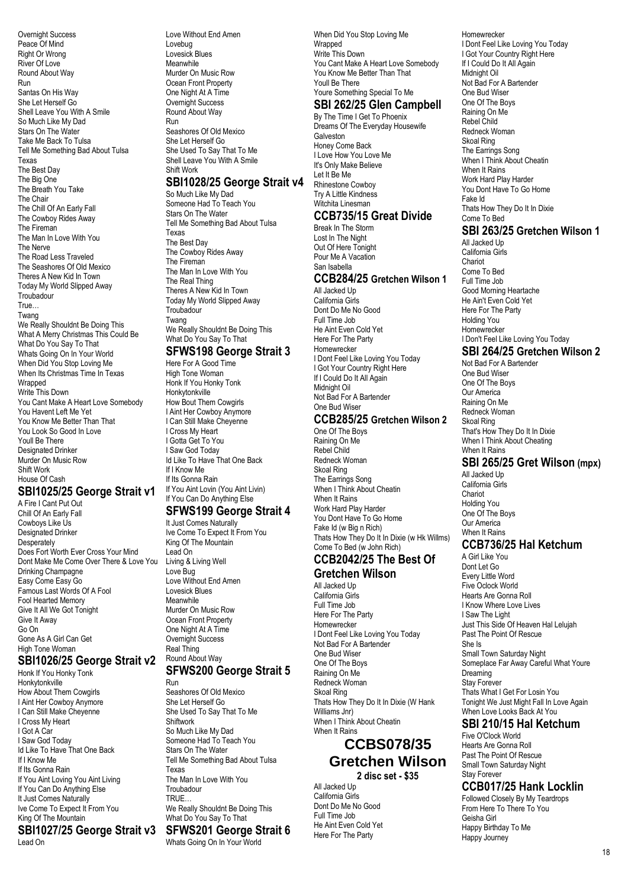Overnight Success Peace Of Mind Right Or Wrong River Of Love Round About Way Run Santas On His Way She Let Herself Go Shell Leave You With A Smile So Much Like My Dad Stars On The Water Take Me Back To Tulsa Tell Me Something Bad About Tulsa Texas The Best Day The Big One The Breath You Take The Chair The Chill Of An Early Fall The Cowboy Rides Away The Fireman The Man In Love With You The Nerve The Road Less Traveled The Seashores Of Old Mexico Theres A New Kid In Town Today My World Slipped Away **Troubadour** True… Twang We Really Shouldnt Be Doing This What A Merry Christmas This Could Be What Do You Say To That Whats Going On In Your World When Did You Stop Loving Me When Its Christmas Time In Texas Wranned Write This Down You Cant Make A Heart Love Somebody You Havent Left Me Yet You Know Me Better Than That You Look So Good In Love Youll Be There Designated Drinker Murder On Music Row Shift Work House Of Cash

#### **SBI1025/25 George Strait v1** A Fire I Cant Put Out

Chill Of An Early Fall Cowboys Like Us Designated Drinker Desperately Does Fort Worth Ever Cross Your Mind Dont Make Me Come Over There & Love You Drinking Champagne Easy Come Easy Go Famous Last Words Of A Fool Fool Hearted Memory Give It All We Got Tonight Give It Away Go On Gone As A Girl Can Get High Tone Woman

#### **SBI1026/25 George Strait v2** Honk If You Honky Tonk

Honkytonkville How About Them Cowgirls I Aint Her Cowboy Anymore I Can Still Make Cheyenne I Cross My Heart I Got A Car I Saw God Today Id Like To Have That One Back If I Know Me If Its Gonna Rain If You Aint Loving You Aint Living If You Can Do Anything Else It Just Comes Naturally Ive Come To Expect It From You King Of The Mountain **SBI1027/25 George Strait v3** Lead On

Love Without End Amen Lovebug Lovesick Blues **Meanwhile** Murder On Music Row Ocean Front Property One Night At A Time Overnight Success Round About Way Run Seashores Of Old Mexico

She Let Herself Go She Used To Say That To Me Shell Leave You With A Smile Shift Work

### **SBI1028/25 George Strait v4**

So Much Like My Dad Someone Had To Teach You Stars On The Water Tell Me Something Bad About Tulsa Texas The Best Day The Cowboy Rides Away The Fireman The Man In Love With You The Real Thing Theres A New Kid In Town Today My World Slipped Away Troubadour Twang We Really Shouldnt Be Doing This What Do You Say To That

### **SFWS198 George Strait 3**

Here For A Good Time High Tone Woman Honk If You Honky Tonk Honkytonkville How Bout Them Cowgirls I Aint Her Cowboy Anymore I Can Still Make Cheyenne I Cross My Heart I Gotta Get To You I Saw God Today Id Like To Have That One Back If I Know Me If Its Gonna Rain If You Aint Lovin (You Aint Livin) If You Can Do Anything Else

### **SFWS199 George Strait 4**

It Just Comes Naturally Ive Come To Expect It From You King Of The Mountain Lead On Living & Living Well Love Bug Love Without End Amen Lovesick Blues Meanwhile Murder On Music Row Ocean Front Property One Night At A Time Overnight Success Real Thing Round About Way

### **SFWS200 George Strait 5**

Run Seashores Of Old Mexico She Let Herself Go She Used To Say That To Me Shiftwork So Much Like My Dad Someone Had To Teach You Stars On The Water Tell Me Something Bad About Tulsa Texas The Man In Love With You **Troubadour** TRUE… We Really Shouldnt Be Doing This What Do You Say To That

#### **SFWS201 George Strait 6** Whats Going On In Your World

When Did You Stop Loving Me Wrapped Write This Down You Cant Make A Heart Love Somebody You Know Me Better Than That Youll Be There Youre Something Special To Me **SBI 262/25 Glen Campbell**

# By The Time I Get To Phoenix

Dreams Of The Everyday Housewife Galveston Honey Come Back I Love How You Love Me It's Only Make Believe Let It Be Me Rhinestone Cowboy Try A Little Kindness Witchita Linesman

### **CCB735/15 Great Divide**

Break In The Storm Lost In The Night Out Of Here Tonight Pour Me A Vacation San Isabella

### **CCB284/25 Gretchen Wilson 1**

All Jacked Up California Girls Dont Do Me No Good Full Time Job He Aint Even Cold Yet Here For The Party Homewrecker I Dont Feel Like Loving You Today I Got Your Country Right Here If I Could Do It All Again Midnight Oil Not Bad For A Bartender One Bud Wiser

#### **CCB285/25 Gretchen Wilson 2**

One Of The Boys Raining On Me Rebel Child Redneck Woman Skoal Ring The Earrings Song When I Think About Cheatin When It Rains Work Hard Play Harder You Dont Have To Go Home Fake Id (w Big n Rich) Thats How They Do It In Dixie (w Hk Willms) Come To Bed (w John Rich)

#### **CCB2042/25 The Best Of Gretchen Wilson**

All Jacked Up California Girls Full Time Job Here For The Party Homewrecker I Dont Feel Like Loving You Today Not Bad For A Bartender One Bud Wiser One Of The Boys Raining On Me Redneck Woman Skoal Ring Thats How They Do It In Dixie (W Hank Williams Jnr) When I Think About Cheatin When It Rains

# **CCBS078/35 Gretchen Wilson**

**2 disc set - \$35** All Jacked Up California Girls Dont Do Me No Good Full Time Job He Aint Even Cold Yet Here For The Party

Homewrecker I Dont Feel Like Loving You Today I Got Your Country Right Here If I Could Do It All Again Midnight Oil Not Bad For A Bartender One Bud Wiser One Of The Boys Raining On Me Rebel Child Redneck Woman Skoal Ring The Earrings Song When I Think About Cheatin When It Rains Work Hard Play Harder You Dont Have To Go Home Fake Id Thats How They Do It In Dixie Come To Bed

### **SBI 263/25 Gretchen Wilson 1**

All Jacked Up California Girls Chariot Come To Bed Full Time Job Good Morning Heartache He Ain't Even Cold Yet Here For The Party Holding You Homewrecker I Don't Feel Like Loving You Today

### **SBI 264/25 Gretchen Wilson 2**

Not Bad For A Bartender One Bud Wiser One Of The Boys Our America Raining On Me Redneck Woman Skoal Ring That's How They Do It In Dixie When I Think About Cheating When It Rains

### **SBI 265/25 Gret Wilson (mpx)**

All Jacked Up California Girls **Chariot** Holding You One Of The Boys Our America When It Rains

### **CCB736/25 Hal Ketchum**

A Girl Like You Dont Let Go Every Little Word Five Oclock World Hearts Are Gonna Roll I Know Where Love Lives I Saw The Light Just This Side Of Heaven Hal Lelujah Past The Point Of Rescue She Is Small Town Saturday Night Someplace Far Away Careful What Youre Dreaming Stay Forever Thats What I Get For Losin You Tonight We Just Might Fall In Love Again When Love Looks Back At You

#### **SBI 210/15 Hal Ketchum** Five O'Clock World

Hearts Are Gonna Roll Past The Point Of Rescue Small Town Saturday Night Stay Forever

### **CCB017/25 Hank Locklin**

Followed Closely By My Teardrops From Here To There To You Geisha Girl Happy Birthday To Me Happy Journey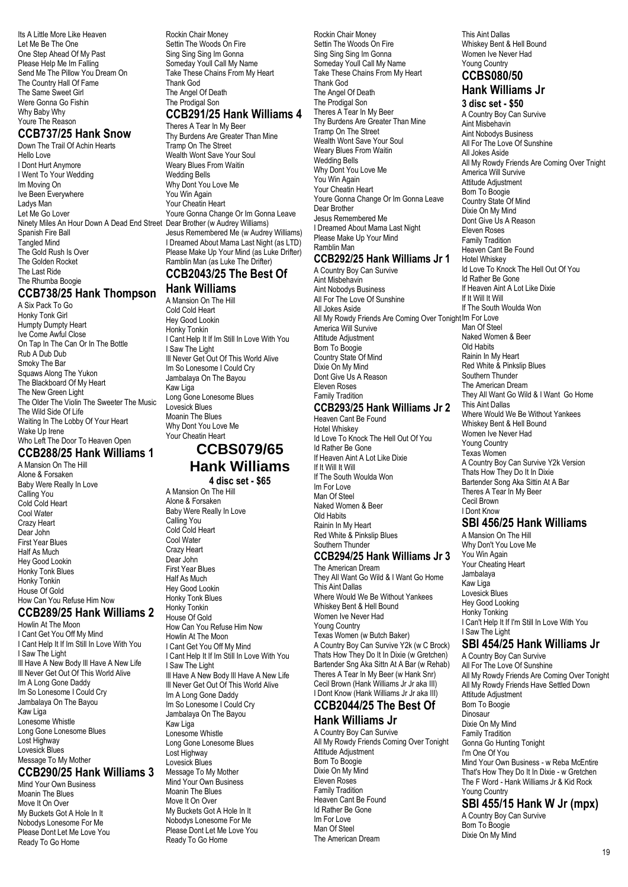Its A Little More Like Heaven Let Me Be The One One Step Ahead Of My Past Please Help Me Im Falling Send Me The Pillow You Dream On The Country Hall Of Fame The Same Sweet Girl Were Gonna Go Fishin Why Baby Why Youre The Reason

### **CCB737/25 Hank Snow**

Down The Trail Of Achin Hearts Hello Love I Dont Hurt Anymore I Went To Your Wedding Im Moving On Ive Been Everywhere Ladys Man Let Me Go Lover Ninety Miles An Hour Down A Dead End Street Dear Brother (w Audrey Williams) Spanish Fire Ball Tangled Mind The Gold Rush Is Over The Golden Rocket The Last Ride The Rhumba Boogie

### **CCB738/25 Hank Thompson**

A Six Pack To Go Honky Tonk Girl Humpty Dumpty Heart Ive Come Awful Close On Tap In The Can Or In The Bottle Rub A Dub Dub Smoky The Bar Squaws Along The Yukon The Blackboard Of My Heart The New Green Light The Older The Violin The Sweeter The Music The Wild Side Of Life Waiting In The Lobby Of Your Heart Wake Up Irene Who Left The Door To Heaven Open

### **CCB288/25 Hank Williams 1**

A Mansion On The Hill Alone & Forsaken Baby Were Really In Love Calling You Cold Cold Heart Cool Water Crazy Heart Dear John First Year Blues Half As Much Hey Good Lookin Honky Tonk Blues Honky Tonkin House Of Gold How Can You Refuse Him Now

#### **CCB289/25 Hank Williams 2**

Howlin At The Moon I Cant Get You Off My Mind I Cant Help It If Im Still In Love With You I Saw The Light Ill Have A New Body Ill Have A New Life Ill Never Get Out Of This World Alive Im A Long Gone Daddy Im So Lonesome I Could Cry Jambalaya On The Bayou Kaw Liga Lonesome Whistle Long Gone Lonesome Blues Lost Highway Lovesick Blues Message To My Mother

### **CCB290/25 Hank Williams 3**

Mind Your Own Business Moanin The Blues Move It On Over My Buckets Got A Hole In It Nobodys Lonesome For Me Please Dont Let Me Love You Ready To Go Home

Rockin Chair Money Settin The Woods On Fire Sing Sing Im Gonna Someday Youll Call My Name Take These Chains From My Heart Thank God The Angel Of Death The Prodigal Son

# **CCB291/25 Hank Williams 4**

Theres A Tear In My Beer Thy Burdens Are Greater Than Mine Tramp On The Street Wealth Wont Save Your Soul Weary Blues From Waitin Wedding Bells Why Dont You Love Me You Win Again Your Cheatin Heart Youre Gonna Change Or Im Gonna Leave Jesus Remembered Me (w Audrey Williams) I Dreamed About Mama Last Night (as LTD) Please Make Up Your Mind (as Luke Drifter) Ramblin Man (as Luke The Drifter) **CCB2043/25 The Best Of**

# **Hank Williams**

A Mansion On The Hill Cold Cold Heart Hey Good Lookin Honky Tonkin I Cant Help It If Im Still In Love With You I Saw The Light Ill Never Get Out Of This World Alive Im So Lonesome I Could Cry Jambalaya On The Bayou Kaw Liga Long Gone Lonesome Blues Lovesick Blues Moanin The Blues Why Dont You Love Me Your Cheatin Heart

# **CCBS079/65 Hank Williams**

**4 disc set - \$65**

A Mansion On The Hill Alone & Forsaken Baby Were Really In Love Calling You Cold Cold Heart Cool Water Crazy Heart Dear John First Year Blues Half As Much Hey Good Lookin Honky Tonk Blues Honky Tonkin House Of Gold How Can You Refuse Him Now Howlin At The Moon I Cant Get You Off My Mind I Cant Help It If Im Still In Love With You I Saw The Light Ill Have A New Body Ill Have A New Life Ill Never Get Out Of This World Alive Im A Long Gone Daddy Im So Lonesome I Could Cry Jambalaya On The Bayou Kaw Liga Lonesome Whistle Long Gone Lonesome Blues Lost Highway Lovesick Blues Message To My Mother Mind Your Own Business Moanin The Blues Move It On Over My Buckets Got A Hole In It Nobodys Lonesome For Me Please Dont Let Me Love You Ready To Go Home

Rockin Chair Money Settin The Woods On Fire Sing Sing Sing Im Gonna Someday Youll Call My Name Take These Chains From My Heart Thank God The Angel Of Death The Prodigal Son Theres A Tear In My Beer Thy Burdens Are Greater Than Mine Tramp On The Street Wealth Wont Save Your Soul Weary Blues From Waitin Wedding Bells Why Dont You Love Me You Win Again Your Cheatin Heart Youre Gonna Change Or Im Gonna Leave Dear Brother Jesus Remembered Me I Dreamed About Mama Last Night Please Make Up Your Mind Ramblin Man **CCB292/25 Hank Williams Jr 1**

# A Country Boy Can Survive

Aint Misbehavin Aint Nobodys Business All For The Love Of Sunshine All Jokes Aside All My Rowdy Friends Are Coming Over Tonight Im For Love America Will Survive Attitude Adjustment Born To Boogie Country State Of Mind Dixie On My Mind Dont Give Us A Reason Eleven Roses Family Tradition

# **CCB293/25 Hank Williams Jr 2**

Heaven Cant Be Found Hotel Whiskey Id Love To Knock The Hell Out Of You Id Rather Be Gone If Heaven Aint A Lot Like Dixie If It Will It Will If The South Woulda Won Im For Love Man Of Steel Naked Women & Beer Old Habits Rainin In My Heart Red White & Pinkslip Blues Southern Thunder

### **CCB294/25 Hank Williams Jr 3**

The American Dream They All Want Go Wild & I Want Go Home This Aint Dallas Where Would We Be Without Yankees Whiskey Bent & Hell Bound Women Ive Never Had Young Country Texas Women (w Butch Baker) A Country Boy Can Survive Y2k (w C Brock) Thats How They Do It In Dixie (w Gretchen) Bartender Sng Aka Sittn At A Bar (w Rehab) Theres A Tear In My Beer (w Hank Snr) Cecil Brown (Hank Williams Jr Jr aka III) I Dont Know (Hank Williams Jr Jr aka III)

#### **CCB2044/25 The Best Of Hank Williams Jr**

A Country Boy Can Survive All My Rowdy Friends Coming Over Tonight Attitude Adjustment Born To Boogie Dixie On My Mind Eleven Roses Family Tradition Heaven Cant Be Found Id Rather Be Gone Im For Love Man Of Steel The American Dream

This Aint Dallas Whiskey Bent & Hell Bound Women Ive Never Had Young Country

#### **CCBS080/50 Hank Williams Jr**

**3 disc set - \$50** A Country Boy Can Survive Aint Misbehavin Aint Nobodys Business All For The Love Of Sunshine All Jokes Aside All My Rowdy Friends Are Coming Over Tnight America Will Survive Attitude Adjustment Born To Boogie Country State Of Mind Dixie On My Mind Dont Give Us A Reason Eleven Roses Family Tradition Heaven Cant Be Found Hotel Whiskey Id Love To Knock The Hell Out Of You Id Rather Be Gone If Heaven Aint A Lot Like Dixie If It Will It Will If The South Woulda Won Man Of Steel Naked Women & Beer Old Habits Rainin In My Heart Red White & Pinkslip Blues Southern Thunder The American Dream They All Want Go Wild & I Want Go Home This Aint Dallas Where Would We Be Without Yankees Whiskey Bent & Hell Bound Women Ive Never Had Young Country Texas Women A Country Boy Can Survive Y2k Version Thats How They Do It In Dixie Bartender Song Aka Sittin At A Bar Theres A Tear In My Beer Cecil Brown I Dont Know

### **SBI 456/25 Hank Williams**

A Mansion On The Hill Why Don't You Love Me You Win Again Your Cheating Heart Jambalaya Kaw Liga Lovesick Blues Hey Good Looking Honky Tonking I Can't Help It If I'm Still In Love With You I Saw The Light

### **SBI 454/25 Hank Williams Jr**

A Country Boy Can Survive All For The Love Of Sunshine All My Rowdy Friends Are Coming Over Tonight All My Rowdy Friends Have Settled Down Attitude Adjustment Born To Boogie **Dinosaur** Dixie On My Mind Family Tradition Gonna Go Hunting Tonight I'm One Of You Mind Your Own Business - w Reba McEntire That's How They Do It In Dixie - w Gretchen The F Word - Hank Williams Jr & Kid Rock Young Country **SBI 455/15 Hank W Jr (mpx)** A Country Boy Can Survive

Born To Boogie Dixie On My Mind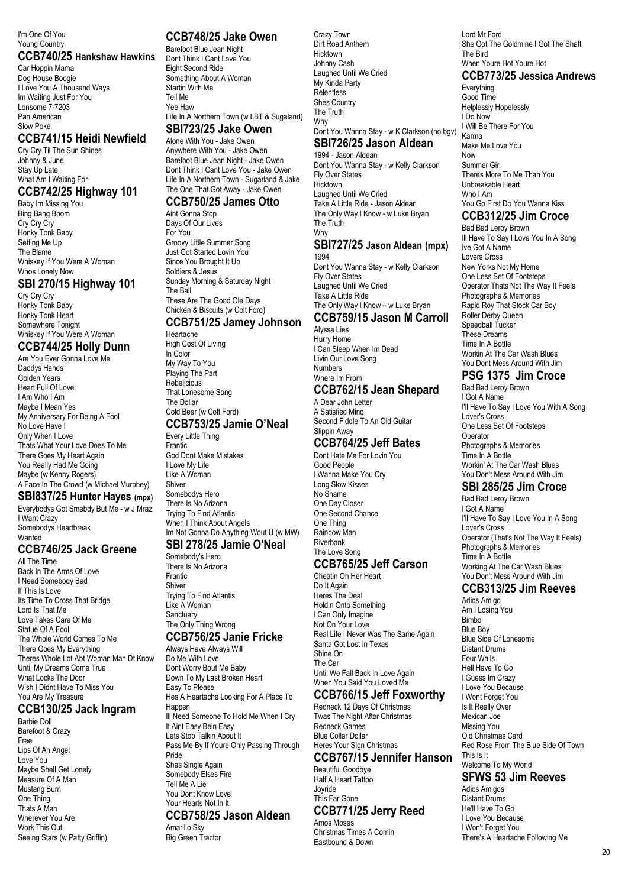#### I'm One Of You Young Country

#### **CCB740/25 Hankshaw Hawkins**

Car Hoppin Mama Dog House Boogie I Love You A Thousand Ways Im Waiting Just For You Lonsome 7-7203 Pan American Slow Poke

### **CCB741/15 Heidi Newfield**

Cry Cry Til The Sun Shines Johnny & June Stay Up Late What Am I Waiting For

### **CCB742/25 Highway 101**

Baby Im Missing You Bing Bang Boom Cry Cry Cry Honky Tonk Baby Setting Me Up The Blame Whiskey If You Were A Woman Whos Lonely Now

### **SBI 270/15 Highway 101**

Cry Cry Cry Honky Tonk Baby Honky Tonk Heart Somewhere Tonight Whiskey If You Were A Woman

### **CCB744/25 Holly Dunn**

Are You Ever Gonna Love Me Daddys Hands Golden Years Heart Full Of Love I Am Who I Am Maybe I Mean Yes My Anniversary For Being A Fool No Love Have I Only When I Love Thats What Your Love Does To Me There Goes My Heart Again You Really Had Me Going Maybe (w Kenny Rogers) A Face In The Crowd (w Michael Murphey)

### **SBI837/25 Hunter Hayes (mpx)**

Everybodys Got Smebdy But Me - w J Mraz I Want Crazy Somebodys Heartbreak **Wanted** 

### **CCB746/25 Jack Greene**

All The Time Back In The Arms Of Love I Need Somebody Bad If This Is Love Its Time To Cross That Bridge Lord Is That Me Love Takes Care Of Me Statue Of A Fool The Whole World Comes To Me There Goes My Everything Theres Whole Lot Abt Woman Man Dt Know Until My Dreams Come True What Locks The Door Wish I Didnt Have To Miss You You Are My Treasure

### **CCB130/25 Jack Ingram**

Barbie Doll Barefoot & Crazy Free Lips Of An Angel Love You Maybe Shell Get Lonely Measure Of A Man Mustang Burn One Thing Thats A Man Wherever You Are Work This Out Seeing Stars (w Patty Griffin)

### **CCB748/25 Jake Owen**

Barefoot Blue Jean Night Dont Think I Cant Love You Eight Second Ride Something About A Woman Startin With Me Tell Me Yee Haw Life In A Northern Town (w LBT & Sugaland) **SBI723/25 Jake Owen**

### Alone With You - Jake Owen

Anywhere With You - Jake Owen Barefoot Blue Jean Night - Jake Owen Dont Think I Cant Love You - Jake Owen Life In A Northern Town - Sugarland & Jake The One That Got Away - Jake Owen

#### **CCB750/25 James Otto** Aint Gonna Stop

Days Of Our Lives For You Groovy Little Summer Song Just Got Started Lovin You Since You Brought It Up Soldiers & Jesus Sunday Morning & Saturday Night The Ball These Are The Good Ole Days Chicken & Biscuits (w Colt Ford)

### **CCB751/25 Jamey Johnson**

Heartache High Cost Of Living In Color My Way To You Playing The Part Rebelicious That Lonesome Song The Dollar Cold Beer (w Colt Ford)

#### **CCB753/25 Jamie O'Neal** Every Little Thing

Frantic God Dont Make Mistakes I Love My Life Like A Woman **Shiver** Somebodys Hero There Is No Arizona Trying To Find Atlantis When I Think About Angels Im Not Gonna Do Anything Wout U (w MW)

#### **SBI 278/25 Jamie O'Neal**

Somebody's Hero There Is No Arizona Frantic Shiver Trying To Find Atlantis Like A Woman **Sanctuary** The Only Thing Wrong **CCB756/25 Janie Fricke**

Always Have Always Will Do Me With Love Dont Worry Bout Me Baby Down To My Last Broken Heart Easy To Please Hes A Heartache Looking For A Place To Happen III Need Someone To Hold Me When I Cry It Aint Easy Bein Easy Lets Stop Talkin About It Pass Me By If Youre Only Passing Through Pride Shes Single Again Somebody Elses Fire Tell Me A Lie You Dont Know Love Your Hearts Not In It **CCB758/25 Jason Aldean** Amarillo Sky

Big Green Tractor

Crazy Town Dirt Road Anthem Hicktown Johnny Cash Laughed Until We Cried My Kinda Party Relentless Shes Country The Truth Why

### Dont You Wanna Stay - w K Clarkson (no bgv)

#### **SBI726/25 Jason Aldean** 1994 - Jason Aldean

Dont You Wanna Stay - w Kelly Clarkson Fly Over States **Hicktown** Laughed Until We Cried Take A Little Ride - Jason Aldean The Only Way I Know - w Luke Bryan The Truth Why

#### **SBI727/25 Jason Aldean (mpx)** 1994

Dont You Wanna Stay - w Kelly Clarkson Fly Over States Laughed Until We Cried Take A Little Ride The Only Way I Know – w Luke Bryan

#### **CCB759/15 Jason M Carroll** Alyssa Lies

Hurry Home I Can Sleep When Im Dead Livin Our Love Song Numbers Where Im From

## **CCB762/15 Jean Shepard**

A Dear John Letter A Satisfied Mind Second Fiddle To An Old Guitar Slippin Away

### **CCB764/25 Jeff Bates**

Dont Hate Me For Lovin You Good People I Wanna Make You Cry Long Slow Kisses No Shame One Day Closer One Second Chance One Thing Rainbow Man Riverbank The Love Song

### **CCB765/25 Jeff Carson**

Cheatin On Her Heart Do It Again Heres The Deal Holdin Onto Something I Can Only Imagine Not On Your Love Real Life I Never Was The Same Again Santa Got Lost In Texas Shine On The Car Until We Fall Back In Love Again When You Said You Loved Me **CCB766/15 Jeff Foxworthy**

Redneck 12 Days Of Christmas Twas The Night After Christmas Redneck Games Blue Collar Dollar Heres Your Sign Christmas

#### **CCB767/15 Jennifer Hanson** Beautiful Goodbye Half A Heart Tattoo

Joyride This Far Gone **CCB771/25 Jerry Reed**

Amos Moses Christmas Times A Comin Eastbound & Down

Lord Mr Ford She Got The Goldmine I Got The Shaft The Bird When Youre Hot Youre Hot

### **CCB773/25 Jessica Andrews**

Everything Good Time Helplessly Hopelessly I Do Now I Will Be There For You Karma Make Me Love You Now Summer Girl Theres More To Me Than You Unbreakable Heart Who I Am You Go First Do You Wanna Kiss

### **CCB312/25 Jim Croce**

Bad Bad Leroy Brown Ill Have To Say I Love You In A Song Ive Got A Name Lovers Cross New Yorks Not My Home One Less Set Of Footsteps Operator Thats Not The Way It Feels Photographs & Memories Rapid Roy That Stock Car Boy Roller Derby Queen Speedball Tucker These Dreams Time In A Bottle Workin At The Car Wash Blues You Dont Mess Around With Jim

### **PSG 1375 Jim Croce**

Bad Bad Leroy Brown I Got A Name I'll Have To Say I Love You With A Song Lover's Cross One Less Set Of Footsteps Operator Photographs & Memories Time In A Bottle Workin' At The Car Wash Blues You Don't Mess Around With Jim

### **SBI 285/25 Jim Croce**

Bad Bad Leroy Brown I Got A Name I'll Have To Say I Love You In A Song Lover's Cross Operator (That's Not The Way It Feels) Photographs & Memories Time In A Bottle Working At The Car Wash Blues You Don't Mess Around With Jim

### **CCB313/25 Jim Reeves**

Adios Amigo Am I Losing You Bimbo Blue Boy Blue Side Of Lonesome Distant Drums Four Walls Hell Have To Go I Guess Im Crazy I Love You Because I Wont Forget You Is It Really Over Mexican Joe Missing You Old Christmas Card Red Rose From The Blue Side Of Town This Is It Welcome To My World

### **SFWS 53 Jim Reeves**

Adios Amigos Distant Drums He'll Have To Go I Love You Because I Won't Forget You There's A Heartache Following Me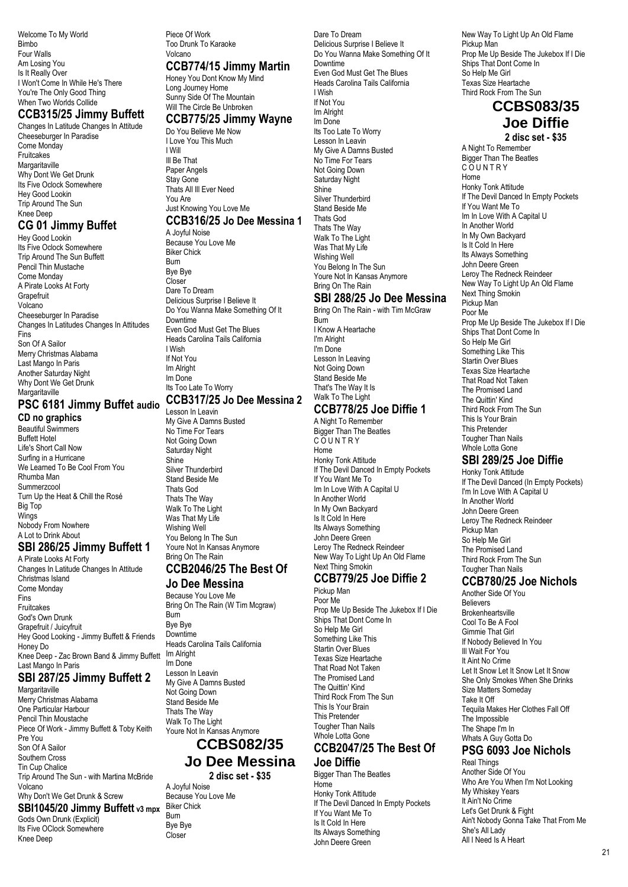Welcome To My World Bimbo Four Walls Am Losing You Is It Really Over I Won't Come In While He's There You're The Only Good Thing When Two Worlds Collide

### **CCB315/25 Jimmy Buffett**

Changes In Latitude Changes In Attitude Cheeseburger In Paradise Come Monday Fruitcakes **Margaritaville** Why Dont We Get Drunk Its Five Oclock Somewhere Hey Good Lookin Trip Around The Sun Knee Deep

### **CG 01 Jimmy Buffet**

Hey Good Lookin Its Five Oclock Somewhere Trip Around The Sun Buffett Pencil Thin Mustache Come Monday A Pirate Looks At Forty **Grapefruit** Volcano Cheeseburger In Paradise Changes In Latitudes Changes In Attitudes Fins Son Of A Sailor Merry Christmas Alabama Last Mango In Paris Another Saturday Night Why Dont We Get Drunk Margaritaville

# **PSC 6181 Jimmy Buffet audio**

**CD no graphics** Beautiful Swimmers Buffett Hotel Life's Short Call Now Surfing in a Hurricane We Learned To Be Cool From You Rhumba Man **Summerzcool** Turn Up the Heat & Chill the Rosé Big Top **Wings** Nobody From Nowhere A Lot to Drink About

### **SBI 286/25 Jimmy Buffett 1**

A Pirate Looks At Forty Changes In Latitude Changes In Attitude Christmas Island Come Monday Fins Fruitcakes God's Own Drunk Grapefruit / Juicyfruit Hey Good Looking - Jimmy Buffett & Friends Honey Do Knee Deep - Zac Brown Band & Jimmy Buffett Last Mango In Paris

### **SBI 287/25 Jimmy Buffett 2**

**Margaritaville** Merry Christmas Alabama One Particular Harbour Pencil Thin Moustache Piece Of Work - Jimmy Buffett & Toby Keith Pre You Son Of A Sailor Southern Cross Tin Cup Chalice Trip Around The Sun - with Martina McBride Volcano Why Don't We Get Drunk & Screw **SBI1045/20 Jimmy Buffett v3 mpx** Gods Own Drunk (Explicit)

Its Five OClock Somewhere

Knee Deep

Piece Of Work Too Drunk To Karaoke Volcano

### **CCB774/15 Jimmy Martin**

Honey You Dont Know My Mind Long Journey Home Sunny Side Of The Mountain Will The Circle Be Unbroken

### **CCB775/25 Jimmy Wayne**

Do You Believe Me Now I Love You This Much I Will Ill Be That Paper Angels Stay Gone Thats All Ill Ever Need You Are Just Knowing You Love Me

### **CCB316/25 Jo Dee Messina 1**

A Joyful Noise Because You Love Me Biker Chick Burn Bye Bye Closer Dare To Dream Delicious Surprise I Believe It Do You Wanna Make Something Of It Downtime Even God Must Get The Blues Heads Carolina Tails California I Wish If Not You Im Alright Im Done Its Too Late To Worry

### **CCB317/25 Jo Dee Messina 2**

Lesson In Leavin My Give A Damns Busted No Time For Tears Not Going Down Saturday Night **Shing** Silver Thunderbird Stand Beside Me Thats God Thats The Way Walk To The Light Was That My Life Wishing Well You Belong In The Sun Youre Not In Kansas Anymore Bring On The Rain

### **CCB2046/25 The Best Of**

### **Jo Dee Messina**

Because You Love Me Bring On The Rain (W Tim Mcgraw) Burn Bye Bye Downtime Heads Carolina Tails California Im Alright Im Done Lesson In Leavin My Give A Damns Busted Not Going Down Stand Beside Me Thats The Way Walk To The Light Youre Not In Kansas Anymore

### **CCBS082/35 Jo Dee Messina**

**2 disc set - \$35** A Joyful Noise Because You Love Me Biker Chick

Burn Bye Bye Closer

Dare To Dream Delicious Surprise I Believe It Do You Wanna Make Something Of It Downtime Even God Must Get The Blues Heads Carolina Tails California I Wish If Not You Im Alright Im Done Its Too Late To Worry Lesson In Leavin My Give A Damns Busted No Time For Tears Not Going Down Saturday Night **Shine** Silver Thunderbird Stand Beside Me Thats God Thats The Way Walk To The Light Was That My Life Wishing Well You Belong In The Sun Youre Not In Kansas Anymore Bring On The Rain

### **SBI 288/25 Jo Dee Messina**

Bring On The Rain - with Tim McGraw Burn I Know A Heartache I'm Alright I'm Done Lesson In Leaving Not Going Down Stand Beside Me That's The Way It Is Walk To The Light **CCB778/25 Joe Diffie 1** A Night To Remember

Bigger Than The Beatles C O U N T R Y Home Honky Tonk Attitude If The Devil Danced In Empty Pockets If You Want Me To Im In Love With A Capital U In Another World In My Own Backyard Is It Cold In Here Its Always Something John Deere Green Leroy The Redneck Reindeer New Way To Light Up An Old Flame Next Thing Smokin

### **CCB779/25 Joe Diffie 2**

Pickup Man Poor Me Prop Me Up Beside The Jukebox If I Die Ships That Dont Come In So Help Me Girl Something Like This Startin Over Blues Texas Size Heartache That Road Not Taken The Promised Land The Quittin' Kind Third Rock From The Sun This Is Your Brain This Pretender Tougher Than Nails Whole Lotta Gone

#### **CCB2047/25 The Best Of Joe Diffie**

Bigger Than The Beatles Home Honky Tonk Attitude If The Devil Danced In Empty Pockets If You Want Me To Is It Cold In Here Its Always Something John Deere Green

New Way To Light Up An Old Flame Pickup Man Prop Me Up Beside The Jukebox If I Die Ships That Dont Come In So Help Me Girl Texas Size Heartache Third Rock From The Sun

### **CCBS083/35 Joe Diffie**

**2 disc set - \$35**

A Night To Remember Bigger Than The Beatles **COUNTRY** Home Honky Tonk Attitude If The Devil Danced In Empty Pockets If You Want Me To Im In Love With A Capital U In Another World In My Own Backyard Is It Cold In Here Its Always Something John Deere Green Leroy The Redneck Reindeer New Way To Light Up An Old Flame Next Thing Smokin Pickup Man Poor Me Prop Me Up Beside The Jukebox If I Die Ships That Dont Come In So Help Me Girl Something Like This Startin Over Blues Texas Size Heartache That Road Not Taken The Promised Land The Quittin' Kind Third Rock From The Sun This Is Your Brain This Pretender Tougher Than Nails Whole Lotta Gone

### **SBI 289/25 Joe Diffie**

Honky Tonk Attitude If The Devil Danced (In Empty Pockets) I'm In Love With A Capital U In Another World John Deere Green Leroy The Redneck Reindeer Pickup Man So Help Me Girl The Promised Land Third Rock From The Sun Tougher Than Nails

### **CCB780/25 Joe Nichols**

Another Side Of You **Believers** Brokenheartsville Cool To Be A Fool Gimmie That Girl If Nobody Believed In You Ill Wait For You It Aint No Crime Let It Snow Let It Snow Let It Snow She Only Smokes When She Drinks Size Matters Someday Take It Off Tequila Makes Her Clothes Fall Off The Impossible The Shape I'm In Whats A Guy Gotta Do

### **PSG 6093 Joe Nichols**

Real Things Another Side Of You Who Are You When I'm Not Looking My Whiskey Years It Ain't No Crime Let's Get Drunk & Fight Ain't Nobody Gonna Take That From Me She's All Lady All I Need Is A Heart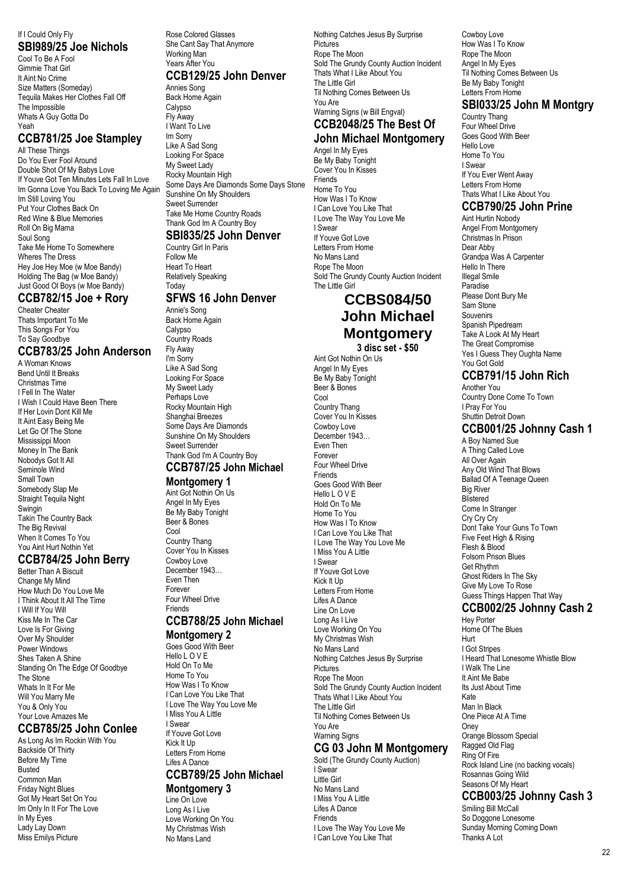#### If I Could Only Fly **SBI989/25 Joe Nichols**

Cool To Be A Fool Gimmie That Girl It Aint No Crime Size Matters (Someday) Tequila Makes Her Clothes Fall Off The Impossible Whats A Guy Gotta Do Yeah

### **CCB781/25 Joe Stampley**

All These Things Do You Ever Fool Around Double Shot Of My Babys Love If Youve Got Ten Minutes Lets Fall In Love Im Gonna Love You Back To Loving Me Again Im Still Loving You Put Your Clothes Back On Red Wine & Blue Memories Roll On Big Mama Soul Song Take Me Home To Somewhere Wheres The Dress Hey Joe Hey Moe (w Moe Bandy) Holding The Bag (w Moe Bandy) Just Good Ol Boys (w Moe Bandy)

#### **CCB782/15 Joe + Rory**

Cheater Cheater Thats Important To Me This Songs For You To Say Goodbye

#### **CCB783/25 John Anderson**

A Woman Knows Bend Until It Breaks Christmas Time I Fell In The Water I Wish I Could Have Been There If Her Lovin Dont Kill Me It Aint Easy Being Me Let Go Of The Stone Mississippi Moon Money In The Bank Nobodys Got It All Seminole Wind Small Town Somebody Slap Me Straight Tequila Night Swingin Takin The Country Back The Big Revival When It Comes To You You Aint Hurt Nothin Yet

### **CCB784/25 John Berry**

Better Than A Biscuit Change My Mind How Much Do You Love Me I Think About It All The Time I Will If You Will Kiss Me In The Car Love Is For Giving Over My Shoulder Power Windows Shes Taken A Shine Standing On The Edge Of Goodbye The Stone Whats In It For Me Will You Marry Me You & Only You Your Love Amazes Me

### **CCB785/25 John Conlee**

As Long As Im Rockin With You Backside Of Thirty Before My Time Busted Common Man Friday Night Blues Got My Heart Set On You Im Only In It For The Love In My Eyes Lady Lay Down Miss Emilys Picture

Rose Colored Glasses She Cant Say That Anymore Working Man Years After You **CCB129/25 John Denver**

Annies Song Back Home Again **Calvpso** Fly Away I Want To Live Im Sorry Like A Sad Song Looking For Space My Sweet Lady Rocky Mountain High Some Days Are Diamonds Some Days Stone Sunshine On My Shoulders Sweet Surrender Take Me Home Country Roads Thank God Im A Country Boy **SBI835/25 John Denver**

#### Country Girl In Paris

Follow Me Heart To Heart Relatively Speaking Today

### **SFWS 16 John Denver**

Annie's Song Back Home Again Calypso Country Roads Fly Away I'm Sorry Like A Sad Song Looking For Space My Sweet Lady Perhaps Love Rocky Mountain High Shanghai Breezes Some Days Are Diamonds Sunshine On My Shoulders Sweet Surrender Thank God I'm A Country Boy **CCB787/25 John Michael**

#### **Montgomery 1**

Aint Got Nothin On Us Angel In My Eyes Be My Baby Tonight Beer & Bones Cool Country Thang Cover You In Kisses Cowboy Love December 1943… Even Then Forever Four Wheel Drive Friends

# **CCB788/25 John Michael**

### **Montgomery 2**

Goes Good With Beer Hello L O V E Hold On To Me Home To You How Was I To Know I Can Love You Like That I Love The Way You Love Me I Miss You A Little I Swear If Youve Got Love Kick It Up Letters From Home

#### Lifes A Dance **CCB789/25 John Michael**

**Montgomery 3** Line On Love Long As I Live Love Working On You My Christmas Wish No Mans Land

Nothing Catches Jesus By Surprise **Pictures** Rope The Moon Sold The Grundy County Auction Incident Thats What I Like About You The Little Girl Til Nothing Comes Between Us You Are Warning Signs (w Bill Engval)

#### **CCB2048/25 The Best Of John Michael Montgomery**

Angel In My Eyes Be My Baby Tonight Cover You In Kisses Friends Home To You How Was I To Know I Can Love You Like That I Love The Way You Love Me I Swear If Youve Got Love Letters From Home No Mans Land Rope The Moon Sold The Grundy County Auction Incident The Little Girl

### **CCBS084/50 John Michael Montgomery 3 disc set - \$50**

Aint Got Nothin On Us

Angel In My Eyes Be My Baby Tonight Beer & Bones Cool Country Thang Cover You In Kisses Cowboy Love December 1943… Even Then Forever Four Wheel Drive **Friends** Goes Good With Beer Hello L O V E Hold On To Me Home To You How Was I To Know I Can Love You Like That I Love The Way You Love Me I Miss You A Little I Swear If Youve Got Love Kick It Up Letters From Home Lifes A Dance Line On Love Long As I Live Love Working On You My Christmas Wish No Mans Land Nothing Catches Jesus By Surprise **Pictures** Rope The Moon Sold The Grundy County Auction Incident Thats What I Like About You The Little Girl Til Nothing Comes Between Us You Are Warning Signs

### **CG 03 John M Montgomery**

Sold (The Grundy County Auction) I Swear Little Girl No Mans Land I Miss You A Little Lifes A Dance Friends I Love The Way You Love Me I Can Love You Like That

Cowboy Love How Was I To Know Rope The Moon Angel In My Eyes Til Nothing Comes Between Us Be My Baby Tonight Letters From Home

### **SBI033/25 John M Montgry**

Country Thang Four Wheel Drive Goes Good With Beer Hello Love Home To You I Swear If You Ever Went Away Letters From Home Thats What I Like About You

### **CCB790/25 John Prine**

Aint Hurtin Nobody Angel From Montgomery Christmas In Prison Dear Abby Grandpa Was A Carpenter Hello In There Illegal Smile Paradise Please Dont Bury Me Sam Stone Souvenirs Spanish Pipedream Take A Look At My Heart The Great Compromise Yes I Guess They Oughta Name You Got Gold

### **CCB791/15 John Rich**

Another You Country Done Come To Town I Pray For You Shuttin Detroit Down

### **CCB001/25 Johnny Cash 1**

A Boy Named Sue A Thing Called Love All Over Again Any Old Wind That Blows Ballad Of A Teenage Queen Big River Blistered Come In Stranger Cry Cry Cry Dont Take Your Guns To Town Five Feet High & Rising Flesh & Blood Folsom Prison Blues Get Rhythm Ghost Riders In The Sky Give My Love To Rose Guess Things Happen That Way

### **CCB002/25 Johnny Cash 2**

Hey Porter Home Of The Blues Hurt I Got Stripes I Heard That Lonesome Whistle Blow I Walk The Line It Aint Me Babe Its Just About Time Kate Man In Black One Piece At A Time **Oney** Orange Blossom Special Ragged Old Flag Ring Of Fire Rock Island Line (no backing vocals) Rosannas Going Wild Seasons Of My Heart **CCB003/25 Johnny Cash 3**

Smiling Bill McCall

So Doggone Lonesome Sunday Morning Coming Down Thanks A Lot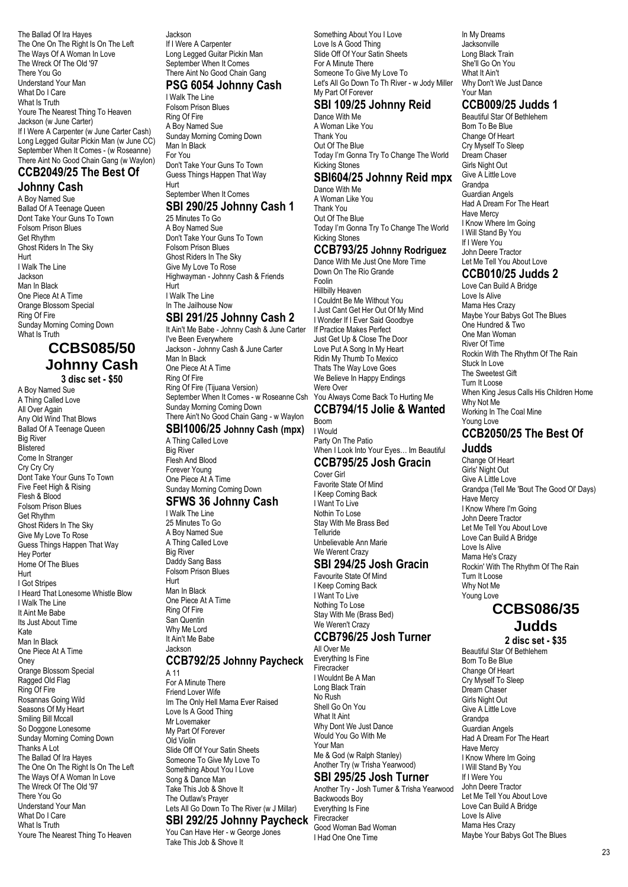The Ballad Of Ira Hayes The One On The Right Is On The Left The Ways Of A Woman In Love The Wreck Of The Old '97 There You Go Understand Your Man What Do I Care What Is Truth Youre The Nearest Thing To Heaven Jackson (w June Carter) If I Were A Carpenter (w June Carter Cash) Long Legged Guitar Pickin Man (w June CC) September When It Comes - (w Roseanne) There Aint No Good Chain Gang (w Waylon)

#### **CCB2049/25 The Best Of Johnny Cash**

A Boy Named Sue Ballad Of A Teenage Queen Dont Take Your Guns To Town Folsom Prison Blues Get Rhythm Ghost Riders In The Sky Hurt I Walk The Line Jackson Man In Black One Piece At A Time Orange Blossom Special Ring Of Fire Sunday Morning Coming Down What Is Truth

# **CCBS085/50 Johnny Cash**

**3 disc set - \$50** A Boy Named Sue

A Thing Called Love All Over Again Any Old Wind That Blows Ballad Of A Teenage Queen **Big River Rlistered** Come In Stranger Cry Cry Cry Dont Take Your Guns To Town Five Feet High & Rising Flesh & Blood Folsom Prison Blues Get Rhythm Ghost Riders In The Sky Give My Love To Rose Guess Things Happen That Way Hey Porter Home Of The Blues Hurt I Got Stripes I Heard That Lonesome Whistle Blow I Walk The Line It Aint Me Babe Its Just About Time Kate Man In Black One Piece At A Time **Oney** Orange Blossom Special Ragged Old Flag Ring Of Fire Rosannas Going Wild Seasons Of My Heart Smiling Bill Mccall So Doggone Lonesome Sunday Morning Coming Down Thanks A Lot The Ballad Of Ira Hayes The One On The Right Is On The Left The Ways Of A Woman In Love The Wreck Of The Old '97 There You Go Understand Your Man What Do I Care What Is Truth Youre The Nearest Thing To Heaven

Jackson If I Were A Carpenter Long Legged Guitar Pickin Man September When It Comes There Aint No Good Chain Gang **PSG 6054 Johnny Cash**

### I Walk The Line

Folsom Prison Blues Ring Of Fire A Boy Named Sue Sunday Morning Coming Down Man In Black For You Don't Take Your Guns To Town Guess Things Happen That Way Hurt

#### September When It Comes **SBI 290/25 Johnny Cash 1**

25 Minutes To Go A Boy Named Sue Don't Take Your Guns To Town Folsom Prison Blues Ghost Riders In The Sky Give My Love To Rose Highwayman - Johnny Cash & Friends Hurt I Walk The Line In The Jailhouse Now

## **SBI 291/25 Johnny Cash 2**

It Ain't Me Babe - Johnny Cash & June Carter I've Been Everywhere Jackson - Johnny Cash & June Carter Man In Black One Piece At A Time Ring Of Fire Ring Of Fire (Tijuana Version) September When It Comes - w Roseanne Csh Sunday Morning Coming Down There Ain't No Good Chain Gang - w Waylon **SBI1006/25 Johnny Cash (mpx)**

### A Thing Called Love

Big River Flesh And Blood Forever Young One Piece At A Time Sunday Morning Coming Down **SFWS 36 Johnny Cash**

I Walk The Line 25 Minutes To Go A Boy Named Sue A Thing Called Love Big River Daddy Sang Bass Folsom Prison Blues Hurt Man In Black One Piece At A Time Ring Of Fire San Quentin Why Me Lord It Ain't Me Babe Jackson

#### **CCB792/25 Johnny Paycheck**

A 11 For A Minute There Friend Lover Wife Im The Only Hell Mama Ever Raised Love Is A Good Thing Mr Lovemaker My Part Of Forever Old Violin Slide Off Of Your Satin Sheets Someone To Give My Love To Something About You I Love Song & Dance Man Take This Job & Shove It The Outlaw's Prayer Lets All Go Down To The River (w J Millar)

#### **SBI 292/25 Johnny Paycheck** You Can Have Her - w George Jones

Take This Job & Shove It

Something About You I Love Love Is A Good Thing Slide Off Of Your Satin Sheets For A Minute There Someone To Give My Love To Let's All Go Down To Th River - w Jody Miller My Part Of Forever

### **SBI 109/25 Johnny Reid**

Dance With Me A Woman Like You Thank You Out Of The Blue Today I'm Gonna Try To Change The World Kicking Stones

#### **SBI604/25 Johnny Reid mpx** Dance With Me

A Woman Like You Thank You Out Of The Blue Today I'm Gonna Try To Change The World Kicking Stones

### **CCB793/25 Johnny Rodriguez**

Dance With Me Just One More Time Down On The Rio Grande Foolin Hillbilly Heaven I Couldnt Be Me Without You I Just Cant Get Her Out Of My Mind I Wonder If I Ever Said Goodbye If Practice Makes Perfect Just Get Up & Close The Door Love Put A Song In My Heart Ridin My Thumb To Mexico Thats The Way Love Goes

We Believe In Happy Endings Were Over You Always Come Back To Hurting Me **CCB794/15 Jolie & Wanted** Boom

#### I Would Party On The Patio When I Look Into Your Eyes… Im Beautiful

**CCB795/25 Josh Gracin**

#### Cover Girl Favorite State Of Mind I Keep Coming Back I Want To Live Nothin To Lose Stay With Me Brass Bed **Telluride** Unbelievable Ann Marie We Werent Crazy

### **SBI 294/25 Josh Gracin**

Favourite State Of Mind I Keep Coming Back I Want To Live Nothing To Lose Stay With Me (Brass Bed) We Weren't Crazy

#### **CCB796/25 Josh Turner** All Over Me

Everything Is Fine **Firecracker** I Wouldnt Be A Man Long Black Train No Rush Shell Go On You What It Aint Why Dont We Just Dance Would You Go With Me Your Man Me & God (w Ralph Stanley) Another Try (w Trisha Yearwood)

#### **SBI 295/25 Josh Turner**

Another Try - Josh Turner & Trisha Yearwood Backwoods Boy Everything Is Fine **Firecracker** Good Woman Bad Woman I Had One One Time

In My Dreams **Jacksonville** Long Black Train She'll Go On You What It Ain't Why Don't We Just Dance Your Man

### **CCB009/25 Judds 1**

Beautiful Star Of Bethlehem Born To Be Blue Change Of Heart Cry Myself To Sleep Dream Chaser Girls Night Out Give A Little Love Grandpa Guardian Angels Had A Dream For The Heart Have Mercy I Know Where Im Going I Will Stand By You If I Were You John Deere Tractor Let Me Tell You About Love

## **CCB010/25 Judds 2**

Love Can Build A Bridge Love Is Alive Mama Hes Crazy Maybe Your Babys Got The Blues One Hundred & Two One Man Woman River Of Time Rockin With The Rhythm Of The Rain Stuck In Love The Sweetest Gift Turn It Loose When King Jesus Calls His Children Home Why Not Me Working In The Coal Mine Young Love

#### **CCB2050/25 The Best Of Judds**

Change Of Heart Girls' Night Out Give A Little Love Grandpa (Tell Me 'Bout The Good Ol' Days) Have Mercy I Know Where I'm Going John Deere Tractor Let Me Tell You About Love Love Can Build A Bridge Love Is Alive Mama He's Crazy Rockin' With The Rhythm Of The Rain Turn It Loose Why Not Me Young Love

### **CCBS086/35 Judds**

**2 disc set - \$35** Beautiful Star Of Bethlehem Born To Be Blue Change Of Heart Cry Myself To Sleep Dream Chaser Girls Night Out Give A Little Love Grandpa Guardian Angels Had A Dream For The Heart Have Mercy I Know Where Im Going I Will Stand By You If I Were You John Deere Tractor Let Me Tell You About Love Love Can Build A Bridge Love Is Alive Mama Hes Crazy Maybe Your Babys Got The Blues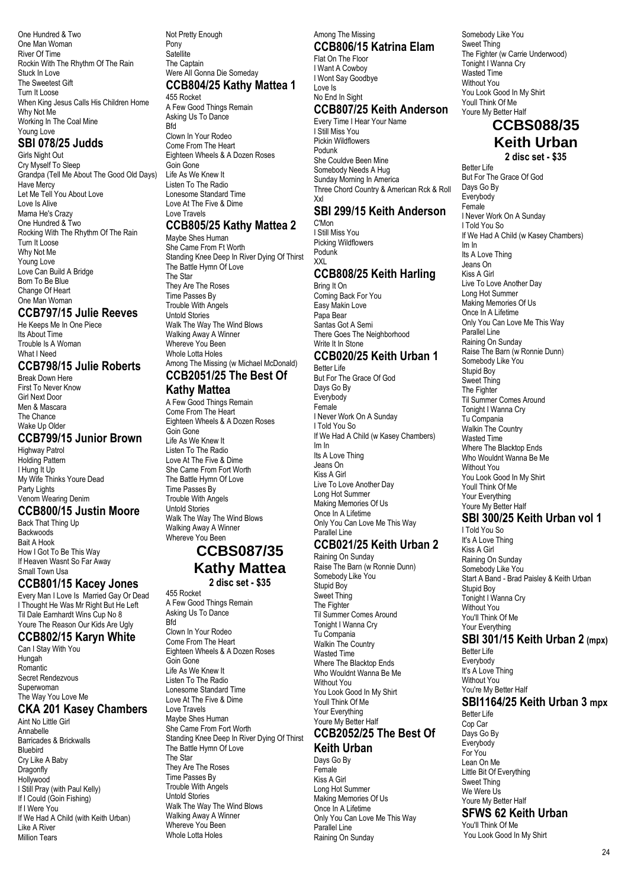One Hundred & Two One Man Woman River Of Time Rockin With The Rhythm Of The Rain Stuck In Love The Sweetest Gift Turn It Loose When King Jesus Calls His Children Home Why Not Me Working In The Coal Mine Young Love

### **SBI 078/25 Judds**

Girls Night Out Cry Myself To Sleep Grandpa (Tell Me About The Good Old Days) Have Mercy Let Me Tell You About Love Love Is Alive Mama He's Crazy One Hundred & Two Rocking With The Rhythm Of The Rain Turn It Loose Why Not Me Young Love Love Can Build A Bridge Born To Be Blue Change Of Heart One Man Woman

#### **CCB797/15 Julie Reeves**

He Keeps Me In One Piece Its About Time Trouble Is A Woman What I Need

### **CCB798/15 Julie Roberts**

Break Down Here First To Never Know Girl Next Door Men & Mascara The Chance Wake Up Older

### **CCB799/15 Junior Brown**

Highway Patrol Holding Pattern I Hung It Up My Wife Thinks Youre Dead Party Lights Venom Wearing Denim

#### **CCB800/15 Justin Moore**

Back That Thing Up **Backwoods** Bait A Hook How I Got To Be This Way If Heaven Wasnt So Far Away Small Town Usa

### **CCB801/15 Kacey Jones**

Every Man I Love Is Married Gay Or Dead I Thought He Was Mr Right But He Left Til Dale Earnhardt Wins Cup No 8 Youre The Reason Our Kids Are Ugly

### **CCB802/15 Karyn White**

Can I Stay With You Hungah Romantic Secret Rendezvous Superwoman The Way You Love Me

### **CKA 201 Kasey Chambers**

Aint No Little Girl Annabelle Barricades & Brickwalls Bluebird Cry Like A Baby Dragonfly **Hollywood** I Still Pray (with Paul Kelly) If I Could (Goin Fishing) If I Were You If We Had A Child (with Keith Urban) Like A River Million Tears

#### Not Pretty Enough Pony **Satellite** The Captain Were All Gonna Die Someday **CCB804/25 Kathy Mattea 1** 455 Rocket

A Few Good Things Remain Asking Us To Dance **Rfd** Clown In Your Rodeo Come From The Heart Eighteen Wheels & A Dozen Roses Goin Gone Life As We Knew It Listen To The Radio Lonesome Standard Time Love At The Five & Dime

#### Love Travels **CCB805/25 Kathy Mattea 2**

Maybe Shes Human She Came From Ft Worth Standing Knee Deep In River Dying Of Thirst The Battle Hymn Of Love The Star They Are The Roses Time Passes By Trouble With Angels Untold Stories Walk The Way The Wind Blows Walking Away A Winner Whereve You Been Whole Lotta Holes Among The Missing (w Michael McDonald) **CCB2051/25 The Best Of**

#### **Kathy Mattea**

A Few Good Things Remain Come From The Heart Eighteen Wheels & A Dozen Roses Goin Gone Life As We Knew It Listen To The Radio Love At The Five & Dime She Came From Fort Worth The Battle Hymn Of Love Time Passes By Trouble With Angels Untold Stories Walk The Way The Wind Blows Walking Away A Winner Whereve You Been

# **CCBS087/35 Kathy Mattea**

**2 disc set - \$35**

455 Rocket A Few Good Things Remain Asking Us To Dance Bfd Clown In Your Rodeo Come From The Heart Eighteen Wheels & A Dozen Roses Goin Gone Life As We Knew It Listen To The Radio Lonesome Standard Time Love At The Five & Dime Love Travels Maybe Shes Human She Came From Fort Worth Standing Knee Deep In River Dying Of Thirst The Battle Hymn Of Love The Star They Are The Roses Time Passes By Trouble With Angels Untold Stories Walk The Way The Wind Blows Walking Away A Winner Whereve You Been Whole Lotta Holes

#### Among The Missing **CCB806/15 Katrina Elam**

Flat On The Floor I Want A Cowboy I Wont Say Goodbye Love Is No End In Sight

### **CCB807/25 Keith Anderson**

Every Time I Hear Your Name I Still Miss You Pickin Wildflowers Podunk She Couldve Been Mine Somebody Needs A Hug Sunday Morning In America Three Chord Country & American Rck & Roll Xxl

### **SBI 299/15 Keith Anderson**

C'Mon I Still Miss You Picking Wildflowers Podunk XXL

### **CCB808/25 Keith Harling**

Bring It On Coming Back For You Easy Makin Love Papa Bear Santas Got A Semi There Goes The Neighborhood Write It In Stone

# **CCB020/25 Keith Urban 1**

Better Life But For The Grace Of God Days Go By **Everybody** Female I Never Work On A Sunday I Told You So If We Had A Child (w Kasey Chambers) Im In Its A Love Thing Jeans On Kiss A Girl Live To Love Another Day Long Hot Summer Making Memories Of Us Once In A Lifetime Only You Can Love Me This Way Parallel Line

### **CCB021/25 Keith Urban 2**

Raining On Sunday Raise The Barn (w Ronnie Dunn) Somebody Like You Stupid Boy Sweet Thing The Fighter Til Summer Comes Around Tonight I Wanna Cry Tu Compania Walkin The Country Wasted Time Where The Blacktop Ends Who Wouldnt Wanna Be Me Without You You Look Good In My Shirt Youll Think Of Me Your Everything Youre My Better Half

#### **CCB2052/25 The Best Of Keith Urban**

Days Go By Female Kiss A Girl Long Hot Summer Making Memories Of Us Once In A Lifetime Only You Can Love Me This Way Parallel Line Raining On Sunday

Somebody Like You Sweet Thing The Fighter (w Carrie Underwood) Tonight I Wanna Cry Wasted Time Without You You Look Good In My Shirt Youll Think Of Me Youre My Better Half **CCBS088/35**

# **Keith Urban**

**2 disc set - \$35**

Better Life But For The Grace Of God Days Go By Everybody Female I Never Work On A Sunday I Told You So If We Had A Child (w Kasey Chambers) Im In Its A Love Thing Jeans On Kiss A Girl Live To Love Another Day Long Hot Summer Making Memories Of Us Once In A Lifetime Only You Can Love Me This Way Parallel Line Raining On Sunday Raise The Barn (w Ronnie Dunn) Somebody Like You Stupid Boy Sweet Thing The Fighter Til Summer Comes Around Tonight I Wanna Cry Tu Compania Walkin The Country Wasted Time Where The Blacktop Ends Who Wouldnt Wanna Be Me Without You You Look Good In My Shirt Youll Think Of Me Your Everything Youre My Better Half

### **SBI 300/25 Keith Urban vol 1**

I Told You So It's A Love Thing Kiss A Girl Raining On Sunday Somebody Like You Start A Band - Brad Paisley & Keith Urban Stupid Boy Tonight I Wanna Cry Without You You'll Think Of Me Your Everything

### **SBI 301/15 Keith Urban 2 (mpx)**

Better Life Everybody It's A Love Thing Without You You're My Better Half

# **SBI1164/25 Keith Urban 3 mpx**

Better Life Cop Car Days Go By **Everybody** For You Lean On Me Little Bit Of Everything Sweet Thing We Were Us Youre My Better Half **SFWS 62 Keith Urban**

You'll Think Of Me You Look Good In My Shirt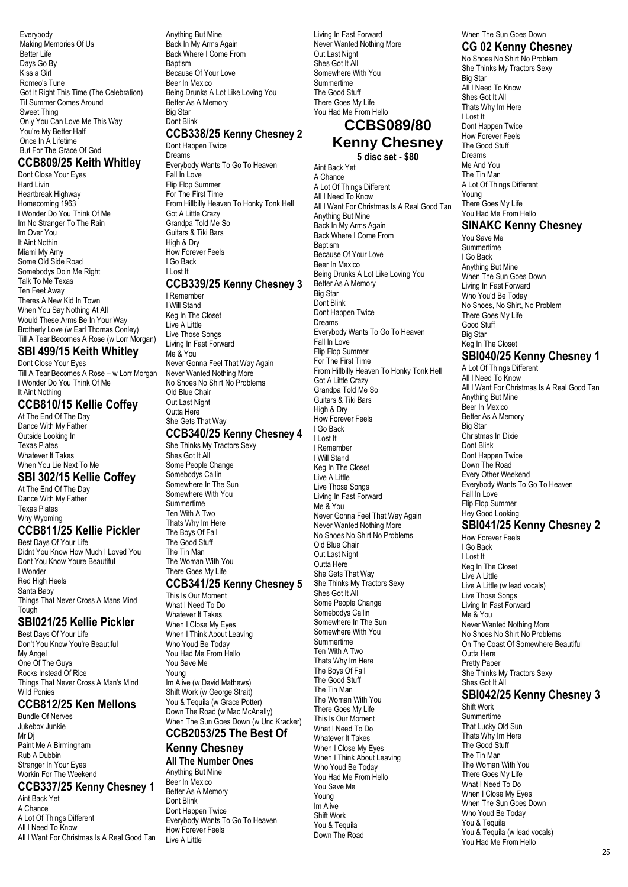Everybody Making Memories Of Us Better Life Days Go By Kiss a Girl Romeo's Tune Got It Right This Time (The Celebration) Til Summer Comes Around Sweet Thing Only You Can Love Me This Way You're My Better Half Once In A Lifetime But For The Grace Of God

### **CCB809/25 Keith Whitley**

Dont Close Your Eyes Hard Livin Heartbreak Highway Homecoming 1963 I Wonder Do You Think Of Me Im No Stranger To The Rain Im Over You It Aint Nothin Miami My Amy Some Old Side Road Somebodys Doin Me Right Talk To Me Texas Ten Feet Away Theres A New Kid In Town When You Say Nothing At All Would These Arms Be In Your Way Brotherly Love (w Earl Thomas Conley) Till A Tear Becomes A Rose (w Lorr Morgan)

### **SBI 499/15 Keith Whitley**

Dont Close Your Eyes Till A Tear Becomes A Rose – w Lorr Morgan I Wonder Do You Think Of Me It Aint Nothing

### **CCB810/15 Kellie Coffey**

At The End Of The Day Dance With My Father Outside Looking In Texas Plates Whatever It Takes When You Lie Next To Me

### **SBI 302/15 Kellie Coffey**

At The End Of The Day Dance With My Father Texas Plates Why Wyoming

### **CCB811/25 Kellie Pickler**

Best Days Of Your Life Didnt You Know How Much I Loved You Dont You Know Youre Beautiful I Wonder Red High Heels Santa Baby Things That Never Cross A Mans Mind Tough

### **SBI021/25 Kellie Pickler**

Best Days Of Your Life Don't You Know You're Beautiful My Angel One Of The Guys Rocks Instead Of Rice Things That Never Cross A Man's Mind Wild Ponies

### **CCB812/25 Ken Mellons**

Bundle Of Nerves Jukebox Junkie Mr Di Paint Me A Birmingham Rub A Dubbin Stranger In Your Eyes Workin For The Weekend

### **CCB337/25 Kenny Chesney 1**

Aint Back Yet A Chance A Lot Of Things Different All I Need To Know All I Want For Christmas Is A Real Good Tan Anything But Mine Back In My Arms Again Back Where I Come From Baptism Because Of Your Love Beer In Mexico Being Drunks A Lot Like Loving You Better As A Memory Big Star Dont Blink

#### **CCB338/25 Kenny Chesney 2** Dont Happen Twice

Dreams Everybody Wants To Go To Heaven Fall In Love Flip Flop Summer For The First Time From Hillbilly Heaven To Honky Tonk Hell Got A Little Crazy Grandpa Told Me So Guitars & Tiki Bars High & Dry How Forever Feels I Go Back I Lost It **CCB339/25 Kenny Chesney 3** I Remember

I Will Stand Keg In The Closet Live A Little Live Those Songs Living In Fast Forward Me & You Never Gonna Feel That Way Again Never Wanted Nothing More No Shoes No Shirt No Problems Old Blue Chair Out Last Night Outta Here She Gets That Way

#### **CCB340/25 Kenny Chesney 4**

She Thinks My Tractors Sexy Shes Got It All Some People Change Somebodys Callin Somewhere In The Sun Somewhere With You Summertime Ten With A Two Thats Why Im Here The Boys Of Fall The Good Stuff The Tin Man The Woman With You There Goes My Life

### **CCB341/25 Kenny Chesney 5**

This Is Our Moment What I Need To Do Whatever It Takes When I Close My Eyes When I Think About Leaving Who Youd Be Today You Had Me From Hello You Save Me Young Im Alive (w David Mathews) Shift Work (w George Strait) You & Tequila (w Grace Potter) Down The Road (w Mac McAnally) When The Sun Goes Down (w Unc Kracker)

# **CCB2053/25 The Best Of**

**Kenny Chesney All The Number Ones** Anything But Mine Beer In Mexico Better As A Memory Dont Blink Dont Happen Twice Everybody Wants To Go To Heaven How Forever Feels Live A Little

Living In Fast Forward Never Wanted Nothing More Out Last Night Shes Got It All Somewhere With You Summertime The Good Stuff There Goes My Life You Had Me From Hello

### **CCBS089/80 Kenny Chesney**

**5 disc set - \$80** Aint Back Yet

A Chance A Lot Of Things Different All I Need To Know All I Want For Christmas Is A Real Good Tan Anything But Mine Back In My Arms Again Back Where I Come From Baptism Because Of Your Love Beer In Mexico Being Drunks A Lot Like Loving You Better As A Memory Big Star Dont Blink Dont Happen Twice Dreams Everybody Wants To Go To Heaven Fall In Love Flip Flop Summer For The First Time From Hillbilly Heaven To Honky Tonk Hell Got A Little Crazy Grandpa Told Me So Guitars & Tiki Bars High & Dry How Forever Feels I Go Back I Lost It I Remember I Will Stand Keg In The Closet Live A Little Live Those Songs Living In Fast Forward Me & You Never Gonna Feel That Way Again Never Wanted Nothing More No Shoes No Shirt No Problems Old Blue Chair Out Last Night Outta Here She Gets That Way She Thinks My Tractors Sexy Shes Got It All Some People Change Somebodys Callin Somewhere In The Sun Somewhere With You Summertime Ten With A Two Thats Why Im Here The Boys Of Fall The Good Stuff The Tin Man The Woman With You There Goes My Life This Is Our Moment What I Need To Do Whatever It Takes When I Close My Eyes When I Think About Leaving Who Youd Be Today You Had Me From Hello You Save Me Young Im Alive Shift Work You & Tequila Down The Road

When The Sun Goes Down **CG 02 Kenny Chesney**

No Shoes No Shirt No Problem She Thinks My Tractors Sexy Big Star All I Need To Know Shes Got It All Thats Why Im Here I Lost It Dont Happen Twice How Forever Feels The Good Stuff Dreams Me And You The Tin Man A Lot Of Things Different Young There Goes My Life You Had Me From Hello

### **SINAKC Kenny Chesney**

You Save Me Summertime I Go Back Anything But Mine When The Sun Goes Down Living In Fast Forward Who You'd Be Today No Shoes, No Shirt, No Problem There Goes My Life Good Stuff Big Star Keg In The Closet

### **SBI040/25 Kenny Chesney 1**

A Lot Of Things Different All I Need To Know All I Want For Christmas Is A Real Good Tan Anything But Mine Beer In Mexico Better As A Memory Big Star Christmas In Dixie Dont Blink Dont Happen Twice Down The Road Every Other Weekend Everybody Wants To Go To Heaven Fall In Love Flip Flop Summer Hey Good Looking **SBI041/25 Kenny Chesney 2** How Forever Feels I Go Back

I Lost It Keg In The Closet Live A Little Live A Little (w lead vocals) Live Those Songs Living In Fast Forward Me & You Never Wanted Nothing More No Shoes No Shirt No Problems On The Coast Of Somewhere Beautiful Outta Here Pretty Paper She Thinks My Tractors Sexy Shes Got It All

### **SBI042/25 Kenny Chesney 3**

Shift Work Summertime That Lucky Old Sun Thats Why Im Here The Good Stuff The Tin Man The Woman With You There Goes My Life What I Need To Do When I Close My Eyes When The Sun Goes Down Who Youd Be Today You & Tequila You & Tequila (w lead vocals) You Had Me From Hello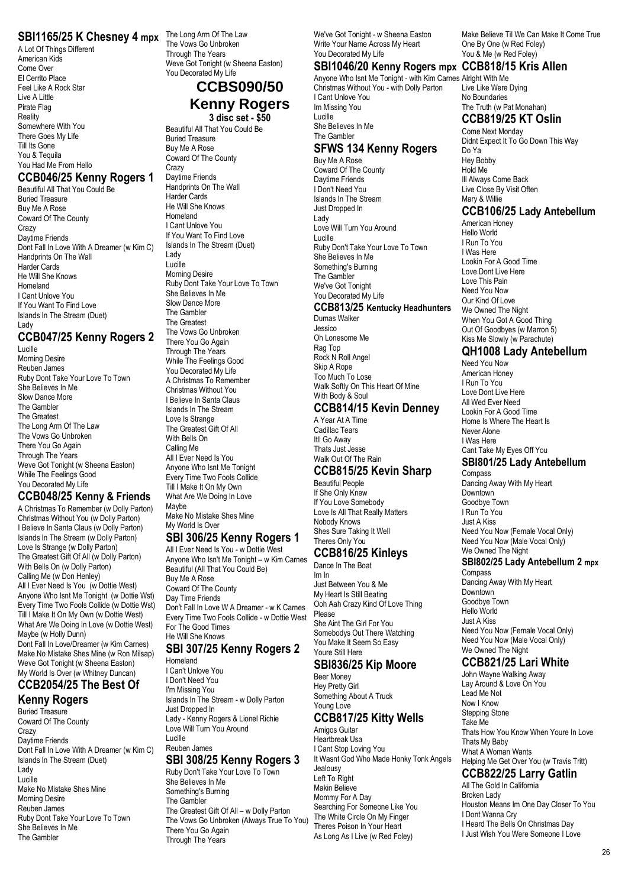### **SBI1165/25 K Chesney 4 mpx** The Long Arm Of The Law

A Lot Of Things Different American Kids Come Over El Cerrito Place Feel Like A Rock Star Live A Little Pirate Flag Reality Somewhere With You There Goes My Life Till Its Gone You & Tequila You Had Me From Hello

### **CCB046/25 Kenny Rogers 1**

Beautiful All That You Could Be Buried Treasure Buy Me A Rose Coward Of The County Crazy Daytime Friends Dont Fall In Love With A Dreamer (w Kim C) Handprints On The Wall Harder Cards He Will She Knows Homeland I Cant Unlove You If You Want To Find Love Islands In The Stream (Duet) Lady

### **CCB047/25 Kenny Rogers 2**

Lucille Morning Desire Reuben James Ruby Dont Take Your Love To Town She Believes In Me Slow Dance More The Gambler The Greatest The Long Arm Of The Law The Vows Go Unbroken There You Go Again Through The Years Weve Got Tonight (w Sheena Easton) While The Feelings Good You Decorated My Life

#### **CCB048/25 Kenny & Friends**

A Christmas To Remember (w Dolly Parton) Christmas Without You (w Dolly Parton) I Believe In Santa Claus (w Dolly Parton) Islands In The Stream (w Dolly Parton) Love Is Strange (w Dolly Parton) The Greatest Gift Of All (w Dolly Parton) With Bells On (w Dolly Parton) Calling Me (w Don Henley) All I Ever Need Is You (w Dottie West) Anyone Who Isnt Me Tonight (w Dottie Wst) Every Time Two Fools Collide (w Dottie Wst) Till I Make It On My Own (w Dottie West) What Are We Doing In Love (w Dottie West) Maybe (w Holly Dunn) Dont Fall In Love/Dreamer (w Kim Carnes) Make No Mistake Shes Mine (w Ron Milsap) Weve Got Tonight (w Sheena Easton) My World Is Over (w Whitney Duncan)

# **CCB2054/25 The Best Of**

**Kenny Rogers** Buried Treasure Coward Of The County Crazy Daytime Friends Dont Fall In Love With A Dreamer (w Kim C) Islands In The Stream (Duet) Lady Lucille Make No Mistake Shes Mine Morning Desire Reuben James Ruby Dont Take Your Love To Town She Believes In Me The Gambler

The Vows Go Unbroken Through The Years Weve Got Tonight (w Sheena Easton) You Decorated My Life

### **CCBS090/50 Kenny Rogers**

**3 disc set - \$50**

Beautiful All That You Could Be Buried Treasure Buy Me A Rose Coward Of The County **Crazy** Daytime Friends Handprints On The Wall Harder Cards He Will She Knows Homeland I Cant Unlove You If You Want To Find Love Islands In The Stream (Duet) Lady Lucille Morning Desire Ruby Dont Take Your Love To Town She Believes In Me Slow Dance More The Gambler The Greatest The Vows Go Unbroken There You Go Again Through The Years While The Feelings Good You Decorated My Life A Christmas To Remember Christmas Without You I Believe In Santa Claus Islands In The Stream Love Is Strange The Greatest Gift Of All With Bells On Calling Me All I Ever Need Is You Anyone Who Isnt Me Tonight Every Time Two Fools Collide Till I Make It On My Own

What Are We Doing In Love Maybe Make No Mistake Shes Mine My World Is Over **SBI 306/25 Kenny Rogers 1** All I Ever Need Is You - w Dottie West

Anyone Who Isn't Me Tonight – w Kim Carnes Beautiful (All That You Could Be) Buy Me A Rose Coward Of The County Day Time Friends Don't Fall In Love W A Dreamer - w K Carnes Every Time Two Fools Collide - w Dottie West For The Good Times He Will She Knows

### **SBI 307/25 Kenny Rogers 2**

Homeland I Can't Unlove You I Don't Need You I'm Missing You Islands In The Stream - w Dolly Parton Just Dropped In Lady - Kenny Rogers & Lionel Richie Love Will Turn You Around Lucille

#### Reuben James **SBI 308/25 Kenny Rogers 3**

Ruby Don't Take Your Love To Town She Believes In Me Something's Burning The Gambler The Greatest Gift Of All – w Dolly Parton The Vows Go Unbroken (Always True To You) There You Go Again Through The Years

We've Got Tonight - w Sheena Easton Write Your Name Across My Heart You Decorated My Life

#### **SBI1046/20 Kenny Rogers mpx CCB818/15 Kris Allen**

Anyone Who Isnt Me Tonight - with Kim Carnes Alright With Me Christmas Without You - with Dolly Parton I Cant Unlove You Im Missing You Lucille

She Believes In Me The Gambler

#### **SFWS 134 Kenny Rogers** Buy Me A Rose

Coward Of The County Daytime Friends I Don't Need You Islands In The Stream Just Dropped In Lady Love Will Turn You Around Lucille Ruby Don't Take Your Love To Town She Believes In Me Something's Burning The Gambler We've Got Tonight You Decorated My Life

### **CCB813/25 Kentucky Headhunters**

Dumas Walker Jessico Oh Lonesome Me Rag Top Rock N Roll Angel Skip A Rope Too Much To Lose Walk Softly On This Heart Of Mine With Body & Soul

#### **CCB814/15 Kevin Denney**

A Year At A Time Cadillac Tears Itll Go Away Thats Just Jesse Walk Out Of The Rain

### **CCB815/25 Kevin Sharp**

Beautiful People If She Only Knew If You Love Somebody Love Is All That Really Matters Nobody Knows Shes Sure Taking It Well Theres Only You

### **CCB816/25 Kinleys**

Dance In The Boat Im In Just Between You & Me My Heart Is Still Beating Ooh Aah Crazy Kind Of Love Thing Please She Aint The Girl For You Somebodys Out There Watching You Make It Seem So Easy Youre Still Here

### **SBI836/25 Kip Moore**

Beer Money Hey Pretty Girl Something About A Truck Young Love

### **CCB817/25 Kitty Wells**

Amigos Guitar Heartbreak Usa I Cant Stop Loving You It Wasnt God Who Made Honky Tonk Angels Jealousy Left To Right Makin Believe Mommy For A Day Searching For Someone Like You The White Circle On My Finger Theres Poison In Your Heart As Long As I Live (w Red Foley)

Make Believe Til We Can Make It Come True One By One (w Red Foley) You & Me (w Red Foley)

Live Like Were Dying No Boundaries The Truth (w Pat Monahan)

### **CCB819/25 KT Oslin**

Come Next Monday Didnt Expect It To Go Down This Way Do Ya Hey Bobby Hold Me Ill Always Come Back Live Close By Visit Often Mary & Willie

#### **CCB106/25 Lady Antebellum**

American Honey Hello World I Run To You I Was Here Lookin For A Good Time Love Dont Live Here Love This Pain Need You Now Our Kind Of Love We Owned The Night When You Got A Good Thing Out Of Goodbyes (w Marron 5) Kiss Me Slowly (w Parachute)

#### **QH1008 Lady Antebellum**

Need You Now American Honey I Run To You Love Dont Live Here All Wed Ever Need Lookin For A Good Time Home Is Where The Heart Is Never Alone I Was Here Cant Take My Eyes Off You **SBI801/25 Lady Antebellum** Compass Dancing Away With My Heart Downtown Goodbye Town

I Run To You Just A Kiss Need You Now (Female Vocal Only) Need You Now (Male Vocal Only) We Owned The Night

#### **SBI802/25 Lady Antebellum 2 mpx**

Compass Dancing Away With My Heart **Downtown** Goodbye Town Hello World Just A Kiss Need You Now (Female Vocal Only) Need You Now (Male Vocal Only) We Owned The Night

#### **CCB821/25 Lari White**

John Wayne Walking Away Lay Around & Love On You Lead Me Not Now I Know Stepping Stone Take Me Thats How You Know When Youre In Love Thats My Baby What A Woman Wants Helping Me Get Over You (w Travis Tritt) **CCB822/25 Larry Gatlin**

All The Gold In California Broken Lady Houston Means Im One Day Closer To You I Dont Wanna Cry I Heard The Bells On Christmas Day I Just Wish You Were Someone I Love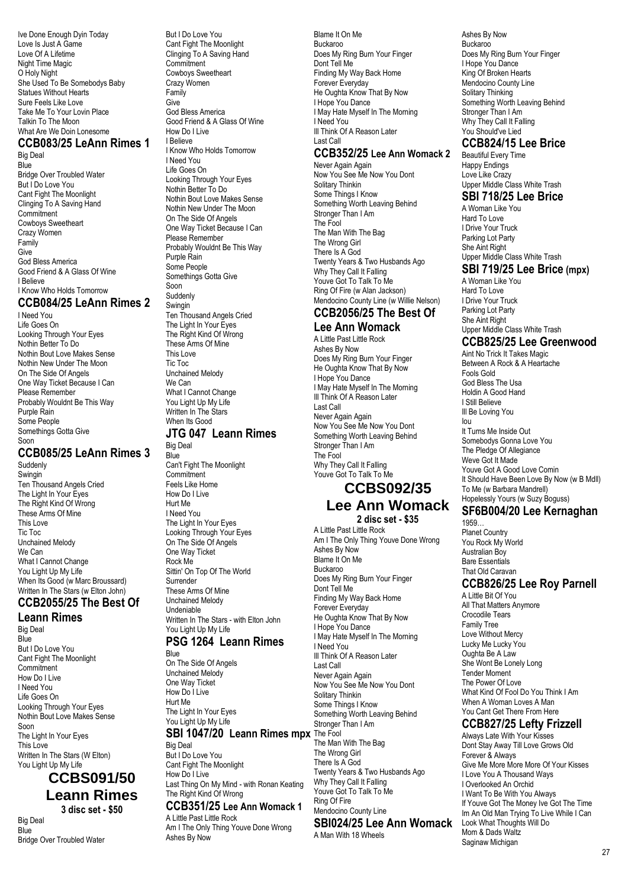Ive Done Enough Dyin Today Love Is Just A Game Love Of A Lifetime Night Time Magic O Holy Night She Used To Be Somebodys Baby Statues Without Hearts Sure Feels Like Love Take Me To Your Lovin Place Talkin To The Moon What Are We Doin Lonesome

#### **CCB083/25 LeAnn Rimes 1**

Big Deal **Blue** Bridge Over Troubled Water But I Do Love You Cant Fight The Moonlight Clinging To A Saving Hand Commitment Cowboys Sweetheart Crazy Women Family Give God Bless America Good Friend & A Glass Of Wine I Believe I Know Who Holds Tomorrow **CCB084/25 LeAnn Rimes 2**

I Need You Life Goes On Looking Through Your Eyes Nothin Better To Do Nothin Bout Love Makes Sense Nothin New Under The Moon On The Side Of Angels One Way Ticket Because I Can Please Remember Probably Wouldnt Be This Way Purple Rain Some People Somethings Gotta Give Soon

### **CCB085/25 LeAnn Rimes 3**

Suddenly Swingin Ten Thousand Angels Cried The Light In Your Eyes The Right Kind Of Wrong These Arms Of Mine This Love Tic Toc Unchained Melody We Can What I Cannot Change You Light Up My Life When Its Good (w Marc Broussard) Written In The Stars (w Elton John)

# **CCB2055/25 The Best Of**

**Leann Rimes** Big Deal **Blue** But I Do Love You Cant Fight The Moonlight **Commitment** How Do I Live I Need You Life Goes On Looking Through Your Eyes Nothin Bout Love Makes Sense Soon The Light In Your Eyes This Love Written In The Stars (W Elton) You Light Up My Life

### **CCBS091/50 Leann Rimes 3 disc set - \$50**

Big Deal **Blue** Bridge Over Troubled Water But I Do Love You Cant Fight The Moonlight Clinging To A Saving Hand Commitment Cowboys Sweetheart Crazy Women Family Give God Bless America Good Friend & A Glass Of Wine How Do I Live I Believe I Know Who Holds Tomorrow I Need You Life Goes On Looking Through Your Eyes Nothin Better To Do Nothin Bout Love Makes Sense Nothin New Under The Moon On The Side Of Angels One Way Ticket Because I Can Please Remember Probably Wouldnt Be This Way Purple Rain Some People Somethings Gotta Give Soon Suddenly **Swingin** Ten Thousand Angels Cried The Light In Your Eyes The Right Kind Of Wrong These Arms Of Mine This Love Tic Toc Unchained Melody We Can What I Cannot Change You Light Up My Life Written In The Stars When Its Good

#### **JTG 047 Leann Rimes** Big Deal

**Blue** Can't Fight The Moonlight Commitment Feels Like Home How Do I Live Hurt Me I Need You The Light In Your Eyes Looking Through Your Eyes On The Side Of Angels One Way Ticket Rock Me Sittin' On Top Of The World Surrender These Arms Of Mine Unchained Melody Undeniable Written In The Stars - with Elton John You Light Up My Life

### **PSG 1264 Leann Rimes**

Blue On The Side Of Angels Unchained Melody One Way Ticket How Do I Live Hurt Me The Light In Your Eyes You Light Up My Life

### **SBI 1047/20 Leann Rimes mpx** The Fool

Big Deal But I Do Love You Cant Fight The Moonlight How Do I Live

Last Thing On My Mind - with Ronan Keating The Right Kind Of Wrong

#### **CCB351/25 Lee Ann Womack 1** A Little Past Little Rock

Am I The Only Thing Youve Done Wrong Ashes By Now

Blame It On Me Buckaroo Does My Ring Burn Your Finger Dont Tell Me Finding My Way Back Home Forever Everyday He Oughta Know That By Now I Hope You Dance I May Hate Myself In The Morning I Need You Ill Think Of A Reason Later Last Call

#### **CCB352/25 Lee Ann Womack 2**

Never Again Again Now You See Me Now You Dont Solitary Thinkin Some Things I Know Something Worth Leaving Behind Stronger Than I Am The Fool The Man With The Bag The Wrong Girl There Is A God Twenty Years & Two Husbands Ago Why They Call It Falling Youve Got To Talk To Me Ring Of Fire (w Alan Jackson) Mendocino County Line (w Willie Nelson)

#### **CCB2056/25 The Best Of Lee Ann Womack**

A Little Past Little Rock Ashes By Now Does My Ring Burn Your Finger He Oughta Know That By Now I Hope You Dance I May Hate Myself In The Morning Ill Think Of A Reason Later Last Call Never Again Again Now You See Me Now You Dont Something Worth Leaving Behind Stronger Than I Am The Fool Why They Call It Falling Youve Got To Talk To Me

### **CCBS092/35 Lee Ann Womack**

#### **2 disc set - \$35**

A Little Past Little Rock Am I The Only Thing Youve Done Wrong Ashes By Now Blame It On Me Buckaroo Does My Ring Burn Your Finger Dont Tell Me Finding My Way Back Home Forever Everyday He Oughta Know That By Now I Hope You Dance I May Hate Myself In The Morning I Need You Ill Think Of A Reason Later Last Call Never Again Again Now You See Me Now You Dont Solitary Thinkin Some Things I Know Something Worth Leaving Behind Stronger Than I Am The Man With The Bag The Wrong Girl There Is A God Twenty Years & Two Husbands Ago Why They Call It Falling Youve Got To Talk To Me Ring Of Fire Mendocino County Line **SBI024/25 Lee Ann Womack** A Man With 18 Wheels

Ashes By Now Buckaroo Does My Ring Burn Your Finger I Hope You Dance King Of Broken Hearts Mendocino County Line Solitary Thinking Something Worth Leaving Behind Stronger Than I Am Why They Call It Falling You Should've Lied

### **CCB824/15 Lee Brice**

Beautiful Every Time Happy Endings Love Like Crazy Upper Middle Class White Trash

### **SBI 718/25 Lee Brice**

A Woman Like You Hard To Love I Drive Your Truck Parking Lot Party She Aint Right Upper Middle Class White Trash

### **SBI 719/25 Lee Brice (mpx)**

A Woman Like You Hard To Love I Drive Your Truck Parking Lot Party She Aint Right Upper Middle Class White Trash

### **CCB825/25 Lee Greenwood**

Aint No Trick It Takes Magic Between A Rock & A Heartache Fools Gold God Bless The Usa Holdin A Good Hand I Still Believe Ill Be Loving You Iou It Turns Me Inside Out Somebodys Gonna Love You The Pledge Of Allegiance Weve Got It Made Youve Got A Good Love Comin It Should Have Been Love By Now (w B Mdll) To Me (w Barbara Mandrell) Hopelessly Yours (w Suzy Boguss)

### **SF6B004/20 Lee Kernaghan**

1959… Planet Country You Rock My World Australian Boy Bare Essentials That Old Caravan

### **CCB826/25 Lee Roy Parnell**

A Little Bit Of You All That Matters Anymore Crocodile Tears Family Tree Love Without Mercy Lucky Me Lucky You Oughta Be A Law She Wont Be Lonely Long Tender Moment The Power Of Love What Kind Of Fool Do You Think I Am When A Woman Loves A Man You Cant Get There From Here

### **CCB827/25 Lefty Frizzell**

Always Late With Your Kisses Dont Stay Away Till Love Grows Old Forever & Always Give Me More More More Of Your Kisses I Love You A Thousand Ways I Overlooked An Orchid I Want To Be With You Always If Youve Got The Money Ive Got The Time Im An Old Man Trying To Live While I Can Look What Thoughts Will Do Mom & Dads Waltz Saginaw Michigan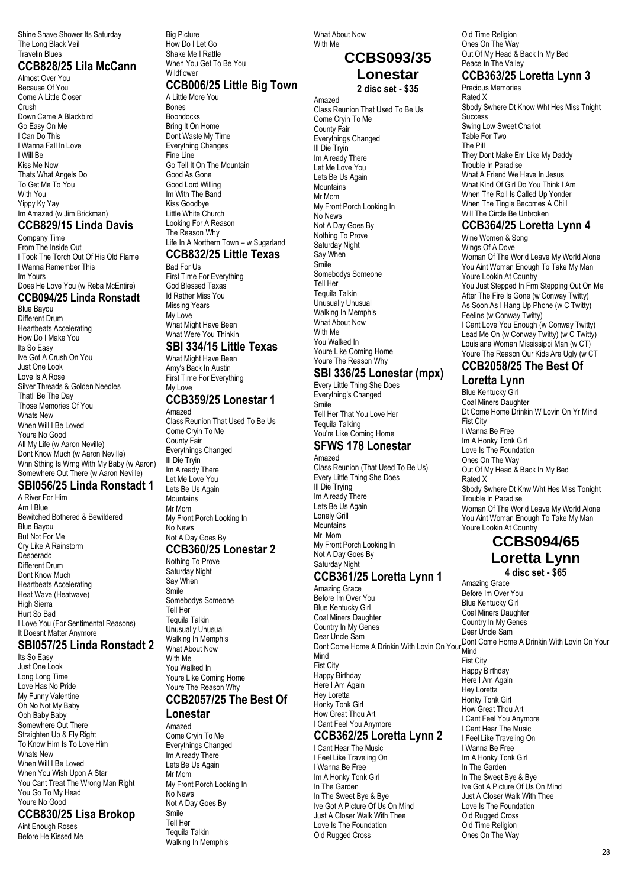Shine Shave Shower Its Saturday The Long Black Veil Travelin Blues

### **CCB828/25 Lila McCann**

Almost Over You Because Of You Come A Little Closer Crush Down Came A Blackbird Go Easy On Me I Can Do This I Wanna Fall In Love I Will Be Kiss Me Now Thats What Angels Do To Get Me To You With You Yippy Ky Yay Im Amazed (w Jim Brickman)

# **CCB829/15 Linda Davis**

Company Time From The Inside Out I Took The Torch Out Of His Old Flame I Wanna Remember This Im Yours Does He Love You (w Reba McEntire) **CCB094/25 Linda Ronstadt** Blue Bayou

Different Drum Heartbeats Accelerating How Do I Make You Its So Easy Ive Got A Crush On You Just One Look Love Is A Rose Silver Threads & Golden Needles Thatll Be The Day Those Memories Of You Whats New When Will I Be Loved Youre No Good All My Life (w Aaron Neville) Dont Know Much (w Aaron Neville) Whn Sthing Is Wrng With My Baby (w Aaron) Somewhere Out There (w Aaron Neville)

### **SBI056/25 Linda Ronstadt 1**

A River For Him Am I Blue Bewitched Bothered & Bewildered Blue Bayou But Not For Me Cry Like A Rainstorm Desperado Different Drum Dont Know Much Heartbeats Accelerating Heat Wave (Heatwave) High Sierra Hurt So Bad I Love You (For Sentimental Reasons) It Doesnt Matter Anymore

#### **SBI057/25 Linda Ronstadt 2**

Its So Easy Just One Look Long Long Time Love Has No Pride My Funny Valentine Oh No Not My Baby Ooh Baby Baby Somewhere Out There Straighten Up & Fly Right To Know Him Is To Love Him Whats New When Will I Be Loved When You Wish Upon A Star You Cant Treat The Wrong Man Right You Go To My Head Youre No Good **CCB830/25 Lisa Brokop**

Aint Enough Roses Before He Kissed Me Big Picture How Do I Let Go Shake Me I Rattle When You Get To Be You **Wildflower** 

### **CCB006/25 Little Big Town**

A Little More You Bones Boondocks Bring It On Home Dont Waste My Time Everything Changes Fine Line Go Tell It On The Mountain Good As Gone Good Lord Willing Im With The Band Kiss Goodbye Little White Church Looking For A Reason The Reason Why Life In A Northern Town - w Sugarland

### **CCB832/25 Little Texas**

Bad For Us First Time For Everything God Blessed Texas Id Rather Miss You Missing Years My Love What Might Have Been What Were You Thinkin

### **SBI 334/15 Little Texas**

What Might Have Been Amy's Back In Austin First Time For Everything My Love

#### **CCB359/25 Lonestar 1** Amazed

Class Reunion That Used To Be Us Come Cryin To Me County Fair Everythings Changed Ill Die Tryin Im Already There Let Me Love You Lets Be Us Again Mountains Mr Mom My Front Porch Looking In No News Not A Day Goes By

### **CCB360/25 Lonestar 2**

Nothing To Prove Saturday Night Say When Smile Somebodys Someone Tell Her Tequila Talkin Unusually Unusual Walking In Memphis What About Now With Me You Walked In Youre Like Coming Home Youre The Reason Why

# **CCB2057/25 The Best Of**

**Lonestar** Amazed Come Cryin To Me Everythings Changed Im Already There Lets Be Us Again Mr Mom My Front Porch Looking In No News Not A Day Goes By Smile Tell Her Tequila Talkin Walking In Memphis

What About Now With Me

# **CCBS093/35 Lonestar**

**2 disc set - \$35** Amazed Class Reunion That Used To Be Us Come Cryin To Me County Fair Everythings Changed Ill Die Tryin Im Already There Let Me Love You Lets Be Us Again **Mountains** Mr Mom My Front Porch Looking In No News Not A Day Goes By Nothing To Prove Saturday Night Say When Smile Somebodys Someone Tell Her Tequila Talkin Unusually Unusual Walking In Memphis What About Now With Me You Walked In Youre Like Coming Home Youre The Reason Why

### **SBI 336/25 Lonestar (mpx)**

Every Little Thing She Does Everything's Changed Smile Tell Her That You Love Her Tequila Talking You're Like Coming Home **SFWS 178 Lonestar**

# Amazed

Class Reunion (That Used To Be Us) Every Little Thing She Does Ill Die Trying Im Already There Lets Be Us Again Lonely Grill Mountains Mr. Mom My Front Porch Looking In Not A Day Goes By Saturday Night

#### **CCB361/25 Loretta Lynn 1** Amazing Grace

Before Im Over You Blue Kentucky Girl Coal Miners Daughter Country In My Genes<br>Dear Uncle Sam Dear Uncle Sam Dear Oncle Gam<br>Dont Come Home A Drinkin With Lovin On Your Mind Mind Fist City Happy Birthday Here I Am Again Hey Loretta Honky Tonk Girl How Great Thou Art I Cant Feel You Anymore **CCB362/25 Loretta Lynn 2**

#### I Cant Hear The Music

I Feel Like Traveling On I Wanna Be Free Im A Honky Tonk Girl In The Garden In The Sweet Bye & Bye Ive Got A Picture Of Us On Mind Just A Closer Walk With Thee Love Is The Foundation Old Rugged Cross

Old Time Religion Ones On The Way Out Of My Head & Back In My Bed Peace In The Valley

### **CCB363/25 Loretta Lynn 3**

Precious Memories Rated X Sbody Swhere Dt Know Wht Hes Miss Tnight **Success** Swing Low Sweet Chariot Table For Two The Pill They Dont Make Em Like My Daddy Trouble In Paradise What A Friend We Have In Jesus What Kind Of Girl Do You Think I Am When The Roll Is Called Up Yonder When The Tingle Becomes A Chill Will The Circle Be Unbroken

### **CCB364/25 Loretta Lynn 4**

Wine Women & Song Wings Of A Dove Woman Of The World Leave My World Alone You Aint Woman Enough To Take My Man Youre Lookin At Country You Just Stepped In Frm Stepping Out On Me After The Fire Is Gone (w Conway Twitty) As Soon As I Hang Up Phone (w C Twitty) Feelins (w Conway Twitty) I Cant Love You Enough (w Conway Twitty) Lead Me On (w Conway Twitty) (w C Twitty) Louisiana Woman Mississippi Man (w CT) Youre The Reason Our Kids Are Ugly (w CT

### **CCB2058/25 The Best Of**

### **Loretta Lynn**

Blue Kentucky Girl Coal Miners Daughter Dt Come Home Drinkin W Lovin On Yr Mind Fist City I Wanna Be Free Im A Honky Tonk Girl Love Is The Foundation Ones On The Way Out Of My Head & Back In My Bed Rated X Sbody Swhere Dt Knw Wht Hes Miss Tonight Trouble In Paradise Woman Of The World Leave My World Alone You Aint Woman Enough To Take My Man Youre Lookin At Country

# **CCBS094/65 Loretta Lynn**

**4 disc set - \$65**

Amazing Grace Before Im Over You Blue Kentucky Girl Coal Miners Daughter Country In My Genes Dear Uncle Sam Mind Fist City Happy Birthday Here I Am Again Hey Loretta Honky Tonk Girl How Great Thou Art I Cant Feel You Anymore I Cant Hear The Music I Feel Like Traveling On I Wanna Be Free Im A Honky Tonk Girl In The Garden In The Sweet Bye & Bye Ive Got A Picture Of Us On Mind Just A Closer Walk With Thee Love Is The Foundation Old Rugged Cross Old Time Religion Ones On The Way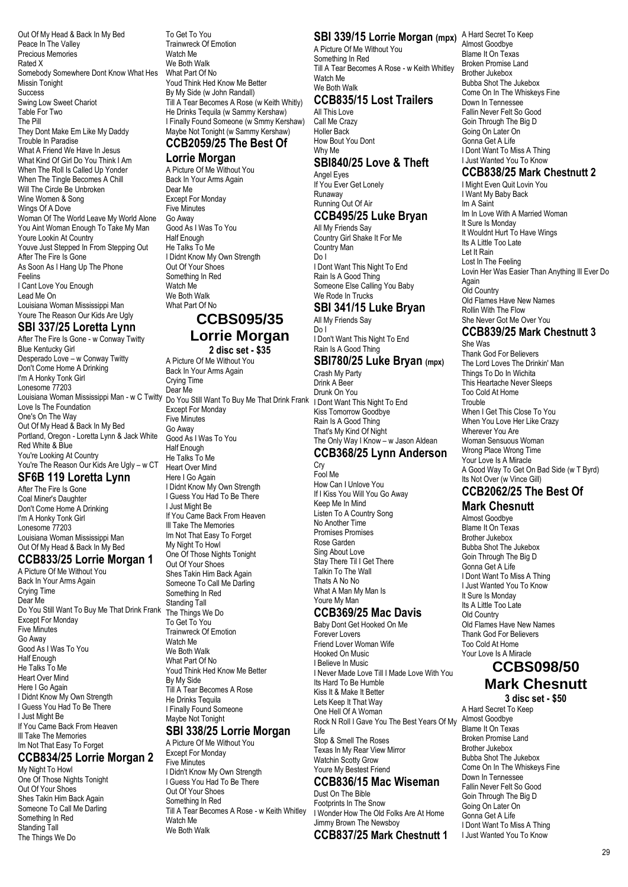Out Of My Head & Back In My Bed Peace In The Valley Precious Memories Rated X Somebody Somewhere Dont Know What Hes Missin Tonight **Success** Swing Low Sweet Chariot Table For Two The Pill They Dont Make Em Like My Daddy Trouble In Paradise What A Friend We Have In Jesus What Kind Of Girl Do You Think I Am When The Roll Is Called Up Yonder When The Tingle Becomes A Chill Will The Circle Be Unbroken Wine Women & Song Wings Of A Dove Woman Of The World Leave My World Alone You Aint Woman Enough To Take My Man Youre Lookin At Country Youve Just Stepped In From Stepping Out After The Fire Is Gone As Soon As I Hang Up The Phone Feelins I Cant Love You Enough Lead Me On Louisiana Woman Mississippi Man Youre The Reason Our Kids Are Ugly

### **SBI 337/25 Loretta Lynn**

After The Fire Is Gone - w Conway Twitty Blue Kentucky Girl Desperado Love – w Conway Twitty Don't Come Home A Drinking I'm A Honky Tonk Girl Lonesome 77203 Louisiana Woman Mississippi Man - w C Twitty Love Is The Foundation One's On The Way Out Of My Head & Back In My Bed Portland, Oregon - Loretta Lynn & Jack White Red White & Blue You're Looking At Country You're The Reason Our Kids Are Ugly – w CT

### **SF6B 119 Loretta Lynn**

After The Fire Is Gone Coal Miner's Daughter Don't Come Home A Drinking I'm A Honky Tonk Girl Lonesome 77203 Louisiana Woman Mississippi Man Out Of My Head & Back In My Bed

#### **CCB833/25 Lorrie Morgan 1**

A Picture Of Me Without You Back In Your Arms Again Crying Time Dear Me Do You Still Want To Buy Me That Drink Frank Except For Monday Five Minutes Go Away Good As I Was To You Half Enough He Talks To Me Heart Over Mind Here I Go Again I Didnt Know My Own Strength I Guess You Had To Be There I Just Might Be If You Came Back From Heaven Ill Take The Memories Im Not That Easy To Forget

### **CCB834/25 Lorrie Morgan 2**

My Night To Howl One Of Those Nights Tonight Out Of Your Shoes Shes Takin Him Back Again Someone To Call Me Darling Something In Red Standing Tall The Things We Do

To Get To You Trainwreck Of Emotion Watch Me We Both Walk What Part Of No Youd Think Hed Know Me Better By My Side (w John Randall) Till A Tear Becomes A Rose (w Keith Whitly) He Drinks Tequila (w Sammy Kershaw) I Finally Found Someone (w Smmy Kershaw) Maybe Not Tonight (w Sammy Kershaw) **CCB2059/25 The Best Of**

### **Lorrie Morgan**

A Picture Of Me Without You Back In Your Arms Again Dear Me Except For Monday Five Minutes Go Away Good As I Was To You Half Enough He Talks To Me I Didnt Know My Own Strength Out Of Your Shoes Something In Red Watch Me We Both Walk What Part Of No

### **CCBS095/35 Lorrie Morgan 2 disc set - \$35**

A Picture Of Me Without You Back In Your Arms Again Crying Time Dear Me Do You Still Want To Buy Me That Drink Frank I Dont Want This Night To End Except For Monday Five Minutes Go Away Good As I Was To You Half Enough He Talks To Me Heart Over Mind Here I Go Again I Didnt Know My Own Strength I Guess You Had To Be There I Just Might Be If You Came Back From Heaven Ill Take The Memories Im Not That Easy To Forget My Night To Howl One Of Those Nights Tonight Out Of Your Shoes Shes Takin Him Back Again Someone To Call Me Darling Something In Red Standing Tall The Things We Do To Get To You Trainwreck Of Emotion Watch Me We Both Walk What Part Of No Youd Think Hed Know Me Better By My Side Till A Tear Becomes A Rose He Drinks Tequila I Finally Found Someone Maybe Not Tonight

#### **SBI 338/25 Lorrie Morgan** A Picture Of Me Without You

Except For Monday Five Minutes I Didn't Know My Own Strength I Guess You Had To Be There Out Of Your Shoes Something In Red Till A Tear Becomes A Rose - w Keith Whitley Watch Me We Both Walk

### **SBI 339/15 Lorrie Morgan (mpx)** A Hard Secret To Keep

A Picture Of Me Without You Something In Red Till A Tear Becomes A Rose - w Keith Whitley Watch Me We Both Walk **CCB835/15 Lost Trailers**

All This Love Call Me Crazy Holler Back How Bout You Dont Why Me

#### **SBI840/25 Love & Theft** Angel Eyes

If You Ever Get Lonely Runaway Running Out Of Air

#### **CCB495/25 Luke Bryan** All My Friends Say

Country Girl Shake It For Me Country Man Do I I Dont Want This Night To End Rain Is A Good Thing Someone Else Calling You Baby We Rode In Trucks

#### **SBI 341/15 Luke Bryan** All My Friends Say

Do I I Don't Want This Night To End Rain Is A Good Thing

#### **SBI780/25 Luke Bryan (mpx)** Crash My Party

Drink A Beer Drunk On You Kiss Tomorrow Goodbye Rain Is A Good Thing That's My Kind Of Night The Only Way I Know – w Jason Aldean

#### **CCB368/25 Lynn Anderson Cry**

Fool Me How Can I Unlove You If I Kiss You Will You Go Away Keep Me In Mind Listen To A Country Song No Another Time Promises Promises Rose Garden Sing About Love Stay There Til I Get There Talkin To The Wall Thats A No No What A Man My Man Is Youre My Man

### **CCB369/25 Mac Davis**

Baby Dont Get Hooked On Me Forever Lovers Friend Lover Woman Wife Hooked On Music I Believe In Music I Never Made Love Till I Made Love With You Its Hard To Be Humble Kiss It & Make It Better Lets Keep It That Way One Hell Of A Woman Rock N Roll I Gave You The Best Years Of My Life Stop & Smell The Roses Texas In My Rear View Mirror Watchin Scotty Grow Youre My Bestest Friend **CCB836/15 Mac Wiseman** Dust On The Bible

Footprints In The Snow I Wonder How The Old Folks Are At Home Jimmy Brown The Newsboy **CCB837/25 Mark Chestnutt 1** Almost Goodbye Blame It On Texas Broken Promise Land Brother Jukebox Bubba Shot The Jukebox Come On In The Whiskeys Fine Down In Tennessee Fallin Never Felt So Good Goin Through The Big D Going On Later On Gonna Get A Life I Dont Want To Miss A Thing I Just Wanted You To Know

### **CCB838/25 Mark Chestnutt 2**

I Might Even Quit Lovin You I Want My Baby Back Im A Saint Im In Love With A Married Woman It Sure Is Monday It Wouldnt Hurt To Have Wings Its A Little Too Late Let It Rain Lost In The Feeling Lovin Her Was Easier Than Anything Ill Ever Do Again Old Country Old Flames Have New Names Rollin With The Flow She Never Got Me Over You

#### **CCB839/25 Mark Chestnutt 3** She Was

Thank God For Believers The Lord Loves The Drinkin' Man Things To Do In Wichita This Heartache Never Sleeps Too Cold At Home **Trouble** When I Get This Close To You When You Love Her Like Crazy Wherever You Are Woman Sensuous Woman Wrong Place Wrong Time Your Love Is A Miracle A Good Way To Get On Bad Side (w T Byrd) Its Not Over (w Vince Gill)

# **CCB2062/25 The Best Of**

**Mark Chesnutt**

Almost Goodbye Blame It On Texas Brother Jukebox Bubba Shot The Jukebox Goin Through The Big D Gonna Get A Life I Dont Want To Miss A Thing I Just Wanted You To Know It Sure Is Monday Its A Little Too Late Old Country Old Flames Have New Names Thank God For Believers Too Cold At Home Your Love Is A Miracle

# **CCBS098/50 Mark Chesnutt**

**3 disc set - \$50** A Hard Secret To Keep Almost Goodbye Blame It On Texas Broken Promise Land Brother Jukebox Bubba Shot The Jukebox Come On In The Whiskeys Fine Down In Tennessee Fallin Never Felt So Good Goin Through The Big D Going On Later On Gonna Get A Life I Dont Want To Miss A Thing I Just Wanted You To Know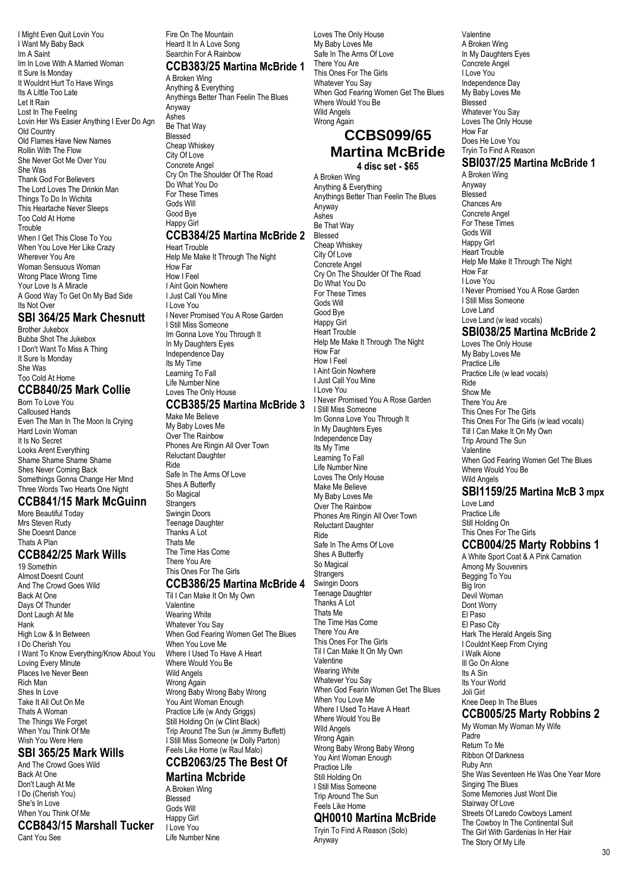I Might Even Quit Lovin You I Want My Baby Back Im A Saint Im In Love With A Married Woman It Sure Is Monday It Wouldnt Hurt To Have Wings Its A Little Too Late Let It Rain Lost In The Feeling Lovin Her Ws Easier Anything I Ever Do Agn Old Country Old Flames Have New Names Rollin With The Flow She Never Got Me Over You She Was Thank God For Believers The Lord Loves The Drinkin Man Things To Do In Wichita This Heartache Never Sleeps Too Cold At Home Trouble When I Get This Close To You When You Love Her Like Crazy Wherever You Are Woman Sensuous Woman Wrong Place Wrong Time Your Love Is A Miracle A Good Way To Get On My Bad Side Its Not Over

### **SBI 364/25 Mark Chesnutt**

Brother Jukebox Bubba Shot The Jukebox I Don't Want To Miss A Thing It Sure Is Monday She Was Too Cold At Home

#### **CCB840/25 Mark Collie** Born To Love You

Calloused Hands Even The Man In The Moon Is Crying Hard Lovin Woman It Is No Secret Looks Arent Everything Shame Shame Shame Shame Shes Never Coming Back Somethings Gonna Change Her Mind Three Words Two Hearts One Night

#### **CCB841/15 Mark McGuinn**

More Beautiful Today Mrs Steven Rudy She Doesnt Dance Thats A Plan

### **CCB842/25 Mark Wills**

19 Somethin Almost Doesnt Count And The Crowd Goes Wild Back At One Days Of Thunder Dont Laugh At Me Hank High Low & In Between I Do Cherish You I Want To Know Everything/Know About You Loving Every Minute Places Ive Never Been Rich Man Shes In Love Take It All Out On Me Thats A Woman The Things We Forget When You Think Of Me Wish You Were Here

### **SBI 365/25 Mark Wills**

And The Crowd Goes Wild Back At One Don't Laugh At Me I Do (Cherish You) She's In Love When You Think Of Me **CCB843/15 Marshall Tucker** Cant You See

Fire On The Mountain Heard It In A Love Song Searchin For A Rainbow

### **CCB383/25 Martina McBride 1**

A Broken Wing Anything & Everything Anythings Better Than Feelin The Blues Anyway Ashes Be That Way Blessed Cheap Whiskey City Of Love Concrete Angel Cry On The Shoulder Of The Road Do What You Do For These Times Gods Will Good Bye Happy Girl

#### **CCB384/25 Martina McBride 2** Heart Trouble

Help Me Make It Through The Night How Far How I Feel I Aint Goin Nowhere I Just Call You Mine I Love You I Never Promised You A Rose Garden I Still Miss Someone Im Gonna Love You Through It In My Daughters Eyes Independence Day Its My Time Learning To Fall Life Number Nine Loves The Only House

### **CCB385/25 Martina McBride 3**

Make Me Believe My Baby Loves Me Over The Rainbow Phones Are Ringin All Over Town Reluctant Daughter Ride Safe In The Arms Of Love Shes A Butterfly So Magical Strangers Swingin Doors Teenage Daughter Thanks A Lot Thats Me The Time Has Come There You Are This Ones For The Girls

#### **CCB386/25 Martina McBride 4**

Til I Can Make It On My Own Valentine Wearing White Whatever You Say When God Fearing Women Get The Blues When You Love Me Where I Used To Have A Heart Where Would You Be Wild Angels Wrong Again Wrong Baby Wrong Baby Wrong You Aint Woman Enough Practice Life (w Andy Griggs) Still Holding On (w Clint Black) Trip Around The Sun (w Jimmy Buffett) I Still Miss Someone (w Dolly Parton) Feels Like Home (w Raul Malo)

#### **CCB2063/25 The Best Of Martina Mcbride**

A Broken Wing Blessed Gods Will Happy Girl I Love You Life Number Nine

Loves The Only House My Baby Loves Me Safe In The Arms Of Love There You Are This Ones For The Girls Whatever You Say When God Fearing Women Get The Blues Where Would You Be Wild Angels Wrong Again

### **CCBS099/65 Martina McBride 4 disc set - \$65**

A Broken Wing Anything & Everything Anythings Better Than Feelin The Blues Anyway Ashes Be That Way Blessed Cheap Whiskey City Of Love Concrete Angel Cry On The Shoulder Of The Road Do What You Do For These Times Gods Will Good Bye Happy Girl Heart Trouble Help Me Make It Through The Night How Far How I Feel I Aint Goin Nowhere I Just Call You Mine I Love You I Never Promised You A Rose Garden I Still Miss Someone Im Gonna Love You Through It In My Daughters Eyes Independence Day Its My Time Learning To Fall Life Number Nine Loves The Only House Make Me Believe My Baby Loves Me Over The Rainbow Phones Are Ringin All Over Town Reluctant Daughter Ride Safe In The Arms Of Love Shes A Butterfly So Magical **Strangers** Swingin Doors Teenage Daughter Thanks A Lot Thats Me The Time Has Come There You Are This Ones For The Girls Til I Can Make It On My Own Valentine Wearing White Whatever You Say When God Fearin Women Get The Blues When You Love Me Where I Used To Have A Heart Where Would You Be Wild Angels Wrong Again Wrong Baby Wrong Baby Wrong You Aint Woman Enough Practice Life Still Holding On I Still Miss Someone Trip Around The Sun Feels Like Home **QH0010 Martina McBride** 

Tryin To Find A Reason (Solo) Anyway

A Broken Wing In My Daughters Eyes Concrete Angel I Love You Independence Day My Baby Loves Me Blessed Whatever You Say Loves The Only House How Far Does He Love You Tryin To Find A Reason **SBI037/25 Martina McBride 1** A Broken Wing Anyway Blessed Chances Are Concrete Angel For These Times Gods Will Happy Girl Heart Trouble Help Me Make It Through The Night How Far I Love You I Never Promised You A Rose Garden I Still Miss Someone

Valentine

#### Love Land (w lead vocals) **SBI038/25 Martina McBride 2**

Love Land

Loves The Only House My Baby Loves Me Practice Life Practice Life (w lead vocals) Ride Show Me There You Are This Ones For The Girls This Ones For The Girls (w lead vocals) Till I Can Make It On My Own Trip Around The Sun Valentine When God Fearing Women Get The Blues Where Would You Be Wild Angels

### **SBI1159/25 Martina McB 3 mpx**

Love Land Practice Life Still Holding On This Ones For The Girls

### **CCB004/25 Marty Robbins 1**

A White Sport Coat & A Pink Carnation Among My Souvenirs Begging To You Big Iron Devil Woman Dont Worry El Paso El Paso City Hark The Herald Angels Sing I Couldnt Keep From Crying I Walk Alone Ill Go On Alone Its A Sin Its Your World Joli Girl Knee Deep In The Blues **CCB005/25 Marty Robbins 2** My Woman My Woman My Wife Padre Return To Me Ribbon Of Darkness Ruby Ann She Was Seventeen He Was One Year More Singing The Blues Some Memories Just Wont Die Stairway Of Love Streets Of Laredo Cowboys Lament The Cowboy In The Continental Suit The Girl With Gardenias In Her Hair The Story Of My Life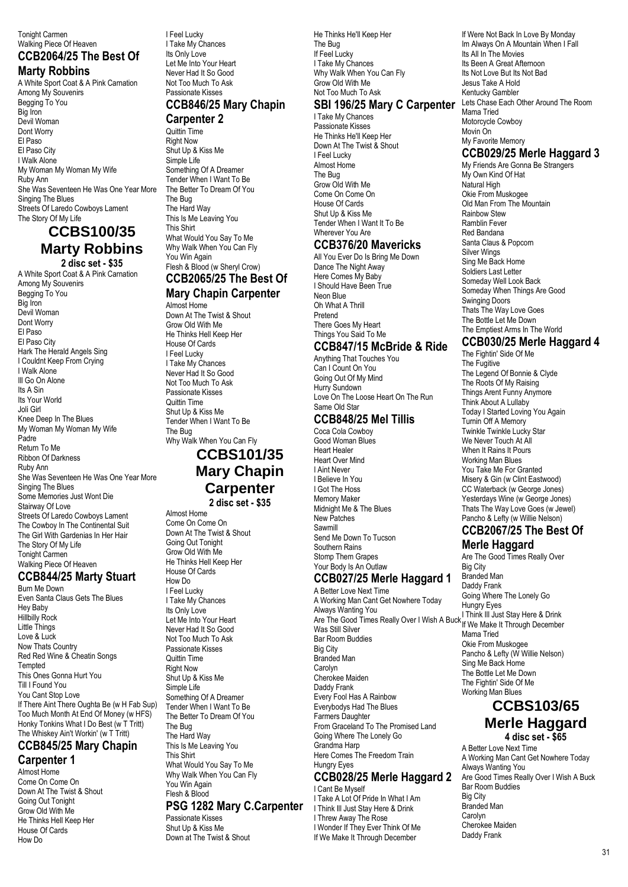### **CCB2064/25 The Best Of Marty Robbins**

A White Sport Coat & A Pink Carnation Among My Souvenirs Begging To You Big Iron Devil Woman Dont Worry El Paso El Paso City I Walk Alone My Woman My Woman My Wife Ruby Ann She Was Seventeen He Was One Year More Singing The Blues Streets Of Laredo Cowboys Lament The Story Of My Life

# **CCBS100/35 Marty Robbins**

**2 disc set - \$35** A White Sport Coat & A Pink Carnation Among My Souvenirs Begging To You Big Iron Devil Woman Dont Worry El Paso El Paso City Hark The Herald Angels Sing I Couldnt Keep From Crying I Walk Alone Ill Go On Alone Its A Sin Its Your World Joli Girl Knee Deep In The Blues My Woman My Woman My Wife Padre Return To Me Ribbon Of Darkness Ruby Ann She Was Seventeen He Was One Year More Singing The Blues Some Memories Just Wont Die Stairway Of Love Streets Of Laredo Cowboys Lament The Cowboy In The Continental Suit The Girl With Gardenias In Her Hair The Story Of My Life Tonight Carmen Walking Piece Of Heaven

### **CCB844/25 Marty Stuart**

Burn Me Down Even Santa Claus Gets The Blues Hey Baby Hillbilly Rock Little Things Love & Luck Now Thats Country Red Red Wine & Cheatin Songs **Tempted** This Ones Gonna Hurt You Till I Found You You Cant Stop Love If There Aint There Oughta Be (w H Fab Sup) Too Much Month At End Of Money (w HFS) Honky Tonkins What I Do Best (w T Tritt) The Whiskey Ain't Workin' (w T Tritt)

# **CCB845/25 Mary Chapin**

**Carpenter 1** Almost Home

Come On Come On Down At The Twist & Shout Going Out Tonight Grow Old With Me He Thinks Hell Keep Her House Of Cards How Do

I Feel Lucky I Take My Chances Its Only Love Let Me Into Your Heart Never Had It So Good Not Too Much To Ask Passionate Kisses

### **CCB846/25 Mary Chapin**

#### **Carpenter 2**

Quittin Time Right Now Shut Up & Kiss Me Simple Life Something Of A Dreamer Tender When I Want To Be The Better To Dream Of You The Bug The Hard Way This Is Me Leaving You This Shirt What Would You Say To Me Why Walk When You Can Fly You Win Again Flesh & Blood (w Sheryl Crow)

### **CCB2065/25 The Best Of Mary Chapin Carpenter**

Almost Home Down At The Twist & Shout Grow Old With Me He Thinks Hell Keep Her House Of Cards I Feel Lucky I Take My Chances Never Had It So Good Not Too Much To Ask Passionate Kisses Quittin Time Shut Up & Kiss Me Tender When I Want To Be The Bug Why Walk When You Can Fly **CCBS101/35**

# **Mary Chapin Carpenter**

**2 disc set - \$35**

Almost Home Come On Come On Down At The Twist & Shout Going Out Tonight Grow Old With Me He Thinks Hell Keep Her House Of Cards How Do I Feel Lucky I Take My Chances Its Only Love Let Me Into Your Heart Never Had It So Good Not Too Much To Ask Passionate Kisses Quittin Time Right Now Shut Up & Kiss Me Simple Life Something Of A Dreamer Tender When I Want To Be The Better To Dream Of You The Bug The Hard Way This Is Me Leaving You This Shirt What Would You Say To Me Why Walk When You Can Fly You Win Again Flesh & Blood

#### **PSG 1282 Mary C.Carpenter**

Passionate Kisses Shut Up & Kiss Me Down at The Twist & Shout He Thinks He'll Keep Her The Bug If Feel Lucky I Take My Chances Why Walk When You Can Fly Grow Old With Me Not Too Much To Ask

### **SBI 196/25 Mary C Carpenter**

I Take My Chances Passionate Kisses He Thinks He'll Keep Her Down At The Twist & Shout I Feel Lucky Almost Home The Bug Grow Old With Me Come On Come On House Of Cards Shut Up & Kiss Me Tender When I Want It To Be Wherever You Are

### **CCB376/20 Mavericks**

All You Ever Do Is Bring Me Down Dance The Night Away Here Comes My Baby I Should Have Been True Neon Blue Oh What A Thrill Pretend There Goes My Heart Things You Said To Me

### **CCB847/15 McBride & Ride**

Anything That Touches You Can I Count On You Going Out Of My Mind Hurry Sundown Love On The Loose Heart On The Run Same Old Star

### **CCB848/25 Mel Tillis**

Coca Cola Cowboy Good Woman Blues Heart Healer Heart Over Mind I Aint Never I Believe In You I Got The Hoss Memory Maker Midnight Me & The Blues New Patches Sawmill Send Me Down To Tucson Southern Rains Stomp Them Grapes Your Body Is An Outlaw

### **CCB027/25 Merle Haggard 1**

A Better Love Next Time A Working Man Cant Get Nowhere Today Always Wanting You Are The Good Times Really Over I Wish A Buck Was Still Silver Bar Room Buddies Big City Branded Man Carolyn Cherokee Maiden Daddy Frank Every Fool Has A Rainbow Everybodys Had The Blues Farmers Daughter From Graceland To The Promised Land Going Where The Lonely Go Grandma Harp Here Comes The Freedom Train Hungry Eyes **CCB028/25 Merle Haggard 2**

# I Cant Be Myself

I Take A Lot Of Pride In What I Am I Think Ill Just Stay Here & Drink I Threw Away The Rose I Wonder If They Ever Think Of Me If We Make It Through December

If Were Not Back In Love By Monday Im Always On A Mountain When I Fall Its All In The Movies Its Been A Great Afternoon Its Not Love But Its Not Bad Jesus Take A Hold Kentucky Gambler Lets Chase Each Other Around The Room Mama Tried Motorcycle Cowboy Movin On My Favorite Memory

### **CCB029/25 Merle Haggard 3**

My Friends Are Gonna Be Strangers My Own Kind Of Hat Natural High Okie From Muskogee Old Man From The Mountain Rainbow Stew Ramblin Fever Red Bandana Santa Claus & Popcorn Silver Wings Sing Me Back Home Soldiers Last Letter Someday Well Look Back Someday When Things Are Good Swinging Doors Thats The Way Love Goes The Bottle Let Me Down The Emptiest Arms In The World

### **CCB030/25 Merle Haggard 4**

The Fightin' Side Of Me The Fugitive The Legend Of Bonnie & Clyde The Roots Of My Raising Things Arent Funny Anymore Think About A Lullaby Today I Started Loving You Again Turnin Off A Memory Twinkle Twinkle Lucky Star We Never Touch At All When It Rains It Pours Working Man Blues You Take Me For Granted Misery & Gin (w Clint Eastwood) CC Waterback (w George Jones) Yesterdays Wine (w George Jones) Thats The Way Love Goes (w Jewel) Pancho & Lefty (w Willie Nelson)

# **CCB2067/25 The Best Of**

**Merle Haggard**

Are The Good Times Really Over Big City Branded Man Daddy Frank Going Where The Lonely Go Hungry Eyes I Think Ill Just Stay Here & Drink If We Make It Through December Mama Tried Okie From Muskogee Pancho & Lefty (W Willie Nelson) Sing Me Back Home The Bottle Let Me Down The Fightin' Side Of Me Working Man Blues

### **CCBS103/65 Merle Haggard 4 disc set - \$65**

A Better Love Next Time A Working Man Cant Get Nowhere Today Always Wanting You Are Good Times Really Over I Wish A Buck Bar Room Buddies Big City Branded Man Carolyn Cherokee Maiden Daddy Frank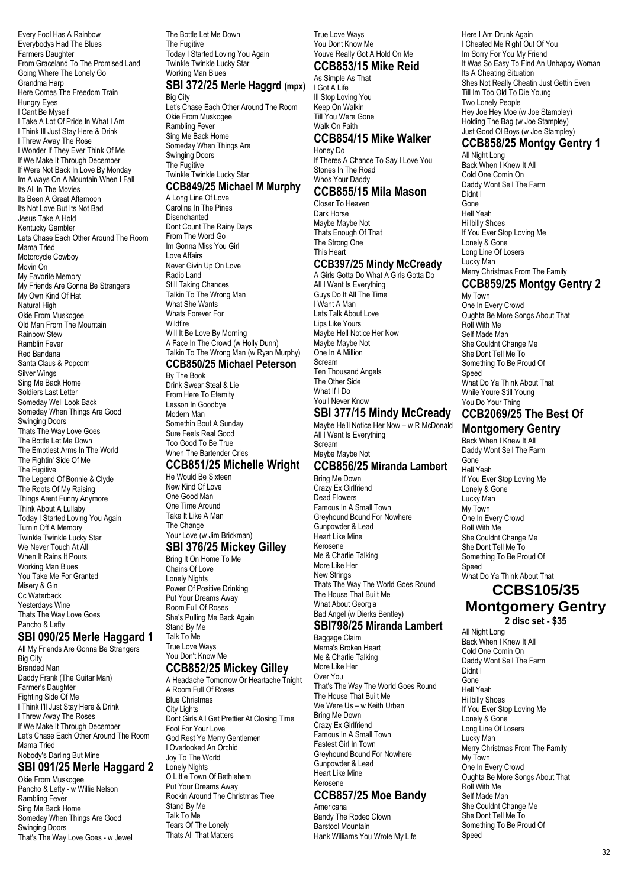Every Fool Has A Rainbow Everybodys Had The Blues Farmers Daughter From Graceland To The Promised Land Going Where The Lonely Go Grandma Harp Here Comes The Freedom Train Hungry Eyes I Cant Be Myself I Take A Lot Of Pride In What I Am I Think Ill Just Stay Here & Drink I Threw Away The Rose I Wonder If They Ever Think Of Me If We Make It Through December If Were Not Back In Love By Monday Im Always On A Mountain When I Fall Its All In The Movies Its Been A Great Afternoon Its Not Love But Its Not Bad Jesus Take A Hold Kentucky Gambler Lets Chase Each Other Around The Room Mama Tried Motorcycle Cowboy Movin On My Favorite Memory My Friends Are Gonna Be Strangers My Own Kind Of Hat Natural High Okie From Muskogee Old Man From The Mountain Rainbow Stew Ramblin Fever Red Bandana Santa Claus & Popcorn Silver Wings Sing Me Back Home Soldiers Last Letter Someday Well Look Back Someday When Things Are Good Swinging Doors Thats The Way Love Goes The Bottle Let Me Down The Emptiest Arms In The World The Fightin' Side Of Me The Fugitive The Legend Of Bonnie & Clyde The Roots Of My Raising Things Arent Funny Anymore Think About A Lullaby Today I Started Loving You Again Turnin Off A Memory Twinkle Twinkle Lucky Star We Never Touch At All When It Rains It Pours Working Man Blues You Take Me For Granted Misery & Gin Cc Waterback Yesterdays Wine Thats The Way Love Goes Pancho & Lefty

### **SBI 090/25 Merle Haggard 1**

All My Friends Are Gonna Be Strangers Big City Branded Man Daddy Frank (The Guitar Man) Farmer's Daughter Fighting Side Of Me I Think I'll Just Stay Here & Drink I Threw Away The Roses If We Make It Through December Let's Chase Each Other Around The Room Mama Tried Nobody's Darling But Mine

### **SBI 091/25 Merle Haggard 2**

Okie From Muskogee Pancho & Lefty - w Willie Nelson Rambling Fever Sing Me Back Home Someday When Things Are Good Swinging Doors That's The Way Love Goes - w Jewel The Bottle Let Me Down The Fugitive Today I Started Loving You Again Twinkle Twinkle Lucky Star Working Man Blues

### **SBI 372/25 Merle Haggrd (mpx)**

Big City Let's Chase Each Other Around The Room Okie From Muskogee Rambling Fever Sing Me Back Home Someday When Things Are Swinging Doors The Fugitive Twinkle Twinkle Lucky Star

### **CCB849/25 Michael M Murphy**

A Long Line Of Love Carolina In The Pines Disenchanted Dont Count The Rainy Days From The Word Go Im Gonna Miss You Girl Love Affairs Never Givin Up On Love Radio Land Still Taking Chances Talkin To The Wrong Man What She Wants Whats Forever For **Wildfire** Will It Be Love By Morning A Face In The Crowd (w Holly Dunn) Talkin To The Wrong Man (w Ryan Murphy)

# **CCB850/25 Michael Peterson**

By The Book Drink Swear Steal & Lie From Here To Eternity Lesson In Goodbye Modern Man Somethin Bout A Sunday Sure Feels Real Good Too Good To Be True When The Bartender Cries

## **CCB851/25 Michelle Wright**

He Would Be Sixteen New Kind Of Love One Good Man One Time Around Take It Like A Man The Change Your Love (w Jim Brickman)

### **SBI 376/25 Mickey Gilley**

Bring It On Home To Me Chains Of Love Lonely Nights Power Of Positive Drinking Put Your Dreams Away Room Full Of Roses She's Pulling Me Back Again Stand By Me Talk To Me True Love Ways You Don't Know Me

### **CCB852/25 Mickey Gilley**

A Headache Tomorrow Or Heartache Tnight A Room Full Of Roses Blue Christmas City Lights Dont Girls All Get Prettier At Closing Time Fool For Your Love God Rest Ye Merry Gentlemen I Overlooked An Orchid Joy To The World Lonely Nights O Little Town Of Bethlehem Put Your Dreams Away Rockin Around The Christmas Tree Stand By Me Talk To Me Tears Of The Lonely Thats All That Matters

True Love Ways You Dont Know Me Youve Really Got A Hold On Me **CCB853/15 Mike Reid**

# As Simple As That

I Got A Life Ill Stop Loving You Keep On Walkin Till You Were Gone Walk On Faith

#### **CCB854/15 Mike Walker**

Honey Do If Theres A Chance To Say I Love You Stones In The Road Whos Your Daddy **CCB855/15 Mila Mason**

Closer To Heaven Dark Horse Maybe Maybe Not Thats Enough Of That The Strong One This Heart

### **CCB397/25 Mindy McCready**

A Girls Gotta Do What A Girls Gotta Do All I Want Is Everything Guys Do It All The Time I Want A Man Lets Talk About Love Lips Like Yours Maybe Hell Notice Her Now Maybe Maybe Not One In A Million Scream Ten Thousand Angels The Other Side What If I Do Youll Never Know

### **SBI 377/15 Mindy McCready**

Maybe He'll Notice Her Now – w R McDonald All I Want Is Everything Scream Maybe Maybe Not **CCB856/25 Miranda Lambert**

Bring Me Down Crazy Ex Girlfriend Dead Flowers Famous In A Small Town Greyhound Bound For Nowhere Gunpowder & Lead Heart Like Mine Kerosene Me & Charlie Talking More Like Her New Strings Thats The Way The World Goes Round The House That Built Me What About Georgia Bad Angel (w Dierks Bentley)

### **SBI798/25 Miranda Lambert**

Baggage Claim Mama's Broken Heart Me & Charlie Talking More Like Her Over You That's The Way The World Goes Round The House That Built Me We Were Us – w Keith Urban Bring Me Down Crazy Ex Girlfriend Famous In A Small Town Fastest Girl In Town Greyhound Bound For Nowhere Gunpowder & Lead Heart Like Mine Kerosene **CCB857/25 Moe Bandy**

### Americana

Bandy The Rodeo Clown Barstool Mountain Hank Williams You Wrote My Life Here I Am Drunk Again I Cheated Me Right Out Of You Im Sorry For You My Friend It Was So Easy To Find An Unhappy Woman Its A Cheating Situation Shes Not Really Cheatin Just Gettin Even Till Im Too Old To Die Young Two Lonely People Hey Joe Hey Moe (w Joe Stampley) Holding The Bag (w Joe Stampley) Just Good Ol Boys (w Joe Stampley)

### **CCB858/25 Montgy Gentry 1**

All Night Long Back When I Knew It All Cold One Comin On Daddy Wont Sell The Farm Didnt I Gone Hell Yeah Hillbilly Shoes If You Ever Stop Loving Me Lonely & Gone Long Line Of Losers Lucky Man Merry Christmas From The Family **CCB859/25 Montgy Gentry 2** My Town

One In Every Crowd Oughta Be More Songs About That Roll With Me Self Made Man She Couldnt Change Me She Dont Tell Me To Something To Be Proud Of Speed What Do Ya Think About That While Youre Still Young You Do Your Thing

### **CCB2069/25 The Best Of Montgomery Gentry**

Back When I Knew It All Daddy Wont Sell The Farm Gone Hell Yeah If You Ever Stop Loving Me Lonely & Gone Lucky Man My Town One In Every Crowd Roll With Me She Couldnt Change Me She Dont Tell Me To Something To Be Proud Of **Speed** What Do Ya Think About That **CCBS105/35**

# **Montgomery Gentry**

**2 disc set - \$35**

All Night Long Back When I Knew It All Cold One Comin On Daddy Wont Sell The Farm Didnt I Gone Hell Yeah Hillbilly Shoes If You Ever Stop Loving Me Lonely & Gone Long Line Of Losers Lucky Man Merry Christmas From The Family My Town One In Every Crowd Oughta Be More Songs About That Roll With Me Self Made Man She Couldnt Change Me She Dont Tell Me To Something To Be Proud Of Speed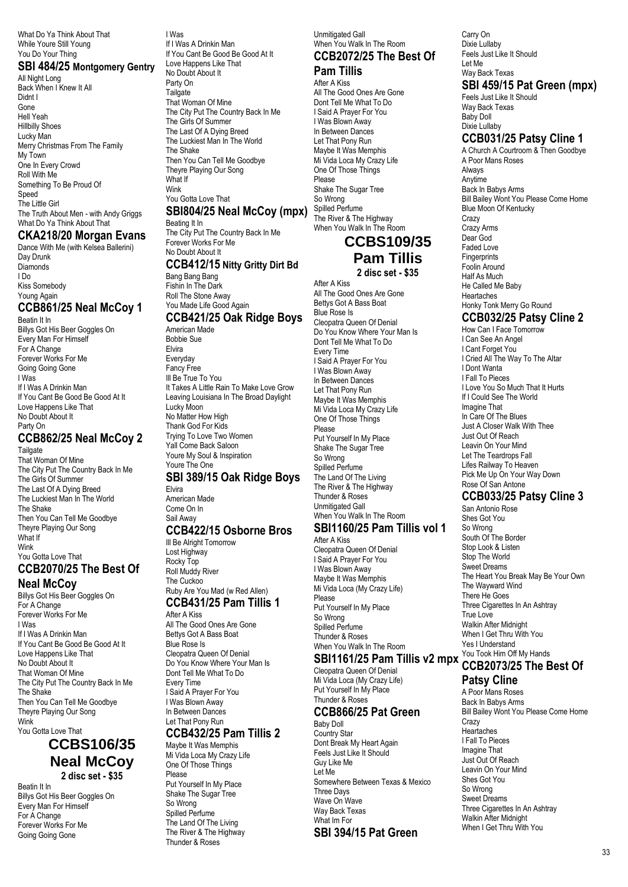What Do Ya Think About That While Youre Still Young You Do Your Thing

### **SBI 484/25 Montgomery Gentry**

All Night Long Back When I Knew It All Didnt I Gone Hell Yeah Hillbilly Shoes Lucky Man Merry Christmas From The Family My Town One In Every Crowd Roll With Me Something To Be Proud Of Speed The Little Girl The Truth About Men - with Andy Griggs What Do Ya Think About That

### **CKA218/20 Morgan Evans**

Dance With Me (with Kelsea Ballerini) Day Drunk Diamonds I Do Kiss Somebody Young Again

### **CCB861/25 Neal McCoy 1**

Beatin It In Bod.... .. ...<br>Billys Got His Beer Goggles On Every Man For Himself For A Change Forever Works For Me Going Going Gone I Was If I Was A Drinkin Man If You Cant Be Good Be Good At It Love Happens Like That No Doubt About It Party On

### **CCB862/25 Neal McCoy 2**

**Tailgate** That Woman Of Mine The City Put The Country Back In Me The Girls Of Summer The Last Of A Dying Breed The Luckiest Man In The World The Shake Then You Can Tell Me Goodbye Theyre Playing Our Song What If Wink You Gotta Love That **CCB2070/25 The Best Of**

# **Neal McCoy**

Billys Got His Beer Goggles On For A Change Forever Works For Me I Was If I Was A Drinkin Man If You Cant Be Good Be Good At It Love Happens Like That No Doubt About It That Woman Of Mine The City Put The Country Back In Me The Shake Then You Can Tell Me Goodbye Theyre Playing Our Song Wink You Gotta Love That

### **CCBS106/35 Neal McCoy 2 disc set - \$35**

Beatin It In Billys Got His Beer Goggles On Every Man For Himself For A Change Forever Works For Me Going Going Gone

I Was If I Was A Drinkin Man If You Cant Be Good Be Good At It Love Happens Like That No Doubt About It Party On Tailgate That Woman Of Mine The City Put The Country Back In Me The Girls Of Summer The Last Of A Dying Breed The Luckiest Man In The World The Shake Then You Can Tell Me Goodbye Theyre Playing Our Song What If Wink

### You Gotta Love That **SBI804/25 Neal McCoy (mpx)**

Beating It In The City Put The Country Back In Me Forever Works For Me No Doubt About It **CCB412/15 Nitty Gritty Dirt Bd**

Bang Bang Bang Fishin In The Dark Roll The Stone Away You Made Life Good Again

#### **CCB421/25 Oak Ridge Boys** American Made

Bobbie Sue Elvira Everyday Fancy Free Ill Be True To You It Takes A Little Rain To Make Love Grow Leaving Louisiana In The Broad Daylight Lucky Moon No Matter How High Thank God For Kids Trying To Love Two Women Yall Come Back Saloon Youre My Soul & Inspiration Youre The One

### **SBI 389/15 Oak Ridge Boys**

Elvira American Made Come On In Sail Away

#### **CCB422/15 Osborne Bros**

Ill Be Alright Tomorrow Lost Highway Rocky Top Roll Muddy River The Cuckoo Ruby Are You Mad (w Red Allen) **CCB431/25 Pam Tillis 1** After A Kiss All The Good Ones Are Gone Bettys Got A Bass Boat Blue Rose Is

Cleopatra Queen Of Denial Do You Know Where Your Man Is Dont Tell Me What To Do Every Time I Said A Prayer For You I Was Blown Away In Between Dances Let That Pony Run

#### **CCB432/25 Pam Tillis 2** Maybe It Was Memphis

Mi Vida Loca My Crazy Life One Of Those Things Please Put Yourself In My Place Shake The Sugar Tree So Wrong Spilled Perfume The Land Of The Living The River & The Highway Thunder & Roses

Unmitigated Gall When You Walk In The Room

#### **CCB2072/25 The Best Of Pam Tillis**

### After A Kiss

All The Good Ones Are Gone Dont Tell Me What To Do I Said A Prayer For You I Was Blown Away In Between Dances Let That Pony Run Maybe It Was Memphis Mi Vida Loca My Crazy Life One Of Those Things Please Shake The Sugar Tree So Wrong Spilled Perfume The River & The Highway When You Walk In The Room

### **CCBS109/35 Pam Tillis 2 disc set - \$35**

After A Kiss All The Good Ones Are Gone Bettys Got A Bass Boat Blue Rose Is Cleopatra Queen Of Denial Do You Know Where Your Man Is Dont Tell Me What To Do Every Time I Said A Prayer For You I Was Blown Away In Between Dances Let That Pony Run Maybe It Was Memphis Mi Vida Loca My Crazy Life One Of Those Things Please Put Yourself In My Place Shake The Sugar Tree So Wrong Spilled Perfume The Land Of The Living The River & The Highway Thunder & Roses Unmitigated Gall When You Walk In The Room

# **SBI1160/25 Pam Tillis vol 1**

After A Kiss Cleopatra Queen Of Denial I Said A Prayer For You I Was Blown Away Maybe It Was Memphis Mi Vida Loca (My Crazy Life) Please Put Yourself In My Place So Wrong Spilled Perfume Thunder & Roses When You Walk In The Room

### **SBI1161/25 Pam Tillis v2 mpx**

Cleopatra Queen Of Denial Mi Vida Loca (My Crazy Life) Put Yourself In My Place Thunder & Roses

#### **CCB866/25 Pat Green**

Baby Doll Country Star Dont Break My Heart Again Feels Just Like It Should Guy Like Me Let Me Somewhere Between Texas & Mexico Three Days Wave On Wave Way Back Texas What Im For

**SBI 394/15 Pat Green**

Carry On Dixie Lullaby Feels Just Like It Should Let Me Way Back Texas

### **SBI 459/15 Pat Green (mpx)**

Feels Just Like It Should Way Back Texas Baby Doll Dixie Lullaby

### **CCB031/25 Patsy Cline 1**

A Church A Courtroom & Then Goodbye A Poor Mans Roses Always Anytime Back In Babys Arms Bill Bailey Wont You Please Come Home Blue Moon Of Kentucky **Crazy** Crazy Arms Dear God Faded Love **Fingerprints** Foolin Around Half As Much He Called Me Baby Heartaches Honky Tonk Merry Go Round **CCB032/25 Patsy Cline 2**

How Can I Face Tomorrow I Can See An Angel I Cant Forget You I Cried All The Way To The Altar I Dont Wanta I Fall To Pieces I Love You So Much That It Hurts If I Could See The World Imagine That In Care Of The Blues Just A Closer Walk With Thee Just Out Of Reach Leavin On Your Mind Let The Teardrops Fall Lifes Railway To Heaven Pick Me Up On Your Way Down Rose Of San Antone

### **CCB033/25 Patsy Cline 3**

San Antonio Rose Shes Got You So Wrong South Of The Border Stop Look & Listen Stop The World Sweet Dreams The Heart You Break May Be Your Own The Wayward Wind There He Goes Three Cigarettes In An Ashtray True Love Walkin After Midnight When I Get Thru With You Yes I Understand You Took Him Off My Hands

### **CCB2073/25 The Best Of**

### **Patsy Cline**

A Poor Mans Roses Back In Babys Arms Bill Bailey Wont You Please Come Home **Crazy** Heartaches I Fall To Pieces Imagine That Just Out Of Reach Leavin On Your Mind Shes Got You So Wrong Sweet Dreams Three Cigarettes In An Ashtray Walkin After Midnight When I Get Thru With You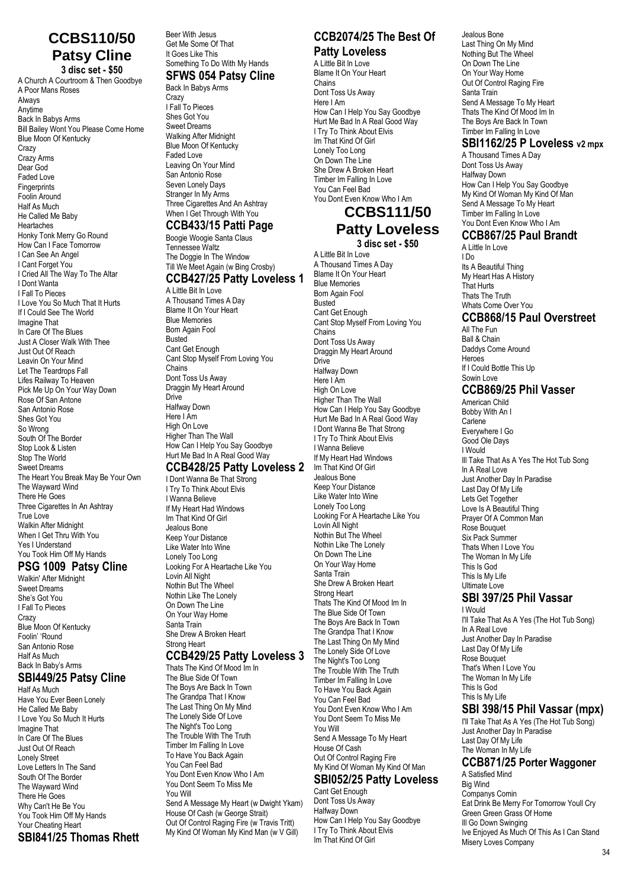### **CCBS110/50 Patsy Cline 3 disc set - \$50**

A Church A Courtroom & Then Goodbye A Poor Mans Roses Always Anytime Back In Babys Arms Bill Bailey Wont You Please Come Home Blue Moon Of Kentucky **Crazy** Crazy Arms Dear God Faded Love **Fingerprints** Foolin Around Half As Much He Called Me Baby **Heartaches** Honky Tonk Merry Go Round How Can I Face Tomorrow I Can See An Angel I Cant Forget You I Cried All The Way To The Altar I Dont Wanta I Fall To Pieces I Love You So Much That It Hurts If I Could See The World Imagine That In Care Of The Blues Just A Closer Walk With Thee Just Out Of Reach Leavin On Your Mind Let The Teardrops Fall Lifes Railway To Heaven Pick Me Up On Your Way Down Rose Of San Antone San Antonio Rose Shes Got You So Wrong South Of The Border Stop Look & Listen Stop The World Sweet Dreams The Heart You Break May Be Your Own The Wayward Wind There He Goes Three Cigarettes In An Ashtray True Love Walkin After Midnight When I Get Thru With You Yes I Understand You Took Him Off My Hands

#### **PSG 1009 Patsy Cline**

Walkin' After Midnight Sweet Dreams She's Got You I Fall To Pieces Crazy Blue Moon Of Kentucky Foolin' 'Round San Antonio Rose Half As Much Back In Baby's Arms

# **SBI449/25 Patsy Cline**

Half As Much Have You Ever Been Lonely He Called Me Baby I Love You So Much It Hurts Imagine That In Care Of The Blues Just Out Of Reach Lonely Street Love Letters In The Sand South Of The Border The Wayward Wind There He Goes Why Can't He Be You You Took Him Off My Hands Your Cheating Heart **SBI841/25 Thomas Rhett** Beer With Jesus Get Me Some Of That It Goes Like This Something To Do With My Hands

#### **SFWS 054 Patsy Cline** Back In Babys Arms

**Crazy** I Fall To Pieces Shes Got You Sweet Dreams Walking After Midnight Blue Moon Of Kentucky Faded Love Leaving On Your Mind San Antonio Rose Seven Lonely Days Stranger In My Arms Three Cigarettes And An Ashtray When I Get Through With You **CCB433/15 Patti Page**

#### Boogie Woogie Santa Claus Tennessee Waltz

The Doggie In The Window Till We Meet Again (w Bing Crosby)

### **CCB427/25 Patty Loveless 1**

A Little Bit In Love A Thousand Times A Day Blame It On Your Heart Blue Memories Born Again Fool Busted Cant Get Enough Cant Stop Myself From Loving You Chains Dont Toss Us Away Draggin My Heart Around **Drive** Halfway Down Here I Am High On Love Higher Than The Wall How Can I Help You Say Goodbye Hurt Me Bad In A Real Good Way

### **CCB428/25 Patty Loveless 2**

I Dont Wanna Be That Strong I Try To Think About Elvis I Wanna Believe If My Heart Had Windows Im That Kind Of Girl Jealous Bone Keep Your Distance Like Water Into Wine Lonely Too Long Looking For A Heartache Like You Lovin All Night Nothin But The Wheel Nothin Like The Lonely On Down The Line On Your Way Home Santa Train She Drew A Broken Heart Strong Heart

### **CCB429/25 Patty Loveless 3**

Thats The Kind Of Mood Im In The Blue Side Of Town The Boys Are Back In Town The Grandpa That I Know The Last Thing On My Mind The Lonely Side Of Love The Night's Too Long The Trouble With The Truth Timber Im Falling In Love To Have You Back Again You Can Feel Bad You Dont Even Know Who I Am You Dont Seem To Miss Me You Will Send A Message My Heart (w Dwight Ykam) House Of Cash (w George Strait)

Out Of Control Raging Fire (w Travis Tritt) My Kind Of Woman My Kind Man (w V Gill)

### **CCB2074/25 The Best Of Patty Loveless**

A Little Bit In Love

Blame It On Your Heart Chains Dont Toss Us Away Here I Am How Can I Help You Say Goodbye Hurt Me Bad In A Real Good Way I Try To Think About Elvis Im That Kind Of Girl Lonely Too Long On Down The Line She Drew A Broken Heart Timber Im Falling In Love You Can Feel Bad You Dont Even Know Who I Am

# **CCBS111/50**

#### **Patty Loveless 3 disc set - \$50**

A Little Bit In Love A Thousand Times A Day Blame It On Your Heart Blue Memories Born Again Fool Busted Cant Get Enough Cant Stop Myself From Loving You Chains Dont Toss Us Away Draggin My Heart Around **Drive** Halfway Down Here I Am High On Love Higher Than The Wall How Can I Help You Say Goodbye Hurt Me Bad In A Real Good Way I Dont Wanna Be That Strong I Try To Think About Elvis I Wanna Believe If My Heart Had Windows Im That Kind Of Girl Jealous Bone Keep Your Distance Like Water Into Wine Lonely Too Long Looking For A Heartache Like You Lovin All Night Nothin But The Wheel Nothin Like The Lonely On Down The Line On Your Way Home Santa Train She Drew A Broken Heart Strong Heart Thats The Kind Of Mood Im In The Blue Side Of Town The Boys Are Back In Town The Grandpa That I Know The Last Thing On My Mind The Lonely Side Of Love The Night's Too Long The Trouble With The Truth Timber Im Falling In Love To Have You Back Again You Can Feel Bad You Dont Even Know Who I Am You Dont Seem To Miss Me You Will Send A Message To My Heart House Of Cash Out Of Control Raging Fire My Kind Of Woman My Kind Of Man **SBI052/25 Patty Loveless** Cant Get Enough

Dont Toss Us Away Halfway Down How Can I Help You Say Goodbye I Try To Think About Elvis Im That Kind Of Girl

Jealous Bone Last Thing On My Mind Nothing But The Wheel On Down The Line On Your Way Home Out Of Control Raging Fire Santa Train Send A Message To My Heart Thats The Kind Of Mood Im In The Boys Are Back In Town Timber Im Falling In Love

### **SBI1162/25 P Loveless v2 mpx**

A Thousand Times A Day Dont Toss Us Away Halfway Down How Can I Help You Say Goodbye My Kind Of Woman My Kind Of Man Send A Message To My Heart Timber Im Falling In Love You Dont Even Know Who I Am

### **CCB867/25 Paul Brandt**

A Little In Love I Do Its A Beautiful Thing My Heart Has A History That Hurts Thats The Truth Whats Come Over You

### **CCB868/15 Paul Overstreet**

All The Fun Ball & Chain Daddys Come Around Heroes If I Could Bottle This Up Sowin Love

### **CCB869/25 Phil Vasser**

American Child Bobby With An I Carlene Everywhere I Go Good Ole Days I Would Ill Take That As A Yes The Hot Tub Song In A Real Love Just Another Day In Paradise Last Day Of My Life Lets Get Together Love Is A Beautiful Thing Prayer Of A Common Man Rose Bouquet Six Pack Summer Thats When I Love You The Woman In My Life This Is God This Is My Life Ultimate Love

#### **SBI 397/25 Phil Vassar** I Would

I'll Take That As A Yes (The Hot Tub Song) In A Real Love Just Another Day In Paradise Last Day Of My Life Rose Bouquet That's When I Love You The Woman In My Life This Is God This Is My Life **SBI 398/15 Phil Vassar (mpx)** I'll Take That As A Yes (The Hot Tub Song) Just Another Day In Paradise

Last Day Of My Life The Woman In My Life

## **CCB871/25 Porter Waggoner**

A Satisfied Mind Big Wind Companys Comin Eat Drink Be Merry For Tomorrow Youll Cry Green Green Grass Of Home Ill Go Down Swinging Ive Enjoyed As Much Of This As I Can Stand Misery Loves Company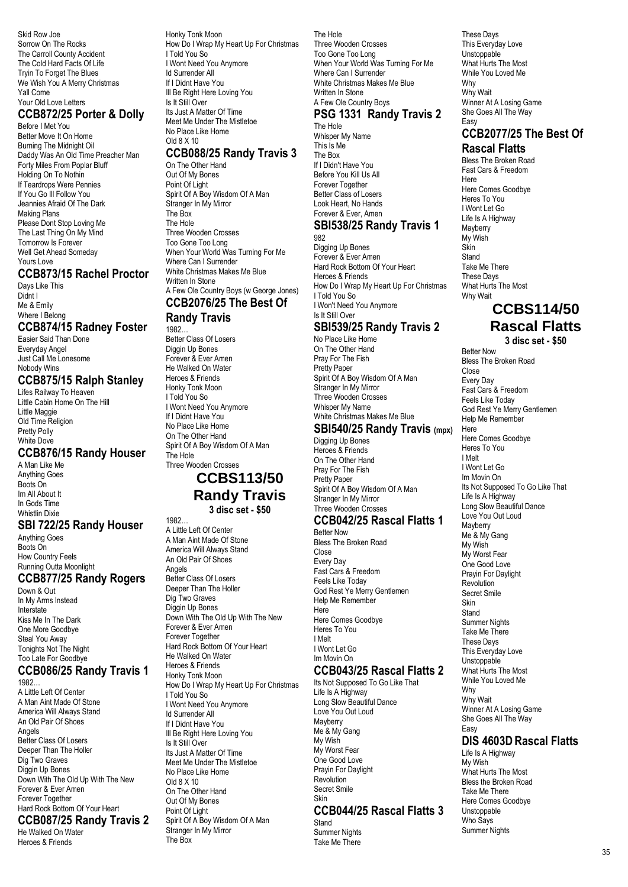Skid Row Joe Sorrow On The Rocks The Carroll County Accident The Cold Hard Facts Of Life Tryin To Forget The Blues We Wish You A Merry Christmas Yall Come Your Old Love Letters

### **CCB872/25 Porter & Dolly**

Before I Met You Better Move It On Home Burning The Midnight Oil Daddy Was An Old Time Preacher Man Forty Miles From Poplar Bluff Holding On To Nothin If Teardrops Were Pennies If You Go Ill Follow You Jeannies Afraid Of The Dark Making Plans Please Dont Stop Loving Me The Last Thing On My Mind Tomorrow Is Forever Well Get Ahead Someday Yours Love

### **CCB873/15 Rachel Proctor**

Days Like This Didnt I Me & Emily Where I Belong

## **CCB874/15 Radney Foster**

Easier Said Than Done Everyday Angel Just Call Me Lonesome Nobody Wins

### **CCB875/15 Ralph Stanley**

Lifes Railway To Heaven Little Cabin Home On The Hill Little Maggie Old Time Religion Pretty Polly White Dove

### **CCB876/15 Randy Houser**

A Man Like Me Anything Goes Boots On Im All About It In Gods Time Whistlin Dixie

### **SBI 722/25 Randy Houser**

Anything Goes Boots On How Country Feels Running Outta Moonlight

### **CCB877/25 Randy Rogers**

Down & Out In My Arms Instead Interstate Kiss Me In The Dark One More Goodbye Steal You Away Tonights Not The Night Too Late For Goodbye

#### **CCB086/25 Randy Travis 1** 1982…

A Little Left Of Center A Man Aint Made Of Stone America Will Always Stand An Old Pair Of Shoes Angels Better Class Of Losers Deeper Than The Holler Dig Two Graves Diggin Up Bones Down With The Old Up With The New Forever & Ever Amen Forever Together Hard Rock Bottom Of Your Heart **CCB087/25 Randy Travis 2**

# He Walked On Water

Heroes & Friends

Honky Tonk Moon How Do I Wrap My Heart Up For Christmas I Told You So I Wont Need You Anymore Id Surrender All If I Didnt Have You Ill Be Right Here Loving You Is It Still Over Its Just A Matter Of Time Meet Me Under The Mistletoe

No Place Like Home Old 8 X 10

### **CCB088/25 Randy Travis 3**

On The Other Hand Out Of My Bones Point Of Light Spirit Of A Boy Wisdom Of A Man Stranger In My Mirror The Box The Hole Three Wooden Crosses Too Gone Too Long When Your World Was Turning For Me Where Can I Surrender White Christmas Makes Me Blue Written In Stone A Few Ole Country Boys (w George Jones) **CCB2076/25 The Best Of**

#### **Randy Travis** 1982…

Better Class Of Losers Diggin Up Bones Forever & Ever Amen He Walked On Water Heroes & Friends Honky Tonk Moon I Told You So I Wont Need You Anymore If I Didnt Have You No Place Like Home On The Other Hand Spirit Of A Boy Wisdom Of A Man The Hole Three Wooden Crosses

### **CCBS113/50 Randy Travis 3 disc set - \$50**

1982… A Little Left Of Center A Man Aint Made Of Stone America Will Always Stand An Old Pair Of Shoes Angels Better Class Of Losers Deeper Than The Holler Dig Two Graves Diggin Up Bones Down With The Old Up With The New Forever & Ever Amen Forever Together Hard Rock Bottom Of Your Heart He Walked On Water Heroes & Friends Honky Tonk Moon How Do I Wrap My Heart Up For Christmas I Told You So I Wont Need You Anymore Id Surrender All If I Didnt Have You Ill Be Right Here Loving You Is It Still Over Its Just A Matter Of Time Meet Me Under The Mistletoe No Place Like Home Old 8 X 10 On The Other Hand Out Of My Bones Point Of Light Spirit Of A Boy Wisdom Of A Man Stranger In My Mirror The Box

The Hole Three Wooden Crosses Too Gone Too Long When Your World Was Turning For Me Where Can I Surrender White Christmas Makes Me Blue Written In Stone A Few Ole Country Boys

#### **PSG 1331 Randy Travis 2** The Hole

Whisper My Name This Is Me The Box If I Didn't Have You Before You Kill Us All Forever Together Better Class of Losers Look Heart, No Hands Forever & Ever, Amen

#### **SBI538/25 Randy Travis 1** 982

Digging Up Bones Forever & Ever Amen Hard Rock Bottom Of Your Heart Heroes & Friends How Do I Wrap My Heart Up For Christmas I Told You So I Won't Need You Anymore Is It Still Over **SBI539/25 Randy Travis 2**

No Place Like Home On The Other Hand Pray For The Fish Pretty Paper Spirit Of A Boy Wisdom Of A Man Stranger In My Mirror Three Wooden Crosses Whisper My Name White Christmas Makes Me Blue

### **SBI540/25 Randy Travis (mpx)**

Digging Up Bones Heroes & Friends On The Other Hand Pray For The Fish Pretty Paper Spirit Of A Boy Wisdom Of A Man Stranger In My Mirror Three Wooden Crosses

#### **CCB042/25 Rascal Flatts 1** Better Now

Bless The Broken Road Close Every Day Fast Cars & Freedom Feels Like Today God Rest Ye Merry Gentlemen Help Me Remember Here Here Comes Goodbye Heres To You I Melt I Wont Let Go Im Movin On

### **CCB043/25 Rascal Flatts 2**

Its Not Supposed To Go Like That Life Is A Highway Long Slow Beautiful Dance Love You Out Loud Mayberry Me & My Gang My Wish My Worst Fear One Good Love Prayin For Daylight Revolution Secret Smile Skin

### **CCB044/25 Rascal Flatts 3**

Stand Summer Nights Take Me There

These Days This Everyday Love Unstoppable What Hurts The Most While You Loved Me Why Why Wait Winner At A Losing Game She Goes All The Way Easy

#### **CCB2077/25 The Best Of Rascal Flatts**

Bless The Broken Road Fast Cars & Freedom Here Here Comes Goodbye Heres To You I Wont Let Go Life Is A Highway **Mayberry** My Wish Skin Stand Take Me There These Days What Hurts The Most Why Wait

# **CCBS114/50 Rascal Flatts**

**3 disc set - \$50**

Better Now Bless The Broken Road Close Every Day Fast Cars & Freedom Feels Like Today God Rest Ye Merry Gentlemen Help Me Remember **Here** Here Comes Goodbye Heres To You I Melt I Wont Let Go Im Movin On Its Not Supposed To Go Like That Life Is A Highway Long Slow Beautiful Dance Love You Out Loud **Mayberry** Me & My Gang My Wish My Worst Fear One Good Love Prayin For Daylight Revolution Secret Smile Skin Stand Summer Nights Take Me There These Days This Everyday Love Unstoppable What Hurts The Most While You Loved Me Why Why Wait Winner At A Losing Game She Goes All The Way **Easy DIS 4603DRascal Flatts** Life Is A Highway My Wish What Hurts The Most Bless the Broken Road Take Me There Here Comes Goodbye Unstoppable

Who Says Summer Nights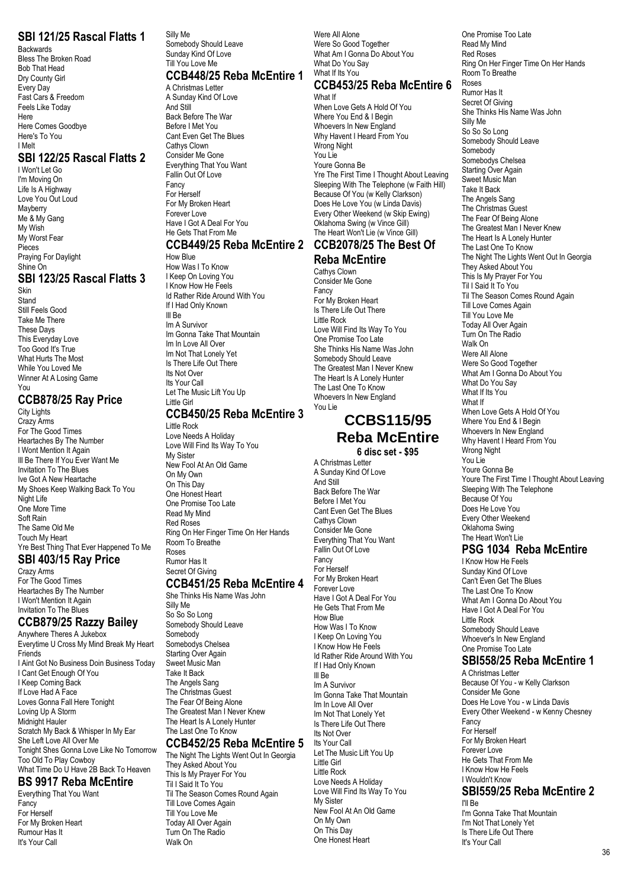### **SBI 121/25 Rascal Flatts 1**

Backwards Bless The Broken Road Bob That Head Dry County Girl Every Day Fast Cars & Freedom Feels Like Today Here Here Comes Goodbye Here's To You I Melt

### **SBI 122/25 Rascal Flatts 2**

I Won't Let Go I'm Moving On Life Is A Highway Love You Out Loud Mayberry Me & My Gang My Wish My Worst Fear Pieces Praying For Daylight Shine On

### **SBI 123/25 Rascal Flatts 3**

Skin Stand Still Feels Good Take Me There These Days This Everyday Love Too Good It's True What Hurts The Most While You Loved Me Winner At A Losing Game You

### **CCB878/25 Ray Price**

City Lights Crazy Arms For The Good Times Heartaches By The Number I Wont Mention It Again Ill Be There If You Ever Want Me Invitation To The Blues Ive Got A New Heartache My Shoes Keep Walking Back To You Night Life One More Time Soft Rain The Same Old Me Touch My Heart Yre Best Thing That Ever Happened To Me

### **SBI 403/15 Ray Price**

Crazy Arms For The Good Times Heartaches By The Number I Won't Mention It Again Invitation To The Blues

### **CCB879/25 Razzy Bailey**

Anywhere Theres A Jukebox Everytime U Cross My Mind Break My Heart **Friends** I Aint Got No Business Doin Business Today I Cant Get Enough Of You I Keep Coming Back If Love Had A Face Loves Gonna Fall Here Tonight Loving Up A Storm Midnight Hauler Scratch My Back & Whisper In My Ear She Left Love All Over Me Tonight Shes Gonna Love Like No Tomorrow Too Old To Play Cowboy What Time Do U Have 2B Back To Heaven

### **BS 9917 Reba McEntire**

Everything That You Want Fancy For Herself For My Broken Heart Rumour Has It It's Your Call

Silly Me Somebody Should Leave Sunday Kind Of Love Till You Love Me **CCB448/25 Reba McEntire 1**

# A Christmas Letter

A Sunday Kind Of Love And Still Back Before The War Before I Met You Cant Even Get The Blues Cathys Clown Consider Me Gone Everything That You Want Fallin Out Of Love Fancy For Herself For My Broken Heart Forever Love Have I Got A Deal For You He Gets That From Me

#### **CCB449/25 Reba McEntire 2 CCB2078/25 The Best Of** How Blue

How Was I To Know I Keep On Loving You I Know How He Feels Id Rather Ride Around With You If I Had Only Known Ill Be Im A Survivor Im Gonna Take That Mountain Im In Love All Over Im Not That Lonely Yet Is There Life Out There Its Not Over Its Your Call Let The Music Lift You Up Little Girl

### **CCB450/25 Reba McEntire 3**

Little Rock Love Needs A Holiday Love Will Find Its Way To You My Sister New Fool At An Old Game On My Own On This Day One Honest Heart One Promise Too Late Read My Mind Red Roses Ring On Her Finger Time On Her Hands Room To Breathe Roses Rumor Has It Secret Of Giving

### **CCB451/25 Reba McEntire 4**

She Thinks His Name Was John Silly Me So So So Long Somebody Should Leave Somebody Somebodys Chelsea Starting Over Again Sweet Music Man Take It Back The Angels Sang The Christmas Guest The Fear Of Being Alone The Greatest Man I Never Knew The Heart Is A Lonely Hunter The Last One To Know

### **CCB452/25 Reba McEntire 5**

The Night The Lights Went Out In Georgia They Asked About You This Is My Prayer For You Til I Said It To You Til The Season Comes Round Again Till Love Comes Again Till You Love Me Today All Over Again Turn On The Radio Walk On

Were All Alone Were So Good Together What Am I Gonna Do About You What Do You Say What If Its You

#### **CCB453/25 Reba McEntire 6** What If

When Love Gets A Hold Of You Where You End & I Begin Whoevers In New England Why Havent I Heard From You Wrong Night You Lie Youre Gonna Be Yre The First Time I Thought About Leaving Sleeping With The Telephone (w Faith Hill) Because Of You (w Kelly Clarkson) Does He Love You (w Linda Davis) Every Other Weekend (w Skip Ewing) Oklahoma Swing (w Vince Gill) The Heart Won't Lie (w Vince Gill)

# **Reba McEntire**

Cathys Clown Consider Me Gone Fancy For My Broken Heart Is There Life Out There Little Rock Love Will Find Its Way To You One Promise Too Late She Thinks His Name Was John Somebody Should Leave The Greatest Man I Never Knew The Heart Is A Lonely Hunter The Last One To Know Whoevers In New England You Lie

# **CCBS115/95 Reba McEntire**

**6 disc set - \$95**

A Christmas Letter

A Sunday Kind Of Love And Still Back Before The War Before I Met You Cant Even Get The Blues Cathys Clown Consider Me Gone Everything That You Want Fallin Out Of Love Fancy For Herself For My Broken Heart Forever Love Have I Got A Deal For You He Gets That From Me How Blue How Was I To Know I Keep On Loving You I Know How He Feels Id Rather Ride Around With You If I Had Only Known Ill Be Im A Survivor Im Gonna Take That Mountain Im In Love All Over Im Not That Lonely Yet Is There Life Out There Its Not Over Its Your Call Let The Music Lift You Up Little Girl Little Rock Love Needs A Holiday Love Will Find Its Way To You My Sister New Fool At An Old Game On My Own On This Day One Honest Heart

One Promise Too Late Read My Mind Red Roses Ring On Her Finger Time On Her Hands Room To Breathe Roses Rumor Has It Secret Of Giving She Thinks His Name Was John Silly Me So So So Long Somebody Should Leave Somebody Somebodys Chelsea Starting Over Again Sweet Music Man Take It Back The Angels Sang The Christmas Guest The Fear Of Being Alone The Greatest Man I Never Knew The Heart Is A Lonely Hunter The Last One To Know The Night The Lights Went Out In Georgia They Asked About You This Is My Prayer For You Til I Said It To You Til The Season Comes Round Again Till Love Comes Again Till You Love Me Today All Over Again Turn On The Radio Walk On Were All Alone Were So Good Together What Am I Gonna Do About You What Do You Say What If Its You What If When Love Gets A Hold Of You Where You End & I Begin Whoevers In New England Why Havent I Heard From You Wrong Night You Lie Youre Gonna Be Youre The First Time I Thought About Leaving Sleeping With The Telephone Because Of You Does He Love You Every Other Weekend Oklahoma Swing The Heart Won't Lie

### **PSG 1034 Reba McEntire**

I Know How He Feels Sunday Kind Of Love Can't Even Get The Blues The Last One To Know What Am I Gonna Do About You Have I Got A Deal For You Little Rock Somebody Should Leave Whoever's In New England One Promise Too Late

### **SBI558/25 Reba McEntire 1**

A Christmas Letter Because Of You - w Kelly Clarkson Consider Me Gone Does He Love You - w Linda Davis Every Other Weekend - w Kenny Chesney Fancy For Herself For My Broken Heart Forever Love He Gets That From Me I Know How He Feels I Wouldn't Know **SBI559/25 Reba McEntire 2**

I'll Be I'm Gonna Take That Mountain I'm Not That Lonely Yet Is There Life Out There It's Your Call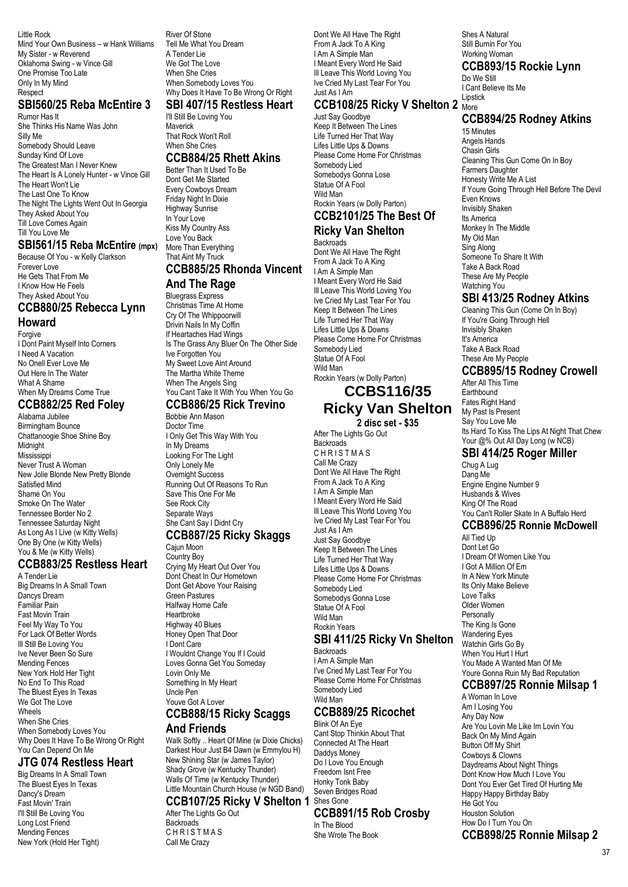Little Rock Mind Your Own Business – w Hank Williams My Sister - w Reverend Oklahoma Swing - w Vince Gill One Promise Too Late Only In My Mind Respect

### **SBI560/25 Reba McEntire 3**

Rumor Has It She Thinks His Name Was John Silly Me Somebody Should Leave Sunday Kind Of Love The Greatest Man I Never Knew The Heart Is A Lonely Hunter - w Vince Gill The Heart Won't Lie The Last One To Know The Night The Lights Went Out In Georgia They Asked About You Till Love Comes Again Till You Love Me

#### **SBI561/15 Reba McEntire (mpx)**

Because Of You - w Kelly Clarkson Forever Love He Gets That From Me I Know How He Feels They Asked About You

# **CCB880/25 Rebecca Lynn**

**Howard**

Forgive I Dont Paint Myself Into Corners I Need A Vacation No Onell Ever Love Me Out Here In The Water What A Shame When My Dreams Come True

### **CCB882/25 Red Foley**

Alabama Jubilee Birmingham Bounce Chattanoogie Shoe Shine Boy Midnight **Mississipp** Never Trust A Woman New Jolie Blonde New Pretty Blonde Satisfied Mind Shame On You Smoke On The Water Tennessee Border No 2 Tennessee Saturday Night As Long As I Live (w Kitty Wells) One By One (w Kitty Wells) You & Me (w Kitty Wells)

### **CCB883/25 Restless Heart**

A Tender Lie Big Dreams In A Small Town Dancys Dream Familiar Pain Fast Movin Train Feel My Way To You For Lack Of Better Words Ill Still Be Loving You Ive Never Been So Sure Mending Fences New York Hold Her Tight No End To This Road The Bluest Eyes In Texas We Got The Love Wheels When She Cries When Somebody Loves You Why Does It Have To Be Wrong Or Right You Can Depend On Me

#### **JTG 074 Restless Heart**

Big Dreams In A Small Town The Bluest Eyes In Texas Dancy's Dream Fast Movin' Train I'll Still Be Loving You Long Lost Friend Mending Fences New York (Hold Her Tight)

River Of Stone Tell Me What You Dream A Tender Lie We Got The Love When She Cries When Somebody Loves You Why Does It Have To Be Wrong Or Right **SBI 407/15 Restless Heart**

# I'll Still Be Loving You

**Maverick** That Rock Won't Roll When She Cries **CCB884/25 Rhett Akins**

### Better Than It Used To Be

Dont Get Me Started Every Cowboys Dream Friday Night In Dixie Highway Sunrise In Your Love Kiss My Country Ass Love You Back More Than Everything That Aint My Truck **CCB885/25 Rhonda Vincent**

### **And The Rage**

Bluegrass Express Christmas Time At Home Cry Of The Whippoorwill Drivin Nails In My Coffin If Heartaches Had Wings Is The Grass Any Bluer On The Other Side Ive Forgotten You My Sweet Love Aint Around The Martha White Theme When The Angels Sing You Cant Take It With You When You Go

#### **CCB886/25 Rick Trevino** Bobbie Ann Mason

Doctor Time I Only Get This Way With You In My Dreams Looking For The Light Only Lonely Me Overnight Success Running Out Of Reasons To Run Save This One For Me See Rock City Separate Ways She Cant Say I Didnt Cry

#### **CCB887/25 Ricky Skaggs** Cajun Moon

Country Boy Crying My Heart Out Over You Dont Cheat In Our Hometown Dont Get Above Your Raising Green Pastures Halfway Home Cafe Heartbroke Highway 40 Blues Honey Open That Door I Dont Care I Wouldnt Change You If I Could Loves Gonna Get You Someday Lovin Only Me Something In My Heart Uncle Pen Youve Got A Lover

# **CCB888/15 Ricky Scaggs**

### **And Friends**

Walk Softly .. Heart Of Mine (w Dixie Chicks) Darkest Hour Just B4 Dawn (w Emmylou H) New Shining Star (w James Taylor) Shady Grove (w Kentucky Thunder) Walls Of Time (w Kentucky Thunder) Little Mountain Church House (w NGD Band)

#### **CCB107/25 Ricky V Shelton 1** Shes Gone After The Lights Go Out

**Backroads** CHRISTMAS Call Me Crazy

Dont We All Have The Right From A Jack To A King I Am A Simple Man I Meant Every Word He Said Ill Leave This World Loving You Ive Cried My Last Tear For You Just As I Am

### **CCB108/25 Ricky V Shelton 2** More

Just Say Goodbye Keep It Between The Lines Life Turned Her That Way Lifes Little Ups & Downs Please Come Home For Christmas Somebody Lied Somebodys Gonna Lose Statue Of A Fool Wild Man Rockin Years (w Dolly Parton)

#### **CCB2101/25 The Best Of Ricky Van Shelton**

**Backroads** Dont We All Have The Right From A Jack To A King I Am A Simple Man I Meant Every Word He Said Ill Leave This World Loving You Ive Cried My Last Tear For You Keep It Between The Lines Life Turned Her That Way Lifes Little Ups & Downs Please Come Home For Christmas Somebody Lied Statue Of A Fool Wild Man Rockin Years (w Dolly Parton)

### **CCBS116/35 Ricky Van Shelton 2 disc set - \$35**

After The Lights Go Out Backroads **CHRISTMAS** Call Me Crazy Dont We All Have The Right From A Jack To A King I Am A Simple Man I Meant Every Word He Said Ill Leave This World Loving You Ive Cried My Last Tear For You Just As I Am Just Say Goodbye Keep It Between The Lines Life Turned Her That Way Lifes Little Ups & Downs Please Come Home For Christmas Somebody Lied Somebodys Gonna Lose Statue Of A Fool Wild Man Rockin Years **SBI 411/25 Ricky Vn Shelton** Backroads

I Am A Simple Man I've Cried My Last Tear For You Please Come Home For Christmas Somebody Lied Wild Man

### **CCB889/25 Ricochet**

Blink Of An Eye Cant Stop Thinkin About That Connected At The Heart Daddys Money Do I Love You Enough Freedom Isnt Free Honky Tonk Baby Seven Bridges Road

#### **CCB891/15 Rob Crosby**

In The Blood She Wrote The Book Shes A Natural Still Burnin For You Working Woman

### **CCB893/15 Rockie Lynn**

Do We Still I Cant Believe Its Me Lipstick

### **CCB894/25 Rodney Atkins**

15 Minutes Angels Hands Chasin Girls Cleaning This Gun Come On In Boy Farmers Daughter Honesty Write Me A List If Youre Going Through Hell Before The Devil Even Knows Invisibly Shaken Its America Monkey In The Middle My Old Man Sing Along Someone To Share It With Take A Back Road These Are My People Watching You

### **SBI 413/25 Rodney Atkins**

Cleaning This Gun (Come On In Boy) If You're Going Through Hell Invisibly Shaken It's America Take A Back Road These Are My People

#### **CCB895/15 Rodney Crowell**

After All This Time **Earthbound** Fates Right Hand My Past Is Present Say You Love Me Its Hard To Kiss The Lips At Night That Chew Your @% Out All Day Long (w NCB)

### **SBI 414/25 Roger Miller**

Chug A Lug Dang Me Engine Engine Number 9 Husbands & Wives King Of The Road You Can't Roller Skate In A Buffalo Herd

### **CCB896/25 Ronnie McDowell**

All Tied Un Dont Let Go I Dream Of Women Like You I Got A Million Of Em In A New York Minute Its Only Make Believe Love Talks Older Women Personally The King Is Gone Wandering Eyes Watchin Girls Go By When You Hurt I Hurt You Made A Wanted Man Of Me Youre Gonna Ruin My Bad Reputation

#### **CCB897/25 Ronnie Milsap 1**

A Woman In Love Am I Losing You Any Day Now Are You Lovin Me Like Im Lovin You Back On My Mind Again Button Off My Shirt Cowboys & Clowns Daydreams About Night Things Dont Know How Much I Love You Dont You Ever Get Tired Of Hurting Me Happy Happy Birthday Baby He Got You Houston Solution How Do I Turn You On **CCB898/25 Ronnie Milsap 2**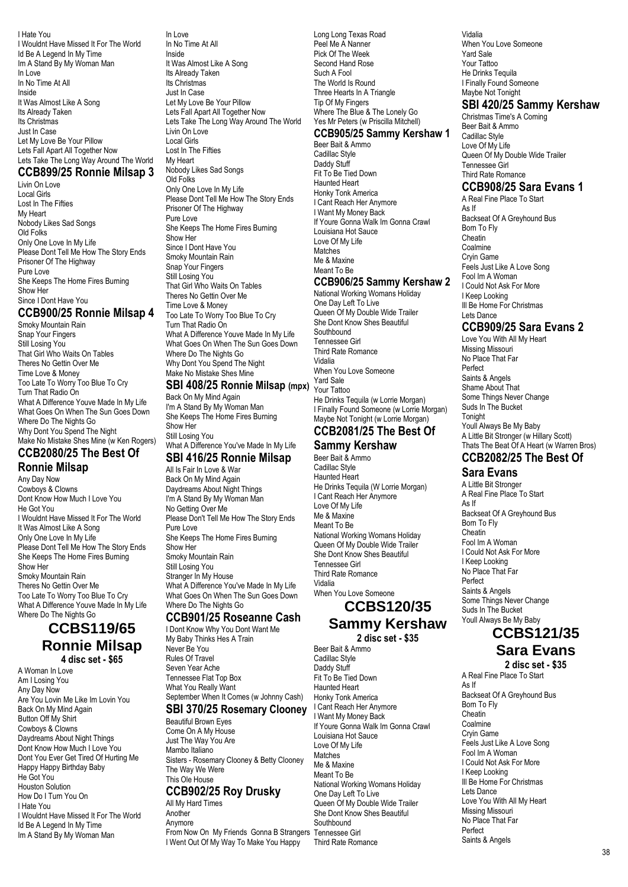I Hate You I Wouldnt Have Missed It For The World Id Be A Legend In My Time Im A Stand By My Woman Man In Love In No Time At All Inside It Was Almost Like A Song Its Already Taken Its Christmas Just In Case Let My Love Be Your Pillow Lets Fall Apart All Together Now Lets Take The Long Way Around The World

### **CCB899/25 Ronnie Milsap 3**

Livin On Love Local Girls Lost In The Fifties My Heart Nobody Likes Sad Songs Old Folks Only One Love In My Life Please Dont Tell Me How The Story Ends Prisoner Of The Highway Pure Love She Keeps The Home Fires Burning Show Her Since I Dont Have You

### **CCB900/25 Ronnie Milsap 4**

Smoky Mountain Rain Snap Your Fingers Still Losing You That Girl Who Waits On Tables Theres No Gettin Over Me Time Love & Money Too Late To Worry Too Blue To Cry Turn That Radio On What A Difference Youve Made In My Life What Goes On When The Sun Goes Down Where Do The Nights Go Why Dont You Spend The Night Make No Mistake Shes Mine (w Ken Rogers) **CCB2080/25 The Best Of**

### **Ronnie Milsap**

Any Day Now Cowboys & Clowns Dont Know How Much I Love You He Got You I Wouldnt Have Missed It For The World It Was Almost Like A Song Only One Love In My Life Please Dont Tell Me How The Story Ends She Keeps The Home Fires Burning Show Her Smoky Mountain Rain Theres No Gettin Over Me Too Late To Worry Too Blue To Cry What A Difference Youve Made In My Life Where Do The Nights Go

## **CCBS119/65 Ronnie Milsap 4 disc set - \$65**

A Woman In Love Am I Losing You Any Day Now Are You Lovin Me Like Im Lovin You Back On My Mind Again Button Off My Shirt Cowboys & Clowns Daydreams About Night Things Dont Know How Much I Love You Dont You Ever Get Tired Of Hurting Me Happy Happy Birthday Baby He Got You Houston Solution How Do I Turn You On I Hate You I Wouldnt Have Missed It For The World Id Be A Legend In My Time Im A Stand By My Woman Man

In Love In No Time At All Inside It Was Almost Like A Song Its Already Taken Its Christmas Just In Case Let My Love Be Your Pillow Lets Fall Apart All Together Now Lets Take The Long Way Around The World Livin On Love Local Girls Lost In The Fifties My Heart Nobody Likes Sad Songs Old Folks Only One Love In My Life Please Dont Tell Me How The Story Ends Prisoner Of The Highway Pure Love She Keeps The Home Fires Burning Show Her Since I Dont Have You Smoky Mountain Rain Snap Your Fingers Still Losing You That Girl Who Waits On Tables Theres No Gettin Over Me Time Love & Money Too Late To Worry Too Blue To Cry Turn That Radio On What A Difference Youve Made In My Life What Goes On When The Sun Goes Down Where Do The Nights Go Why Dont You Spend The Night Make No Mistake Shes Mine

### **SBI 408/25 Ronnie Milsap (mpx)** Yard Sale

Back On My Mind Again I'm A Stand By My Woman Man She Keeps The Home Fires Burning Show Her Still Losing You What A Difference You've Made In My Life

### **SBI 416/25 Ronnie Milsap**

All Is Fair In Love & War Back On My Mind Again Daydreams About Night Things I'm A Stand By My Woman Man No Getting Over Me Please Don't Tell Me How The Story Ends Pure Love She Keeps The Home Fires Burning Show Her Smoky Mountain Rain Still Losing You Stranger In My House What A Difference You've Made In My Life What Goes On When The Sun Goes Down Where Do The Nights Go

### **CCB901/25 Roseanne Cash**

I Dont Know Why You Dont Want Me My Baby Thinks Hes A Train Never Be You Rules Of Travel Seven Year Ache Tennessee Flat Top Box What You Really Want September When It Comes (w Johnny Cash)

#### **SBI 370/25 Rosemary Clooney**

Beautiful Brown Eyes Come On A My House Just The Way You Are Mambo Italiano Sisters - Rosemary Clooney & Betty Clooney The Way We Were This Ole House

#### **CCB902/25 Roy Drusky**

All My Hard Times Another Anymore From Now On My Friends Gonna B Strangers Tennessee Girl I Went Out Of My Way To Make You Happy

Long Long Texas Road Peel Me A Nanner Pick Of The Week Second Hand Rose Such A Fool The World Is Round Three Hearts In A Triangle Tip Of My Fingers Where The Blue & The Lonely Go Yes Mr Peters (w Priscilla Mitchell)

### **CCB905/25 Sammy Kershaw 1**

Beer Bait & Ammo Cadillac Style Daddy Stuff Fit To Be Tied Down Haunted Heart Honky Tonk America I Cant Reach Her Anymore I Want My Money Back If Youre Gonna Walk Im Gonna Crawl Louisiana Hot Sauce Love Of My Life Matches Me & Maxine Meant To Be

#### **CCB906/25 Sammy Kershaw 2**

National Working Womans Holiday One Day Left To Live Queen Of My Double Wide Trailer She Dont Know Shes Beautiful **Southbound** Tennessee Girl Third Rate Romance Vidalia When You Love Someone Your Tattoo He Drinks Tequila (w Lorrie Morgan) I Finally Found Someone (w Lorrie Morgan) Maybe Not Tonight (w Lorrie Morgan) **CCB2081/25 The Best Of**

#### **Sammy Kershaw** Beer Bait & Ammo

Cadillac Style Haunted Heart He Drinks Tequila (W Lorrie Morgan) I Cant Reach Her Anymore Love Of My Life Me & Maxine Meant To Be National Working Womans Holiday Queen Of My Double Wide Trailer She Dont Know Shes Beautiful Tennessee Girl Third Rate Romance Vidalia When You Love Someone **CCBS120/35**

# **Sammy Kershaw**

**2 disc set - \$35**

Beer Bait & Ammo Cadillac Style Daddy Stuff Fit To Be Tied Down Haunted Heart Honky Tonk America I Cant Reach Her Anymore I Want My Money Back If Youre Gonna Walk Im Gonna Crawl Louisiana Hot Sauce Love Of My Life Matches Me & Maxine Meant To Be National Working Womans Holiday One Day Left To Live Queen Of My Double Wide Trailer She Dont Know Shes Beautiful **Southbound** Third Rate Romance

Vidalia When You Love Someone Yard Sale Your Tattoo He Drinks Tequila I Finally Found Someone Maybe Not Tonight **SBI 420/25 Sammy Kershaw**

Christmas Time's A Coming Beer Bait & Ammo Cadillac Style Love Of My Life Queen Of My Double Wide Trailer Tennessee Girl Third Rate Romance

### **CCB908/25 Sara Evans 1**

A Real Fine Place To Start As If Backseat Of A Greyhound Bus Born To Fly Cheatin Coalmine Cryin Game Feels Just Like A Love Song Fool Im A Woman I Could Not Ask For More I Keep Looking III Be Home For Christmas Lets Dance

### **CCB909/25 Sara Evans 2**

Love You With All My Heart Missing Missouri No Place That Far Perfect Saints & Angels Shame About That Some Things Never Change Suds In The Bucket Tonight Youll Always Be My Baby A Little Bit Stronger (w Hillary Scott) Thats The Beat Of A Heart (w Warren Bros) **CCB2082/25 The Best Of**

### **Sara Evans**

A Little Bit Stronger A Real Fine Place To Start As If Backseat Of A Greyhound Bus Born To Fly Cheatin Fool Im A Woman I Could Not Ask For More I Keep Looking No Place That Far Perfect Saints & Angels Some Things Never Change Suds In The Bucket Youll Always Be My Baby

# **CCBS121/35**

**Sara Evans**

**2 disc set - \$35** A Real Fine Place To Start As If Backseat Of A Greyhound Bus Born To Fly Cheatin Coalmine Cryin Game Feels Just Like A Love Song Fool Im A Woman I Could Not Ask For More I Keep Looking Ill Be Home For Christmas Lets Dance Love You With All My Heart Missing Missouri No Place That Far Perfect Saints & Angels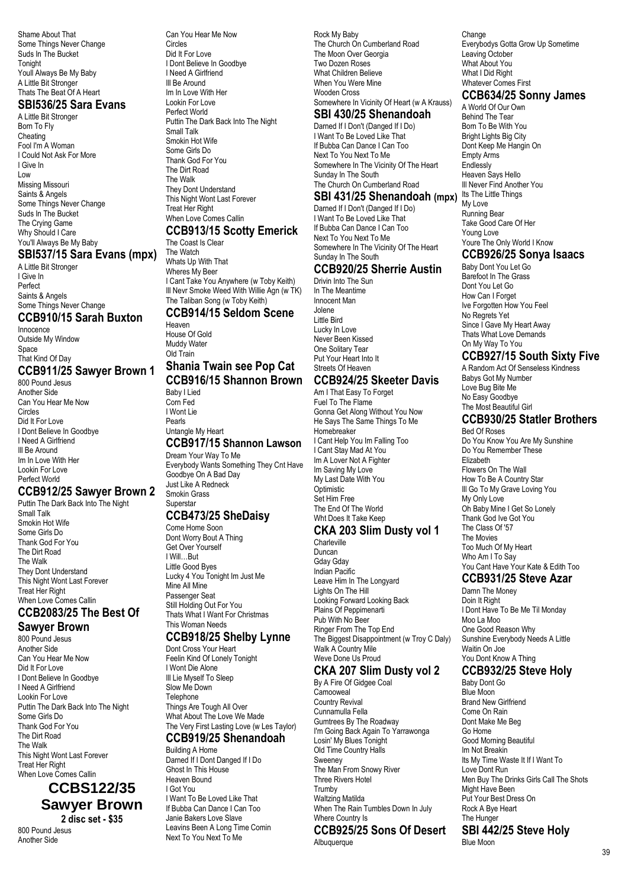Shame About That Some Things Never Change Suds In The Bucket **Tonight** Youll Always Be My Baby A Little Bit Stronger Thats The Beat Of A Heart

### **SBI536/25 Sara Evans**

A Little Bit Stronger Born To Fly **Cheating** Fool I'm A Woman I Could Not Ask For More I Give In Low Missing Missouri Saints & Angels Some Things Never Change Suds In The Bucket The Crying Game Why Should I Care You'll Always Be My Baby

### **SBI537/15 Sara Evans (mpx)**

A Little Bit Stronger I Give In Perfect Saints & Angels Some Things Never Change

# **CCB910/15 Sarah Buxton**

Innocence Outside My Window Space That Kind Of Day

#### **CCB911/25 Sawyer Brown 1** 800 Pound Jesus

Another Side Can You Hear Me Now Circles Did It For Love I Dont Believe In Goodbye I Need A Girlfriend Ill Be Around Im In Love With Her Lookin For Love Perfect World

### **CCB912/25 Sawyer Brown 2**

Puttin The Dark Back Into The Night Small Talk Smokin Hot Wife Some Girls Do Thank God For You The Dirt Road The Walk They Dont Understand This Night Wont Last Forever Treat Her Right When Love Comes Callin

### **CCB2083/25 The Best Of Sawyer Brown**

800 Pound Jesus Another Side Can You Hear Me Now Did It For Love I Dont Believe In Goodbye I Need A Girlfriend Lookin For Love Puttin The Dark Back Into The Night Some Girls Do Thank God For You The Dirt Road The Walk This Night Wont Last Forever Treat Her Right When Love Comes Callin

**CCBS122/35 Sawyer Brown 2 disc set - \$35**

800 Pound Jesus Another Side

Can You Hear Me Now Circles Did It For Love I Dont Believe In Goodbye I Need A Girlfriend Ill Be Around Im In Love With Her Lookin For Love Perfect World Puttin The Dark Back Into The Night Small Talk Smokin Hot Wife Some Girls Do Thank God For You The Dirt Road The Walk They Dont Understand This Night Wont Last Forever Treat Her Right When Love Comes Callin

# **CCB913/15 Scotty Emerick**

The Coast Is Clear The Watch Whats Up With That Wheres My Beer I Cant Take You Anywhere (w Toby Keith) Ill Nevr Smoke Weed With Willie Agn (w TK) The Taliban Song (w Toby Keith)

#### **CCB914/15 Seldom Scene** Heaven

House Of Gold Muddy Water Old Train

#### **Shania Twain see Pop Cat CCB916/15 Shannon Brown**

Baby I Lied Corn Fed I Wont Lie Pearls Untangle My Heart **CCB917/15 Shannon Lawson** Dream Your Way To Me Everybody Wants Something They Cnt Have Goodbye On A Bad Day Just Like A Redneck Smokin Grass

#### **Superstar CCB473/25 SheDaisy**

### Come Home Soon

Dont Worry Bout A Thing Get Over Yourself I Will…But Little Good Byes Lucky 4 You Tonight Im Just Me Mine All Mine Passenger Seat Still Holding Out For You Thats What I Want For Christmas This Woman Needs

### **CCB918/25 Shelby Lynne**

Dont Cross Your Heart Feelin Kind Of Lonely Tonight I Wont Die Alone Ill Lie Myself To Sleep Slow Me Down **Telephone** Things Are Tough All Over What About The Love We Made The Very First Lasting Love (w Les Taylor)

### **CCB919/25 Shenandoah**

Building A Home Darned If I Dont Danged If I Do Ghost In This House Heaven Bound I Got You I Want To Be Loved Like That If Bubba Can Dance I Can Too Janie Bakers Love Slave Leavins Been A Long Time Comin Next To You Next To Me

Rock My Baby The Church On Cumberland Road The Moon Over Georgia Two Dozen Roses What Children Believe When You Were Mine Wooden Cross Somewhere In Vicinity Of Heart (w A Krauss)

### **SBI 430/25 Shenandoah**

Darned If I Don't (Danged If I Do) I Want To Be Loved Like That If Bubba Can Dance I Can Too Next To You Next To Me Somewhere In The Vicinity Of The Heart Sunday In The South The Church On Cumberland Road

#### **SBI 431/25 Shenandoah (mpx)**

Darned If I Don't (Danged If I Do) I Want To Be Loved Like That If Bubba Can Dance I Can Too Next To You Next To Me Somewhere In The Vicinity Of The Heart Sunday In The South

### **CCB920/25 Sherrie Austin**

Drivin Into The Sun In The Meantime Innocent Man Jolene Little Bird Lucky In Love Never Been Kissed One Solitary Tear Put Your Heart Into It Streets Of Heaven

### **CCB924/25 Skeeter Davis**

Am I That Easy To Forget Fuel To The Flame Gonna Get Along Without You Now He Says The Same Things To Me Homebreaker I Cant Help You Im Falling Too I Cant Stay Mad At You Im A Lover Not A Fighter Im Saving My Love My Last Date With You Optimistic Set Him Free The End Of The World Wht Does It Take Keep

### **CKA 203 Slim Dusty vol 1**

Charleville Duncan Gday Gday Indian Pacific Leave Him In The Longyard Lights On The Hill Looking Forward Looking Back Plains Of Peppimenarti Pub With No Beer Ringer From The Top End The Biggest Disappointment (w Troy C Daly) Walk A Country Mile Weve Done Us Proud

### **CKA 207 Slim Dusty vol 2**

By A Fire Of Gidgee Coal **Camooweal** Country Revival Cunnamulla Fella Gumtrees By The Roadway I'm Going Back Again To Yarrawonga Losin' My Blues Tonight Old Time Country Halls Sweeney The Man From Snowy River Three Rivers Hotel Trumby Waltzing Matilda When The Rain Tumbles Down In July Where Country Is

#### **CCB925/25 Sons Of Desert Albuquerque**

Change Everybodys Gotta Grow Up Sometime Leaving October What About You What I Did Right Whatever Comes First **CCB634/25 Sonny James**

A World Of Our Own Behind The Tear Born To Be With You Bright Lights Big City Dont Keep Me Hangin On Empty Arms Endlessly Heaven Says Hello Ill Never Find Another You Its The Little Things My Love Running Bear Take Good Care Of Her Young Love Youre The Only World I Know

#### **CCB926/25 Sonya Isaacs**

Baby Dont You Let Go Barefoot In The Grass Dont You Let Go How Can I Forget Ive Forgotten How You Feel No Regrets Yet Since I Gave My Heart Away Thats What Love Demands On My Way To You

### **CCB927/15 South Sixty Five**

A Random Act Of Senseless Kindness Babys Got My Number Love Bug Bite Me No Easy Goodbye The Most Beautiful Girl

### **CCB930/25 Statler Brothers**

Bed Of Roses Do You Know You Are My Sunshine Do You Remember These Elizabeth Flowers On The Wall How To Be A Country Star Ill Go To My Grave Loving You My Only Love Oh Baby Mine I Get So Lonely Thank God Ive Got You The Class Of '57 The Movies Too Much Of My Heart Who Am I To Say You Cant Have Your Kate & Edith Too

### **CCB931/25 Steve Azar**

Damn The Money Doin It Right I Dont Have To Be Me Til Monday Moo La Moo One Good Reason Why Sunshine Everybody Needs A Little Waitin On Joe You Dont Know A Thing

### **CCB932/25 Steve Holy**

Baby Dont Go Blue Moon Brand New Girlfriend Come On Rain Dont Make Me Beg Go Home Good Morning Beautiful Im Not Breakin Its My Time Waste It If I Want To Love Dont Run Men Buy The Drinks Girls Call The Shots Might Have Been Put Your Best Dress On Rock A Bye Heart The Hunger

**SBI 442/25 Steve Holy** Blue Moon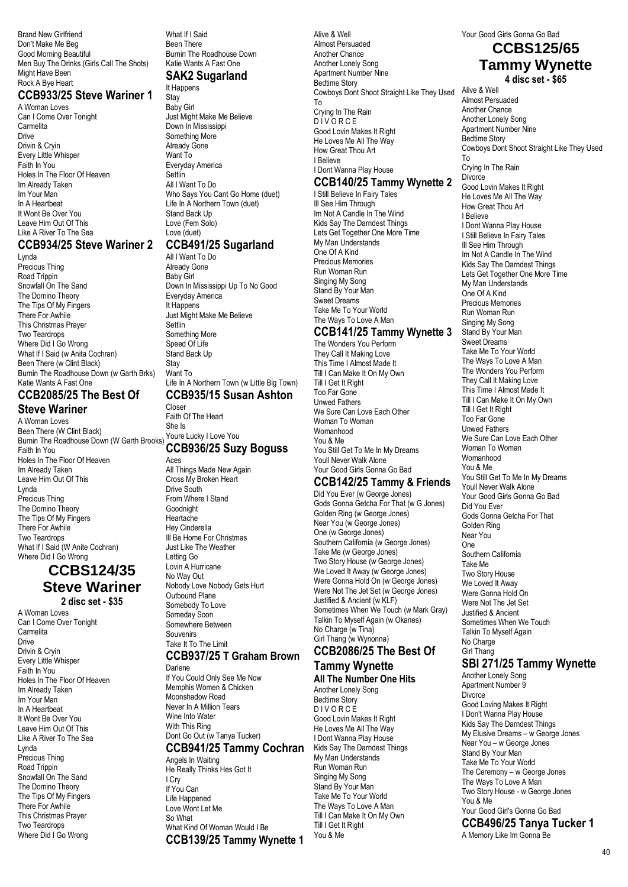Brand New Girlfriend Don't Make Me Beg Good Morning Beautiful Men Buy The Drinks (Girls Call The Shots) Might Have Been Rock A Bye Heart

#### **CCB933/25 Steve Wariner 1**

A Woman Loves Can I Come Over Tonight **Carmelita** Drive Drivin & Cryin Every Little Whisper Faith In You Holes In The Floor Of Heaven Im Already Taken Im Your Man In A Heartbeat It Wont Be Over You Leave Him Out Of This Like A River To The Sea

#### **CCB934/25 Steve Wariner 2** Lynda

Precious Thing Road Trippin Snowfall On The Sand The Domino Theory The Tips Of My Fingers There For Awhile This Christmas Prayer Two Teardrops Where Did I Go Wrong What If I Said (w Anita Cochran) Been There (w Clint Black) Burnin The Roadhouse Down (w Garth Brks) Katie Wants A Fast One

#### **CCB2085/25 The Best Of Steve Wariner**

A Woman Loves

Been There (W Clint Black) Burnin The Roadhouse Down (W Garth Brooks) Faith In You Holes In The Floor Of Heaven Im Already Taken Leave Him Out Of This Lynda Precious Thing The Domino Theory The Tips Of My Fingers There For Awhile Two Teardrops What If I Said (W Anite Cochran) Where Did I Go Wrong

## **CCBS124/35 Steve Wariner**

**2 disc set - \$35** A Woman Loves Can I Come Over Tonight Carmelita Drive Drivin & Cryin Every Little Whisper Faith In You Holes In The Floor Of Heaven Im Already Taken Im Your Man In A Heartbeat It Wont Be Over You Leave Him Out Of This Like A River To The Sea Lynda Precious Thing Road Trippin Snowfall On The Sand The Domino Theory The Tips Of My Fingers There For Awhile This Christmas Prayer Two Teardrops Where Did I Go Wrong

What If I Said Been There **Burnin The Roadhouse Down** Katie Wants A Fast One **SAK2 Sugarland**

### It Happens

**Stay** Baby Girl Just Might Make Me Believe Down In Mississippi Something More Already Gone Want To Everyday America **Settlin** All I Want To Do Who Says You Cant Go Home (duet) Life In A Northern Town (duet) Stand Back Up Love (Fem Solo) Love (duet)

### **CCB491/25 Sugarland**

All I Want To Do Already Gone Baby Girl Down In Mississippi Up To No Good Everyday America It Happens Just Might Make Me Believe **Settlin** Something More Speed Of Life Stand Back Up **Stay** Want To Life In A Northern Town (w Little Big Town)

#### **CCB935/15 Susan Ashton** Closer

Faith Of The Heart She Is Youre Lucky I Love You **CCB936/25 Suzy Boguss Aces** All Things Made New Again

Cross My Broken Heart Drive South From Where I Stand **Goodnight** Heartache Hey Cinderella Ill Be Home For Christmas Just Like The Weather Letting Go Lovin A Hurricane No Way Out Nobody Love Nobody Gets Hurt Outbound Plane Somebody To Love Someday Soon Somewhere Between **Souvenirs** Take It To The Limit

#### **CCB937/25 T Graham Brown** Darlene

If You Could Only See Me Now Memphis Women & Chicken Moonshadow Road Never In A Million Tears Wine Into Water With This Ring Dont Go Out (w Tanya Tucker)

### **CCB941/25 Tammy Cochran**

Angels In Waiting He Really Thinks Hes Got It I Cry If You Can Life Happened Love Wont Let Me So What What Kind Of Woman Would I Be **CCB139/25 Tammy Wynette 1** Alive & Well Almost Persuaded Another Chance Another Lonely Song Apartment Number Nine Bedtime Story Cowboys Dont Shoot Straight Like They Used To Crying In The Rain D I V O R C E Good Lovin Makes It Right He Loves Me All The Way How Great Thou Art I Believe I Dont Wanna Play House

### **CCB140/25 Tammy Wynette 2**

I Still Believe In Fairy Tales Ill See Him Through Im Not A Candle In The Wind Kids Say The Darndest Things Lets Get Together One More Time My Man Understands One Of A Kind Precious Memories Run Woman Run Singing My Song Stand By Your Man Sweet Dreams Take Me To Your World The Ways To Love A Man

#### **CCB141/25 Tammy Wynette 3**

The Wonders You Perform They Call It Making Love This Time I Almost Made It Till I Can Make It On My Own Till I Get It Right Too Far Gone Unwed Fathers We Sure Can Love Each Other Woman To Woman Womanhood You & Me You Still Get To Me In My Dreams Youll Never Walk Alone Your Good Girls Gonna Go Bad

### **CCB142/25 Tammy & Friends**

Did You Ever (w George Jones) Gods Gonna Getcha For That (w G Jones) Golden Ring (w George Jones) Near You (w George Jones) One (w George Jones) Southern California (w George Jones) Take Me (w George Jones) Two Story House (w George Jones) We Loved It Away (w George Jones) Were Gonna Hold On (w George Jones) Were Not The Jet Set (w George Jones) Justified & Ancient (w KLF) Sometimes When We Touch (w Mark Gray) Talkin To Myself Again (w Okanes) No Charge (w Tina) Girl Thang (w Wynonna) **CCB2086/25 The Best Of**

# **Tammy Wynette**

**All The Number One Hits** Another Lonely Song Bedtime Story **DIVORCE** Good Lovin Makes It Right He Loves Me All The Way I Dont Wanna Play House Kids Say The Darndest Things My Man Understands Run Woman Run Singing My Song Stand By Your Man Take Me To Your World The Ways To Love A Man Till I Can Make It On My Own Till I Get It Right You & Me

# Your Good Girls Gonna Go Bad **CCBS125/65 Tammy Wynette**

**4 disc set - \$65**

Alive & Well Almost Persuaded Another Chance Another Lonely Song Apartment Number Nine Bedtime Story Cowboys Dont Shoot Straight Like They Used To Crying In The Rain **Divorce** Good Lovin Makes It Right He Loves Me All The Way How Great Thou Art I Believe I Dont Wanna Play House I Still Believe In Fairy Tales Ill See Him Through Im Not A Candle In The Wind Kids Say The Darndest Things Lets Get Together One More Time My Man Understands One Of A Kind Precious Memories Run Woman Run Singing My Song Stand By Your Man Sweet Dreams Take Me To Your World The Ways To Love A Man The Wonders You Perform They Call It Making Love This Time I Almost Made It Till I Can Make It On My Own Till I Get It Right Too Far Gone Unwed Fathers We Sure Can Love Each Other Woman To Woman Womanhood You & Me You Still Get To Me In My Dreams Youll Never Walk Alone Your Good Girls Gonna Go Bad Did You Ever Gods Gonna Getcha For That Golden Ring Near You One Southern California Take Me Two Story House We Loved It Away Were Gonna Hold On Were Not The Jet Set Justified & Ancient Sometimes When We Touch Talkin To Myself Again No Charge Girl Thang

### **SBI 271/25 Tammy Wynette**

Another Lonely Song Apartment Number 9 **Divorce** Good Loving Makes It Right I Don't Wanna Play House Kids Say The Darndest Things My Elusive Dreams – w George Jones Near You – w George Jones Stand By Your Man Take Me To Your World The Ceremony – w George Jones The Ways To Love A Man Two Story House - w George Jones You & Me Your Good Girl's Gonna Go Bad **CCB496/25 Tanya Tucker 1**

A Memory Like Im Gonna Be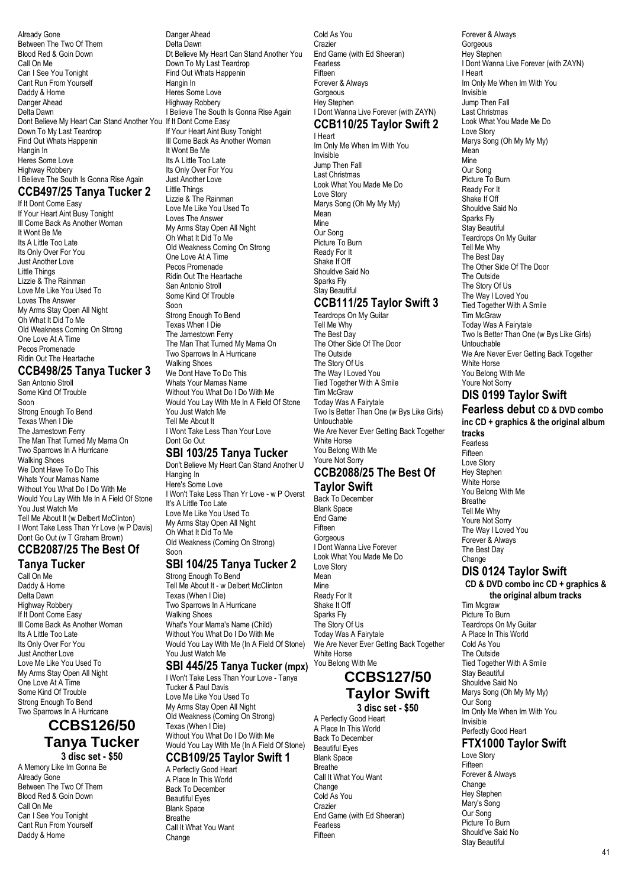Already Gone Between The Two Of Them Blood Red & Goin Down Call On Me Can I See You Tonight Cant Run From Yourself Daddy & Home Danger Ahead Delta Dawn Dont Believe My Heart Can Stand Another You If It Dont Come Easy Down To My Last Teardrop Find Out Whats Happenin Hangin In Heres Some Love Highway Robbery I Believe The South Is Gonna Rise Again

### **CCB497/25 Tanya Tucker 2**

If It Dont Come Easy If Your Heart Aint Busy Tonight Ill Come Back As Another Woman It Wont Be Me Its A Little Too Late Its Only Over For You Just Another Love Little Things Lizzie & The Rainman Love Me Like You Used To Loves The Answer My Arms Stay Open All Night Oh What It Did To Me Old Weakness Coming On Strong One Love At A Time Pecos Promenade Ridin Out The Heartache

#### **CCB498/25 Tanya Tucker 3** San Antonio Stroll

Some Kind Of Trouble Soon Strong Enough To Bend Texas When I Die The Jamestown Ferry The Man That Turned My Mama On Two Sparrows In A Hurricane Walking Shoes We Dont Have To Do This Whats Your Mamas Name Without You What Do I Do With Me Would You Lay With Me In A Field Of Stone You Just Watch Me Tell Me About It (w Delbert McClinton) I Wont Take Less Than Yr Love (w P Davis) Dont Go Out (w T Graham Brown) **CCB2087/25 The Best Of**

# **Tanya Tucker**

Call On Me Daddy & Home Delta Dawn Highway Robbery If It Dont Come Easy Ill Come Back As Another Woman Its A Little Too Late Its Only Over For You Just Another Love Love Me Like You Used To My Arms Stay Open All Night One Love At A Time Some Kind Of Trouble Strong Enough To Bend Two Sparrows In A Hurricane

### **CCBS126/50 Tanya Tucker 3 disc set - \$50**

A Memory Like Im Gonna Be Already Gone Between The Two Of Them Blood Red & Goin Down Call On Me Can I See You Tonight Cant Run From Yourself Daddy & Home

Danger Ahead Delta Dawn Dt Believe My Heart Can Stand Another You Down To My Last Teardrop Find Out Whats Happenin Hangin In Heres Some Love Highway Robbery I Believe The South Is Gonna Rise Again If Your Heart Aint Busy Tonight Ill Come Back As Another Woman It Wont Be Me Its A Little Too Late Its Only Over For You Just Another Love Little Things Lizzie & The Rainman Love Me Like You Used To Loves The Answer My Arms Stay Open All Night Oh What It Did To Me Old Weakness Coming On Strong One Love At A Time Pecos Promenade Ridin Out The Heartache San Antonio Stroll Some Kind Of Trouble Soon Strong Enough To Bend

Texas When I Die The Jamestown Ferry The Man That Turned My Mama On Two Sparrows In A Hurricane Walking Shoes We Dont Have To Do This Whats Your Mamas Name Without You What Do I Do With Me Would You Lay With Me In A Field Of Stone You Just Watch Me Tell Me About It I Wont Take Less Than Your Love Dont Go Out

### **SBI 103/25 Tanya Tucker**

Don't Believe My Heart Can Stand Another U Hanging In Here's Some Love I Won't Take Less Than Yr Love - w P Overst It's A Little Too Late Love Me Like You Used To My Arms Stay Open All Night Oh What It Did To Me Old Weakness (Coming On Strong) Soon

# **SBI 104/25 Tanya Tucker 2**

Strong Enough To Bend Tell Me About It - w Delbert McClinton Texas (When I Die) Two Sparrows In A Hurricane Walking Shoes What's Your Mama's Name (Child) Without You What Do I Do With Me Would You Lay With Me (In A Field Of Stone) You Just Watch Me

### **SBI 445/25 Tanya Tucker (mpx)**

I Won't Take Less Than Your Love - Tanya Tucker & Paul Davis Love Me Like You Used To My Arms Stay Open All Night Old Weakness (Coming On Strong) Texas (When I Die) Without You What Do I Do With Me Would You Lay With Me (In A Field Of Stone)

#### **CCB109/25 Taylor Swift 1** A Perfectly Good Heart

A Place In This World Back To December Beautiful Eyes Blank Space Breathe Call It What You Want Change

Cold As You Crazier End Game (with Ed Sheeran) Fearless Fifteen Forever & Always **Gorgeous** Hey Stephen I Dont Wanna Live Forever (with ZAYN) **CCB110/25 Taylor Swift 2**

# I Heart

Im Only Me When Im With You Invisible Jump Then Fall Last Christmas Look What You Made Me Do Love Story Marys Song (Oh My My My) Mean Mine Our Song Picture To Burn Ready For It Shake If Off Shouldve Said No Sparks Fly Stay Beautiful

### **CCB111/25 Taylor Swift 3**

Teardrops On My Guitar Tell Me Why The Best Day The Other Side Of The Door The Outside The Story Of Us The Way I Loved You Tied Together With A Smile Tim McGraw Today Was A Fairytale Two Is Better Than One (w Bys Like Girls) Untouchable We Are Never Ever Getting Back Together White Horse You Belong With Me Youre Not Sorry

### **CCB2088/25 The Best Of Taylor Swift**

Back To December Blank Space End Game Fifteen **Gorgeous** I Dont Wanna Live Forever Look What You Made Me Do Love Story Mean Mine Ready For It Shake It Off Sparks Fly The Story Of Us Today Was A Fairytale We Are Never Ever Getting Back Together White Horse

# **CCBS127/50 Taylor Swift**

**3 disc set - \$50** A Perfectly Good Heart

A Place In This World Back To December Beautiful Eyes Blank Space Breathe Call It What You Want Change Cold As You Crazier End Game (with Ed Sheeran) Fearless Fifteen

You Belong With Me

Forever & Always Gorgeous Hey Stephen I Dont Wanna Live Forever (with ZAYN) I Heart Im Only Me When Im With You Invisible Jump Then Fall Last Christmas Look What You Made Me Do Love Story Marys Song (Oh My My My) Mean Mine Our Song Picture To Burn Ready For It Shake If Off Shouldve Said No Sparks Fly Stay Beautiful Teardrops On My Guitar Tell Me Why The Best Day The Other Side Of The Door The Outside The Story Of Us The Way I Loved You Tied Together With A Smile Tim McGraw Today Was A Fairytale Two Is Better Than One (w Bys Like Girls) Untouchable We Are Never Ever Getting Back Together White Horse You Belong With Me Youre Not Sorry

### **DIS 0199 Taylor Swift**

**Fearless debut CD & DVD combo inc CD + graphics & the original album tracks** Fearless Fifteen Love Story Hey Stephen White Horse You Belong With Me Breathe Tell Me Why Youre Not Sorry The Way I Loved You Forever & Always The Best Day Change **DIS 0124 Taylor Swift CD & DVD combo inc CD + graphics & the original album tracks** Tim Mcgraw Picture To Burn Teardrops On My Guitar A Place In This World Cold As You The Outside Tied Together With A Smile Stay Beautiful Shouldve Said No Marys Song (Oh My My My) Our Song Im Only Me When Im With You

Invisible Perfectly Good Heart

#### **FTX1000 Taylor Swift** Love Story

Fifteen Forever & Always **Change** Hey Stephen Mary's Song Our Song Picture To Burn Should've Said No Stay Beautiful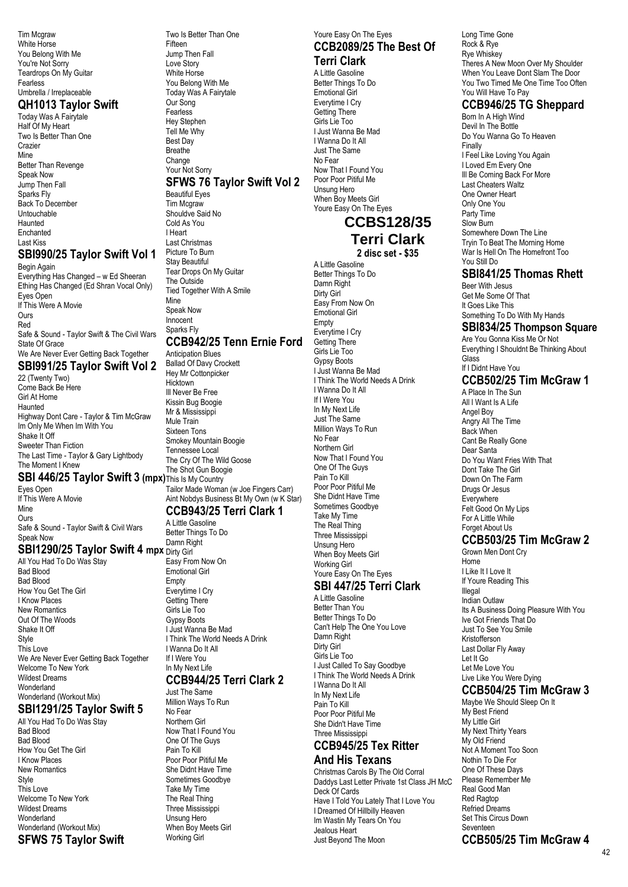Tim Mcgraw White Horse You Belong With Me You're Not Sorry Teardrops On My Guitar Fearless Umbrella / Irreplaceable

#### **QH1013 Taylor Swift**  Today Was A Fairytale

Half Of My Heart Two Is Better Than One Crazier **Mine** Better Than Revenge Speak Now Jump Then Fall Sparks Fly Back To December Untouchable Haunted Enchanted Last Kiss

### **SBI990/25 Taylor Swift Vol 1**

Begin Again Everything Has Changed – w Ed Sheeran Ething Has Changed (Ed Shran Vocal Only) Eyes Open If This Were A Movie **Ours** Red Safe & Sound - Taylor Swift & The Civil Wars State Of Grace We Are Never Ever Getting Back Together **SBI991/25 Taylor Swift Vol 2** 22 (Twenty Two) Come Back Be Here

Girl At Home Haunted Highway Dont Care - Taylor & Tim McGraw Im Only Me When Im With You Shake It Off Sweeter Than Fiction The Last Time - Taylor & Gary Lightbody The Moment I Knew

### **SBI 446/25 Taylor Swift 3 (mpx)** This Is My Country

Eyes Open If This Were A Movie Mine Ours Safe & Sound - Taylor Swift & Civil Wars Speak Now

# **SBI1290/25 Taylor Swift 4 mpx** Dirty Girl

All You Had To Do Was Stay Bad Blood Bad Blood How You Get The Girl I Know Places New Romantics Out Of The Woods Shake It Off Style This Love We Are Never Ever Getting Back Together Welcome To New York Wildest Dreams Wonderland Wonderland (Workout Mix)

### **SBI1291/25 Taylor Swift 5**

All You Had To Do Was Stay Bad Blood Bad Blood How You Get The Girl I Know Places New Romantics Style This Love Welcome To New York Wildest Dreams Wonderland Wonderland (Workout Mix) **SFWS 75 Taylor Swift** Two Is Better Than One Fifteen Jump Then Fall Love Story White Horse You Belong With Me Today Was A Fairytale Our Song **Fearless** Hey Stephen Tell Me Why Best Day Breathe Change Your Not Sorry

#### **SFWS 76 Taylor Swift Vol 2** Beautiful Eyes

Tim Mcgraw Shouldve Said No Cold As You I Heart Last Christmas Picture To Burn Stay Beautiful Tear Drops On My Guitar The Outside Tied Together With A Smile Mine Speak Now Innocent Sparks Fly

### **CCB942/25 Tenn Ernie Ford**

Anticipation Blues Ballad Of Davy Crockett Hey Mr Cottonpicker **Hicktown** Ill Never Be Free Kissin Bug Boogie Mr & Mississippi Mule Train Sixteen Tons Smokey Mountain Boogie Tennessee Local The Cry Of The Wild Goose The Shot Gun Boogie Tailor Made Woman (w Joe Fingers Carr) Aint Nobdys Business Bt My Own (w K Star)

#### **CCB943/25 Terri Clark 1**

A Little Gasoline Better Things To Do Damn Right Easy From Now On Emotional Girl Empty Everytime I Cry Getting There Girls Lie Too Gypsy Boots I Just Wanna Be Mad I Think The World Needs A Drink I Wanna Do It All If I Were You In My Next Life **CCB944/25 Terri Clark 2**

### Just The Same

Million Ways To Run No Fear Northern Girl Now That I Found You One Of The Guys Pain To Kill Poor Poor Pitiful Me She Didnt Have Time Sometimes Goodbye Take My Time The Real Thing Three Mississippi Unsung Hero When Boy Meets Girl Working Girl

#### Youre Easy On The Eyes **CCB2089/25 The Best Of Terri Clark**

A Little Gasoline Better Things To Do Emotional Girl Everytime I Cry Getting There Girls Lie Too I Just Wanna Be Mad I Wanna Do It All Just The Same No Fear Now That I Found You Poor Poor Pitiful Me Unsung Hero When Boy Meets Girl Youre Easy On The Eyes

### **CCBS128/35 Terri Clark**

**2 disc set - \$35**

A Little Gasoline Better Things To Do Damn Right Dirty Girl Easy From Now On Emotional Girl Empty Everytime I Cry Getting There Girls Lie Too Gypsy Boots I Just Wanna Be Mad I Think The World Needs A Drink I Wanna Do It All If I Were You In My Next Life Just The Same Million Ways To Run No Fear Northern Girl Now That I Found You One Of The Guys Pain To Kill Poor Poor Pitiful Me She Didnt Have Time Sometimes Goodbye Take My Time The Real Thing Three Mississippi Unsung Hero When Boy Meets Girl Working Girl Youre Easy On The Eyes

#### **SBI 447/25 Terri Clark** A Little Gasoline

Better Than You Better Things To Do Can't Help The One You Love Damn Right Dirty Girl Girls Lie Too I Just Called To Say Goodbye I Think The World Needs A Drink I Wanna Do It All In My Next Life Pain To Kill Poor Poor Pitiful Me She Didn't Have Time Three Mississippi

### **CCB945/25 Tex Ritter**

### **And His Texans**

Christmas Carols By The Old Corral Daddys Last Letter Private 1st Class JH McC Deck Of Cards Have I Told You Lately That I Love You I Dreamed Of Hillbilly Heaven Im Wastin My Tears On You Jealous Heart Just Beyond The Moon

Long Time Gone Rock & Rye Rye Whiskey Theres A New Moon Over My Shoulder When You Leave Dont Slam The Door You Two Timed Me One Time Too Often You Will Have To Pay

### **CCB946/25 TG Sheppard**

Born In A High Wind Devil In The Bottle Do You Wanna Go To Heaven Finally I Feel Like Loving You Again I Loved Em Every One Ill Be Coming Back For More Last Cheaters Waltz One Owner Heart Only One You Party Time Slow Burn Somewhere Down The Line Tryin To Beat The Morning Home War Is Hell On The Homefront Too You Still Do

### **SBI841/25 Thomas Rhett**

Beer With Jesus Get Me Some Of That It Goes Like This Something To Do With My Hands

### **SBI834/25 Thompson Square**

Are You Gonna Kiss Me Or Not Everything I Shouldnt Be Thinking About Glass If I Didnt Have You

### **CCB502/25 Tim McGraw 1**

A Place In The Sun All I Want Is A Life Angel Boy Angry All The Time Back When Cant Be Really Gone Dear Santa Do You Want Fries With That Dont Take The Girl Down On The Farm Drugs Or Jesus **Everywhere** Felt Good On My Lips For A Little While Forget About Us

### **CCB503/25 Tim McGraw 2**

Grown Men Dont Cry Home I Like It I Love It If Youre Reading This Illegal Indian Outlaw Its A Business Doing Pleasure With You Ive Got Friends That Do Just To See You Smile Kristofferson Last Dollar Fly Away Let It Go Let Me Love You Live Like You Were Dying

#### **CCB504/25 Tim McGraw 3** Maybe We Should Sleep On It

My Best Friend My Little Girl My Next Thirty Years My Old Friend Not A Moment Too Soon Nothin To Die For One Of These Days Please Remember Me Real Good Man Red Ragtop Refried Dreams Set This Circus Down Seventeen **CCB505/25 Tim McGraw 4**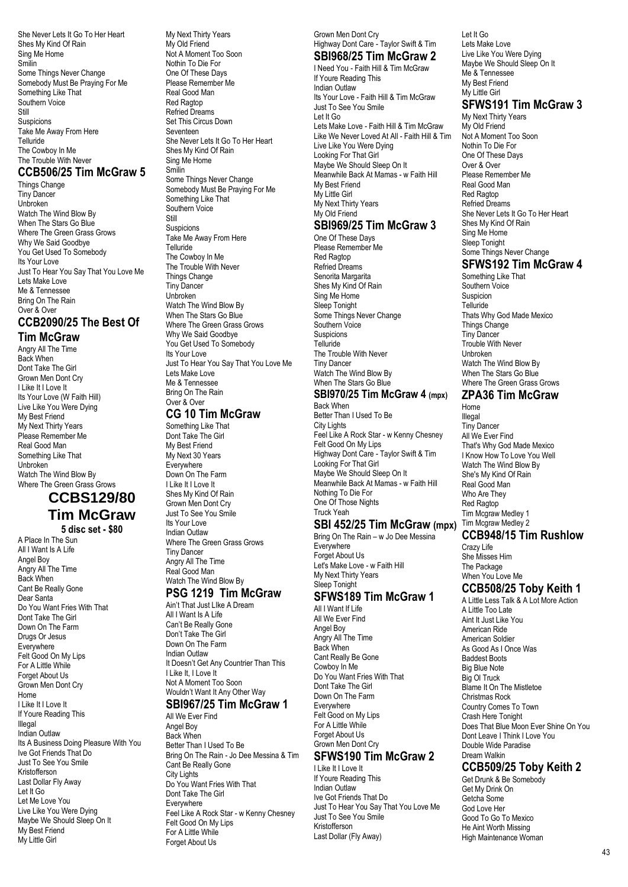She Never Lets It Go To Her Heart Shes My Kind Of Rain Sing Me Home Smilin Some Things Never Change Somebody Must Be Praying For Me Something Like That Southern Voice Still Suspicions Take Me Away From Here Telluride The Cowboy In Me The Trouble With Never

### **CCB506/25 Tim McGraw 5**

Things Change Tiny Dancer Unbroken Watch The Wind Blow By When The Stars Go Blue Where The Green Grass Grows Why We Said Goodbye You Get Used To Somebody Its Your Love Just To Hear You Say That You Love Me Lets Make Love Me & Tennessee Bring On The Rain Over & Over

#### **CCB2090/25 The Best Of Tim McGraw**

Angry All The Time Back When Dont Take The Girl Grown Men Dont Cry I Like It I Love It Its Your Love (W Faith Hill) Live Like You Were Dying My Best Friend My Next Thirty Years Please Remember Me Real Good Man Something Like That Unbroken Watch The Wind Blow By Where The Green Grass Grows

### **CCBS129/80 Tim McGraw**

**5 disc set - \$80**

A Place In The Sun All I Want Is A Life Angel Boy Angry All The Time Back When Cant Be Really Gone Dear Santa Do You Want Fries With That Dont Take The Girl Down On The Farm Drugs Or Jesus **Everywhere** Felt Good On My Lips For A Little While Forget About Us Grown Men Dont Cry Home I Like It I Love It If Youre Reading This Illegal Indian Outlaw Its A Business Doing Pleasure With You Ive Got Friends That Do Just To See You Smile Kristofferson Last Dollar Fly Away Let It Go Let Me Love You Live Like You Were Dying Maybe We Should Sleep On It My Best Friend My Little Girl

My Next Thirty Years My Old Friend Not A Moment Too Soon Nothin To Die For One Of These Days Please Remember Me Real Good Man Red Ragtop Refried Dreams Set This Circus Down Seventeen She Never Lets It Go To Her Heart Shes My Kind Of Rain Sing Me Home Smilin Some Things Never Change Somebody Must Be Praying For Me Something Like That Southern Voice **Ctill** Suspicions Take Me Away From Here Telluride The Cowboy In Me The Trouble With Never Things Change Tiny Dancer Unbroken Watch The Wind Blow By When The Stars Go Blue Where The Green Grass Grows Why We Said Goodbye You Get Used To Somebody Its Your Love Just To Hear You Say That You Love Me Lets Make Love Me & Tennessee Bring On The Rain Over & Over

### **CG 10 Tim McGraw**

Something Like That Dont Take The Girl My Best Friend My Next 30 Years **Everywhere** Down On The Farm I Like It I Love It Shes My Kind Of Rain Grown Men Dont Cry Just To See You Smile Its Your Love Indian Outlaw Where The Green Grass Grows Tiny Dancer Angry All The Time Real Good Man Watch The Wind Blow By

### **PSG 1219 Tim McGraw**

Ain't That Just LIke A Dream All I Want Is A Life Can't Be Really Gone Don't Take The Girl Down On The Farm Indian Outlaw It Doesn't Get Any Countrier Than This I Like It, I Love It Not A Moment Too Soon Wouldn't Want It Any Other Way

#### **SBI967/25 Tim McGraw 1** All We Ever Find

Angel Boy Back When Better Than I Used To Be Bring On The Rain - Jo Dee Messina & Tim Cant Be Really Gone **City Lights** Do You Want Fries With That Dont Take The Girl Everywhere Feel Like A Rock Star - w Kenny Chesney Felt Good On My Lips For A Little While Forget About Us

### Grown Men Dont Cry Highway Dont Care - Taylor Swift & Tim

**SBI968/25 Tim McGraw 2** I Need You - Faith Hill & Tim McGraw

If Youre Reading This Indian Outlaw Its Your Love - Faith Hill & Tim McGraw Just To See You Smile Let It Go Lets Make Love - Faith Hill & Tim McGraw Like We Never Loved At All - Faith Hill & Tim Live Like You Were Dying Looking For That Girl Maybe We Should Sleep On It Meanwhile Back At Mamas - w Faith Hill My Best Friend My Little Girl My Next Thirty Years My Old Friend

#### **SBI969/25 Tim McGraw 3** One Of These Days

Please Remember Me Red Ragtop Refried Dreams Senorita Margarita Shes My Kind Of Rain Sing Me Home Sleep Tonight Some Things Never Change Southern Voice Suspicions Telluride The Trouble With Never Tiny Dancer Watch The Wind Blow By When The Stars Go Blue

#### **SBI970/25 Tim McGraw 4 (mpx)** Back When

Better Than I Used To Be City Lights Feel Like A Rock Star - w Kenny Chesney Felt Good On My Lips Highway Dont Care - Taylor Swift & Tim Looking For That Girl Maybe We Should Sleep On It Meanwhile Back At Mamas - w Faith Hill Nothing To Die For One Of Those Nights Truck Yeah

### **SBI 452/25 Tim McGraw (mpx)**

Bring On The Rain – w Jo Dee Messina **Everywhere Forget About Us** Let's Make Love - w Faith Hill My Next Thirty Years Sleep Tonight

# **SFWS189 Tim McGraw 1**

All I Want If Life All We Ever Find Angel Boy Angry All The Time Back When Cant Really Be Gone Cowboy In Me Do You Want Fries With That Dont Take The Girl Down On The Farm **Everywhere** Felt Good on My Lips For A Little While Forget About Us Grown Men Dont Cry

# **SFWS190 Tim McGraw 2**

I Like It I Love It If Youre Reading This Indian Outlaw Ive Got Friends That Do Just To Hear You Say That You Love Me Just To See You Smile Kristofferson Last Dollar (Fly Away)

Let It Go Lets Make Love Live Like You Were Dying Maybe We Should Sleep On It Me & Tennessee My Best Friend My Little Girl

### **SFWS191 Tim McGraw 3**

My Next Thirty Years My Old Friend Not A Moment Too Soon Nothin To Die For One Of These Days Over & Over Please Remember Me Real Good Man Red Ragtop Refried Dreams She Never Lets It Go To Her Heart Shes My Kind Of Rain Sing Me Home Sleep Tonight Some Things Never Change

### **SFWS192 Tim McGraw 4**

Something Like That Southern Voice Suspicion **Telluride** Thats Why God Made Mexico Things Change Tiny Dancer Trouble With Never Unbroken Watch The Wind Blow By When The Stars Go Blue Where The Green Grass Grows

### **ZPA36 Tim McGraw**

Home Illegal Tiny Dancer All We Ever Find That's Why God Made Mexico I Know How To Love You Well Watch The Wind Blow By She's My Kind Of Rain Real Good Man Who Are They Red Ragton Tim Mcgraw Medley 1 Tim Mcgraw Medley 2

### **CCB948/15 Tim Rushlow**

Crazy Life She Misses Him The Package When You Love Me

### **CCB508/25 Toby Keith 1**

A Little Less Talk & A Lot More Action A Little Too Late Aint It Just Like You American Ride American Soldier As Good As I Once Was Baddest Boots Big Blue Note Big Ol Truck Blame It On The Mistletoe Christmas Rock Country Comes To Town Crash Here Tonight Does That Blue Moon Ever Shine On You Dont Leave | Think | Love You Double Wide Paradise Dream Walkin

### **CCB509/25 Toby Keith 2**

Get Drunk & Be Somebody Get My Drink On Getcha Some God Love Her Good To Go To Mexico He Aint Worth Missing High Maintenance Woman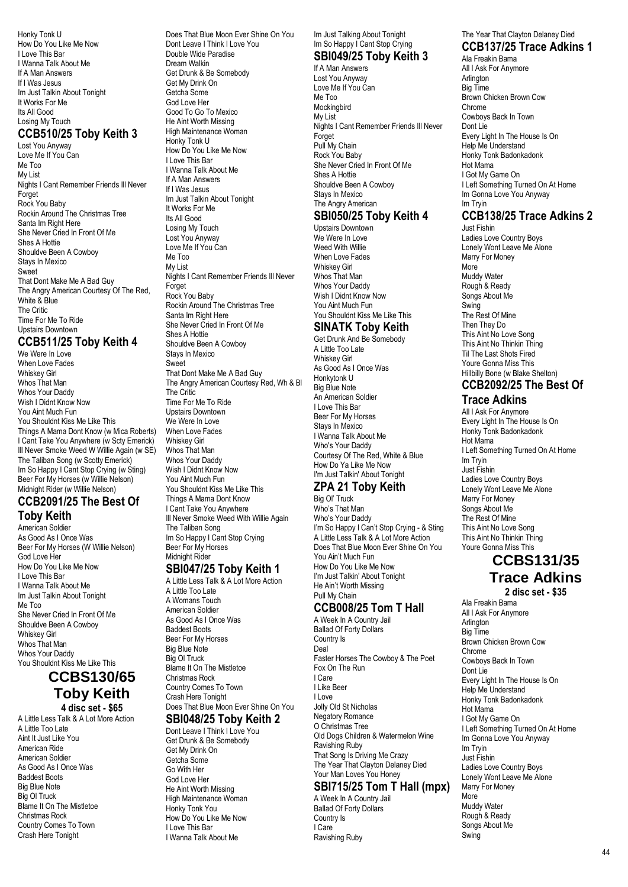Honky Tonk U How Do You Like Me Now I Love This Bar I Wanna Talk About Me If A Man Answers If I Was Jesus Im Just Talkin About Tonight It Works For Me Its All Good Losing My Touch

### **CCB510/25 Toby Keith 3**

Lost You Anyway Love Me If You Can Me Too My List Nights I Cant Remember Friends Ill Never Forget Rock You Baby Rockin Around The Christmas Tree Santa Im Right Here She Never Cried In Front Of Me Shes A Hottie Shouldve Been A Cowboy Stays In Mexico Sweet That Dont Make Me A Bad Guy The Angry American Courtesy Of The Red, White & Blue The Critic Time For Me To Ride Upstairs Downtown

### **CCB511/25 Toby Keith 4**

We Were In Love When Love Fades Whiskey Girl Whos That Man Whos Your Daddy Wish I Didnt Know Now You Aint Much Fun You Shouldnt Kiss Me Like This Things A Mama Dont Know (w Mica Roberts) I Cant Take You Anywhere (w Scty Emerick) Ill Never Smoke Weed W Willie Again (w SE) The Taliban Song (w Scotty Emerick) Im So Happy I Cant Stop Crying (w Sting) Beer For My Horses (w Willie Nelson) Midnight Rider (w Willie Nelson)

### **CCB2091/25 The Best Of Toby Keith**

American Soldier As Good As I Once Was Beer For My Horses (W Willie Nelson) God Love Her How Do You Like Me Now I Love This Bar I Wanna Talk About Me Im Just Talkin About Tonight Me Too She Never Cried In Front Of Me Shouldve Been A Cowboy Whiskey Girl Whos That Man Whos Your Daddy You Shouldnt Kiss Me Like This

### **CCBS130/65 Toby Keith 4 disc set - \$65**

A Little Less Talk & A Lot More Action A Little Too Late Aint It Just Like You American Ride American Soldier As Good As I Once Was Baddest Boots Big Blue Note Big Ol Truck Blame It On The Mistletoe Christmas Rock Country Comes To Town Crash Here Tonight

Does That Blue Moon Ever Shine On You Dont Leave I Think I Love You Double Wide Paradise Dream Walkin Get Drunk & Be Somebody Get My Drink On Getcha Some God Love Her Good To Go To Mexico He Aint Worth Missing High Maintenance Woman Honky Tonk U How Do You Like Me Now I Love This Bar I Wanna Talk About Me If A Man Answers If I Was Jesus Im Just Talkin About Tonight It Works For Me Its All Good Losing My Touch Lost You Anyway Love Me If You Can Me Too My List Nights I Cant Remember Friends Ill Never Forget Rock You Baby Rockin Around The Christmas Tree Santa Im Right Here She Never Cried In Front Of Me Shes A Hottie Shouldve Been A Cowboy Stays In Mexico **Sweet** That Dont Make Me A Bad Guy The Angry American Courtesy Red, Wh & Bl The Critic Time For Me To Ride Upstairs Downtown We Were In Love When Love Fades Whiskey Girl Whos That Man Whos Your Daddy Wish I Didnt Know Now You Aint Much Fun You Shouldnt Kiss Me Like This Things A Mama Dont Know I Cant Take You Anywhere Ill Never Smoke Weed With Willie Again The Taliban Song Im So Happy I Cant Stop Crying

### Beer For My Horses Midnight Rider

### **SBI047/25 Toby Keith 1**

A Little Less Talk & A Lot More Action A Little Too Late A Womans Touch American Soldier As Good As I Once Was Baddest Boots Beer For My Horses Big Blue Note Big Ol Truck Blame It On The Mistletoe Christmas Rock Country Comes To Town Crash Here Tonight Does That Blue Moon Ever Shine On You

#### **SBI048/25 Toby Keith 2**

Dont Leave I Think I Love You Get Drunk & Be Somebody Get My Drink On Getcha Some Go With Her God Love Her He Aint Worth Missing High Maintenance Woman Honky Tonk You How Do You Like Me Now I Love This Bar I Wanna Talk About Me

### Im Just Talking About Tonight Im So Happy I Cant Stop Crying

#### **SBI049/25 Toby Keith 3** If A Man Answers

Lost You Anyway Love Me If You Can Me Too **Mockingbird** My List Nights I Cant Remember Friends Ill Never Forget Pull My Chain Rock You Baby She Never Cried In Front Of Me Shes A Hottie Shouldve Been A Cowboy Stays In Mexico The Angry American

### **SBI050/25 Toby Keith 4**

Upstairs Downtown We Were In Love Weed With Willie When Love Fades Whiskey Girl Whos That Man Whos Your Daddy Wish I Didnt Know Now You Aint Much Fun You Shouldnt Kiss Me Like This

### **SINATK Toby Keith**

Get Drunk And Be Somebody A Little Too Late Whiskey Girl As Good As I Once Was Honkytonk U Big Blue Note An American Soldier I Love This Bar Beer For My Horses Stays In Mexico I Wanna Talk About Me Who's Your Daddy Courtesy Of The Red, White & Blue How Do Ya Like Me Now I'm Just Talkin' About Tonight

### **ZPA 21 Toby Keith**

Big Ol' Truck Who's That Man Who's Your Daddy I'm So Happy I Can't Stop Crying - & Sting A Little Less Talk & A Lot More Action Does That Blue Moon Ever Shine On You You Ain't Much Fun How Do You Like Me Now I'm Just Talkin' About Tonight He Ain't Worth Missing Pull My Chain

### **CCB008/25 Tom T Hall**

A Week In A Country Jail Ballad Of Forty Dollars Country Is Deal Faster Horses The Cowboy & The Poet Fox On The Run I Care I Like Beer I Love Jolly Old St Nicholas Negatory Romance O Christmas Tree Old Dogs Children & Watermelon Wine Ravishing Ruby That Song Is Driving Me Crazy The Year That Clayton Delaney Died Your Man Loves You Honey

### **SBI715/25 Tom T Hall (mpx)**

A Week In A Country Jail Ballad Of Forty Dollars Country Is I Care Ravishing Ruby

### The Year That Clayton Delaney Died **CCB137/25 Trace Adkins 1**

Ala Freakin Bama All I Ask For Anymore Arlington Big Time Brown Chicken Brown Cow Chrome Cowboys Back In Town Dont Lie Every Light In The House Is On Help Me Understand Honky Tonk Badonkadonk Hot Mama I Got My Game On I Left Something Turned On At Home Im Gonna Love You Anyway Im Tryin

### **CCB138/25 Trace Adkins 2**

Just Fishin Ladies Love Country Boys Lonely Wont Leave Me Alone Marry For Money .<br>More Muddy Water Rough & Ready Songs About Me Swing The Rest Of Mine Then They Do This Aint No Love Song This Aint No Thinkin Thing Til The Last Shots Fired Youre Gonna Miss This Hillbilly Bone (w Blake Shelton) **CCB2092/25 The Best Of**

### **Trace Adkins**

All I Ask For Anymore Every Light In The House Is On Honky Tonk Badonkadonk Hot Mama I Left Something Turned On At Home Im Tryin Just Fishin Ladies Love Country Boys Lonely Wont Leave Me Alone Marry For Money Songs About Me The Rest Of Mine This Aint No Love Song This Aint No Thinkin Thing Youre Gonna Miss This

# **CCBS131/35 Trace Adkins**

**2 disc set - \$35** Ala Freakin Bama All I Ask For Anymore Arlington Big Time Brown Chicken Brown Cow Chrome Cowboys Back In Town Dont Lie Every Light In The House Is On Help Me Understand Honky Tonk Badonkadonk Hot Mama I Got My Game On I Left Something Turned On At Home Im Gonna Love You Anyway Im Tryin Just Fishin Ladies Love Country Boys Lonely Wont Leave Me Alone Marry For Money More Muddy Water Rough & Ready Songs About Me Swing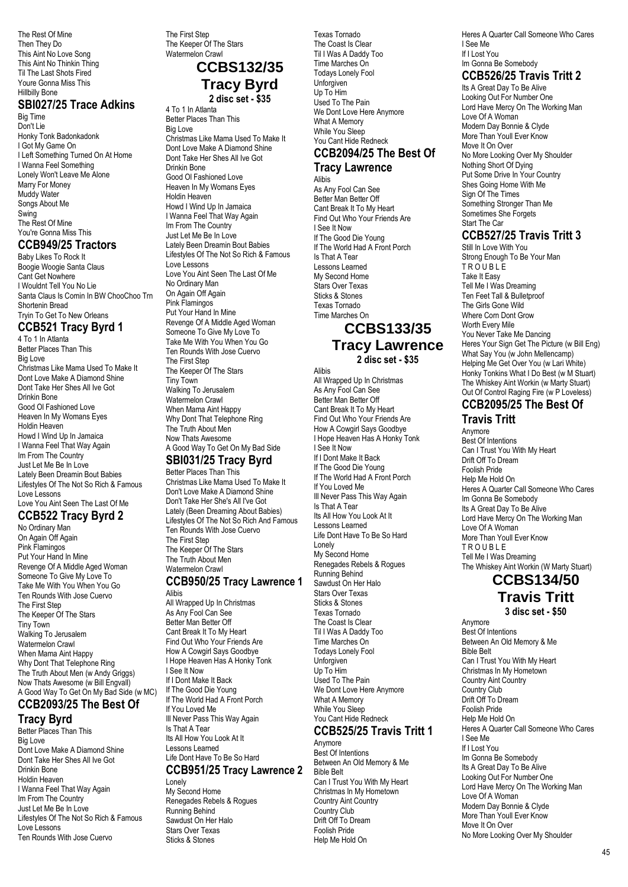The Rest Of Mine Then They Do This Aint No Love Song This Aint No Thinkin Thing Til The Last Shots Fired Youre Gonna Miss This Hillbilly Bone

#### **SBI027/25 Trace Adkins**

Big Time Don't Lie Honky Tonk Badonkadonk I Got My Game On I Left Something Turned On At Home I Wanna Feel Something Lonely Won't Leave Me Alone Marry For Money Muddy Water Songs About Me Swing The Rest Of Mine You're Gonna Miss This

### **CCB949/25 Tractors**

Baby Likes To Rock It Boogie Woogie Santa Claus Cant Get Nowhere I Wouldnt Tell You No Lie Santa Claus Is Comin In BW ChooChoo Trn Shortenin Bread Tryin To Get To New Orleans

### **CCB521 Tracy Byrd 1**

4 To 1 In Atlanta Better Places Than This Big Love Christmas Like Mama Used To Make It Dont Love Make A Diamond Shine Dont Take Her Shes All Ive Got Drinkin Bone Good Ol Fashioned Love Heaven In My Womans Eyes Holdin Heaven Howd I Wind Up In Jamaica I Wanna Feel That Way Again Im From The Country Just Let Me Be In Love Lately Been Dreamin Bout Babies Lifestyles Of The Not So Rich & Famous Love Lessons Love You Aint Seen The Last Of Me

### **CCB522 Tracy Byrd 2**

No Ordinary Man On Again Off Again Pink Flamingos Put Your Hand In Mine Revenge Of A Middle Aged Woman Someone To Give My Love To Take Me With You When You Go Ten Rounds With Jose Cuervo The First Step The Keeper Of The Stars Tiny Town Walking To Jerusalem Watermelon Crawl When Mama Aint Happy Why Dont That Telephone Ring The Truth About Men (w Andy Griggs) Now Thats Awesome (w Bill Engvall) A Good Way To Get On My Bad Side (w MC)

### **CCB2093/25 The Best Of Tracy Byrd**

Better Places Than This Big Love Dont Love Make A Diamond Shine Dont Take Her Shes All Ive Got Drinkin Bone Holdin Heaven I Wanna Feel That Way Again Im From The Country Just Let Me Be In Love Lifestyles Of The Not So Rich & Famous Love Lessons Ten Rounds With Jose Cuervo

The First Step The Keeper Of The Stars Watermelon Crawl

### **CCBS132/35 Tracy Byrd 2 disc set - \$35**

4 To 1 In Atlanta Better Places Than This Big Love Christmas Like Mama Used To Make It Dont Love Make A Diamond Shine Dont Take Her Shes All Ive Got Drinkin Bone Good Ol Fashioned Love Heaven In My Womans Eyes Holdin Heaven Howd I Wind Up In Jamaica I Wanna Feel That Way Again Im From The Country Just Let Me Be In Love Lately Been Dreamin Bout Babies Lifestyles Of The Not So Rich & Famous Love Lessons Love You Aint Seen The Last Of Me No Ordinary Man On Again Off Again Pink Flamingos Put Your Hand In Mine Revenge Of A Middle Aged Woman Someone To Give My Love To Take Me With You When You Go Ten Rounds With Jose Cuervo The First Step The Keeper Of The Stars Tiny Town Walking To Jerusalem Watermelon Crawl When Mama Aint Happy Why Dont That Telephone Ring The Truth About Men Now Thats Awesome

#### A Good Way To Get On My Bad Side **SBI031/25 Tracy Byrd**

Better Places Than This Christmas Like Mama Used To Make It Don't Love Make A Diamond Shine Don't Take Her She's All I've Got Lately (Been Dreaming About Babies) Lifestyles Of The Not So Rich And Famous Ten Rounds With Jose Cuervo The First Step The Keeper Of The Stars The Truth About Men Watermelon Crawl

### **CCB950/25 Tracy Lawrence 1**

Alibis All Wrapped Up In Christmas As Any Fool Can See Better Man Better Off Cant Break It To My Heart Find Out Who Your Friends Are How A Cowgirl Says Goodbye I Hope Heaven Has A Honky Tonk I See It Now If I Dont Make It Back If The Good Die Young If The World Had A Front Porch If You Loved Me Ill Never Pass This Way Again Is That A Tear Its All How You Look At It Lessons Learned Life Dont Have To Be So Hard

### **CCB951/25 Tracy Lawrence 2**

Lonely My Second Home Renegades Rebels & Rogues Running Behind Sawdust On Her Halo Stars Over Texas Sticks & Stones

Texas Tornado The Coast Is Clear Til I Was A Daddy Too Time Marches On Todays Lonely Fool Unforgiven Up To Him Used To The Pain We Dont Love Here Anymore What A Memory While You Sleep You Cant Hide Redneck **CCB2094/25 The Best Of**

# **Tracy Lawrence**

Alibis As Any Fool Can See Better Man Better Off Cant Break It To My Heart Find Out Who Your Friends Are I See It Now If The Good Die Young If The World Had A Front Porch Is That A Tear Lessons Learned My Second Home Stars Over Texas Sticks & Stones Texas Tornado Time Marches On

### **CCBS133/35 Tracy Lawrence 2 disc set - \$35**

Alibis All Wrapped Up In Christmas As Any Fool Can See Better Man Better Off Cant Break It To My Heart Find Out Who Your Friends Are How A Cowgirl Says Goodbye I Hope Heaven Has A Honky Tonk I See It Now If I Dont Make It Back If The Good Die Young If The World Had A Front Porch If You Loved Me Ill Never Pass This Way Again Is That A Tear Its All How You Look At It Lessons Learned Life Dont Have To Be So Hard Lonely My Second Home Renegades Rebels & Rogues Running Behind Sawdust On Her Halo Stars Over Texas Sticks & Stones Texas Tornado The Coast Is Clear Til I Was A Daddy Too Time Marches On Todays Lonely Fool Unforgiven Up To Him Used To The Pain We Dont Love Here Anymore What A Memory While You Sleep You Cant Hide Redneck

### **CCB525/25 Travis Tritt 1**

Anymore Best Of Intentions Between An Old Memory & Me Bible Belt Can I Trust You With My Heart Christmas In My Hometown Country Aint Country Country Club Drift Off To Dream Foolish Pride Help Me Hold On

Heres A Quarter Call Someone Who Cares I See Me If I Lost You Im Gonna Be Somebody

### **CCB526/25 Travis Tritt 2**

Its A Great Day To Be Alive Looking Out For Number One Lord Have Mercy On The Working Man Love Of A Woman Modern Day Bonnie & Clyde More Than Youll Ever Know Move It On Over No More Looking Over My Shoulder Nothing Short Of Dying Put Some Drive In Your Country Shes Going Home With Me Sign Of The Times Something Stronger Than Me Sometimes She Forgets Start The Car

### **CCB527/25 Travis Tritt 3**

Still In Love With You Strong Enough To Be Your Man TROUBLE Take It Easy Tell Me I Was Dreaming Ten Feet Tall & Bulletproof The Girls Gone Wild Where Corn Dont Grow Worth Every Mile You Never Take Me Dancing Heres Your Sign Get The Picture (w Bill Eng) What Say You (w John Mellencamp) Helping Me Get Over You (w Lari White) Honky Tonkins What I Do Best (w M Stuart) The Whiskey Aint Workin (w Marty Stuart) Out Of Control Raging Fire (w P Loveless)

#### **CCB2095/25 The Best Of Travis Tritt**

Anymore Best Of Intentions Can I Trust You With My Heart Drift Off To Dream Foolish Pride Help Me Hold On Heres A Quarter Call Someone Who Cares Im Gonna Be Somebody Its A Great Day To Be Alive Lord Have Mercy On The Working Man Love Of A Woman More Than Youll Ever Know T R O U B L E Tell Me I Was Dreaming The Whiskey Aint Workin (W Marty Stuart)

### **CCBS134/50**

**Travis Tritt**

**3 disc set - \$50**

Anymore Best Of Intentions Between An Old Memory & Me Bible Belt Can I Trust You With My Heart Christmas In My Hometown Country Aint Country Country Club Drift Off To Dream Foolish Pride Help Me Hold On Heres A Quarter Call Someone Who Cares I See Me If I Lost You Im Gonna Be Somebody Its A Great Day To Be Alive Looking Out For Number One Lord Have Mercy On The Working Man Love Of A Woman Modern Day Bonnie & Clyde More Than Youll Ever Know Move It On Over No More Looking Over My Shoulder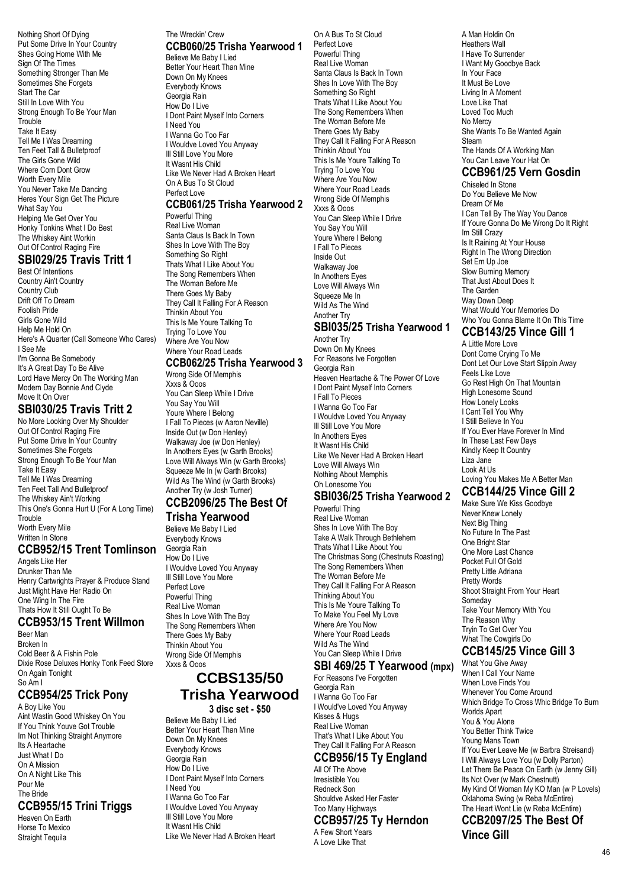Nothing Short Of Dying Put Some Drive In Your Country Shes Going Home With Me Sign Of The Times Something Stronger Than Me Sometimes She Forgets Start The Car Still In Love With You Strong Enough To Be Your Man **Trouble** Take It Easy Tell Me I Was Dreaming Ten Feet Tall & Bulletproof The Girls Gone Wild Where Corn Dont Grow Worth Every Mile You Never Take Me Dancing Heres Your Sign Get The Picture What Say You Helping Me Get Over You Honky Tonkins What I Do Best The Whiskey Aint Workin Out Of Control Raging Fire

### **SBI029/25 Travis Tritt 1**

Best Of Intentions Country Ain't Country Country Club Drift Off To Dream Foolish Pride Girls Gone Wild Help Me Hold On Here's A Quarter (Call Someone Who Cares) I See Me I'm Gonna Be Somebody It's A Great Day To Be Alive Lord Have Mercy On The Working Man Modern Day Bonnie And Clyde Move It On Over

### **SBI030/25 Travis Tritt 2**

No More Looking Over My Shoulder Out Of Control Raging Fire Put Some Drive In Your Country Sometimes She Forgets Strong Enough To Be Your Man Take It Easy Tell Me I Was Dreaming Ten Feet Tall And Bulletproof The Whiskey Ain't Working This One's Gonna Hurt U (For A Long Time) **Trouble** Worth Every Mile Written In Stone

### **CCB952/15 Trent Tomlinson**

Angels Like Her Drunker Than Me Henry Cartwrights Prayer & Produce Stand Just Might Have Her Radio On One Wing In The Fire Thats How It Still Ought To Be

# **CCB953/15 Trent Willmon**

Beer Man Broken In Cold Beer & A Fishin Pole Dixie Rose Deluxes Honky Tonk Feed Store On Again Tonight So Am I

# **CCB954/25 Trick Pony**

A Boy Like You Aint Wastin Good Whiskey On You If You Think Youve Got Trouble Im Not Thinking Straight Anymore Its A Heartache Just What I Do On A Mission On A Night Like This Pour Me The Bride

### **CCB955/15 Trini Triggs**

Heaven On Earth Horse To Mexico Straight Tequila

#### The Wreckin' Crew **CCB060/25 Trisha Yearwood 1** Believe Me Baby I Lied Better Your Heart Than Mine Down On My Knees Everybody Knows Georgia Rain How Do I Live I Dont Paint Myself Into Corners I Need You I Wanna Go Too Far I Wouldve Loved You Anyway

Ill Still Love You More It Wasnt His Child Like We Never Had A Broken Heart On A Bus To St Cloud Perfect Love

### **CCB061/25 Trisha Yearwood 2**

Powerful Thing Real Live Woman Santa Claus Is Back In Town Shes In Love With The Boy Something So Right Thats What I Like About You The Song Remembers When The Woman Before Me There Goes My Baby They Call It Falling For A Reason Thinkin About You This Is Me Youre Talking To Trying To Love You Where Are You Now Where Your Road Leads

### **CCB062/25 Trisha Yearwood 3**

Wrong Side Of Memphis Xxxs & Ooos You Can Sleep While I Drive You Say You Will Youre Where I Belong I Fall To Pieces (w Aaron Neville) Inside Out (w Don Henley) Walkaway Joe (w Don Henley) In Anothers Eyes (w Garth Brooks) Love Will Always Win (w Garth Brooks) Squeeze Me In (w Garth Brooks) Wild As The Wind (w Garth Brooks) Another Try (w Josh Turner)

# **CCB2096/25 The Best Of**

### **Trisha Yearwood**

Believe Me Baby I Lied Everybody Knows Georgia Rain How Do I Live I Wouldve Loved You Anyway Ill Still Love You More Perfect Love Powerful Thing Real Live Woman Shes In Love With The Boy The Song Remembers When There Goes My Baby Thinkin About You Wrong Side Of Memphis Xxxs & Ooos

### **CCBS135/50 Trisha Yearwood**

#### **3 disc set - \$50**

Believe Me Baby I Lied Better Your Heart Than Mine Down On My Knees Everybody Knows Georgia Rain How Do I Live I Dont Paint Myself Into Corners I Need You I Wanna Go Too Far I Wouldve Loved You Anyway Ill Still Love You More It Wasnt His Child Like We Never Had A Broken Heart On A Bus To St Cloud Perfect Love Powerful Thing Real Live Woman Santa Claus Is Back In Town Shes In Love With The Boy Something So Right Thats What I Like About You The Song Remembers When The Woman Before Me There Goes My Baby They Call It Falling For A Reason Thinkin About You This Is Me Youre Talking To Trying To Love You Where Are You Now Where Your Road Leads Wrong Side Of Memphis Xxxs & Ooos You Can Sleep While I Drive You Say You Will Youre Where I Belong I Fall To Pieces Inside Out Walkaway Joe In Anothers Eyes Love Will Always Win Squeeze Me In Wild As The Wind Another Try

### **SBI035/25 Trisha Yearwood 1**

Another Try Down On My Knees For Reasons Ive Forgotten Georgia Rain Heaven Heartache & The Power Of Love I Dont Paint Myself Into Corners I Fall To Pieces I Wanna Go Too Far I Wouldve Loved You Anyway Ill Still Love You More In Anothers Eyes It Wasnt His Child Like We Never Had A Broken Heart Love Will Always Win Nothing About Memphis Oh Lonesome You

### **SBI036/25 Trisha Yearwood 2**

Powerful Thing Real Live Woman Shes In Love With The Bov Take A Walk Through Bethlehem Thats What I Like About You The Christmas Song (Chestnuts Roasting) The Song Remembers When The Woman Before Me They Call It Falling For A Reason Thinking About You This Is Me Youre Talking To To Make You Feel My Love Where Are You Now Where Your Road Leads Wild As The Wind You Can Sleep While I Drive

### **SBI 469/25 T Yearwood (mpx)**

For Reasons I've Forgotten Georgia Rain I Wanna Go Too Far I Would've Loved You Anyway Kisses & Hugs Real Live Woman That's What I Like About You They Call It Falling For A Reason

#### **CCB956/15 Ty England** All Of The Above

Irresistible You Redneck Son Shouldve Asked Her Faster Too Many Highways **CCB957/25 Ty Herndon**  A Few Short Years A Love Like That

A Man Holdin On Heathers Wall I Have To Surrender I Want My Goodbye Back In Your Face It Must Be Love Living In A Moment Love Like That Loved Too Much No Mercy She Wants To Be Wanted Again **Steam** The Hands Of A Working Man You Can Leave Your Hat On

## **CCB961/25 Vern Gosdin**

Chiseled In Stone Do You Believe Me Now Dream Of Me I Can Tell By The Way You Dance If Youre Gonna Do Me Wrong Do It Right Im Still Crazy Is It Raining At Your House Right In The Wrong Direction Set Em Up Joe Slow Burning Memory That Just About Does It The Garden Way Down Deep What Would Your Memories Do Who You Gonna Blame It On This Time

#### **CCB143/25 Vince Gill 1**

A Little More Love Dont Come Crying To Me Dont Let Our Love Start Slippin Away Feels Like Love Go Rest High On That Mountain High Lonesome Sound How Lonely Looks I Cant Tell You Why I Still Believe In You If You Ever Have Forever In Mind In These Last Few Days Kindly Keep It Country Liza Jane Look At Us Loving You Makes Me A Better Man

# **CCB144/25 Vince Gill 2**

Make Sure We Kiss Goodbye Never Knew Lonely Next Big Thing No Future In The Past One Bright Star One More Last Chance Pocket Full Of Gold Pretty Little Adriana Pretty Words Shoot Straight From Your Heart Someday Take Your Memory With You The Reason Why Tryin To Get Over You What The Cowgirls Do

### **CCB145/25 Vince Gill 3**

What You Give Away When I Call Your Name When Love Finds You Whenever You Come Around Which Bridge To Cross Whic Bridge To Burn Worlds Apart You & You Alone You Better Think Twice Young Mans Town If You Ever Leave Me (w Barbra Streisand) I Will Always Love You (w Dolly Parton) Let There Be Peace On Earth (w Jenny Gill) Its Not Over (w Mark Chestnutt) My Kind Of Woman My KO Man (w P Lovels) Oklahoma Swing (w Reba McEntire) The Heart Wont Lie (w Reba McEntire)

**CCB2097/25 The Best Of Vince Gill**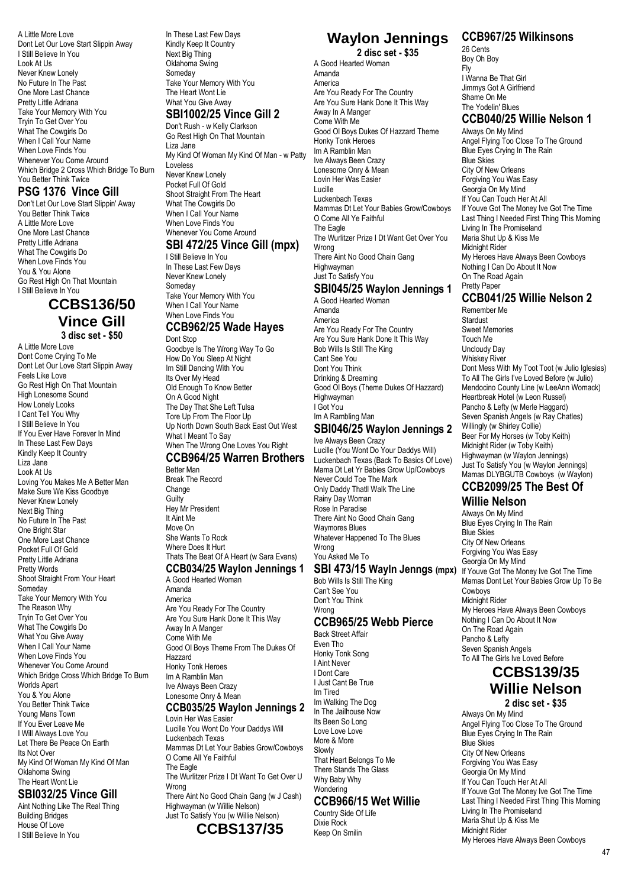A Little More Love Dont Let Our Love Start Slippin Away I Still Believe In You Look At Us Never Knew Lonely No Future In The Past One More Last Chance Pretty Little Adriana Take Your Memory With You Tryin To Get Over You What The Cowgirls Do When I Call Your Name When Love Finds You Whenever You Come Around Which Bridge 2 Cross Which Bridge To Burn You Better Think Twice

### **PSG 1376 Vince Gill**

Don't Let Our Love Start Slippin' Away You Better Think Twice A Little More Love One More Last Chance Pretty Little Adriana What The Cowgirls Do When Love Finds You You & You Alone Go Rest High On That Mountain I Still Believe In You

### **CCBS136/50 Vince Gill 3 disc set - \$50**

A Little More Love Dont Come Crying To Me Dont Let Our Love Start Slippin Away Feels Like Love Go Rest High On That Mountain High Lonesome Sound How Lonely Looks I Cant Tell You Why I Still Believe In You If You Ever Have Forever In Mind In These Last Few Days Kindly Keep It Country Liza Jane Look At Us Loving You Makes Me A Better Man Make Sure We Kiss Goodbye Never Knew Lonely Next Big Thing No Future In The Past One Bright Star One More Last Chance Pocket Full Of Gold Pretty Little Adriana Pretty Words Shoot Straight From Your Heart Someday Take Your Memory With You The Reason Why Tryin To Get Over You What The Cowgirls Do What You Give Away When I Call Your Name When Love Finds You Whenever You Come Around Which Bridge Cross Which Bridge To Burn Worlds Apart You & You Alone You Better Think Twice Young Mans Town If You Ever Leave Me I Will Always Love You Let There Be Peace On Earth Its Not Over My Kind Of Woman My Kind Of Man Oklahoma Swing The Heart Wont Lie **SBI032/25 Vince Gill**

Aint Nothing Like The Real Thing Building Bridges House Of Love I Still Believe In You

#### In These Last Few Days Kindly Keep It Country Next Big Thing Oklahoma Swing Someday Take Your Memory With You The Heart Wont Lie What You Give Away

**SBI1002/25 Vince Gill 2**

Don't Rush - w Kelly Clarkson Go Rest High On That Mountain Liza Jane My Kind Of Woman My Kind Of Man - w Patty Loveless Never Knew Lonely Pocket Full Of Gold Shoot Straight From The Heart What The Cowgirls Do When I Call Your Name When Love Finds You Whenever You Come Around **SBI 472/25 Vince Gill (mpx)**

I Still Believe In You In These Last Few Days Never Knew Lonely Someday Take Your Memory With You When I Call Your Name When Love Finds You

#### **CCB962/25 Wade Hayes** Dont Stop

Goodbye Is The Wrong Way To Go How Do You Sleep At Night Im Still Dancing With You Its Over My Head Old Enough To Know Better On A Good Night The Day That She Left Tulsa Tore Up From The Floor Up Up North Down South Back East Out West What I Meant To Say When The Wrong One Loves You Right

### **CCB964/25 Warren Brothers**

Better Man Break The Record Change **Guilty** Hey Mr President It Aint Me Move On She Wants To Rock Where Does It Hurt Thats The Beat Of A Heart (w Sara Evans) **CCB034/25 Waylon Jennings 1**

#### A Good Hearted Woman Amanda

America Are You Ready For The Country Are You Sure Hank Done It This Way Away In A Manger Come With Me Good Ol Boys Theme From The Dukes Of Hazzard Honky Tonk Heroes Im A Ramblin Man Ive Always Been Crazy Lonesome Onry & Mean **CCB035/25 Waylon Jennings 2**

Lovin Her Was Easier Lucille You Wont Do Your Daddys Will Luckenbach Texas Mammas Dt Let Your Babies Grow/Cowboys O Come All Ye Faithful The Eagle The Wurlitzer Prize I Dt Want To Get Over U Wrong There Aint No Good Chain Gang (w J Cash)

Highwayman (w Willie Nelson) Just To Satisfy You (w Willie Nelson)



#### **Waylon Jennings 2 disc set - \$35**

A Good Hearted Woman Amanda America Are You Ready For The Country Are You Sure Hank Done It This Way Away In A Manger Come With Me Good Ol Boys Dukes Of Hazzard Theme Honky Tonk Heroes Im A Ramblin Man Ive Always Been Crazy Lonesome Onry & Mean Lovin Her Was Easier Lucille Luckenbach Texas Mammas Dt Let Your Babies Grow/Cowboys O Come All Ye Faithful The Eagle The Wurlitzer Prize I Dt Want Get Over You Wrong There Aint No Good Chain Gang Highwayman Just To Satisfy You

### **SBI045/25 Waylon Jennings 1**

A Good Hearted Woman Amanda America Are You Ready For The Country Are You Sure Hank Done It This Way Bob Wills Is Still The King Cant See You Dont You Think Drinking & Dreaming Good Ol Boys (Theme Dukes Of Hazzard) Highwayman I Got You Im A Rambling Man

#### **SBI046/25 Waylon Jennings 2** Ive Always Been Crazy

Lucille (You Wont Do Your Daddys Will) Luckenbach Texas (Back To Basics Of Love) Mama Dt Let Yr Babies Grow Up/Cowboys Never Could Toe The Mark Only Daddy Thatll Walk The Line Rainy Day Woman Rose In Paradise There Aint No Good Chain Gang Waymores Blues Whatever Happened To The Blues Wrong You Asked Me To

### **SBI 473/15 Wayln Jenngs (mpx)**

Bob Wills Is Still The King Can't See You Don't You Think Wrong

### **CCB965/25 Webb Pierce**

Back Street Affair Even Tho Honky Tonk Song I Aint Never I Dont Care I Just Cant Be True Im Tired Im Walking The Dog In The Jailhouse Now Its Been So Long Love Love Love More & More Slowly That Heart Belongs To Me There Stands The Glass Why Baby Why **Wondering** 

### **CCB966/15 Wet Willie**

Country Side Of Life Dixie Rock Keep On Smilin

### **CCB967/25 Wilkinsons**

26 Cents Boy Oh Boy Fly I Wanna Be That Girl Jimmys Got A Girlfriend Shame On Me The Yodelin' Blues **CCB040/25 Willie Nelson 1** Always On My Mind Angel Flying Too Close To The Ground Blue Eyes Crying In The Rain Blue Skies City Of New Orleans Forgiving You Was Easy Georgia On My Mind If You Can Touch Her At All If Youve Got The Money Ive Got The Time Last Thing I Needed First Thing This Morning Living In The Promiseland Maria Shut Up & Kiss Me

Midnight Rider My Heroes Have Always Been Cowboys Nothing I Can Do About It Now On The Road Again Pretty Paper

# **CCB041/25 Willie Nelson 2**

Remember Me Stardust Sweet Memories Touch Me Uncloudy Day Whiskey River Dont Mess With My Toot Toot (w Julio Iglesias) To All The Girls I've Loved Before (w Julio) Mendocino County Line (w LeeAnn Womack) Heartbreak Hotel (w Leon Russel) Pancho & Lefty (w Merle Haggard) Seven Spanish Angels (w Ray Chatles) Willingly (w Shirley Collie) Beer For My Horses (w Toby Keith) Midnight Rider (w Toby Keith) Highwayman (w Waylon Jennings) Just To Satisfy You (w Waylon Jennings) Mamas DLYBGUTB Cowboys (w Waylon)

# **CCB2099/25 The Best Of**

#### **Willie Nelson** Always On My Mind

Blue Eyes Crying In The Rain Blue Skies City Of New Orleans Forgiving You Was Easy Georgia On My Mind If Youve Got The Money Ive Got The Time Mamas Dont Let Your Babies Grow Up To Be Cowboys Midnight Rider My Heroes Have Always Been Cowboys Nothing I Can Do About It Now On The Road Again Pancho & Lefty Seven Spanish Angels To All The Girls Ive Loved Before

### **CCBS139/35 Willie Nelson 2 disc set - \$35**

Always On My Mind Angel Flying Too Close To The Ground Blue Eyes Crying In The Rain Blue Skies City Of New Orleans Forgiving You Was Easy Georgia On My Mind If You Can Touch Her At All If Youve Got The Money Ive Got The Time Last Thing I Needed First Thing This Morning Living In The Promiseland Maria Shut Up & Kiss Me Midnight Rider My Heroes Have Always Been Cowboys